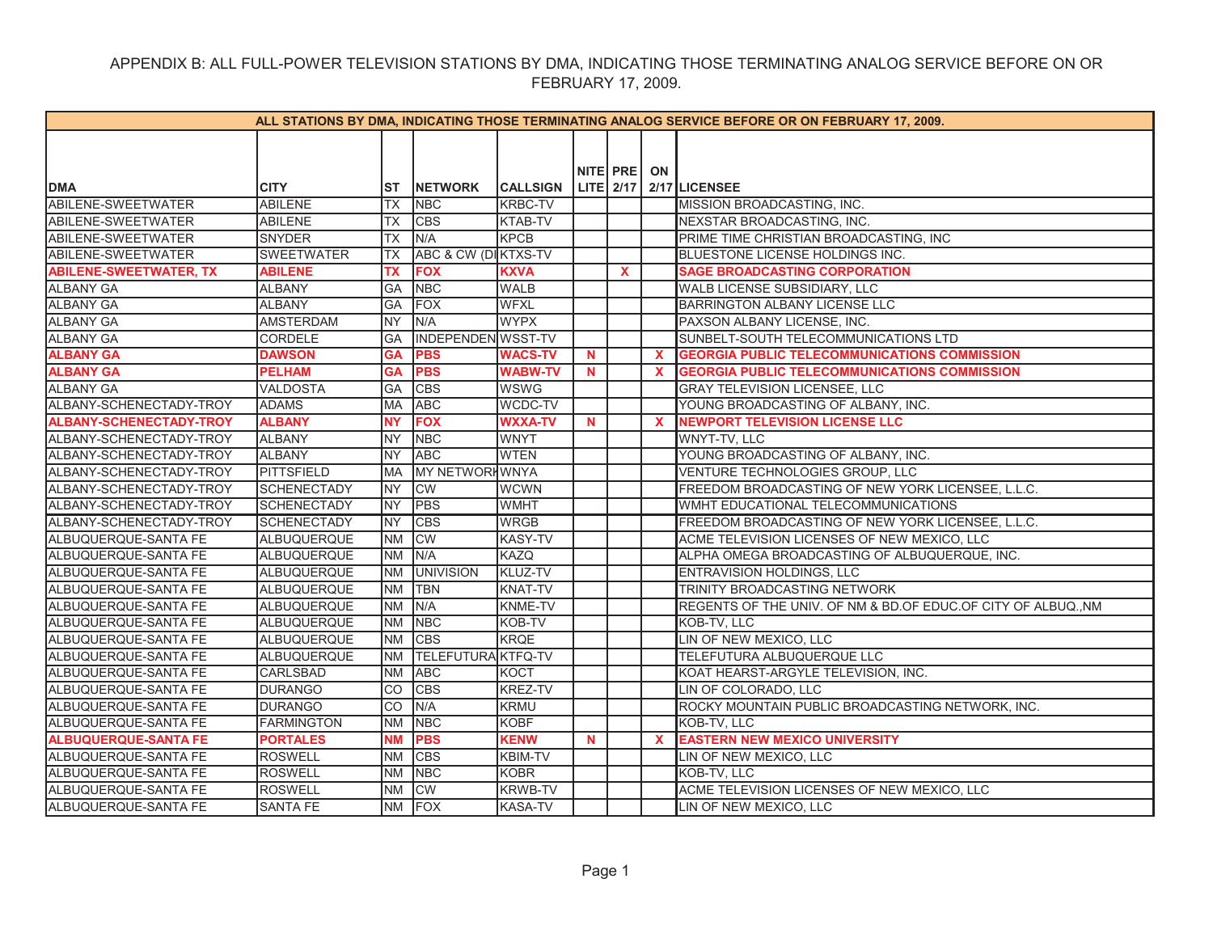| ALL STATIONS BY DMA, INDICATING THOSE TERMINATING ANALOG SERVICE BEFORE OR ON FEBRUARY 17, 2009. |                    |            |                           |                 |    |             |              |                                                               |  |  |
|--------------------------------------------------------------------------------------------------|--------------------|------------|---------------------------|-----------------|----|-------------|--------------|---------------------------------------------------------------|--|--|
|                                                                                                  |                    |            |                           |                 |    |             |              |                                                               |  |  |
|                                                                                                  |                    |            |                           |                 |    |             |              |                                                               |  |  |
|                                                                                                  |                    |            |                           |                 |    | NITE PRE ON |              |                                                               |  |  |
| <b>DMA</b>                                                                                       | <b>CITY</b>        | IST        | <b>NETWORK</b>            | <b>CALLSIGN</b> |    |             |              | LITE 2/17 2/17 LICENSEE                                       |  |  |
| ABILENE-SWEETWATER                                                                               | <b>ABILENE</b>     | <b>TX</b>  | <b>NBC</b>                | <b>KRBC-TV</b>  |    |             |              | MISSION BROADCASTING, INC.                                    |  |  |
| ABILENE-SWEETWATER                                                                               | ABILENE            | ТX         | C <sub>BS</sub>           | KTAB-TV         |    |             |              | NEXSTAR BROADCASTING, INC.                                    |  |  |
| ABILENE-SWEETWATER                                                                               | SNYDER             | <b>TX</b>  | N/A                       | <b>KPCB</b>     |    |             |              | PRIME TIME CHRISTIAN BROADCASTING, INC                        |  |  |
| ABILENE-SWEETWATER                                                                               | <b>SWEETWATER</b>  | <b>TX</b>  | ABC & CW (DI KTXS-TV      |                 |    |             |              | BLUESTONE LICENSE HOLDINGS INC.                               |  |  |
| <b>ABILENE-SWEETWATER, TX</b>                                                                    | <b>ABILENE</b>     | <b>TX</b>  | <b>FOX</b>                | <b>KXVA</b>     |    | X           |              | <b>SAGE BROADCASTING CORPORATION</b>                          |  |  |
| <b>ALBANY GA</b>                                                                                 | <b>ALBANY</b>      | <b>GA</b>  | <b>NBC</b>                | <b>WALB</b>     |    |             |              | WALB LICENSE SUBSIDIARY, LLC                                  |  |  |
| <b>ALBANY GA</b>                                                                                 | <b>ALBANY</b>      | <b>GA</b>  | <b>FOX</b>                | <b>WFXL</b>     |    |             |              | BARRINGTON ALBANY LICENSE LLC                                 |  |  |
| <b>ALBANY GA</b>                                                                                 | <b>AMSTERDAM</b>   | <b>NY</b>  | N/A                       | <b>WYPX</b>     |    |             |              | PAXSON ALBANY LICENSE, INC.                                   |  |  |
| <b>ALBANY GA</b>                                                                                 | CORDELE            | GA         | INDEPENDEN WSST-TV        |                 |    |             |              | SUNBELT-SOUTH TELECOMMUNICATIONS LTD                          |  |  |
| <b>ALBANY GA</b>                                                                                 | <b>DAWSON</b>      | <b>GA</b>  | <b>PBS</b>                | <b>WACS-TV</b>  | N  |             | $\mathbf x$  | <b>GEORGIA PUBLIC TELECOMMUNICATIONS COMMISSION</b>           |  |  |
| <b>ALBANY GA</b>                                                                                 | <b>PELHAM</b>      | <b>GA</b>  | <b>PBS</b>                | <b>WABW-TV</b>  | N. |             | X            | <b>GEORGIA PUBLIC TELECOMMUNICATIONS COMMISSION</b>           |  |  |
| <b>ALBANY GA</b>                                                                                 | <b>VALDOSTA</b>    | GA         | <b>CBS</b>                | <b>WSWG</b>     |    |             |              | GRAY TELEVISION LICENSEE, LLC                                 |  |  |
| ALBANY-SCHENECTADY-TROY                                                                          | <b>ADAMS</b>       | <b>IMA</b> | <b>ABC</b>                | WCDC-TV         |    |             |              | YOUNG BROADCASTING OF ALBANY, INC.                            |  |  |
| <b>ALBANY-SCHENECTADY-TROY</b>                                                                   | <b>ALBANY</b>      | <b>NY</b>  | <b>FOX</b>                | <b>WXXA-TV</b>  | N  |             | $\mathbf{x}$ | <b>NEWPORT TELEVISION LICENSE LLC</b>                         |  |  |
| ALBANY-SCHENECTADY-TROY                                                                          | <b>ALBANY</b>      | <b>NY</b>  | <b>NBC</b>                | <b>WNYT</b>     |    |             |              | WNYT-TV, LLC                                                  |  |  |
| ALBANY-SCHENECTADY-TROY                                                                          | <b>ALBANY</b>      | <b>NY</b>  | <b>ABC</b>                | <b>WTEN</b>     |    |             |              | YOUNG BROADCASTING OF ALBANY, INC.                            |  |  |
| ALBANY-SCHENECTADY-TROY                                                                          | PITTSFIELD         | <b>IMA</b> | MY NETWORKWNYA            |                 |    |             |              | VENTURE TECHNOLOGIES GROUP, LLC                               |  |  |
| ALBANY-SCHENECTADY-TROY                                                                          | SCHENECTADY        | <b>NY</b>  | <b>CW</b>                 | <b>WCWN</b>     |    |             |              | FREEDOM BROADCASTING OF NEW YORK LICENSEE, L.L.C.             |  |  |
| ALBANY-SCHENECTADY-TROY                                                                          | <b>SCHENECTADY</b> | <b>NY</b>  | <b>PBS</b>                | <b>WMHT</b>     |    |             |              | WMHT EDUCATIONAL TELECOMMUNICATIONS                           |  |  |
| ALBANY-SCHENECTADY-TROY                                                                          | <b>SCHENECTADY</b> | INY        | <b>CBS</b>                | <b>WRGB</b>     |    |             |              | FREEDOM BROADCASTING OF NEW YORK LICENSEE, L.L.C.             |  |  |
| ALBUQUERQUE-SANTA FE                                                                             | <b>ALBUQUERQUE</b> | <b>INM</b> | <b>CW</b>                 | KASY-TV         |    |             |              | ACME TELEVISION LICENSES OF NEW MEXICO, LLC                   |  |  |
| ALBUQUERQUE-SANTA FE                                                                             | ALBUQUERQUE        | <b>INM</b> | N/A                       | KAZQ            |    |             |              | ALPHA OMEGA BROADCASTING OF ALBUQUERQUE, INC.                 |  |  |
| ALBUQUERQUE-SANTA FE                                                                             | ALBUQUERQUE        | <b>INM</b> | <b>UNIVISION</b>          | KLUZ-TV         |    |             |              | ENTRAVISION HOLDINGS, LLC                                     |  |  |
| ALBUQUERQUE-SANTA FE                                                                             | ALBUQUERQUE        | <b>INM</b> | <b>TBN</b>                | KNAT-TV         |    |             |              | TRINITY BROADCASTING NETWORK                                  |  |  |
| ALBUQUERQUE-SANTA FE                                                                             | <b>ALBUQUERQUE</b> | <b>NM</b>  | N/A                       | KNME-TV         |    |             |              | REGENTS OF THE UNIV. OF NM & BD.OF EDUC.OF CITY OF ALBUQ., NM |  |  |
| ALBUQUERQUE-SANTA FE                                                                             | ALBUQUERQUE        | <b>INM</b> | <b>NBC</b>                | KOB-TV          |    |             |              | KOB-TV, LLC                                                   |  |  |
| ALBUQUERQUE-SANTA FE                                                                             | ALBUQUERQUE        | <b>INM</b> | <b>CBS</b>                | <b>KRQE</b>     |    |             |              | LIN OF NEW MEXICO, LLC                                        |  |  |
| ALBUQUERQUE-SANTA FE                                                                             | <b>ALBUQUERQUE</b> | <b>INM</b> | <b>TELEFUTURA KTFQ-TV</b> |                 |    |             |              | TELEFUTURA ALBUQUERQUE LLC                                    |  |  |
| ALBUQUERQUE-SANTA FE                                                                             | CARLSBAD           | <b>NM</b>  | <b>ABC</b>                | <b>KOCT</b>     |    |             |              | KOAT HEARST-ARGYLE TELEVISION, INC.                           |  |  |
| ALBUQUERQUE-SANTA FE                                                                             | <b>DURANGO</b>     | <b>CO</b>  | <b>CBS</b>                | KREZ-TV         |    |             |              | LIN OF COLORADO, LLC                                          |  |  |
| ALBUQUERQUE-SANTA FE                                                                             | <b>DURANGO</b>     | <b>CO</b>  | N/A                       | Krmu            |    |             |              | ROCKY MOUNTAIN PUBLIC BROADCASTING NETWORK, INC.              |  |  |
| ALBUQUERQUE-SANTA FE                                                                             | <b>FARMINGTON</b>  | <b>NM</b>  | <b>NBC</b>                | KOBF            |    |             |              | KOB-TV, LLC                                                   |  |  |
| <b>ALBUQUERQUE-SANTA FE</b>                                                                      | <b>PORTALES</b>    | <b>NM</b>  | <b>PBS</b>                | <b>KENW</b>     | N. |             | $\mathbf{x}$ | <b>EASTERN NEW MEXICO UNIVERSITY</b>                          |  |  |
| ALBUQUERQUE-SANTA FE                                                                             | <b>ROSWELL</b>     | <b>NM</b>  | <b>CBS</b>                | KBIM-TV         |    |             |              | LIN OF NEW MEXICO, LLC                                        |  |  |
| ALBUQUERQUE-SANTA FE                                                                             | <b>ROSWELL</b>     | <b>NM</b>  | <b>NBC</b>                | <b>KOBR</b>     |    |             |              | KOB-TV, LLC                                                   |  |  |
| ALBUQUERQUE-SANTA FE                                                                             | <b>ROSWELL</b>     | <b>NM</b>  | <b>CW</b>                 | KRWB-TV         |    |             |              | ACME TELEVISION LICENSES OF NEW MEXICO, LLC                   |  |  |
| ALBUQUERQUE-SANTA FE                                                                             | <b>SANTA FE</b>    | <b>NM</b>  | FOX                       | <b>KASA-TV</b>  |    |             |              | LIN OF NEW MEXICO, LLC                                        |  |  |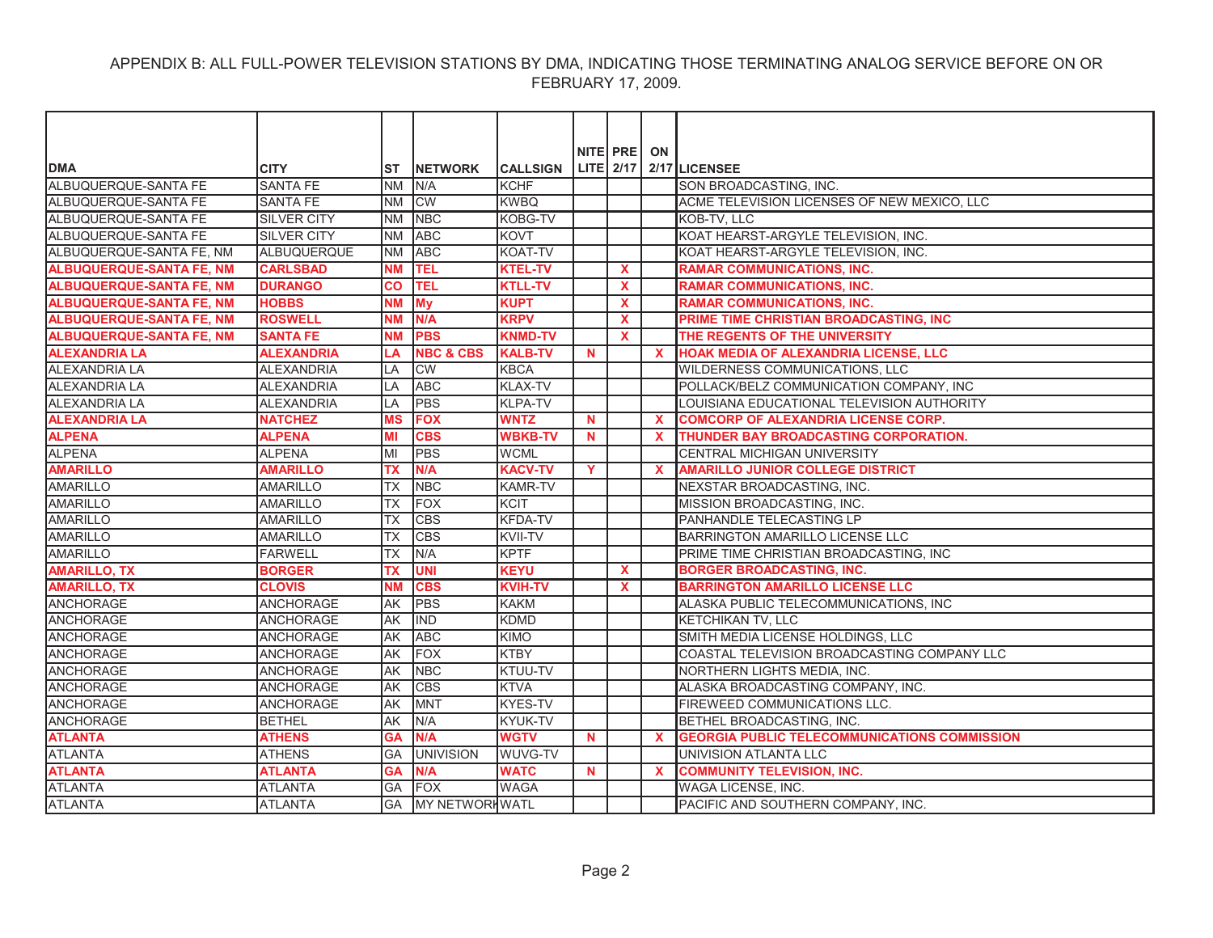| <b>DMA</b>                      | <b>CITY</b>        | IST       | <b>INETWORK</b>       | <b>CALLSIGN</b> |             | NITE PRE     | ON           | LITE $2/17$ 2/17 LICENSEE                           |
|---------------------------------|--------------------|-----------|-----------------------|-----------------|-------------|--------------|--------------|-----------------------------------------------------|
| ALBUQUERQUE-SANTA FE            | <b>SANTA FE</b>    | <b>NM</b> | N/A                   | <b>KCHF</b>     |             |              |              | SON BROADCASTING, INC.                              |
| ALBUQUERQUE-SANTA FE            | <b>SANTA FE</b>    | <b>NM</b> | <b>CW</b>             | <b>KWBQ</b>     |             |              |              | ACME TELEVISION LICENSES OF NEW MEXICO, LLC         |
| ALBUQUERQUE-SANTA FE            | <b>SILVER CITY</b> | <b>NM</b> | <b>NBC</b>            | KOBG-TV         |             |              |              | KOB-TV, LLC                                         |
| ALBUQUERQUE-SANTA FE            | <b>SILVER CITY</b> | <b>NM</b> | <b>ABC</b>            | <b>KOVT</b>     |             |              |              | KOAT HEARST-ARGYLE TELEVISION, INC.                 |
| ALBUQUERQUE-SANTA FE, NM        | <b>ALBUQUERQUE</b> | <b>NM</b> | <b>ABC</b>            | KOAT-TV         |             |              |              | KOAT HEARST-ARGYLE TELEVISION, INC.                 |
| <b>ALBUQUERQUE-SANTA FE, NM</b> | <b>CARLSBAD</b>    | <b>NM</b> | <b>TEL</b>            | <b>KTEL-TV</b>  |             | <b>X</b>     |              | <b>RAMAR COMMUNICATIONS, INC.</b>                   |
| <b>ALBUQUERQUE-SANTA FE, NM</b> | <b>DURANGO</b>     | co        | <b>TEL</b>            | <b>KTLL-TV</b>  |             | X            |              | <b>RAMAR COMMUNICATIONS, INC.</b>                   |
| <b>ALBUQUERQUE-SANTA FE, NM</b> | <b>HOBBS</b>       | <b>NM</b> | <b>My</b>             | <b>KUPT</b>     |             | $\mathbf{x}$ |              | <b>RAMAR COMMUNICATIONS, INC.</b>                   |
| <b>ALBUQUERQUE-SANTA FE, NM</b> | <b>ROSWELL</b>     | <b>NM</b> | N/A                   | <b>KRPV</b>     |             | $\mathbf{x}$ |              | PRIME TIME CHRISTIAN BROADCASTING, INC              |
| <b>ALBUQUERQUE-SANTA FE, NM</b> | <b>SANTA FE</b>    | <b>NM</b> | <b>PBS</b>            | <b>KNMD-TV</b>  |             | <b>X</b>     |              | THE REGENTS OF THE UNIVERSITY                       |
| <b>ALEXANDRIA LA</b>            | <b>ALEXANDRIA</b>  | LA        | <b>NBC &amp; CBS</b>  | <b>KALB-TV</b>  | N           |              | $\mathbf{x}$ | HOAK MEDIA OF ALEXANDRIA LICENSE, LLC               |
| <b>ALEXANDRIA LA</b>            | <b>ALEXANDRIA</b>  | LA        | <b>CW</b>             | <b>KBCA</b>     |             |              |              | WILDERNESS COMMUNICATIONS, LLC                      |
| <b>ALEXANDRIA LA</b>            | <b>ALEXANDRIA</b>  | LA        | <b>ABC</b>            | <b>KLAX-TV</b>  |             |              |              | POLLACK/BELZ COMMUNICATION COMPANY, INC             |
| <b>ALEXANDRIA LA</b>            | <b>ALEXANDRIA</b>  | LA        | <b>PBS</b>            | <b>KLPA-TV</b>  |             |              |              | LOUISIANA EDUCATIONAL TELEVISION AUTHORITY          |
| <b>ALEXANDRIA LA</b>            | <b>NATCHEZ</b>     | <b>MS</b> | <b>FOX</b>            | <b>WNTZ</b>     | $\mathbf N$ |              | $\mathbf{x}$ | <b>COMCORP OF ALEXANDRIA LICENSE CORP.</b>          |
| <b>ALPENA</b>                   | <b>ALPENA</b>      | MI        | <b>CBS</b>            | <b>WBKB-TV</b>  | $\mathbf N$ |              | $\mathbf{x}$ | THUNDER BAY BROADCASTING CORPORATION.               |
| <b>ALPENA</b>                   | <b>ALPENA</b>      | lмı       | PBS                   | <b>WCML</b>     |             |              |              | CENTRAL MICHIGAN UNIVERSITY                         |
| <b>AMARILLO</b>                 | <b>AMARILLO</b>    | <b>TX</b> | N/A                   | <b>KACV-TV</b>  | Y           |              | $\mathbf{x}$ | <b>AMARILLO JUNIOR COLLEGE DISTRICT</b>             |
| <b>AMARILLO</b>                 | <b>AMARILLO</b>    | ТX        | <b>NBC</b>            | <b>KAMR-TV</b>  |             |              |              | NEXSTAR BROADCASTING, INC.                          |
| <b>AMARILLO</b>                 | <b>AMARILLO</b>    | ТX        | FOX                   | <b>KCIT</b>     |             |              |              | MISSION BROADCASTING, INC.                          |
| <b>AMARILLO</b>                 | <b>AMARILLO</b>    | <b>TX</b> | <b>CBS</b>            | <b>KFDA-TV</b>  |             |              |              | PANHANDLE TELECASTING LP                            |
| <b>AMARILLO</b>                 | <b>AMARILLO</b>    | <b>TX</b> | <b>CBS</b>            | KVII-TV         |             |              |              | BARRINGTON AMARILLO LICENSE LLC                     |
| <b>AMARILLO</b>                 | <b>FARWELL</b>     | ТX        | N/A                   | <b>KPTF</b>     |             |              |              | PRIME TIME CHRISTIAN BROADCASTING, INC              |
| <b>AMARILLO, TX</b>             | <b>BORGER</b>      | <b>TX</b> | <b>UNI</b>            | <b>KEYU</b>     |             | $\mathbf{x}$ |              | <b>BORGER BROADCASTING, INC.</b>                    |
| <b>AMARILLO, TX</b>             | <b>CLOVIS</b>      | <b>NM</b> | <b>CBS</b>            | <b>KVIH-TV</b>  |             | <b>X</b>     |              | <b>BARRINGTON AMARILLO LICENSE LLC</b>              |
| <b>ANCHORAGE</b>                | <b>ANCHORAGE</b>   | AK        | <b>PBS</b>            | <b>KAKM</b>     |             |              |              | ALASKA PUBLIC TELECOMMUNICATIONS, INC               |
| <b>ANCHORAGE</b>                | <b>ANCHORAGE</b>   | <b>AK</b> | IND                   | <b>KDMD</b>     |             |              |              | KETCHIKAN TV, LLC                                   |
| <b>ANCHORAGE</b>                | <b>ANCHORAGE</b>   | <b>AK</b> | <b>ABC</b>            | <b>KIMO</b>     |             |              |              | SMITH MEDIA LICENSE HOLDINGS, LLC                   |
| <b>ANCHORAGE</b>                | <b>ANCHORAGE</b>   | lAK       | <b>FOX</b>            | <b>KTBY</b>     |             |              |              | COASTAL TELEVISION BROADCASTING COMPANY LLC         |
| <b>ANCHORAGE</b>                | <b>ANCHORAGE</b>   | AK        | <b>NBC</b>            | KTUU-TV         |             |              |              | NORTHERN LIGHTS MEDIA, INC.                         |
| ANCHORAGE                       | <b>ANCHORAGE</b>   | AK        | <b>CBS</b>            | <b>KTVA</b>     |             |              |              | ALASKA BROADCASTING COMPANY, INC.                   |
| <b>ANCHORAGE</b>                | <b>ANCHORAGE</b>   | AK        | <b>MNT</b>            | <b>KYES-TV</b>  |             |              |              | FIREWEED COMMUNICATIONS LLC.                        |
| <b>ANCHORAGE</b>                | <b>BETHEL</b>      | <b>AK</b> | N/A                   | <b>KYUK-TV</b>  |             |              |              | BETHEL BROADCASTING, INC.                           |
| <b>ATLANTA</b>                  | <b>ATHENS</b>      | <b>GA</b> | N/A                   | <b>WGTV</b>     | $\mathbf N$ |              | $\mathbf{x}$ | <b>GEORGIA PUBLIC TELECOMMUNICATIONS COMMISSION</b> |
| <b>ATLANTA</b>                  | <b>ATHENS</b>      | GA        | <b>UNIVISION</b>      | WUVG-TV         |             |              |              | UNIVISION ATLANTA LLC                               |
| <b>ATLANTA</b>                  | <b>ATLANTA</b>     | <b>GA</b> | N/A                   | <b>WATC</b>     | N           |              |              | <b>COMMUNITY TELEVISION. INC.</b>                   |
| <b>ATLANTA</b>                  | <b>ATLANTA</b>     | <b>GA</b> | <b>IFOX</b>           | <b>WAGA</b>     |             |              |              | WAGA LICENSE, INC.                                  |
| <b>ATLANTA</b>                  | <b>ATLANTA</b>     | <b>GA</b> | <b>MY NETWORHWATL</b> |                 |             |              |              | PACIFIC AND SOUTHERN COMPANY. INC.                  |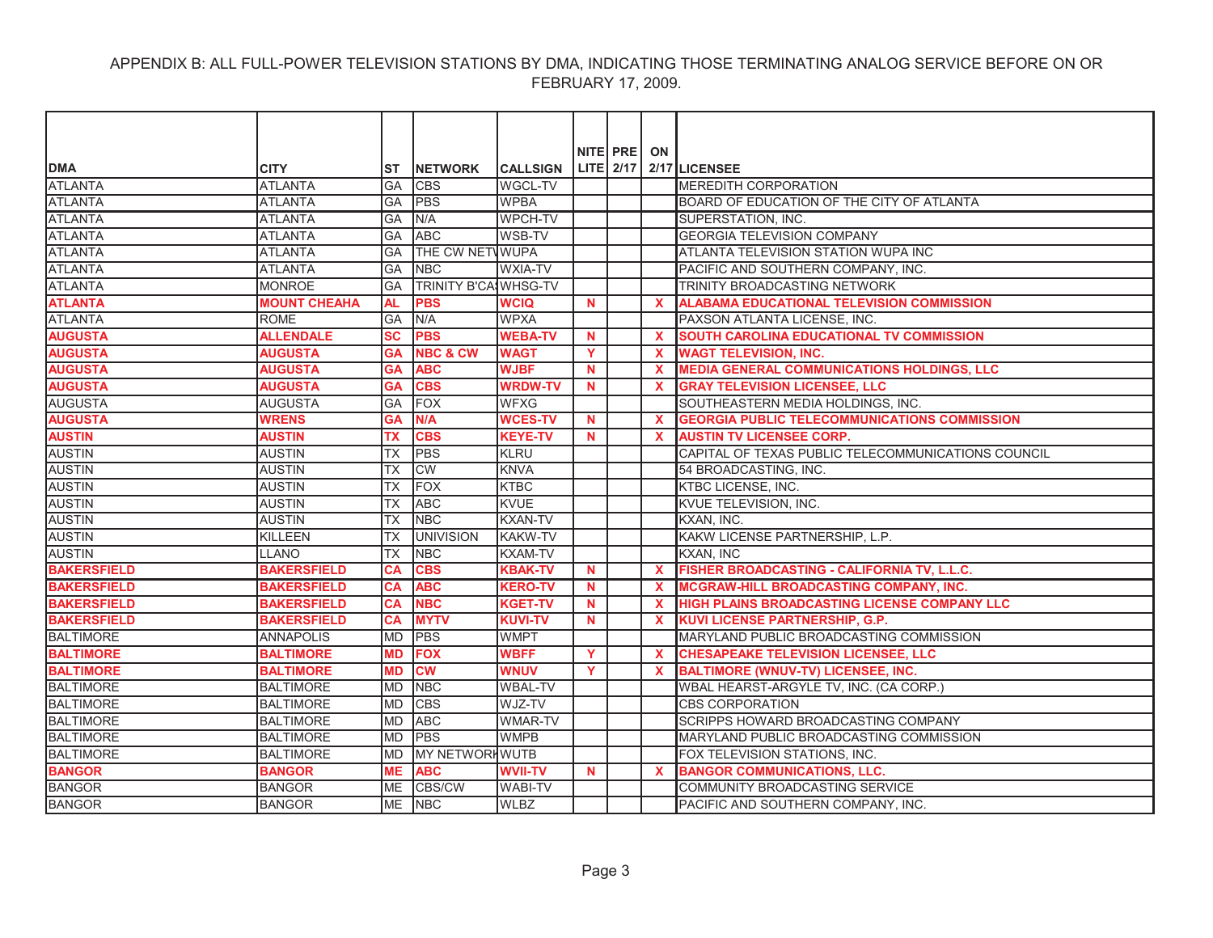|                    |                     |            |                             |                 |             | NITE PRE | ON                        |                                                     |
|--------------------|---------------------|------------|-----------------------------|-----------------|-------------|----------|---------------------------|-----------------------------------------------------|
| <b>DMA</b>         | <b>CITY</b>         | IST        | <b>INETWORK</b>             | <b>CALLSIGN</b> |             |          |                           | LITE $2/17$ 2/17 LICENSEE                           |
| <b>ATLANTA</b>     | <b>ATLANTA</b>      | <b>GA</b>  | <b>CBS</b>                  | <b>WGCL-TV</b>  |             |          |                           | <b>MEREDITH CORPORATION</b>                         |
| <b>ATLANTA</b>     | <b>ATLANTA</b>      | GA         | <b>IPBS</b>                 | <b>WPBA</b>     |             |          |                           | BOARD OF EDUCATION OF THE CITY OF ATLANTA           |
| <b>ATLANTA</b>     | <b>ATLANTA</b>      | GA         | N/A                         | <b>WPCH-TV</b>  |             |          |                           | SUPERSTATION, INC.                                  |
| <b>ATLANTA</b>     | <b>ATLANTA</b>      | GA         | <b>ABC</b>                  | WSB-TV          |             |          |                           | GEORGIA TELEVISION COMPANY                          |
| <b>ATLANTA</b>     | <b>ATLANTA</b>      | GA         | THE CW NETWUPA              |                 |             |          |                           | ATLANTA TELEVISION STATION WUPA INC                 |
| <b>ATLANTA</b>     | <b>ATLANTA</b>      | GA         | <b>NBC</b>                  | <b>WXIA-TV</b>  |             |          |                           | PACIFIC AND SOUTHERN COMPANY, INC.                  |
| <b>ATLANTA</b>     | <b>MONROE</b>       | GA         | <b>TRINITY B'CA WHSG-TV</b> |                 |             |          |                           | TRINITY BROADCASTING NETWORK                        |
| <b>ATLANTA</b>     | <b>MOUNT CHEAHA</b> | <b>AL</b>  | <b>PBS</b>                  | <b>WCIQ</b>     | <b>N</b>    |          | $\mathbf{x}$              | <b>ALABAMA EDUCATIONAL TELEVISION COMMISSION</b>    |
| <b>ATLANTA</b>     | <b>ROME</b>         | GA         | N/A                         | <b>WPXA</b>     |             |          |                           | PAXSON ATLANTA LICENSE, INC.                        |
| <b>AUGUSTA</b>     | <b>ALLENDALE</b>    | <b>SC</b>  | <b>PBS</b>                  | <b>WEBA-TV</b>  | N           |          | $\mathbf{x}$              | SOUTH CAROLINA EDUCATIONAL TV COMMISSION            |
| <b>AUGUSTA</b>     | <b>AUGUSTA</b>      | <b>GA</b>  | <b>NBC &amp; CW</b>         | <b>WAGT</b>     | Y           |          | $\mathbf x$               | <b>WAGT TELEVISION, INC.</b>                        |
| <b>AUGUSTA</b>     | <b>AUGUSTA</b>      | <b>GA</b>  | <b>ABC</b>                  | <b>WJBF</b>     | $\mathbf N$ |          | $\boldsymbol{\mathsf{x}}$ | <b>MEDIA GENERAL COMMUNICATIONS HOLDINGS, LLC</b>   |
| <b>AUGUSTA</b>     | <b>AUGUSTA</b>      | <b>GA</b>  | <b>CBS</b>                  | <b>WRDW-TV</b>  | N           |          | $\mathbf{x}$              | <b>GRAY TELEVISION LICENSEE, LLC</b>                |
| <b>AUGUSTA</b>     | <b>AUGUSTA</b>      | GA         | <b>FOX</b>                  | <b>WFXG</b>     |             |          |                           | SOUTHEASTERN MEDIA HOLDINGS, INC.                   |
| <b>AUGUSTA</b>     | <b>WRENS</b>        | <b>GA</b>  | N/A                         | <b>WCES-TV</b>  | N           |          | $\mathbf{x}$              | <b>GEORGIA PUBLIC TELECOMMUNICATIONS COMMISSION</b> |
| <b>AUSTIN</b>      | <b>AUSTIN</b>       | TX         | <b>CBS</b>                  | <b>KEYE-TV</b>  | $\mathbf N$ |          | $\mathbf{x}$              | <b>AUSTIN TV LICENSEE CORP.</b>                     |
| <b>AUSTIN</b>      | <b>AUSTIN</b>       | ТX         | <b>PBS</b>                  | KLRU            |             |          |                           | CAPITAL OF TEXAS PUBLIC TELECOMMUNICATIONS COUNCIL  |
| <b>AUSTIN</b>      | <b>AUSTIN</b>       | <b>TX</b>  | <b>CW</b>                   | <b>KNVA</b>     |             |          |                           | 54 BROADCASTING, INC.                               |
| <b>AUSTIN</b>      | <b>AUSTIN</b>       | TX         | <b>FOX</b>                  | <b>KTBC</b>     |             |          |                           | <b>KTBC LICENSE, INC.</b>                           |
| <b>AUSTIN</b>      | <b>AUSTIN</b>       | ТX         | <b>ABC</b>                  | <b>KVUE</b>     |             |          |                           | KVUE TELEVISION, INC.                               |
| <b>AUSTIN</b>      | <b>AUSTIN</b>       | <b>TX</b>  | <b>NBC</b>                  | <b>KXAN-TV</b>  |             |          |                           | KXAN. INC.                                          |
| <b>AUSTIN</b>      | KILLEEN             | ТX         | <b>UNIVISION</b>            | <b>KAKW-TV</b>  |             |          |                           | KAKW LICENSE PARTNERSHIP, L.P.                      |
| <b>AUSTIN</b>      | <b>LLANO</b>        | ТX         | <b>NBC</b>                  | <b>KXAM-TV</b>  |             |          |                           | KXAN, INC                                           |
| <b>BAKERSFIELD</b> | <b>BAKERSFIELD</b>  | <b>CA</b>  | <b>CBS</b>                  | <b>KBAK-TV</b>  | <b>N</b>    |          | $\mathbf{x}$              | FISHER BROADCASTING - CALIFORNIA TV, L.L.C.         |
| <b>BAKERSFIELD</b> | <b>BAKERSFIELD</b>  | CA         | <b>ABC</b>                  | <b>KERO-TV</b>  | $\mathbf N$ |          | $\boldsymbol{\mathsf{x}}$ | MCGRAW-HILL BROADCASTING COMPANY, INC.              |
| <b>BAKERSFIELD</b> | <b>BAKERSFIELD</b>  | <b>CA</b>  | <b>NBC</b>                  | <b>KGET-TV</b>  | <b>N</b>    |          | $\boldsymbol{\mathsf{x}}$ | HIGH PLAINS BROADCASTING LICENSE COMPANY LLC        |
| <b>BAKERSFIELD</b> | <b>BAKERSFIELD</b>  | <b>CA</b>  | <b>MYTV</b>                 | <b>KUVI-TV</b>  | <b>N</b>    |          | $\mathbf{x}$              | KUVI LICENSE PARTNERSHIP, G.P.                      |
| <b>BALTIMORE</b>   | <b>ANNAPOLIS</b>    | <b>IMD</b> | <b>PBS</b>                  | <b>WMPT</b>     |             |          |                           | MARYLAND PUBLIC BROADCASTING COMMISSION             |
| <b>BALTIMORE</b>   | <b>BALTIMORE</b>    | <b>MD</b>  | <b>FOX</b>                  | <b>WBFF</b>     | Y           |          | $\mathbf x$               | <b>CHESAPEAKE TELEVISION LICENSEE, LLC</b>          |
| <b>BALTIMORE</b>   | <b>BALTIMORE</b>    | <b>MD</b>  | <b>CW</b>                   | <b>WNUV</b>     | <b>Y</b>    |          | $\mathbf{x}$              | <b>BALTIMORE (WNUV-TV) LICENSEE, INC.</b>           |
| <b>BALTIMORE</b>   | <b>BALTIMORE</b>    | <b>MD</b>  | <b>NBC</b>                  | <b>WBAL-TV</b>  |             |          |                           | WBAL HEARST-ARGYLE TV, INC. (CA CORP.)              |
| <b>BALTIMORE</b>   | <b>BALTIMORE</b>    | <b>IMD</b> | <b>CBS</b>                  | WJZ-TV          |             |          |                           | <b>CBS CORPORATION</b>                              |
| <b>BALTIMORE</b>   | <b>BALTIMORE</b>    | <b>MD</b>  | <b>ABC</b>                  | <b>WMAR-TV</b>  |             |          |                           | SCRIPPS HOWARD BROADCASTING COMPANY                 |
| <b>BALTIMORE</b>   | <b>BALTIMORE</b>    | <b>MD</b>  | <b>PBS</b>                  | <b>WMPB</b>     |             |          |                           | MARYLAND PUBLIC BROADCASTING COMMISSION             |
| <b>BALTIMORE</b>   | <b>BALTIMORE</b>    | <b>MD</b>  | MY NETWORKWUTB              |                 |             |          |                           | FOX TELEVISION STATIONS, INC.                       |
| <b>BANGOR</b>      | <b>BANGOR</b>       | <b>ME</b>  | <b>ABC</b>                  | <b>WVII-TV</b>  | N           |          | $\mathbf{x}$              | <b>BANGOR COMMUNICATIONS, LLC.</b>                  |
| <b>BANGOR</b>      | <b>BANGOR</b>       | <b>ME</b>  | <b>CBS/CW</b>               | <b>WABI-TV</b>  |             |          |                           | COMMUNITY BROADCASTING SERVICE                      |
| <b>BANGOR</b>      | <b>BANGOR</b>       |            | ME INBC                     | <b>WLBZ</b>     |             |          |                           | PACIFIC AND SOUTHERN COMPANY. INC.                  |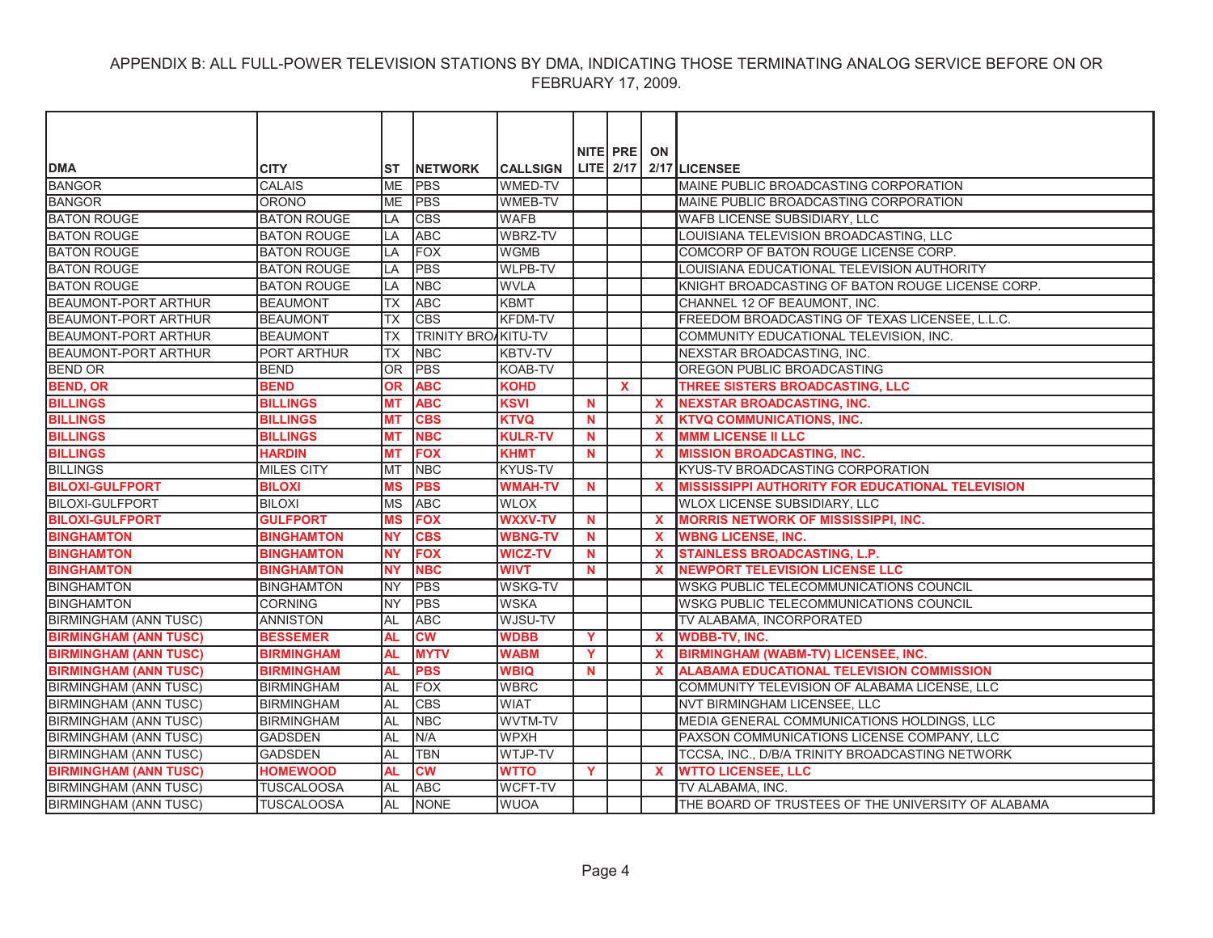|                              |                    |           |                            |                 |             | NITE PRE ON  |              |                                                         |
|------------------------------|--------------------|-----------|----------------------------|-----------------|-------------|--------------|--------------|---------------------------------------------------------|
| <b>DMA</b>                   | <b>CITY</b>        | ST        | <b>INETWORK</b>            | <b>CALLSIGN</b> |             |              |              | LITE 2/17 2/17 LICENSEE                                 |
| <b>BANGOR</b>                | <b>CALAIS</b>      | <b>ME</b> | <b>PBS</b>                 | <b>WMED-TV</b>  |             |              |              | MAINE PUBLIC BROADCASTING CORPORATION                   |
| <b>BANGOR</b>                | <b>ORONO</b>       | <b>ME</b> | <b>PBS</b>                 | WMEB-TV         |             |              |              | MAINE PUBLIC BROADCASTING CORPORATION                   |
| <b>BATON ROUGE</b>           | <b>BATON ROUGE</b> | LA        | <b>CBS</b>                 | <b>WAFB</b>     |             |              |              | WAFB LICENSE SUBSIDIARY, LLC                            |
| <b>BATON ROUGE</b>           | <b>BATON ROUGE</b> | LA        | <b>ABC</b>                 | WBRZ-TV         |             |              |              | LOUISIANA TELEVISION BROADCASTING, LLC                  |
| <b>BATON ROUGE</b>           | <b>BATON ROUGE</b> | LA        | <b>FOX</b>                 | <b>WGMB</b>     |             |              |              | COMCORP OF BATON ROUGE LICENSE CORP.                    |
| <b>BATON ROUGE</b>           | <b>BATON ROUGE</b> | LA        | <b>PBS</b>                 | <b>WLPB-TV</b>  |             |              |              | LOUISIANA EDUCATIONAL TELEVISION AUTHORITY              |
| <b>BATON ROUGE</b>           | <b>BATON ROUGE</b> | LA        | <b>NBC</b>                 | <b>WVLA</b>     |             |              |              | KNIGHT BROADCASTING OF BATON ROUGE LICENSE CORP.        |
| <b>BEAUMONT-PORT ARTHUR</b>  | <b>BEAUMONT</b>    | <b>TX</b> | <b>ABC</b>                 | <b>KBMT</b>     |             |              |              | CHANNEL 12 OF BEAUMONT, INC.                            |
| BEAUMONT-PORT ARTHUR         | <b>BEAUMONT</b>    | <b>TX</b> | <b>CBS</b>                 | <b>KFDM-TV</b>  |             |              |              | FREEDOM BROADCASTING OF TEXAS LICENSEE, L.L.C.          |
| BEAUMONT-PORT ARTHUR         | <b>BEAUMONT</b>    | <b>TX</b> | <b>TRINITY BROAKITU-TV</b> |                 |             |              |              | COMMUNITY EDUCATIONAL TELEVISION, INC.                  |
| <b>BEAUMONT-PORT ARTHUR</b>  | <b>PORT ARTHUR</b> | <b>TX</b> | <b>NBC</b>                 | <b>KBTV-TV</b>  |             |              |              | NEXSTAR BROADCASTING, INC.                              |
| <b>BEND OR</b>               | <b>BEND</b>        | <b>OR</b> | <b>PBS</b>                 | <b>KOAB-TV</b>  |             |              |              | OREGON PUBLIC BROADCASTING                              |
| <b>BEND, OR</b>              | <b>BEND</b>        | 0R        | <b>ABC</b>                 | <b>KOHD</b>     |             | $\mathbf{x}$ |              | THREE SISTERS BROADCASTING, LLC                         |
| <b>BILLINGS</b>              | <b>BILLINGS</b>    | <b>MT</b> | <b>ABC</b>                 | <b>KSVI</b>     | $\mathbf N$ |              | $\mathbf{x}$ | <b>NEXSTAR BROADCASTING, INC.</b>                       |
| <b>BILLINGS</b>              | <b>BILLINGS</b>    | <b>MT</b> | <b>CBS</b>                 | <b>KTVQ</b>     | $\mathbf N$ |              | $\mathbf x$  | <b>KTVQ COMMUNICATIONS, INC.</b>                        |
| <b>BILLINGS</b>              | <b>BILLINGS</b>    | <b>MT</b> | <b>NBC</b>                 | <b>KULR-TV</b>  | N.          |              | $\mathbf x$  | <b>MMM LICENSE II LLC</b>                               |
| <b>BILLINGS</b>              | <b>HARDIN</b>      | <b>MT</b> | <b>FOX</b>                 | <b>KHMT</b>     | N           |              | $\mathbf x$  | <b>MISSION BROADCASTING, INC.</b>                       |
| <b>BILLINGS</b>              | <b>MILES CITY</b>  | MT        | <b>NBC</b>                 | <b>KYUS-TV</b>  |             |              |              | KYUS-TV BROADCASTING CORPORATION                        |
| <b>BILOXI-GULFPORT</b>       | <b>BILOXI</b>      | <b>MS</b> | <b>PBS</b>                 | <b>WMAH-TV</b>  | N           |              | $\mathbf{x}$ | <b>MISSISSIPPI AUTHORITY FOR EDUCATIONAL TELEVISION</b> |
| <b>BILOXI-GULFPORT</b>       | <b>BILOXI</b>      | <b>MS</b> | <b>ABC</b>                 | <b>WLOX</b>     |             |              |              | WLOX LICENSE SUBSIDIARY, LLC                            |
| <b>BILOXI-GULFPORT</b>       | <b>GULFPORT</b>    | <b>MS</b> | <b>FOX</b>                 | <b>WXXV-TV</b>  | N.          |              | $\mathbf{x}$ | <b>MORRIS NETWORK OF MISSISSIPPI, INC.</b>              |
| <b>BINGHAMTON</b>            | <b>BINGHAMTON</b>  | <b>NY</b> | <b>CBS</b>                 | <b>WBNG-TV</b>  | N           |              | $\mathbf x$  | <b>WBNG LICENSE, INC.</b>                               |
| <b>BINGHAMTON</b>            | <b>BINGHAMTON</b>  | <b>NY</b> | <b>FOX</b>                 | <b>WICZ-TV</b>  | N           |              | $\mathbf{x}$ | <b>STAINLESS BROADCASTING, L.P.</b>                     |
| <b>BINGHAMTON</b>            | <b>BINGHAMTON</b>  | <b>NY</b> | <b>NBC</b>                 | <b>WIVT</b>     | N           |              | $\mathbf x$  | <b>NEWPORT TELEVISION LICENSE LLC</b>                   |
| <b>BINGHAMTON</b>            | <b>BINGHAMTON</b>  | <b>NY</b> | <b>PBS</b>                 | <b>WSKG-TV</b>  |             |              |              | WSKG PUBLIC TELECOMMUNICATIONS COUNCIL                  |
| <b>BINGHAMTON</b>            | <b>CORNING</b>     | <b>NY</b> | PBS                        | <b>WSKA</b>     |             |              |              | WSKG PUBLIC TELECOMMUNICATIONS COUNCIL                  |
| <b>BIRMINGHAM (ANN TUSC)</b> | <b>ANNISTON</b>    | AL        | <b>ABC</b>                 | WJSU-TV         |             |              |              | TV ALABAMA, INCORPORATED                                |
| <b>BIRMINGHAM (ANN TUSC)</b> | <b>BESSEMER</b>    | <b>AL</b> | <b>CW</b>                  | <b>WDBB</b>     | Y           |              | $\mathbf x$  | <b>WDBB-TV, INC.</b>                                    |
| <b>BIRMINGHAM (ANN TUSC)</b> | <b>BIRMINGHAM</b>  | <b>AL</b> | <b>MYTV</b>                | <b>WABM</b>     | Y           |              | $\mathbf{x}$ | <b>BIRMINGHAM (WABM-TV) LICENSEE, INC.</b>              |
| <b>BIRMINGHAM (ANN TUSC)</b> | <b>BIRMINGHAM</b>  | <b>AL</b> | <b>PBS</b>                 | <b>WBIQ</b>     | N           |              | $\mathbf{x}$ | <b>ALABAMA EDUCATIONAL TELEVISION COMMISSION</b>        |
| <b>BIRMINGHAM (ANN TUSC)</b> | <b>BIRMINGHAM</b>  | <b>AL</b> | <b>FOX</b>                 | <b>WBRC</b>     |             |              |              | COMMUNITY TELEVISION OF ALABAMA LICENSE, LLC            |
| <b>BIRMINGHAM (ANN TUSC)</b> | <b>BIRMINGHAM</b>  | <b>AL</b> | <b>CBS</b>                 | WIAT            |             |              |              | NVT BIRMINGHAM LICENSEE, LLC                            |
| <b>BIRMINGHAM (ANN TUSC)</b> | <b>BIRMINGHAM</b>  | AL        | <b>NBC</b>                 | WVTM-TV         |             |              |              | MEDIA GENERAL COMMUNICATIONS HOLDINGS, LLC              |
| <b>BIRMINGHAM (ANN TUSC)</b> | <b>GADSDEN</b>     | <b>AL</b> | N/A                        | <b>WPXH</b>     |             |              |              | PAXSON COMMUNICATIONS LICENSE COMPANY, LLC              |
| <b>BIRMINGHAM (ANN TUSC)</b> | <b>GADSDEN</b>     | <b>AL</b> | <b>TBN</b>                 | WTJP-TV         |             |              |              | TCCSA, INC., D/B/A TRINITY BROADCASTING NETWORK         |
| <b>BIRMINGHAM (ANN TUSC)</b> | <b>HOMEWOOD</b>    | AL.       | $\overline{\text{cw}}$     | <b>WTTO</b>     | Y           |              | $\mathbf{x}$ | <b>WTTO LICENSEE, LLC</b>                               |
| <b>BIRMINGHAM (ANN TUSC)</b> | TUSCALOOSA         | AL        | <b>ABC</b>                 | WCFT-TV         |             |              |              | TV ALABAMA, INC.                                        |
| <b>BIRMINGHAM (ANN TUSC)</b> | <b>TUSCALOOSA</b>  | <b>AL</b> | <b>NONE</b>                | <b>WUOA</b>     |             |              |              | THE BOARD OF TRUSTEES OF THE UNIVERSITY OF ALABAMA      |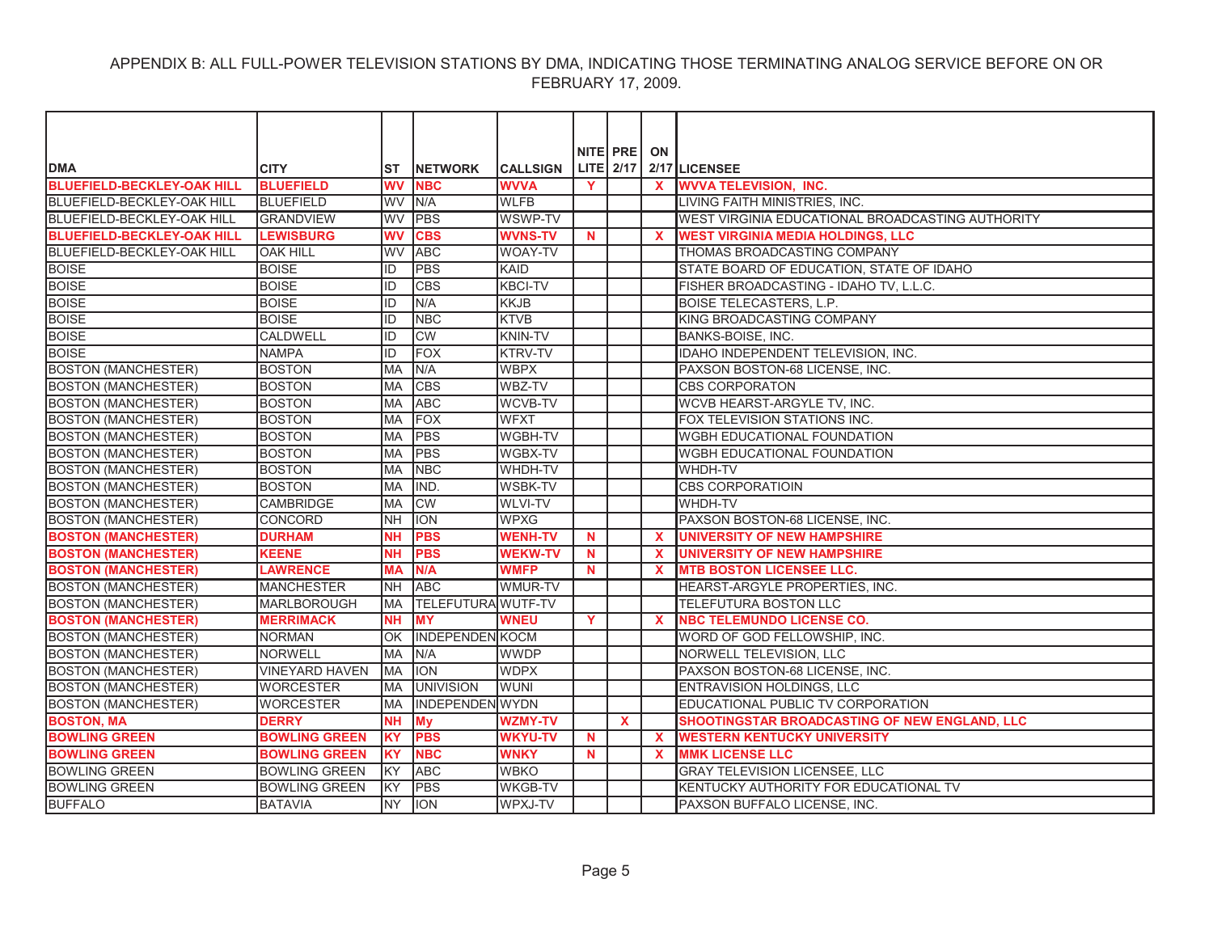|                                   |                       |            |                           |                 |             | NITE PRE ON |              |                                                  |
|-----------------------------------|-----------------------|------------|---------------------------|-----------------|-------------|-------------|--------------|--------------------------------------------------|
| <b>DMA</b>                        | <b>CITY</b>           | ST         | <b>INETWORK</b>           | <b>CALLSIGN</b> |             |             |              | LITE $2/17$ $2/17$ LICENSEE                      |
| <b>BLUEFIELD-BECKLEY-OAK HILL</b> | <b>BLUEFIELD</b>      | <b>WV</b>  | <b>NBC</b>                | <b>WVVA</b>     | Y           |             | $\mathbf{x}$ | <b>WVVA TELEVISION, INC.</b>                     |
| BLUEFIELD-BECKLEY-OAK HILL        | <b>BLUEFIELD</b>      | WV         | N/A                       | <b>WLFB</b>     |             |             |              | LIVING FAITH MINISTRIES, INC.                    |
| BLUEFIELD-BECKLEY-OAK HILL        | <b>GRANDVIEW</b>      | <b>WV</b>  | <b>PBS</b>                | WSWP-TV         |             |             |              | WEST VIRGINIA EDUCATIONAL BROADCASTING AUTHORITY |
| <b>BLUEFIELD-BECKLEY-OAK HILL</b> | <b>LEWISBURG</b>      | <b>WV</b>  | <b>CBS</b>                | <b>WVNS-TV</b>  | $\mathbf N$ |             | $\mathbf{x}$ | <b>WEST VIRGINIA MEDIA HOLDINGS, LLC</b>         |
| <b>BLUEFIELD-BECKLEY-OAK HILL</b> | <b>OAK HILL</b>       | <b>WV</b>  | <b>ABC</b>                | <b>WOAY-TV</b>  |             |             |              | THOMAS BROADCASTING COMPANY                      |
| <b>BOISE</b>                      | <b>BOISE</b>          | ID         | <b>PBS</b>                | KAID            |             |             |              | STATE BOARD OF EDUCATION, STATE OF IDAHO         |
| <b>BOISE</b>                      | <b>BOISE</b>          | ID         | <b>CBS</b>                | <b>KBCI-TV</b>  |             |             |              | FISHER BROADCASTING - IDAHO TV, L.L.C.           |
| <b>BOISE</b>                      | <b>BOISE</b>          | ID         | N/A                       | <b>KKJB</b>     |             |             |              | <b>BOISE TELECASTERS, L.P.</b>                   |
| <b>BOISE</b>                      | <b>BOISE</b>          | ID         | <b>NBC</b>                | <b>KTVB</b>     |             |             |              | KING BROADCASTING COMPANY                        |
| <b>BOISE</b>                      | <b>CALDWELL</b>       | ID         | CW                        | <b>KNIN-TV</b>  |             |             |              | <b>BANKS-BOISE, INC.</b>                         |
| <b>BOISE</b>                      | <b>NAMPA</b>          | ID         | FOX                       | <b>KTRV-TV</b>  |             |             |              | IDAHO INDEPENDENT TELEVISION, INC.               |
| <b>BOSTON (MANCHESTER)</b>        | <b>BOSTON</b>         | <b>IMA</b> | N/A                       | <b>WBPX</b>     |             |             |              | PAXSON BOSTON-68 LICENSE. INC.                   |
| <b>BOSTON (MANCHESTER)</b>        | <b>BOSTON</b>         | <b>MA</b>  | <b>CBS</b>                | WBZ-TV          |             |             |              | <b>CBS CORPORATON</b>                            |
| <b>BOSTON (MANCHESTER)</b>        | <b>BOSTON</b>         | <b>MA</b>  | <b>ABC</b>                | <b>WCVB-TV</b>  |             |             |              | WCVB HEARST-ARGYLE TV, INC.                      |
| <b>BOSTON (MANCHESTER)</b>        | <b>BOSTON</b>         | MA         | <b>FOX</b>                | <b>WFXT</b>     |             |             |              | FOX TELEVISION STATIONS INC.                     |
| <b>BOSTON (MANCHESTER)</b>        | <b>BOSTON</b>         | <b>MA</b>  | <b>PBS</b>                | <b>WGBH-TV</b>  |             |             |              | WGBH EDUCATIONAL FOUNDATION                      |
| <b>BOSTON (MANCHESTER)</b>        | <b>BOSTON</b>         | <b>MA</b>  | <b>PBS</b>                | <b>WGBX-TV</b>  |             |             |              | <b>WGBH EDUCATIONAL FOUNDATION</b>               |
| <b>BOSTON (MANCHESTER)</b>        | <b>BOSTON</b>         | <b>MA</b>  | <b>NBC</b>                | <b>WHDH-TV</b>  |             |             |              | WHDH-TV                                          |
| <b>BOSTON (MANCHESTER)</b>        | <b>BOSTON</b>         | <b>MA</b>  | IND.                      | <b>WSBK-TV</b>  |             |             |              | <b>CBS CORPORATIOIN</b>                          |
| <b>BOSTON (MANCHESTER)</b>        | <b>CAMBRIDGE</b>      | MA         | CW                        | <b>WLVI-TV</b>  |             |             |              | WHDH-TV                                          |
| <b>BOSTON (MANCHESTER)</b>        | <b>CONCORD</b>        | NΗ         | <b>ION</b>                | <b>WPXG</b>     |             |             |              | PAXSON BOSTON-68 LICENSE, INC.                   |
| <b>BOSTON (MANCHESTER)</b>        | <b>DURHAM</b>         | <b>NH</b>  | <b>PBS</b>                | <b>WENH-TV</b>  | <b>N</b>    |             | $\mathbf{x}$ | <b>UNIVERSITY OF NEW HAMPSHIRE</b>               |
| <b>BOSTON (MANCHESTER)</b>        | <b>KEENE</b>          | <b>NH</b>  | <b>PBS</b>                | <b>WEKW-TV</b>  | $\mathbf N$ |             | $\mathbf{x}$ | <b>UNIVERSITY OF NEW HAMPSHIRE</b>               |
| <b>BOSTON (MANCHESTER)</b>        | <b>LAWRENCE</b>       | <b>MA</b>  | N/A                       | <b>WMFP</b>     | $\mathbf N$ |             | X            | <b>MTB BOSTON LICENSEE LLC.</b>                  |
| <b>BOSTON (MANCHESTER)</b>        | <b>MANCHESTER</b>     | <b>NH</b>  | <b>ABC</b>                | WMUR-TV         |             |             |              | HEARST-ARGYLE PROPERTIES, INC.                   |
| <b>BOSTON (MANCHESTER)</b>        | <b>IMARLBOROUGH</b>   | <b>MA</b>  | <b>TELEFUTURA WUTF-TV</b> |                 |             |             |              | <b>TELEFUTURA BOSTON LLC</b>                     |
| <b>BOSTON (MANCHESTER)</b>        | <b>MERRIMACK</b>      | NΗ         | <b>MY</b>                 | <b>WNEU</b>     | Y           |             | X.           | <b>NBC TELEMUNDO LICENSE CO.</b>                 |
| <b>BOSTON (MANCHESTER)</b>        | <b>NORMAN</b>         | OK         | <b>INDEPENDEN KOCM</b>    |                 |             |             |              | WORD OF GOD FELLOWSHIP, INC.                     |
| <b>BOSTON (MANCHESTER)</b>        | <b>NORWELL</b>        | <b>MA</b>  | N/A                       | <b>WWDP</b>     |             |             |              | NORWELL TELEVISION, LLC                          |
| <b>BOSTON (MANCHESTER)</b>        | <b>VINEYARD HAVEN</b> | <b>IMA</b> | <b>ION</b>                | <b>WDPX</b>     |             |             |              | PAXSON BOSTON-68 LICENSE. INC.                   |
| <b>BOSTON (MANCHESTER)</b>        | <b>WORCESTER</b>      | <b>MA</b>  | <b>UNIVISION</b>          | <b>WUNI</b>     |             |             |              | ENTRAVISION HOLDINGS, LLC                        |
| <b>BOSTON (MANCHESTER)</b>        | <b>WORCESTER</b>      | <b>MA</b>  | <b>INDEPENDEN WYDN</b>    |                 |             |             |              | EDUCATIONAL PUBLIC TV CORPORATION                |
| <b>BOSTON, MA</b>                 | <b>DERRY</b>          | <b>NH</b>  | <b>My</b>                 | <b>WZMY-TV</b>  |             | X           |              | SHOOTINGSTAR BROADCASTING OF NEW ENGLAND, LLC    |
| <b>BOWLING GREEN</b>              | <b>BOWLING GREEN</b>  | <b>KY</b>  | <b>PBS</b>                | <b>WKYU-TV</b>  | <b>N</b>    |             | $\mathbf{x}$ | <b>WESTERN KENTUCKY UNIVERSITY</b>               |
| <b>BOWLING GREEN</b>              | <b>BOWLING GREEN</b>  | <b>KY</b>  | <b>NBC</b>                | <b>WNKY</b>     | N           |             | X            | <b>MMK LICENSE LLC</b>                           |
| <b>BOWLING GREEN</b>              | <b>BOWLING GREEN</b>  | KY         | <b>ABC</b>                | <b>WBKO</b>     |             |             |              | <b>GRAY TELEVISION LICENSEE. LLC</b>             |
| <b>BOWLING GREEN</b>              | <b>BOWLING GREEN</b>  | KY         | <b>PBS</b>                | <b>WKGB-TV</b>  |             |             |              | KENTUCKY AUTHORITY FOR EDUCATIONAL TV            |
| <b>BUFFALO</b>                    | <b>BATAVIA</b>        | <b>NY</b>  | <b>ION</b>                | WPXJ-TV         |             |             |              | PAXSON BUFFALO LICENSE. INC.                     |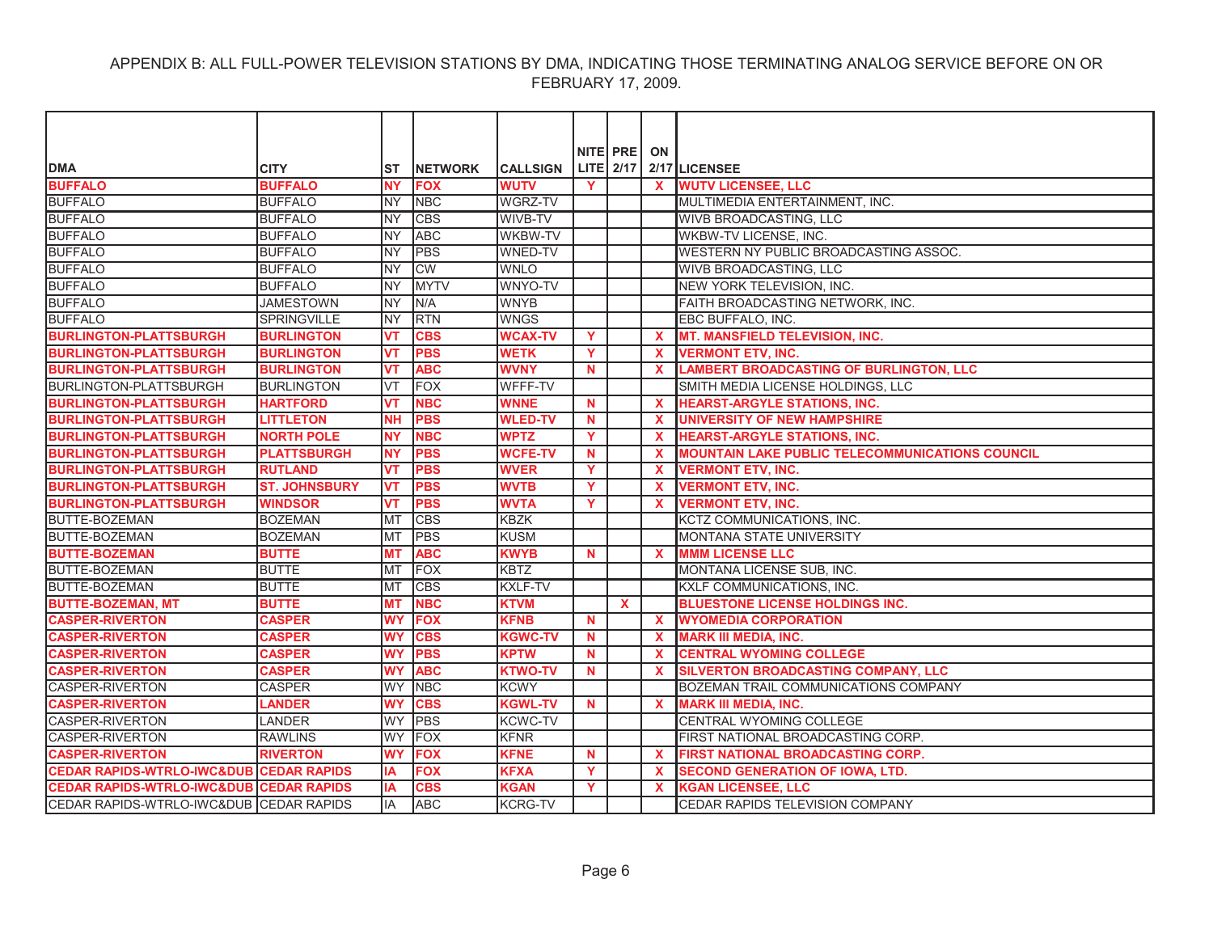| <b>DMA</b>                                         | <b>CITY</b>          | IST        | <b>NETWORK</b> | <b>CALLSIGN</b> |              | NITE PRE<br>LITE 2/17 | ON                        | 2/17 LICENSEE                                          |
|----------------------------------------------------|----------------------|------------|----------------|-----------------|--------------|-----------------------|---------------------------|--------------------------------------------------------|
| <b>BUFFALO</b>                                     | <b>BUFFALO</b>       | <b>NY</b>  | <b>FOX</b>     | <b>WUTV</b>     | <b>Y</b>     |                       | $\mathbf{x}$              | <b>WUTV LICENSEE, LLC</b>                              |
| <b>BUFFALO</b>                                     | <b>BUFFALO</b>       | NY         | <b>NBC</b>     | <b>WGRZ-TV</b>  |              |                       |                           | MULTIMEDIA ENTERTAINMENT, INC.                         |
| <b>BUFFALO</b>                                     | <b>BUFFALO</b>       | <b>NY</b>  | <b>CBS</b>     | WIVB-TV         |              |                       |                           | WIVB BROADCASTING, LLC                                 |
| <b>BUFFALO</b>                                     | <b>BUFFALO</b>       | <b>NY</b>  | <b>ABC</b>     | WKBW-TV         |              |                       |                           | WKBW-TV LICENSE, INC.                                  |
| <b>BUFFALO</b>                                     | <b>BUFFALO</b>       | <b>NY</b>  | <b>PBS</b>     | <b>WNED-TV</b>  |              |                       |                           | WESTERN NY PUBLIC BROADCASTING ASSOC.                  |
| <b>BUFFALO</b>                                     | <b>BUFFALO</b>       | <b>NY</b>  | <b>CW</b>      | <b>WNLO</b>     |              |                       |                           | <b>WIVB BROADCASTING, LLC</b>                          |
| <b>BUFFALO</b>                                     | <b>BUFFALO</b>       | <b>NY</b>  | <b>MYTV</b>    | WNYO-TV         |              |                       |                           | NEW YORK TELEVISION, INC.                              |
| <b>BUFFALO</b>                                     | <b>JAMESTOWN</b>     | <b>NY</b>  | N/A            | <b>WNYB</b>     |              |                       |                           | FAITH BROADCASTING NETWORK, INC.                       |
| <b>BUFFALO</b>                                     | <b>SPRINGVILLE</b>   | <b>INY</b> | <b>RTN</b>     | <b>WNGS</b>     |              |                       |                           | EBC BUFFALO, INC.                                      |
| <b>BURLINGTON-PLATTSBURGH</b>                      | <b>BURLINGTON</b>    | <b>VT</b>  | <b>CBS</b>     | <b>WCAX-TV</b>  | $\mathbf{Y}$ |                       | $\mathbf{x}$              | <b>MT. MANSFIELD TELEVISION, INC.</b>                  |
| <b>BURLINGTON-PLATTSBURGH</b>                      | <b>BURLINGTON</b>    | <b>VT</b>  | <b>PBS</b>     | <b>WETK</b>     | Y            |                       | $\mathbf{x}$              | <b>VERMONT ETV, INC.</b>                               |
| <b>BURLINGTON-PLATTSBURGH</b>                      | <b>BURLINGTON</b>    | <b>VT</b>  | <b>ABC</b>     | <b>WVNY</b>     | $\mathbf N$  |                       | $\mathbf x$               | <b>LAMBERT BROADCASTING OF BURLINGTON, LLC</b>         |
| <b>BURLINGTON-PLATTSBURGH</b>                      | <b>BURLINGTON</b>    | <b>VT</b>  | <b>FOX</b>     | WFFF-TV         |              |                       |                           | SMITH MEDIA LICENSE HOLDINGS, LLC                      |
| <b>BURLINGTON-PLATTSBURGH</b>                      | <b>HARTFORD</b>      | <b>VT</b>  | <b>NBC</b>     | <b>WNNE</b>     | $\mathbf N$  |                       | $\mathbf{x}$              | <b>HEARST-ARGYLE STATIONS, INC.</b>                    |
| <b>BURLINGTON-PLATTSBURGH</b>                      | <b>LITTLETON</b>     | <b>NH</b>  | <b>PBS</b>     | <b>WLED-TV</b>  | <b>N</b>     |                       | $\mathbf{x}$              | <b>UNIVERSITY OF NEW HAMPSHIRE</b>                     |
| <b>BURLINGTON-PLATTSBURGH</b>                      | <b>NORTH POLE</b>    | <b>NY</b>  | <b>NBC</b>     | <b>WPTZ</b>     | <b>Y</b>     |                       | $\mathbf{x}$              | <b>HEARST-ARGYLE STATIONS, INC.</b>                    |
| <b>BURLINGTON-PLATTSBURGH</b>                      | <b>PLATTSBURGH</b>   | <b>NY</b>  | <b>PBS</b>     | <b>WCFE-TV</b>  | $\mathbf N$  |                       | $\boldsymbol{\mathsf{x}}$ | <b>MOUNTAIN LAKE PUBLIC TELECOMMUNICATIONS COUNCIL</b> |
| <b>BURLINGTON-PLATTSBURGH</b>                      | <b>RUTLAND</b>       | <b>VT</b>  | <b>PBS</b>     | <b>WVER</b>     | Y            |                       | $\mathbf{x}$              | <b>VERMONT ETV, INC.</b>                               |
| <b>BURLINGTON-PLATTSBURGH</b>                      | <b>ST. JOHNSBURY</b> | <b>VT</b>  | <b>PBS</b>     | <b>WVTB</b>     | Y            |                       | $\mathbf{x}$              | <b>VERMONT ETV, INC.</b>                               |
| <b>BURLINGTON-PLATTSBURGH</b>                      | <b>WINDSOR</b>       | <b>VT</b>  | <b>PBS</b>     | <b>WVTA</b>     | Y            |                       | $\mathbf{x}$              | <b>VERMONT ETV, INC.</b>                               |
| BUTTE-BOZEMAN                                      | <b>BOZEMAN</b>       | <b>MT</b>  | <b>CBS</b>     | <b>KBZK</b>     |              |                       |                           | KCTZ COMMUNICATIONS, INC.                              |
| <b>BUTTE-BOZEMAN</b>                               | <b>BOZEMAN</b>       | MT         | PBS            | <b>KUSM</b>     |              |                       |                           | MONTANA STATE UNIVERSITY                               |
| <b>BUTTE-BOZEMAN</b>                               | <b>BUTTE</b>         | <b>MT</b>  | <b>ABC</b>     | <b>KWYB</b>     | $\mathbf N$  |                       | $\mathbf{x}$              | <b>MMM LICENSE LLC</b>                                 |
| <b>BUTTE-BOZEMAN</b>                               | <b>BUTTE</b>         | <b>MT</b>  | <b>FOX</b>     | <b>KBTZ</b>     |              |                       |                           | MONTANA LICENSE SUB, INC.                              |
| <b>BUTTE-BOZEMAN</b>                               | <b>BUTTE</b>         | MT         | <b>CBS</b>     | <b>KXLF-TV</b>  |              |                       |                           | <b>KXLF COMMUNICATIONS, INC.</b>                       |
| <b>BUTTE-BOZEMAN, MT</b>                           | <b>BUTTE</b>         | <b>MT</b>  | <b>NBC</b>     | <b>KTVM</b>     |              | $\mathbf{x}$          |                           | <b>BLUESTONE LICENSE HOLDINGS INC.</b>                 |
| <b>CASPER-RIVERTON</b>                             | <b>CASPER</b>        | WY         | <b>FOX</b>     | <b>KFNB</b>     | N            |                       | $\mathbf{x}$              | <b>WYOMEDIA CORPORATION</b>                            |
| <b>CASPER-RIVERTON</b>                             | <b>CASPER</b>        | <b>WY</b>  | <b>CBS</b>     | <b>KGWC-TV</b>  | <b>N</b>     |                       | $\mathbf{x}$              | <b>MARK III MEDIA, INC.</b>                            |
| <b>CASPER-RIVERTON</b>                             | <b>CASPER</b>        | <b>WY</b>  | <b>PBS</b>     | <b>KPTW</b>     | N            |                       | $\mathbf x$               | <b>CENTRAL WYOMING COLLEGE</b>                         |
| <b>CASPER-RIVERTON</b>                             | <b>CASPER</b>        | <b>WY</b>  | <b>ABC</b>     | <b>KTWO-TV</b>  | N            |                       | $\mathbf{x}$              | SILVERTON BROADCASTING COMPANY, LLC                    |
| <b>CASPER-RIVERTON</b>                             | <b>CASPER</b>        | <b>WY</b>  | <b>NBC</b>     | <b>KCWY</b>     |              |                       |                           | BOZEMAN TRAIL COMMUNICATIONS COMPANY                   |
| <b>CASPER-RIVERTON</b>                             | <b>LANDER</b>        | <b>WY</b>  | <b>CBS</b>     | <b>KGWL-TV</b>  | <b>N</b>     |                       | X                         | <b>MARK III MEDIA, INC.</b>                            |
| <b>CASPER-RIVERTON</b>                             | <b>LANDER</b>        | WY         | PBS            | <b>KCWC-TV</b>  |              |                       |                           | CENTRAL WYOMING COLLEGE                                |
| <b>CASPER-RIVERTON</b>                             | <b>RAWLINS</b>       | WY         | FOX            | <b>KFNR</b>     |              |                       |                           | FIRST NATIONAL BROADCASTING CORP.                      |
| <b>CASPER-RIVERTON</b>                             | <b>RIVERTON</b>      | <b>WY</b>  | <b>FOX</b>     | <b>KFNE</b>     | $\mathbf N$  |                       | $\mathbf{x}$              | FIRST NATIONAL BROADCASTING CORP.                      |
| <b>CEDAR RAPIDS-WTRLO-IWC&amp;DUB CEDAR RAPIDS</b> |                      | IA         | <b>FOX</b>     | <b>KFXA</b>     | Y            |                       | X                         | <b>SECOND GENERATION OF IOWA, LTD.</b>                 |
| <b>CEDAR RAPIDS-WTRLO-IWC&amp;DUB CEDAR RAPIDS</b> |                      | ΙA         | <b>CBS</b>     | <b>KGAN</b>     | Y            |                       | X.                        | <b>KGAN LICENSEE, LLC</b>                              |
| CEDAR RAPIDS-WTRLO-IWC&DUB CEDAR RAPIDS            |                      | lIA.       | <b>ABC</b>     | <b>KCRG-TV</b>  |              |                       |                           | CEDAR RAPIDS TELEVISION COMPANY                        |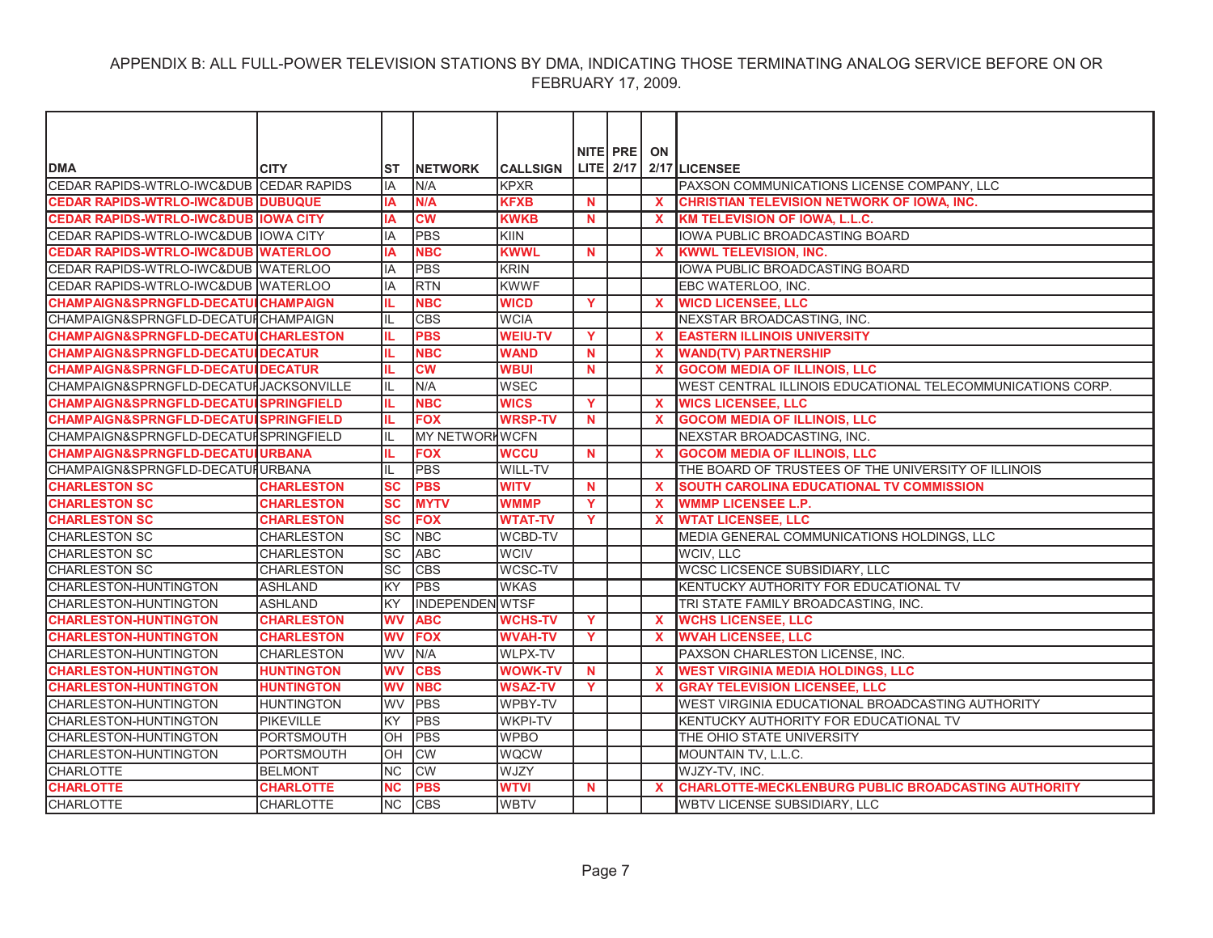|                                                  |                   |                        |                        |                 |          | NITE PRE  | ON           |                                                            |
|--------------------------------------------------|-------------------|------------------------|------------------------|-----------------|----------|-----------|--------------|------------------------------------------------------------|
| <b>DMA</b>                                       | <b>CITY</b>       | ST                     | <b>NETWORK</b>         | <b>CALLSIGN</b> |          | LITE 2/17 |              | 2/17 LICENSEE                                              |
| CEDAR RAPIDS-WTRLO-IWC&DUB CEDAR RAPIDS          |                   | IA                     | N/A                    | <b>KPXR</b>     |          |           |              | PAXSON COMMUNICATIONS LICENSE COMPANY, LLC                 |
| <b>CEDAR RAPIDS-WTRLO-IWC&amp;DUB DUBUQUE</b>    |                   | IΑ                     | N/A                    | <b>KFXB</b>     | N.       |           | $\mathbf{x}$ | CHRISTIAN TELEVISION NETWORK OF IOWA, INC.                 |
| <b>CEDAR RAPIDS-WTRLO-IWC&amp;DUB IOWA CITY</b>  |                   | IA                     | <b>CW</b>              | <b>KWKB</b>     | N        |           | $\mathbf x$  | <b>KM TELEVISION OF IOWA, L.L.C.</b>                       |
| CEDAR RAPIDS-WTRLO-IWC&DUB IOWA CITY             |                   | IA                     | <b>PBS</b>             | KIIN            |          |           |              | IOWA PUBLIC BROADCASTING BOARD                             |
| <b>CEDAR RAPIDS-WTRLO-IWC&amp;DUB WATERLOO</b>   |                   | IA                     | <b>NBC</b>             | <b>KWWL</b>     | <b>N</b> |           | $\mathbf x$  | <b>KWWL TELEVISION. INC.</b>                               |
| CEDAR RAPIDS-WTRLO-IWC&DUB WATERLOO              |                   | IA                     | PBS                    | <b>KRIN</b>     |          |           |              | IOWA PUBLIC BROADCASTING BOARD                             |
| CEDAR RAPIDS-WTRLO-IWC&DUB WATERLOO              |                   | IA                     | <b>RTN</b>             | <b>KWWF</b>     |          |           |              | EBC WATERLOO. INC.                                         |
| <b>CHAMPAIGN&amp;SPRNGFLD-DECATUICHAMPAIGN</b>   |                   |                        | <b>NBC</b>             | <b>WICD</b>     | Y        |           | <b>X</b>     | <b>WICD LICENSEE, LLC</b>                                  |
| CHAMPAIGN&SPRNGFLD-DECATUICHAMPAIGN              |                   | IL                     | <b>CBS</b>             | <b>WCIA</b>     |          |           |              | NEXSTAR BROADCASTING, INC.                                 |
| <b>CHAMPAIGN&amp;SPRNGFLD-DECATULCHARLESTON</b>  |                   | IL.                    | <b>PBS</b>             | <b>WEIU-TV</b>  | Y        |           | $\mathbf x$  | <b>EASTERN ILLINOIS UNIVERSITY</b>                         |
| <b>CHAMPAIGN&amp;SPRNGFLD-DECATUIDECATUR</b>     |                   |                        | <b>NBC</b>             | <b>WAND</b>     | N.       |           | $\mathbf x$  | <b>WAND(TV) PARTNERSHIP</b>                                |
| <b>CHAMPAIGN&amp;SPRNGFLD-DECATUIDECATUR</b>     |                   |                        | $\overline{\text{cw}}$ | <b>WBUI</b>     | N        |           |              | <b>GOCOM MEDIA OF ILLINOIS, LLC</b>                        |
| CHAMPAIGN&SPRNGFLD-DECATUI JACKSONVILLE          |                   | IL                     | N/A                    | <b>WSEC</b>     |          |           |              | WEST CENTRAL ILLINOIS EDUCATIONAL TELECOMMUNICATIONS CORP. |
| <b>CHAMPAIGN&amp;SPRNGFLD-DECATUISPRINGFIELD</b> |                   | IL.                    | <b>NBC</b>             | <b>WICS</b>     | Y        |           | $\mathbf{x}$ | <b>WICS LICENSEE, LLC</b>                                  |
| <b>CHAMPAIGN&amp;SPRNGFLD-DECATUISPRINGFIELD</b> |                   | IL.                    | <b>FOX</b>             | <b>WRSP-TV</b>  | N.       |           | $\mathbf x$  | <b>GOCOM MEDIA OF ILLINOIS, LLC</b>                        |
| CHAMPAIGN&SPRNGFLD-DECATURSPRINGFIELD            |                   |                        | <b>MY NETWORHWCFN</b>  |                 |          |           |              | NEXSTAR BROADCASTING, INC.                                 |
| <b>CHAMPAIGN&amp;SPRNGFLD-DECATUIURBANA</b>      |                   | IL.                    | <b>FOX</b>             | <b>WCCU</b>     | <b>N</b> |           | $\mathbf x$  | <b>GOCOM MEDIA OF ILLINOIS, LLC</b>                        |
| CHAMPAIGN&SPRNGFLD-DECATUIURBANA                 |                   | IL                     | <b>PBS</b>             | <b>WILL-TV</b>  |          |           |              | THE BOARD OF TRUSTEES OF THE UNIVERSITY OF ILLINOIS        |
| <b>CHARLESTON SC</b>                             | <b>CHARLESTON</b> | SC                     | <b>PBS</b>             | <b>WITV</b>     | <b>N</b> |           | $\mathbf x$  | SOUTH CAROLINA EDUCATIONAL TV COMMISSION                   |
| <b>CHARLESTON SC</b>                             | <b>CHARLESTON</b> | <b>SC</b>              | <b>MYTV</b>            | <b>WMMP</b>     | Y        |           | X            | <b>WMMP LICENSEE L.P.</b>                                  |
| <b>CHARLESTON SC</b>                             | <b>CHARLESTON</b> | $\overline{\text{sc}}$ | <b>FOX</b>             | <b>WTAT-TV</b>  | Y        |           | $\mathbf x$  | <b>WTAT LICENSEE, LLC</b>                                  |
| <b>CHARLESTON SC</b>                             | <b>CHARLESTON</b> | lsc                    | <b>NBC</b>             | <b>WCBD-TV</b>  |          |           |              | MEDIA GENERAL COMMUNICATIONS HOLDINGS, LLC                 |
| <b>CHARLESTON SC</b>                             | <b>CHARLESTON</b> | SC                     | <b>ABC</b>             | <b>WCIV</b>     |          |           |              | WCIV, LLC                                                  |
| <b>CHARLESTON SC</b>                             | <b>CHARLESTON</b> | lsc                    | <b>CBS</b>             | WCSC-TV         |          |           |              | WCSC LICSENCE SUBSIDIARY, LLC                              |
| CHARLESTON-HUNTINGTON                            | <b>ASHLAND</b>    | KY                     | <b>PBS</b>             | <b>WKAS</b>     |          |           |              | KENTUCKY AUTHORITY FOR EDUCATIONAL TV                      |
| CHARLESTON-HUNTINGTON                            | IASHLAND          | KY                     | <b>INDEPENDEN WTSF</b> |                 |          |           |              | TRI STATE FAMILY BROADCASTING, INC.                        |
| <b>CHARLESTON-HUNTINGTON</b>                     | <b>CHARLESTON</b> | <b>WV</b>              | <b>ABC</b>             | <b>WCHS-TV</b>  | Y        |           | $\mathbf x$  | <b>WCHS LICENSEE, LLC</b>                                  |
| <b>CHARLESTON-HUNTINGTON</b>                     | <b>CHARLESTON</b> | <b>WV</b>              | <b>FOX</b>             | <b>WVAH-TV</b>  | Y        |           | <b>X</b>     | <b>WVAH LICENSEE, LLC</b>                                  |
| CHARLESTON-HUNTINGTON                            | <b>CHARLESTON</b> | lwv                    | N/A                    | <b>WLPX-TV</b>  |          |           |              | PAXSON CHARLESTON LICENSE, INC.                            |
| <b>CHARLESTON-HUNTINGTON</b>                     | <b>HUNTINGTON</b> | <b>WV</b>              | <b>CBS</b>             | <b>WOWK-TV</b>  | N        |           | $\mathbf x$  | <b>WEST VIRGINIA MEDIA HOLDINGS, LLC</b>                   |
| <b>CHARLESTON-HUNTINGTON</b>                     | <b>HUNTINGTON</b> | <b>WV</b>              | <b>NBC</b>             | <b>WSAZ-TV</b>  | Y        |           | $\mathbf x$  | <b>GRAY TELEVISION LICENSEE, LLC</b>                       |
| <b>CHARLESTON-HUNTINGTON</b>                     | <b>HUNTINGTON</b> | <b>WV</b>              | PBS                    | <b>WPBY-TV</b>  |          |           |              | WEST VIRGINIA EDUCATIONAL BROADCASTING AUTHORITY           |
| <b>CHARLESTON-HUNTINGTON</b>                     | <b>PIKEVILLE</b>  | KY                     | <b>PBS</b>             | <b>WKPI-TV</b>  |          |           |              | KENTUCKY AUTHORITY FOR EDUCATIONAL TV                      |
| CHARLESTON-HUNTINGTON                            | PORTSMOUTH        | OH                     | <b>PBS</b>             | <b>WPBO</b>     |          |           |              | THE OHIO STATE UNIVERSITY                                  |
| <b>CHARLESTON-HUNTINGTON</b>                     | <b>PORTSMOUTH</b> | OH                     | <b>CW</b>              | <b>WQCW</b>     |          |           |              | MOUNTAIN TV, L.L.C.                                        |
| <b>CHARLOTTE</b>                                 | <b>BELMONT</b>    | <b>NC</b>              | $\overline{\text{CW}}$ | <b>WJZY</b>     |          |           |              | WJZY-TV, INC.                                              |
| <b>CHARLOTTE</b>                                 | <b>CHARLOTTE</b>  | <b>NC</b>              | <b>PBS</b>             | <b>WTVI</b>     | N        |           | X            | <b>CHARLOTTE-MECKLENBURG PUBLIC BROADCASTING AUTHORITY</b> |
| <b>CHARLOTTE</b>                                 | <b>CHARLOTTE</b>  | <b>NC</b>              | <b>CBS</b>             | <b>WBTV</b>     |          |           |              | <b>WBTV LICENSE SUBSIDIARY, LLC</b>                        |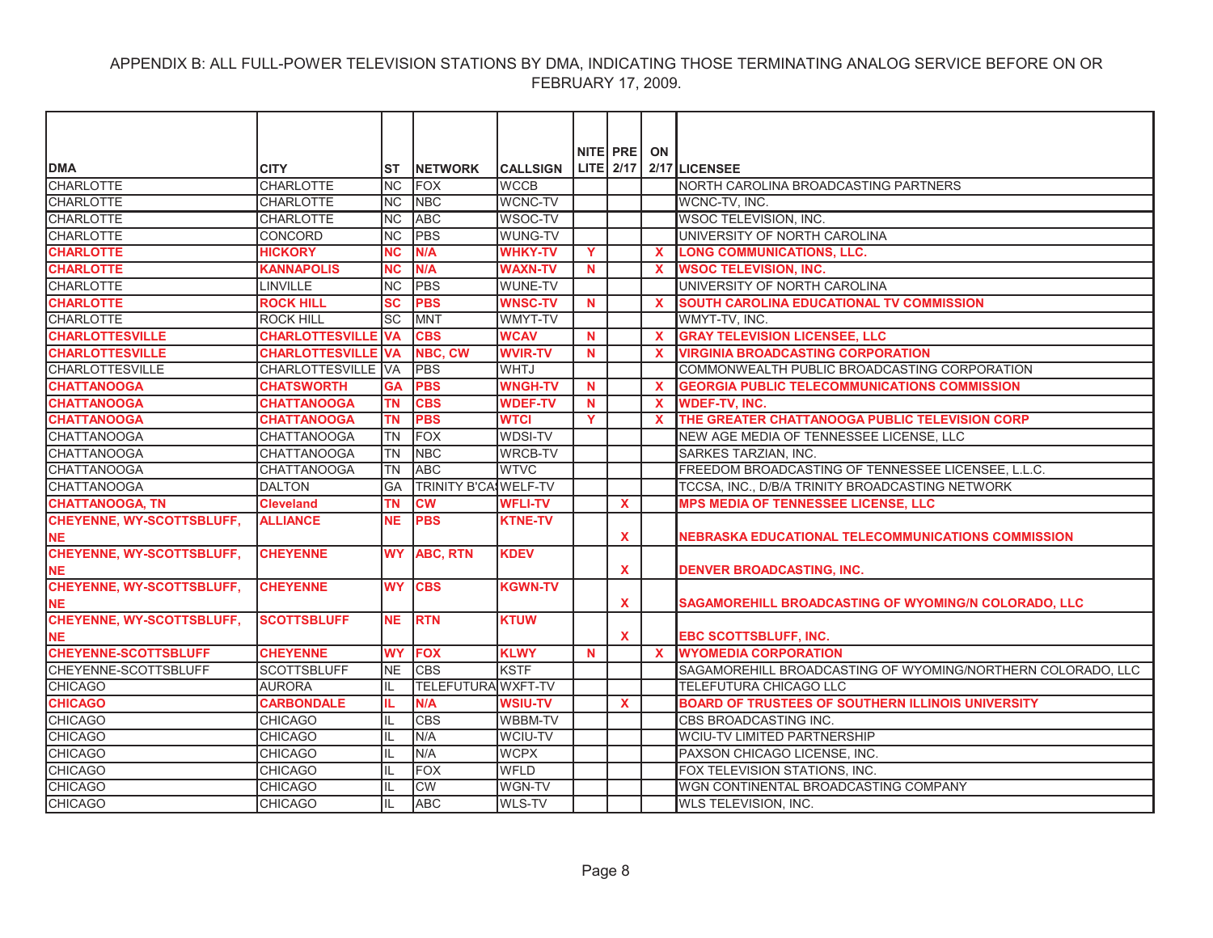| <b>DMA</b>                       | <b>CITY</b>            | ST             | <b>NETWORK</b>              | <b>CALLSIGN</b> |          | NITE PRE<br>LITE 2/17 | ON           | 2/17 LICENSEE                                               |
|----------------------------------|------------------------|----------------|-----------------------------|-----------------|----------|-----------------------|--------------|-------------------------------------------------------------|
| <b>CHARLOTTE</b>                 | <b>CHARLOTTE</b>       | <b>NC</b>      | <b>FOX</b>                  | <b>WCCB</b>     |          |                       |              | NORTH CAROLINA BROADCASTING PARTNERS                        |
| <b>CHARLOTTE</b>                 | <b>CHARLOTTE</b>       | N <sub>C</sub> | <b>NBC</b>                  | <b>WCNC-TV</b>  |          |                       |              | WCNC-TV. INC.                                               |
| <b>CHARLOTTE</b>                 | <b>CHARLOTTE</b>       | N <sub>C</sub> | <b>ABC</b>                  | WSOC-TV         |          |                       |              | WSOC TELEVISION, INC.                                       |
| <b>CHARLOTTE</b>                 | <b>CONCORD</b>         | <b>NC</b>      | <b>PBS</b>                  | <b>WUNG-TV</b>  |          |                       |              | UNIVERSITY OF NORTH CAROLINA                                |
| <b>CHARLOTTE</b>                 | <b>HICKORY</b>         | <b>NC</b>      | N/A                         | <b>WHKY-TV</b>  | Y        |                       | $\mathbf x$  | <b>LONG COMMUNICATIONS, LLC.</b>                            |
| <b>CHARLOTTE</b>                 | <b>KANNAPOLIS</b>      | <b>NC</b>      | N/A                         | <b>WAXN-TV</b>  | N.       |                       | X            | <b>WSOC TELEVISION, INC.</b>                                |
| <b>CHARLOTTE</b>                 | LINVILLE               | <b>NC</b>      | <b>PBS</b>                  | WUNE-TV         |          |                       |              | UNIVERSITY OF NORTH CAROLINA                                |
| <b>CHARLOTTE</b>                 | <b>ROCK HILL</b>       | <b>SC</b>      | <b>PBS</b>                  | <b>WNSC-TV</b>  | N.       |                       | $\mathbf x$  | <b>SOUTH CAROLINA EDUCATIONAL TV COMMISSION</b>             |
| <b>CHARLOTTE</b>                 | <b>ROCK HILL</b>       | <b>SC</b>      | <b>MNT</b>                  | WMYT-TV         |          |                       |              | WMYT-TV, INC.                                               |
| <b>CHARLOTTESVILLE</b>           | <b>CHARLOTTESVILLE</b> | <b>VA</b>      | <b>CBS</b>                  | <b>WCAV</b>     | <b>N</b> |                       | $\mathbf x$  | <b>GRAY TELEVISION LICENSEE, LLC</b>                        |
| <b>CHARLOTTESVILLE</b>           | <b>CHARLOTTESVILLE</b> | <b>VA</b>      | NBC, CW                     | <b>WVIR-TV</b>  | N        |                       | $\mathbf x$  | <b>VIRGINIA BROADCASTING CORPORATION</b>                    |
| <b>CHARLOTTESVILLE</b>           | <b>CHARLOTTESVILLE</b> | <b>VA</b>      | <b>PBS</b>                  | <b>WHTJ</b>     |          |                       |              | COMMONWEALTH PUBLIC BROADCASTING CORPORATION                |
| <b>CHATTANOOGA</b>               | <b>CHATSWORTH</b>      | <b>GA</b>      | <b>PBS</b>                  | <b>WNGH-TV</b>  | N.       |                       | $\mathbf x$  | <b>GEORGIA PUBLIC TELECOMMUNICATIONS COMMISSION</b>         |
| <b>CHATTANOOGA</b>               | <b>CHATTANOOGA</b>     | <b>TN</b>      | <b>CBS</b>                  | <b>WDEF-TV</b>  | N        |                       | $\mathbf{x}$ | <b>WDEF-TV, INC.</b>                                        |
| <b>CHATTANOOGA</b>               | <b>CHATTANOOGA</b>     | <b>TN</b>      | <b>PBS</b>                  | <b>WTCI</b>     | Y        |                       | $\mathbf x$  | THE GREATER CHATTANOOGA PUBLIC TELEVISION CORP              |
| CHATTANOOGA                      | <b>CHATTANOOGA</b>     | <b>TN</b>      | <b>FOX</b>                  | <b>WDSI-TV</b>  |          |                       |              | NEW AGE MEDIA OF TENNESSEE LICENSE, LLC                     |
| <b>CHATTANOOGA</b>               | <b>CHATTANOOGA</b>     | <b>TN</b>      | <b>NBC</b>                  | <b>WRCB-TV</b>  |          |                       |              | SARKES TARZIAN, INC.                                        |
| <b>CHATTANOOGA</b>               | <b>CHATTANOOGA</b>     | <b>TN</b>      | <b>ABC</b>                  | <b>WTVC</b>     |          |                       |              | FREEDOM BROADCASTING OF TENNESSEE LICENSEE, L.L.C.          |
| <b>CHATTANOOGA</b>               | <b>DALTON</b>          | GA             | <b>TRINITY B'CA WELF-TV</b> |                 |          |                       |              | TCCSA, INC., D/B/A TRINITY BROADCASTING NETWORK             |
| <b>CHATTANOOGA, TN</b>           | <b>Cleveland</b>       | ΤN             | <b>CW</b>                   | <b>WFLI-TV</b>  |          | <b>X</b>              |              | <b>MPS MEDIA OF TENNESSEE LICENSE, LLC</b>                  |
| <b>CHEYENNE, WY-SCOTTSBLUFF,</b> | <b>ALLIANCE</b>        | <b>NE</b>      | <b>PBS</b>                  | <b>KTNE-TV</b>  |          |                       |              |                                                             |
| <b>NE</b>                        |                        |                |                             |                 |          | X                     |              | NEBRASKA EDUCATIONAL TELECOMMUNICATIONS COMMISSION          |
| <b>CHEYENNE, WY-SCOTTSBLUFF,</b> | <b>CHEYENNE</b>        |                | <b>WY ABC, RTN</b>          | <b>KDEV</b>     |          |                       |              |                                                             |
| <b>NE</b>                        |                        |                |                             |                 |          | X                     |              | <b>DENVER BROADCASTING, INC.</b>                            |
| <b>CHEYENNE, WY-SCOTTSBLUFF,</b> | <b>CHEYENNE</b>        |                | WY CBS                      | <b>KGWN-TV</b>  |          |                       |              |                                                             |
| <b>NE</b>                        |                        |                |                             |                 |          | $\mathbf x$           |              | SAGAMOREHILL BROADCASTING OF WYOMING/N COLORADO, LLC        |
| <b>CHEYENNE, WY-SCOTTSBLUFF,</b> | <b>SCOTTSBLUFF</b>     | <b>NE</b>      | <b>RTN</b>                  | <b>KTUW</b>     |          |                       |              |                                                             |
| <b>NE</b>                        |                        |                |                             |                 |          | <b>X</b>              |              | <b>EBC SCOTTSBLUFF, INC.</b>                                |
| <b>CHEYENNE-SCOTTSBLUFF</b>      | <b>CHEYENNE</b>        | <b>WY</b>      | <b>FOX</b>                  | <b>KLWY</b>     | <b>N</b> |                       | $\mathbf{x}$ | <b>WYOMEDIA CORPORATION</b>                                 |
| CHEYENNE-SCOTTSBLUFF             | <b>SCOTTSBLUFF</b>     | <b>NE</b>      | <b>CBS</b>                  | <b>KSTF</b>     |          |                       |              | SAGAMOREHILL BROADCASTING OF WYOMING/NORTHERN COLORADO, LLC |
| <b>CHICAGO</b>                   | <b>AURORA</b>          | IL             | TELEFUTURA WXFT-TV          |                 |          |                       |              | TELEFUTURA CHICAGO LLC                                      |
| <b>CHICAGO</b>                   | <b>CARBONDALE</b>      | IL.            | N/A                         | <b>WSIU-TV</b>  |          | X                     |              | <b>BOARD OF TRUSTEES OF SOUTHERN ILLINOIS UNIVERSITY</b>    |
| <b>CHICAGO</b>                   | <b>CHICAGO</b>         | IL             | <b>CBS</b>                  | <b>WBBM-TV</b>  |          |                       |              | CBS BROADCASTING INC.                                       |
| <b>CHICAGO</b>                   | <b>CHICAGO</b>         | IL             | N/A                         | <b>WCIU-TV</b>  |          |                       |              | <b>WCIU-TV LIMITED PARTNERSHIP</b>                          |
| <b>CHICAGO</b>                   | <b>CHICAGO</b>         |                | N/A                         | <b>WCPX</b>     |          |                       |              | PAXSON CHICAGO LICENSE, INC.                                |
| <b>CHICAGO</b>                   | <b>CHICAGO</b>         | IL             | <b>FOX</b>                  | <b>WFLD</b>     |          |                       |              | FOX TELEVISION STATIONS, INC.                               |
| <b>CHICAGO</b>                   | <b>CHICAGO</b>         | IL             | <b>CW</b>                   | WGN-TV          |          |                       |              | WGN CONTINENTAL BROADCASTING COMPANY                        |
| <b>CHICAGO</b>                   | <b>CHICAGO</b>         | IL             | <b>ABC</b>                  | WLS-TV          |          |                       |              | <b>WLS TELEVISION. INC.</b>                                 |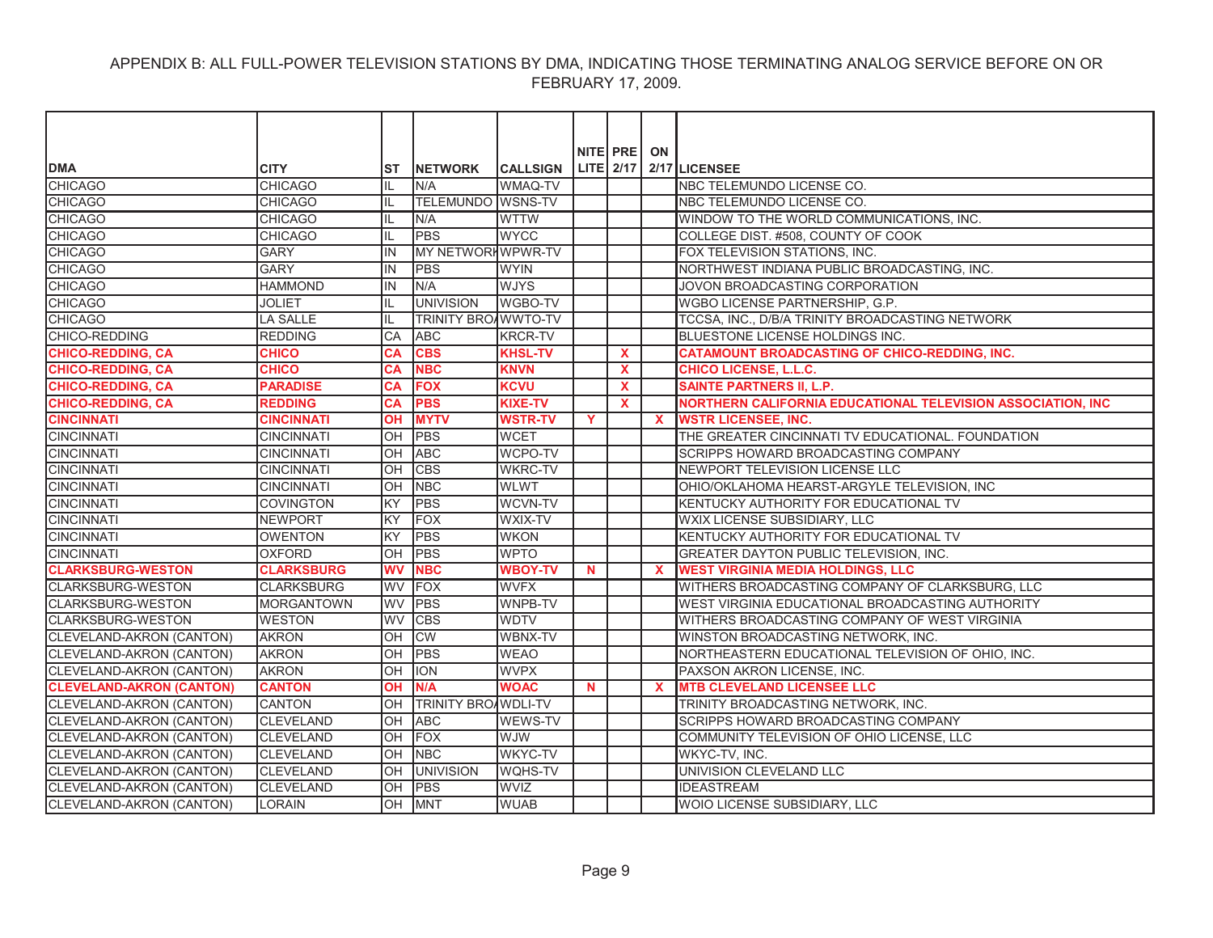|                                 |                   |           |                            |                 |             | NITE PRE ON  |                           |                                                             |
|---------------------------------|-------------------|-----------|----------------------------|-----------------|-------------|--------------|---------------------------|-------------------------------------------------------------|
| <b>DMA</b>                      | <b>CITY</b>       | ST        | <b>INETWORK</b>            | <b>CALLSIGN</b> |             |              |                           | LITE $2/17$ $2/17$ LICENSEE                                 |
| <b>CHICAGO</b>                  | <b>CHICAGO</b>    | IL        | N/A                        | <b>WMAQ-TV</b>  |             |              |                           | NBC TELEMUNDO LICENSE CO.                                   |
| <b>CHICAGO</b>                  | <b>CHICAGO</b>    | Ш         | <b>TELEMUNDO WSNS-TV</b>   |                 |             |              |                           | NBC TELEMUNDO LICENSE CO.                                   |
| <b>CHICAGO</b>                  | <b>CHICAGO</b>    | IL        | N/A                        | <b>WTTW</b>     |             |              |                           | WINDOW TO THE WORLD COMMUNICATIONS, INC.                    |
| <b>CHICAGO</b>                  | <b>CHICAGO</b>    | IL.       | <b>PBS</b>                 | <b>WYCC</b>     |             |              |                           | COLLEGE DIST. #508, COUNTY OF COOK                          |
| <b>CHICAGO</b>                  | <b>GARY</b>       | IN        | MY NETWORKWPWR-TV          |                 |             |              |                           | FOX TELEVISION STATIONS, INC.                               |
| <b>CHICAGO</b>                  | <b>GARY</b>       | IN        | <b>PBS</b>                 | <b>WYIN</b>     |             |              |                           | NORTHWEST INDIANA PUBLIC BROADCASTING, INC.                 |
| <b>CHICAGO</b>                  | <b>HAMMOND</b>    | IN        | N/A                        | <b>WJYS</b>     |             |              |                           | JOVON BROADCASTING CORPORATION                              |
| <b>CHICAGO</b>                  | <b>JOLIET</b>     | IL        | <b>UNIVISION</b>           | <b>WGBO-TV</b>  |             |              |                           | WGBO LICENSE PARTNERSHIP, G.P.                              |
| <b>CHICAGO</b>                  | <b>LA SALLE</b>   | IL        | <b>TRINITY BROAWWTO-TV</b> |                 |             |              |                           | TCCSA, INC., D/B/A TRINITY BROADCASTING NETWORK             |
| CHICO-REDDING                   | <b>REDDING</b>    | <b>CA</b> | <b>ABC</b>                 | <b>KRCR-TV</b>  |             |              |                           | BLUESTONE LICENSE HOLDINGS INC.                             |
| <b>CHICO-REDDING, CA</b>        | <b>CHICO</b>      | <b>CA</b> | <b>CBS</b>                 | <b>KHSL-TV</b>  |             | $\mathbf{x}$ |                           | <b>CATAMOUNT BROADCASTING OF CHICO-REDDING, INC.</b>        |
| <b>CHICO-REDDING, CA</b>        | <b>CHICO</b>      | <b>CA</b> | <b>NBC</b>                 | <b>KNVN</b>     |             | $\mathbf x$  |                           | <b>CHICO LICENSE, L.L.C.</b>                                |
| <b>CHICO-REDDING, CA</b>        | <b>PARADISE</b>   | <b>CA</b> | <b>FOX</b>                 | <b>KCVU</b>     |             | X            |                           | <b>SAINTE PARTNERS II. L.P.</b>                             |
| <b>CHICO-REDDING, CA</b>        | <b>REDDING</b>    | <b>CA</b> | <b>PBS</b>                 | <b>KIXE-TV</b>  |             | $\mathbf{x}$ |                           | NORTHERN CALIFORNIA EDUCATIONAL TELEVISION ASSOCIATION, INC |
| <b>CINCINNATI</b>               | <b>CINCINNATI</b> | <b>OH</b> | <b>MYTV</b>                | <b>WSTR-TV</b>  | Y           |              | $\mathbf{x}$              | <b>WSTR LICENSEE, INC.</b>                                  |
| <b>CINCINNATI</b>               | <b>CINCINNATI</b> | OH        | <b>PBS</b>                 | <b>WCET</b>     |             |              |                           | THE GREATER CINCINNATI TV EDUCATIONAL. FOUNDATION           |
| <b>CINCINNATI</b>               | <b>CINCINNATI</b> | OH        | <b>ABC</b>                 | <b>WCPO-TV</b>  |             |              |                           | SCRIPPS HOWARD BROADCASTING COMPANY                         |
| <b>CINCINNATI</b>               | <b>CINCINNATI</b> | <b>OH</b> | <b>CBS</b>                 | <b>WKRC-TV</b>  |             |              |                           | NEWPORT TELEVISION LICENSE LLC                              |
| <b>CINCINNATI</b>               | <b>CINCINNATI</b> | OH        | <b>NBC</b>                 | <b>WLWT</b>     |             |              |                           | OHIO/OKLAHOMA HEARST-ARGYLE TELEVISION, INC                 |
| <b>CINCINNATI</b>               | <b>COVINGTON</b>  | KY        | <b>PBS</b>                 | WCVN-TV         |             |              |                           | KENTUCKY AUTHORITY FOR EDUCATIONAL TV                       |
| <b>CINCINNATI</b>               | NEWPORT           | lĸy       | <b>FOX</b>                 | <b>WXIX-TV</b>  |             |              |                           | WXIX LICENSE SUBSIDIARY, LLC                                |
| <b>CINCINNATI</b>               | <b>OWENTON</b>    | KY        | <b>PBS</b>                 | <b>WKON</b>     |             |              |                           | KENTUCKY AUTHORITY FOR EDUCATIONAL TV                       |
| <b>CINCINNATI</b>               | <b>OXFORD</b>     | OH        | PBS                        | <b>WPTO</b>     |             |              |                           | GREATER DAYTON PUBLIC TELEVISION, INC.                      |
| <b>CLARKSBURG-WESTON</b>        | <b>CLARKSBURG</b> | <b>WV</b> | <b>NBC</b>                 | <b>WBOY-TV</b>  | N           |              | $\mathbf x$               | <b>WEST VIRGINIA MEDIA HOLDINGS, LLC</b>                    |
| <b>CLARKSBURG-WESTON</b>        | <b>CLARKSBURG</b> | WV        | FOX                        | <b>WVFX</b>     |             |              |                           | WITHERS BROADCASTING COMPANY OF CLARKSBURG, LLC             |
| <b>CLARKSBURG-WESTON</b>        | <b>MORGANTOWN</b> | <b>WV</b> | <b>PBS</b>                 | WNPB-TV         |             |              |                           | WEST VIRGINIA EDUCATIONAL BROADCASTING AUTHORITY            |
| CLARKSBURG-WESTON               | <b>WESTON</b>     | WV        | <b>CBS</b>                 | <b>WDTV</b>     |             |              |                           | WITHERS BROADCASTING COMPANY OF WEST VIRGINIA               |
| CLEVELAND-AKRON (CANTON)        | <b>AKRON</b>      | OН        | <b>CW</b>                  | WBNX-TV         |             |              |                           | WINSTON BROADCASTING NETWORK, INC.                          |
| <b>CLEVELAND-AKRON (CANTON)</b> | <b>AKRON</b>      | OH        | <b>PBS</b>                 | <b>WEAO</b>     |             |              |                           | NORTHEASTERN EDUCATIONAL TELEVISION OF OHIO, INC.           |
| <b>CLEVELAND-AKRON (CANTON)</b> | <b>AKRON</b>      | OH        | <b>ION</b>                 | <b>WVPX</b>     |             |              |                           | PAXSON AKRON LICENSE, INC.                                  |
| <b>CLEVELAND-AKRON (CANTON)</b> | <b>CANTON</b>     | <b>OH</b> | N/A                        | <b>WOAC</b>     | $\mathbf N$ |              | $\boldsymbol{\mathsf{x}}$ | <b>MTB CLEVELAND LICENSEE LLC</b>                           |
| CLEVELAND-AKRON (CANTON)        | <b>CANTON</b>     | OH        | <b>TRINITY BROAWDLI-TV</b> |                 |             |              |                           | TRINITY BROADCASTING NETWORK, INC.                          |
| CLEVELAND-AKRON (CANTON)        | <b>CLEVELAND</b>  | OH        | <b>ABC</b>                 | WEWS-TV         |             |              |                           | SCRIPPS HOWARD BROADCASTING COMPANY                         |
| CLEVELAND-AKRON (CANTON)        | <b>CLEVELAND</b>  | OH        | <b>FOX</b>                 | <b>WUW</b>      |             |              |                           | COMMUNITY TELEVISION OF OHIO LICENSE, LLC                   |
| CLEVELAND-AKRON (CANTON)        | <b>CLEVELAND</b>  | OH        | <b>NBC</b>                 | WKYC-TV         |             |              |                           | WKYC-TV, INC.                                               |
| CLEVELAND-AKRON (CANTON)        | <b>CLEVELAND</b>  | OH        | <b>UNIVISION</b>           | <b>WQHS-TV</b>  |             |              |                           | UNIVISION CLEVELAND LLC                                     |
| CLEVELAND-AKRON (CANTON)        | <b>CLEVELAND</b>  | OH        | <b>PBS</b>                 | <b>WVIZ</b>     |             |              |                           | <b>IDEASTREAM</b>                                           |
| CLEVELAND-AKRON (CANTON)        | <b>LORAIN</b>     | OH        | <b>MNT</b>                 | <b>WUAB</b>     |             |              |                           | WOIO LICENSE SUBSIDIARY, LLC                                |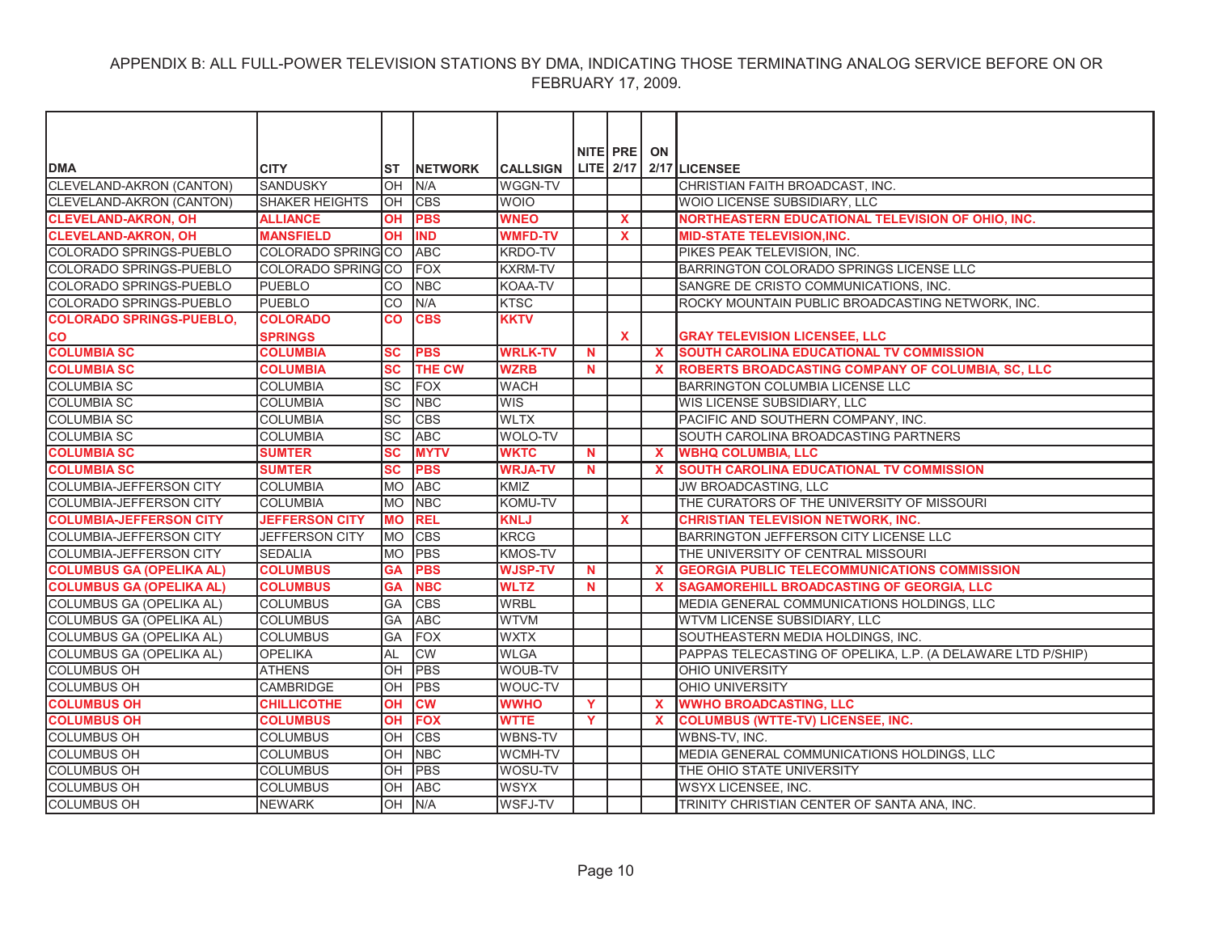| <b>DMA</b>                      | <b>CITY</b>           |                       | <b>NETWORK</b> | <b>CALLSIGN</b> |             | NITE PRE     | ON           | LITE 2/17 2/17 LICENSEE                                     |
|---------------------------------|-----------------------|-----------------------|----------------|-----------------|-------------|--------------|--------------|-------------------------------------------------------------|
| <b>CLEVELAND-AKRON (CANTON)</b> | <b>SANDUSKY</b>       | IST<br>$\overline{O}$ | N/A            | WGGN-TV         |             |              |              | CHRISTIAN FAITH BROADCAST, INC.                             |
| <b>CLEVELAND-AKRON (CANTON)</b> | <b>SHAKER HEIGHTS</b> | lOH                   | <b>CBS</b>     | <b>WOIO</b>     |             |              |              | WOIO LICENSE SUBSIDIARY, LLC                                |
| <b>CLEVELAND-AKRON, OH</b>      | <b>ALLIANCE</b>       | <b>OH</b>             | <b>PBS</b>     | <b>WNEO</b>     |             | X            |              | NORTHEASTERN EDUCATIONAL TELEVISION OF OHIO, INC.           |
| <b>CLEVELAND-AKRON, OH</b>      | <b>MANSFIELD</b>      | <b>OH</b>             | <b>IND</b>     | <b>WMFD-TV</b>  |             | $\mathbf{x}$ |              | <b>MID-STATE TELEVISION, INC.</b>                           |
| COLORADO SPRINGS-PUEBLO         | COLORADO SPRING CO    |                       | <b>ABC</b>     | <b>KRDO-TV</b>  |             |              |              | PIKES PEAK TELEVISION, INC.                                 |
| COLORADO SPRINGS-PUEBLO         | COLORADO SPRINGCO     |                       | FOX            | <b>KXRM-TV</b>  |             |              |              | BARRINGTON COLORADO SPRINGS LICENSE LLC                     |
| COLORADO SPRINGS-PUEBLO         | <b>PUEBLO</b>         | <b>CO</b>             | <b>NBC</b>     | KOAA-TV         |             |              |              | SANGRE DE CRISTO COMMUNICATIONS, INC.                       |
| COLORADO SPRINGS-PUEBLO         | <b>PUEBLO</b>         | lco                   | N/A            | <b>KTSC</b>     |             |              |              | ROCKY MOUNTAIN PUBLIC BROADCASTING NETWORK, INC.            |
| <b>COLORADO SPRINGS-PUEBLO,</b> | <b>COLORADO</b>       | CO                    | <b>CBS</b>     | <b>KKTV</b>     |             |              |              |                                                             |
| <b>CO</b>                       | <b>SPRINGS</b>        |                       |                |                 |             | <b>X</b>     |              | <b>GRAY TELEVISION LICENSEE, LLC</b>                        |
| <b>COLUMBIA SC</b>              | <b>COLUMBIA</b>       | <b>SC</b>             | <b>PBS</b>     | <b>WRLK-TV</b>  | N           |              | $\mathbf{x}$ | SOUTH CAROLINA EDUCATIONAL TV COMMISSION                    |
| <b>COLUMBIA SC</b>              | <b>COLUMBIA</b>       | <b>SC</b>             | <b>THE CW</b>  | <b>WZRB</b>     | N           |              | X            | ROBERTS BROADCASTING COMPANY OF COLUMBIA, SC, LLC           |
| <b>COLUMBIA SC</b>              | <b>COLUMBIA</b>       | $\overline{SC}$       | <b>FOX</b>     | <b>WACH</b>     |             |              |              | <b>BARRINGTON COLUMBIA LICENSE LLC</b>                      |
| <b>COLUMBIA SC</b>              | <b>COLUMBIA</b>       | SC                    | <b>NBC</b>     | <b>WIS</b>      |             |              |              | WIS LICENSE SUBSIDIARY, LLC                                 |
| <b>COLUMBIA SC</b>              | <b>COLUMBIA</b>       | SC                    | <b>CBS</b>     | <b>WLTX</b>     |             |              |              | PACIFIC AND SOUTHERN COMPANY, INC.                          |
| <b>COLUMBIA SC</b>              | <b>COLUMBIA</b>       | lsc                   | <b>ABC</b>     | <b>WOLO-TV</b>  |             |              |              | SOUTH CAROLINA BROADCASTING PARTNERS                        |
| <b>COLUMBIA SC</b>              |                       | <b>SC</b>             | <b>MYTV</b>    | <b>WKTC</b>     |             |              |              | <b>WBHQ COLUMBIA, LLC</b>                                   |
|                                 | <b>SUMTER</b>         |                       |                |                 | $\mathbf N$ |              | $\mathbf x$  |                                                             |
| <b>COLUMBIA SC</b>              | <b>SUMTER</b>         | <b>SC</b>             | <b>PBS</b>     | <b>WRJA-TV</b>  | N.          |              | $\mathbf x$  | SOUTH CAROLINA EDUCATIONAL TV COMMISSION                    |
| COLUMBIA-JEFFERSON CITY         | <b>COLUMBIA</b>       | <b>MO</b>             | <b>ABC</b>     | <b>KMIZ</b>     |             |              |              | JW BROADCASTING, LLC                                        |
| <b>COLUMBIA-JEFFERSON CITY</b>  | <b>COLUMBIA</b>       | <b>MO</b>             | <b>NBC</b>     | KOMU-TV         |             |              |              | THE CURATORS OF THE UNIVERSITY OF MISSOURI                  |
| <b>COLUMBIA-JEFFERSON CITY</b>  | <b>JEFFERSON CITY</b> | <b>MO</b>             | <b>REL</b>     | <b>KNLJ</b>     |             | $\mathbf{x}$ |              | <b>CHRISTIAN TELEVISION NETWORK, INC.</b>                   |
| <b>COLUMBIA-JEFFERSON CITY</b>  | <b>JEFFERSON CITY</b> | <b>MO</b>             | <b>CBS</b>     | <b>KRCG</b>     |             |              |              | BARRINGTON JEFFERSON CITY LICENSE LLC                       |
| <b>COLUMBIA-JEFFERSON CITY</b>  | <b>SEDALIA</b>        | <b>MO</b>             | <b>PBS</b>     | <b>KMOS-TV</b>  |             |              |              | THE UNIVERSITY OF CENTRAL MISSOURI                          |
| <b>COLUMBUS GA (OPELIKA AL)</b> | <b>COLUMBUS</b>       | <b>GA</b>             | <b>PBS</b>     | <b>WJSP-TV</b>  | N           |              | $\mathbf x$  | <b>GEORGIA PUBLIC TELECOMMUNICATIONS COMMISSION</b>         |
| <b>COLUMBUS GA (OPELIKA AL)</b> | <b>COLUMBUS</b>       | <b>GA</b>             | <b>NBC</b>     | <b>WLTZ</b>     | N.          |              | $\mathbf x$  | SAGAMOREHILL BROADCASTING OF GEORGIA, LLC                   |
| <b>COLUMBUS GA (OPELIKA AL)</b> | <b>COLUMBUS</b>       | GA                    | <b>CBS</b>     | <b>WRBL</b>     |             |              |              | MEDIA GENERAL COMMUNICATIONS HOLDINGS, LLC                  |
| COLUMBUS GA (OPELIKA AL)        | <b>COLUMBUS</b>       | GA                    | <b>ABC</b>     | <b>WTVM</b>     |             |              |              | WTVM LICENSE SUBSIDIARY, LLC                                |
| COLUMBUS GA (OPELIKA AL)        | <b>COLUMBUS</b>       | GA                    | FOX            | <b>WXTX</b>     |             |              |              | SOUTHEASTERN MEDIA HOLDINGS, INC.                           |
| <b>COLUMBUS GA (OPELIKA AL)</b> | <b>OPELIKA</b>        | AL                    | <b>CW</b>      | <b>WLGA</b>     |             |              |              | PAPPAS TELECASTING OF OPELIKA, L.P. (A DELAWARE LTD P/SHIP) |
| <b>COLUMBUS OH</b>              | <b>ATHENS</b>         | OH                    | <b>PBS</b>     | <b>WOUB-TV</b>  |             |              |              | OHIO UNIVERSITY                                             |
| <b>COLUMBUS OH</b>              | <b>CAMBRIDGE</b>      | OH                    | <b>PBS</b>     | WOUC-TV         |             |              |              | <b>OHIO UNIVERSITY</b>                                      |
| <b>COLUMBUS OH</b>              | <b>CHILLICOTHE</b>    | OH                    | <b>CW</b>      | <b>WWHO</b>     | Y           |              | $\mathbf x$  | <b>WWHO BROADCASTING, LLC</b>                               |
| <b>COLUMBUS OH</b>              | <b>COLUMBUS</b>       | <b>OH</b>             | <b>FOX</b>     | <b>WTTE</b>     | Y           |              | $\mathbf x$  | <b>COLUMBUS (WTTE-TV) LICENSEE, INC.</b>                    |
| <b>COLUMBUS OH</b>              | <b>COLUMBUS</b>       | OH                    | <b>CBS</b>     | <b>WBNS-TV</b>  |             |              |              | WBNS-TV, INC.                                               |
| <b>COLUMBUS OH</b>              | <b>COLUMBUS</b>       | lон                   | <b>NBC</b>     | WCMH-TV         |             |              |              | MEDIA GENERAL COMMUNICATIONS HOLDINGS, LLC                  |
| <b>COLUMBUS OH</b>              | <b>COLUMBUS</b>       | lон                   | <b>PBS</b>     | WOSU-TV         |             |              |              | THE OHIO STATE UNIVERSITY                                   |
| <b>COLUMBUS OH</b>              | <b>COLUMBUS</b>       | OH                    | <b>ABC</b>     | <b>WSYX</b>     |             |              |              | WSYX LICENSEE, INC.                                         |
| <b>COLUMBUS OH</b>              | <b>NEWARK</b>         | $\overline{O}$ H      | N/A            | <b>WSFJ-TV</b>  |             |              |              | TRINITY CHRISTIAN CENTER OF SANTA ANA. INC.                 |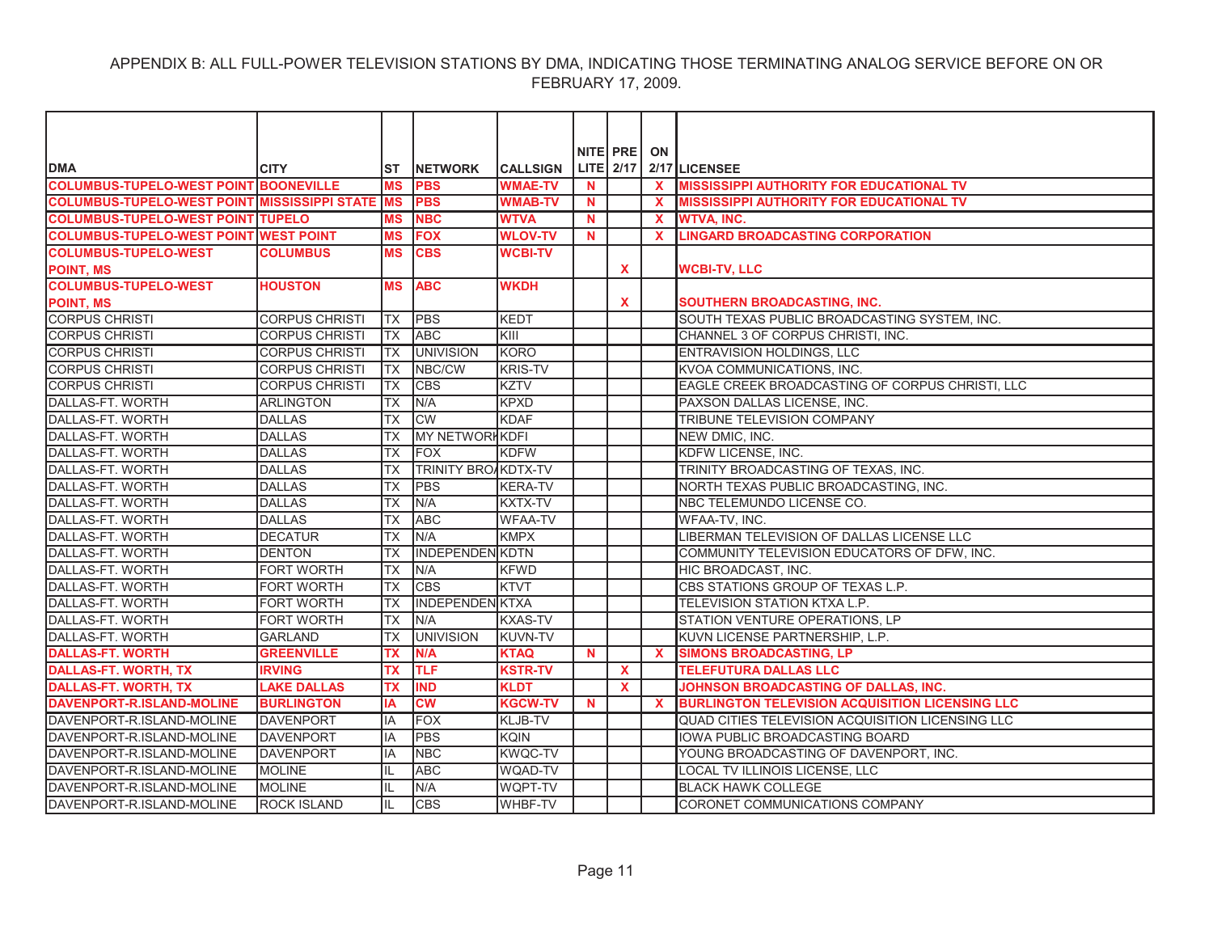|                                                     |                       |           |                            |                 |             | NITE PRE     | ON           |                                                        |
|-----------------------------------------------------|-----------------------|-----------|----------------------------|-----------------|-------------|--------------|--------------|--------------------------------------------------------|
| <b>DMA</b>                                          | <b>CITY</b>           | ST        | <b>INETWORK</b>            | <b>CALLSIGN</b> |             | LITE 2/17    |              | 2/17 LICENSEE                                          |
| <b>COLUMBUS-TUPELO-WEST POINT BOONEVILLE</b>        |                       | <b>MS</b> | <b>PBS</b>                 | <b>WMAE-TV</b>  | <b>N</b>    |              | $\mathbf{x}$ | <b>MISSISSIPPI AUTHORITY FOR EDUCATIONAL TV</b>        |
| <b>COLUMBUS-TUPELO-WEST POINT MISSISSIPPI STATE</b> |                       | <b>MS</b> | <b>PBS</b>                 | <b>WMAB-TV</b>  | N           |              | $\mathbf x$  | <b>MISSISSIPPI AUTHORITY FOR EDUCATIONAL TV</b>        |
| <b>COLUMBUS-TUPELO-WEST POINT TUPELO</b>            |                       | MS        | <b>NBC</b>                 | <b>WTVA</b>     | N.          |              | $\mathbf x$  | <b>WTVA, INC.</b>                                      |
| <b>COLUMBUS-TUPELO-WEST POINT WEST POINT</b>        |                       | <b>MS</b> | <b>FOX</b>                 | <b>WLOV-TV</b>  | $\mathbf N$ |              | $\mathbf x$  | <b>LINGARD BROADCASTING CORPORATION</b>                |
| <b>COLUMBUS-TUPELO-WEST</b>                         | <b>COLUMBUS</b>       | <b>MS</b> | <b>CBS</b>                 | <b>WCBI-TV</b>  |             |              |              |                                                        |
| <b>POINT, MS</b>                                    |                       |           |                            |                 |             | $\mathbf{x}$ |              | <b>WCBI-TV, LLC</b>                                    |
| <b>COLUMBUS-TUPELO-WEST</b>                         | <b>HOUSTON</b>        | <b>MS</b> | <b>ABC</b>                 | <b>WKDH</b>     |             |              |              |                                                        |
| <b>POINT, MS</b>                                    |                       |           |                            |                 |             | X            |              | SOUTHERN BROADCASTING, INC.                            |
| <b>CORPUS CHRISTI</b>                               | <b>CORPUS CHRISTI</b> | <b>TX</b> | <b>PBS</b>                 | <b>KEDT</b>     |             |              |              | SOUTH TEXAS PUBLIC BROADCASTING SYSTEM, INC.           |
| <b>CORPUS CHRISTI</b>                               | <b>CORPUS CHRISTI</b> | TX        | <b>ABC</b>                 | <b>KIII</b>     |             |              |              | CHANNEL 3 OF CORPUS CHRISTI, INC.                      |
| <b>CORPUS CHRISTI</b>                               | <b>CORPUS CHRISTI</b> | <b>TX</b> | <b>UNIVISION</b>           | <b>KORO</b>     |             |              |              | ENTRAVISION HOLDINGS, LLC                              |
| <b>CORPUS CHRISTI</b>                               | <b>CORPUS CHRISTI</b> | TX        | NBC/CW                     | <b>KRIS-TV</b>  |             |              |              | KVOA COMMUNICATIONS, INC.                              |
| <b>CORPUS CHRISTI</b>                               | <b>CORPUS CHRISTI</b> | <b>TX</b> | <b>CBS</b>                 | <b>KZTV</b>     |             |              |              | EAGLE CREEK BROADCASTING OF CORPUS CHRISTI, LLC        |
| DALLAS-FT. WORTH                                    | <b>ARLINGTON</b>      | <b>TX</b> | N/A                        | <b>KPXD</b>     |             |              |              | PAXSON DALLAS LICENSE, INC.                            |
| DALLAS-FT. WORTH                                    | <b>DALLAS</b>         | TX        | <b>CW</b>                  | <b>KDAF</b>     |             |              |              | TRIBUNE TELEVISION COMPANY                             |
| DALLAS-FT. WORTH                                    | <b>DALLAS</b>         | <b>TX</b> | <b>MY NETWORK KDFI</b>     |                 |             |              |              | NEW DMIC, INC.                                         |
| DALLAS-FT. WORTH                                    | <b>DALLAS</b>         | <b>TX</b> | <b>IFOX</b>                | <b>KDFW</b>     |             |              |              | KDFW LICENSE, INC.                                     |
| DALLAS-FT. WORTH                                    | <b>DALLAS</b>         | <b>TX</b> | <b>TRINITY BROAKDTX-TV</b> |                 |             |              |              | TRINITY BROADCASTING OF TEXAS, INC.                    |
| DALLAS-FT. WORTH                                    | <b>DALLAS</b>         | <b>TX</b> | <b>PBS</b>                 | <b>KERA-TV</b>  |             |              |              | NORTH TEXAS PUBLIC BROADCASTING, INC.                  |
| DALLAS-FT. WORTH                                    | <b>DALLAS</b>         | <b>TX</b> | N/A                        | <b>KXTX-TV</b>  |             |              |              | NBC TELEMUNDO LICENSE CO.                              |
| DALLAS-FT. WORTH                                    | <b>DALLAS</b>         | <b>TX</b> | <b>ABC</b>                 | <b>WFAA-TV</b>  |             |              |              | WFAA-TV, INC.                                          |
| DALLAS-FT. WORTH                                    | <b>DECATUR</b>        | <b>TX</b> | N/A                        | <b>KMPX</b>     |             |              |              | LIBERMAN TELEVISION OF DALLAS LICENSE LLC              |
| DALLAS-FT. WORTH                                    | <b>DENTON</b>         | <b>TX</b> | IINDEPENDENIKDTN           |                 |             |              |              | COMMUNITY TELEVISION EDUCATORS OF DFW. INC.            |
| <b>DALLAS-FT. WORTH</b>                             | <b>FORT WORTH</b>     | <b>TX</b> | N/A                        | <b>KFWD</b>     |             |              |              | HIC BROADCAST, INC.                                    |
| DALLAS-FT. WORTH                                    | <b>FORT WORTH</b>     | <b>TX</b> | <b>CBS</b>                 | <b>KTVT</b>     |             |              |              | CBS STATIONS GROUP OF TEXAS L.P.                       |
| DALLAS-FT. WORTH                                    | <b>FORT WORTH</b>     | <b>TX</b> | <b>INDEPENDEN KTXA</b>     |                 |             |              |              | TELEVISION STATION KTXA L.P.                           |
| DALLAS-FT. WORTH                                    | <b>FORT WORTH</b>     | <b>TX</b> | N/A                        | <b>KXAS-TV</b>  |             |              |              | STATION VENTURE OPERATIONS, LP                         |
| DALLAS-FT. WORTH                                    | <b>GARLAND</b>        | <b>TX</b> | <b>UNIVISION</b>           | <b>KUVN-TV</b>  |             |              |              | KUVN LICENSE PARTNERSHIP, L.P.                         |
| <b>DALLAS-FT. WORTH</b>                             | <b>GREENVILLE</b>     | ТX        | N/A                        | <b>KTAQ</b>     | $\mathbf N$ |              | $\mathbf{x}$ | <b>SIMONS BROADCASTING, LP</b>                         |
| <b>DALLAS-FT. WORTH, TX</b>                         | <b>IRVING</b>         | <b>TX</b> | <b>TLF</b>                 | <b>KSTR-TV</b>  |             | $\mathbf{x}$ |              | <b>TELEFUTURA DALLAS LLC</b>                           |
| <b>DALLAS-FT. WORTH, TX</b>                         | <b>LAKE DALLAS</b>    | <b>TX</b> | <b>IND</b>                 | <b>KLDT</b>     |             | $\mathbf{x}$ |              | JOHNSON BROADCASTING OF DALLAS, INC.                   |
| DAVENPORT-R.ISLAND-MOLINE                           | <b>BURLINGTON</b>     | IA        | $\overline{\text{cw}}$     | <b>KGCW-TV</b>  | N           |              | <b>X</b>     | <b>BURLINGTON TELEVISION ACQUISITION LICENSING LLC</b> |
| DAVENPORT-R.ISLAND-MOLINE                           | <b>DAVENPORT</b>      | IA        | <b>FOX</b>                 | KLJB-TV         |             |              |              | QUAD CITIES TELEVISION ACQUISITION LICENSING LLC       |
| DAVENPORT-R.ISLAND-MOLINE                           | <b>DAVENPORT</b>      | IA        | <b>PBS</b>                 | <b>KQIN</b>     |             |              |              | IOWA PUBLIC BROADCASTING BOARD                         |
| DAVENPORT-R.ISLAND-MOLINE                           | <b>DAVENPORT</b>      | IA        | <b>NBC</b>                 | <b>KWQC-TV</b>  |             |              |              | YOUNG BROADCASTING OF DAVENPORT, INC.                  |
| DAVENPORT-R.ISLAND-MOLINE                           | <b>MOLINE</b>         | IL        | <b>ABC</b>                 | <b>WQAD-TV</b>  |             |              |              | LOCAL TV ILLINOIS LICENSE, LLC                         |
| DAVENPORT-R.ISLAND-MOLINE                           | <b>MOLINE</b>         |           | N/A                        | <b>WQPT-TV</b>  |             |              |              | <b>BLACK HAWK COLLEGE</b>                              |
| DAVENPORT-R.ISLAND-MOLINE                           | <b>ROCK ISLAND</b>    | IL        | <b>CBS</b>                 | WHBF-TV         |             |              |              | CORONET COMMUNICATIONS COMPANY                         |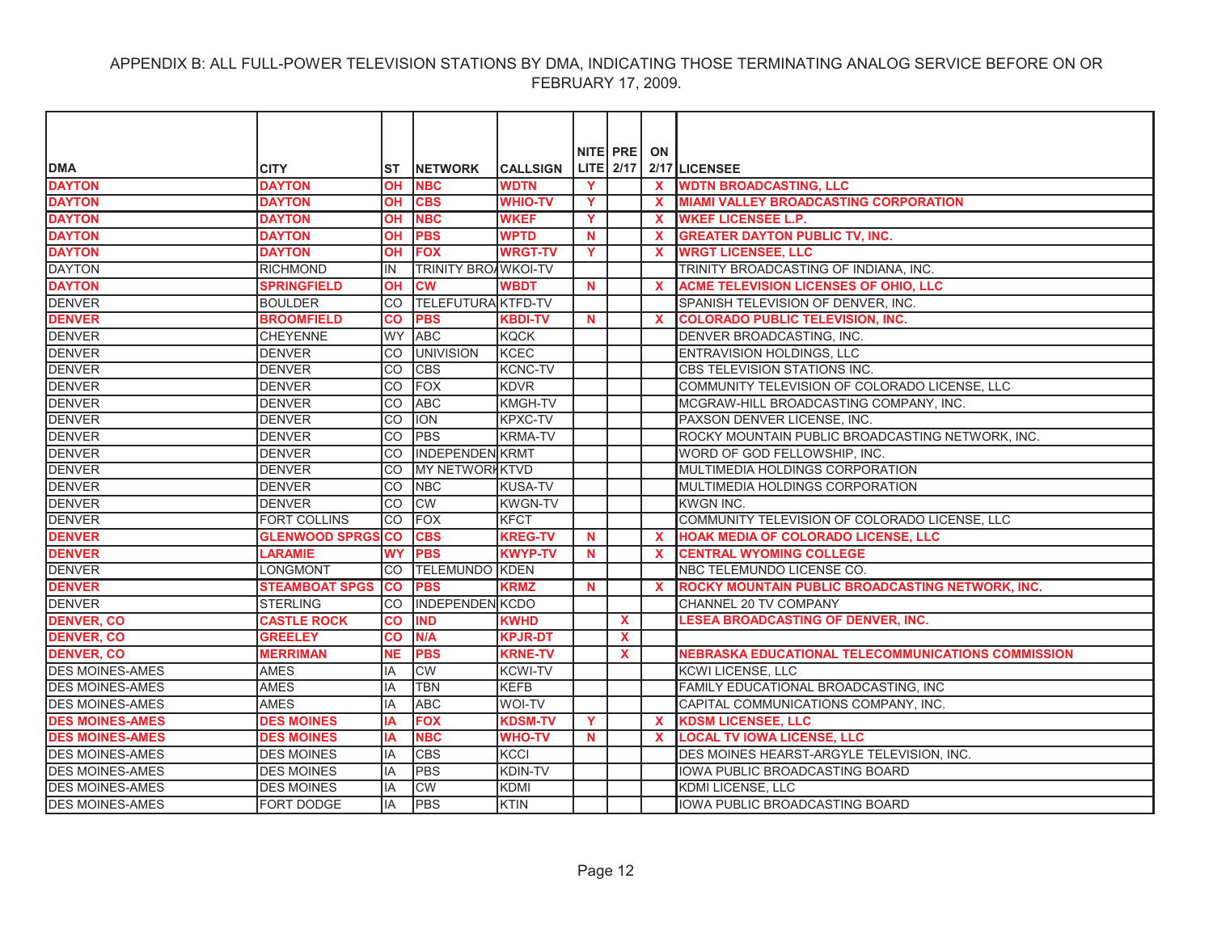| NITE PRE<br>ON<br><b>DMA</b><br><b>LITE</b> 2/17<br><b>CITY</b><br><b>INETWORK</b><br><b>CALLSIGN</b><br>2/17 LICENSEE<br>IST<br><b>DAYTON</b><br><b>DAYTON</b><br><b>OH</b><br><b>NBC</b><br><b>WDTN</b><br>$\mathbf{Y}$<br><b>WDTN BROADCASTING, LLC</b><br>$\mathbf{x}$<br><b>DAYTON</b><br><b>MIAMI VALLEY BROADCASTING CORPORATION</b><br><b>DAYTON</b><br>OН<br><b>CBS</b><br><b>WHIO-TV</b><br>Y<br>$\mathbf x$<br><b>DAYTON</b><br><b>WKEF</b><br><b>NBC</b><br><b>WKEF LICENSEE L.P.</b><br><b>DAYTON</b><br><b>OH</b><br>Y.<br>X<br><b>DAYTON</b><br><b>PBS</b><br><b>WPTD</b><br><b>DAYTON</b><br><b>OH</b><br>$\mathbf N$<br>$\mathbf{x}$<br><b>GREATER DAYTON PUBLIC TV, INC.</b><br><b>DAYTON</b><br><b>WRGT LICENSEE, LLC</b><br><b>DAYTON</b><br><b>FOX</b><br><b>WRGT-TV</b><br>Y<br><b>OH</b><br>$\mathbf{x}$<br><b>DAYTON</b><br><b>TRINITY BROAWKOI-TV</b><br>TRINITY BROADCASTING OF INDIANA, INC.<br><b>RICHMOND</b><br>IN<br><b>DAYTON</b><br><b>SPRINGFIELD</b><br><b>CW</b><br><b>WBDT</b><br>ACME TELEVISION LICENSES OF OHIO, LLC<br><b>OH</b><br><b>N</b><br>X<br><b>DENVER</b><br><b>TELEFUTURA KTFD-TV</b><br><b>BOULDER</b><br><b>CO</b><br>SPANISH TELEVISION OF DENVER, INC.<br><b>DENVER</b><br><b>BROOMFIELD</b><br>CO<br><b>PBS</b><br><b>KBDI-TV</b><br><b>COLORADO PUBLIC TELEVISION, INC.</b><br><b>N</b><br>$\mathbf{x}$<br><b>DENVER</b><br><b>CHEYENNE</b><br><b>WY</b><br><b>ABC</b><br><b>KQCK</b><br>DENVER BROADCASTING, INC.<br><b>DENVER</b><br><b>DENVER</b><br><b>CO</b><br><b>UNIVISION</b><br><b>KCEC</b><br>ENTRAVISION HOLDINGS, LLC<br>lco<br><b>CBS</b><br><b>KCNC-TV</b><br>CBS TELEVISION STATIONS INC.<br><b>DENVER</b><br><b>DENVER</b><br><b>FOX</b><br><b>KDVR</b><br>COMMUNITY TELEVISION OF COLORADO LICENSE, LLC<br>CO<br><b>DENVER</b><br><b>ABC</b><br><b>KMGH-TV</b><br><b>CO</b><br>MCGRAW-HILL BROADCASTING COMPANY, INC.<br><b>DENVER</b><br><b>KPXC-TV</b><br><b>CO</b><br><b>ION</b><br>PAXSON DENVER LICENSE, INC.<br>CO<br><b>PBS</b><br><b>KRMA-TV</b><br>ROCKY MOUNTAIN PUBLIC BROADCASTING NETWORK, INC.<br><b>DENVER</b><br><b>INDEPENDEN KRMT</b><br><b>DENVER</b><br>CO.<br>WORD OF GOD FELLOWSHIP, INC.<br><b>DENVER</b><br><b>MY NETWORKKTVD</b><br><b>DENVER</b><br><b>CO</b><br>MULTIMEDIA HOLDINGS CORPORATION<br><b>DENVER</b><br><b>DENVER</b><br><b>NBC</b><br><b>KUSA-TV</b><br>MULTIMEDIA HOLDINGS CORPORATION<br>CO<br><b>DENVER</b><br><b>CW</b><br><b>KWGN-TV</b><br><b>CO</b><br>KWGN INC.<br><b>FORT COLLINS</b><br><b>CO</b><br><b>KFCT</b><br><b>IFOX</b><br>COMMUNITY TELEVISION OF COLORADO LICENSE, LLC<br><b>GLENWOOD SPRGS</b><br>ICO<br><b>CBS</b><br><b>KREG-TV</b><br><b>HOAK MEDIA OF COLORADO LICENSE, LLC</b><br>N<br>$\mathbf{x}$<br><b>WY</b><br><b>PBS</b><br><b>KWYP-TV</b><br><b>LARAMIE</b><br>$\mathbf N$<br>$\boldsymbol{\mathsf{x}}$<br><b>CENTRAL WYOMING COLLEGE</b><br><b>DENVER</b><br><b>TELEMUNDO KDEN</b><br><b>LONGMONT</b><br>NBC TELEMUNDO LICENSE CO.<br>CO.<br><b>DENVER</b><br>ROCKY MOUNTAIN PUBLIC BROADCASTING NETWORK, INC.<br><b>STEAMBOAT SPGS</b><br><b>CO</b><br><b>PBS</b><br><b>KRMZ</b><br>$\mathbf N$<br>$\mathbf{x}$<br><b>INDEPENDEN KCDO</b><br>CHANNEL 20 TV COMPANY<br><b>STERLING</b><br>CO<br><b>LESEA BROADCASTING OF DENVER, INC.</b><br><b>CASTLE ROCK</b><br><b>IND</b><br><b>KWHD</b><br><b>CO</b><br>X.<br><b>DENVER, CO</b><br><b>KPJR-DT</b><br>$\mathbf{x}$<br><b>GREELEY</b><br>CO<br>N/A<br><b>DENVER, CO</b><br><b>MERRIMAN</b><br><b>PBS</b><br><b>KRNE-TV</b><br>NEBRASKA EDUCATIONAL TELECOMMUNICATIONS COMMISSION<br>NE<br><b>X</b><br><b>DES MOINES-AMES</b><br><b>CW</b><br><b>AMES</b><br>IA<br><b>KCWI-TV</b><br><b>KCWI LICENSE, LLC</b><br><b>DES MOINES-AMES</b><br><b>AMES</b><br>IA<br><b>TBN</b><br><b>KEFB</b><br>FAMILY EDUCATIONAL BROADCASTING, INC<br><b>AMES</b><br><b>ABC</b><br>IA<br><b>WOI-TV</b><br>CAPITAL COMMUNICATIONS COMPANY, INC.<br><b>FOX</b><br><b>DES MOINES</b><br><b>KDSM-TV</b><br>Y<br><b>KDSM LICENSEE, LLC</b><br>IA<br>$\mathbf{x}$<br><b>DES MOINES-AMES</b><br><b>NBC</b><br><b>DES MOINES</b><br>IA<br><b>WHO-TV</b><br>N<br><b>LOCAL TV IOWA LICENSE, LLC</b><br>$\mathbf{x}$<br><b>DES MOINES-AMES</b><br>lIA<br><b>CBS</b><br><b>KCCI</b><br>DES MOINES HEARST-ARGYLE TELEVISION, INC.<br><b>DES MOINES</b><br><b>PBS</b><br>KDIN-TV<br><b>IOWA PUBLIC BROADCASTING BOARD</b><br><b>DES MOINES</b><br>lΙA<br><b>CW</b><br><b>KDMI</b><br><b>DES MOINES</b><br>IA<br>KDMI LICENSE, LLC |                        |  |             |  |  |
|----------------------------------------------------------------------------------------------------------------------------------------------------------------------------------------------------------------------------------------------------------------------------------------------------------------------------------------------------------------------------------------------------------------------------------------------------------------------------------------------------------------------------------------------------------------------------------------------------------------------------------------------------------------------------------------------------------------------------------------------------------------------------------------------------------------------------------------------------------------------------------------------------------------------------------------------------------------------------------------------------------------------------------------------------------------------------------------------------------------------------------------------------------------------------------------------------------------------------------------------------------------------------------------------------------------------------------------------------------------------------------------------------------------------------------------------------------------------------------------------------------------------------------------------------------------------------------------------------------------------------------------------------------------------------------------------------------------------------------------------------------------------------------------------------------------------------------------------------------------------------------------------------------------------------------------------------------------------------------------------------------------------------------------------------------------------------------------------------------------------------------------------------------------------------------------------------------------------------------------------------------------------------------------------------------------------------------------------------------------------------------------------------------------------------------------------------------------------------------------------------------------------------------------------------------------------------------------------------------------------------------------------------------------------------------------------------------------------------------------------------------------------------------------------------------------------------------------------------------------------------------------------------------------------------------------------------------------------------------------------------------------------------------------------------------------------------------------------------------------------------------------------------------------------------------------------------------------------------------------------------------------------------------------------------------------------------------------------------------------------------------------------------------------------------------------------------------------------------------------------------------------------------------------------------------------------------------------------------------------------------------------------------------------------------------------------------------------------------------------------------------------------------------------------------------------------------------------------------------------------------------------------------------------------------------------------------------------------------------------------------------------------------------------------------------------------------------------------------------------------------------------------------------------------------------------------------------------------------------------------------------------------------------------------------------------------------------------------------------------------------------------------------------------------------------------------------------------------------------------------------------|------------------------|--|-------------|--|--|
|                                                                                                                                                                                                                                                                                                                                                                                                                                                                                                                                                                                                                                                                                                                                                                                                                                                                                                                                                                                                                                                                                                                                                                                                                                                                                                                                                                                                                                                                                                                                                                                                                                                                                                                                                                                                                                                                                                                                                                                                                                                                                                                                                                                                                                                                                                                                                                                                                                                                                                                                                                                                                                                                                                                                                                                                                                                                                                                                                                                                                                                                                                                                                                                                                                                                                                                                                                                                                                                                                                                                                                                                                                                                                                                                                                                                                                                                                                                                                                                                                                                                                                                                                                                                                                                                                                                                                                                                                                                                                                          |                        |  |             |  |  |
|                                                                                                                                                                                                                                                                                                                                                                                                                                                                                                                                                                                                                                                                                                                                                                                                                                                                                                                                                                                                                                                                                                                                                                                                                                                                                                                                                                                                                                                                                                                                                                                                                                                                                                                                                                                                                                                                                                                                                                                                                                                                                                                                                                                                                                                                                                                                                                                                                                                                                                                                                                                                                                                                                                                                                                                                                                                                                                                                                                                                                                                                                                                                                                                                                                                                                                                                                                                                                                                                                                                                                                                                                                                                                                                                                                                                                                                                                                                                                                                                                                                                                                                                                                                                                                                                                                                                                                                                                                                                                                          |                        |  |             |  |  |
|                                                                                                                                                                                                                                                                                                                                                                                                                                                                                                                                                                                                                                                                                                                                                                                                                                                                                                                                                                                                                                                                                                                                                                                                                                                                                                                                                                                                                                                                                                                                                                                                                                                                                                                                                                                                                                                                                                                                                                                                                                                                                                                                                                                                                                                                                                                                                                                                                                                                                                                                                                                                                                                                                                                                                                                                                                                                                                                                                                                                                                                                                                                                                                                                                                                                                                                                                                                                                                                                                                                                                                                                                                                                                                                                                                                                                                                                                                                                                                                                                                                                                                                                                                                                                                                                                                                                                                                                                                                                                                          |                        |  |             |  |  |
|                                                                                                                                                                                                                                                                                                                                                                                                                                                                                                                                                                                                                                                                                                                                                                                                                                                                                                                                                                                                                                                                                                                                                                                                                                                                                                                                                                                                                                                                                                                                                                                                                                                                                                                                                                                                                                                                                                                                                                                                                                                                                                                                                                                                                                                                                                                                                                                                                                                                                                                                                                                                                                                                                                                                                                                                                                                                                                                                                                                                                                                                                                                                                                                                                                                                                                                                                                                                                                                                                                                                                                                                                                                                                                                                                                                                                                                                                                                                                                                                                                                                                                                                                                                                                                                                                                                                                                                                                                                                                                          |                        |  |             |  |  |
|                                                                                                                                                                                                                                                                                                                                                                                                                                                                                                                                                                                                                                                                                                                                                                                                                                                                                                                                                                                                                                                                                                                                                                                                                                                                                                                                                                                                                                                                                                                                                                                                                                                                                                                                                                                                                                                                                                                                                                                                                                                                                                                                                                                                                                                                                                                                                                                                                                                                                                                                                                                                                                                                                                                                                                                                                                                                                                                                                                                                                                                                                                                                                                                                                                                                                                                                                                                                                                                                                                                                                                                                                                                                                                                                                                                                                                                                                                                                                                                                                                                                                                                                                                                                                                                                                                                                                                                                                                                                                                          |                        |  |             |  |  |
|                                                                                                                                                                                                                                                                                                                                                                                                                                                                                                                                                                                                                                                                                                                                                                                                                                                                                                                                                                                                                                                                                                                                                                                                                                                                                                                                                                                                                                                                                                                                                                                                                                                                                                                                                                                                                                                                                                                                                                                                                                                                                                                                                                                                                                                                                                                                                                                                                                                                                                                                                                                                                                                                                                                                                                                                                                                                                                                                                                                                                                                                                                                                                                                                                                                                                                                                                                                                                                                                                                                                                                                                                                                                                                                                                                                                                                                                                                                                                                                                                                                                                                                                                                                                                                                                                                                                                                                                                                                                                                          |                        |  |             |  |  |
|                                                                                                                                                                                                                                                                                                                                                                                                                                                                                                                                                                                                                                                                                                                                                                                                                                                                                                                                                                                                                                                                                                                                                                                                                                                                                                                                                                                                                                                                                                                                                                                                                                                                                                                                                                                                                                                                                                                                                                                                                                                                                                                                                                                                                                                                                                                                                                                                                                                                                                                                                                                                                                                                                                                                                                                                                                                                                                                                                                                                                                                                                                                                                                                                                                                                                                                                                                                                                                                                                                                                                                                                                                                                                                                                                                                                                                                                                                                                                                                                                                                                                                                                                                                                                                                                                                                                                                                                                                                                                                          |                        |  |             |  |  |
|                                                                                                                                                                                                                                                                                                                                                                                                                                                                                                                                                                                                                                                                                                                                                                                                                                                                                                                                                                                                                                                                                                                                                                                                                                                                                                                                                                                                                                                                                                                                                                                                                                                                                                                                                                                                                                                                                                                                                                                                                                                                                                                                                                                                                                                                                                                                                                                                                                                                                                                                                                                                                                                                                                                                                                                                                                                                                                                                                                                                                                                                                                                                                                                                                                                                                                                                                                                                                                                                                                                                                                                                                                                                                                                                                                                                                                                                                                                                                                                                                                                                                                                                                                                                                                                                                                                                                                                                                                                                                                          |                        |  |             |  |  |
|                                                                                                                                                                                                                                                                                                                                                                                                                                                                                                                                                                                                                                                                                                                                                                                                                                                                                                                                                                                                                                                                                                                                                                                                                                                                                                                                                                                                                                                                                                                                                                                                                                                                                                                                                                                                                                                                                                                                                                                                                                                                                                                                                                                                                                                                                                                                                                                                                                                                                                                                                                                                                                                                                                                                                                                                                                                                                                                                                                                                                                                                                                                                                                                                                                                                                                                                                                                                                                                                                                                                                                                                                                                                                                                                                                                                                                                                                                                                                                                                                                                                                                                                                                                                                                                                                                                                                                                                                                                                                                          |                        |  |             |  |  |
|                                                                                                                                                                                                                                                                                                                                                                                                                                                                                                                                                                                                                                                                                                                                                                                                                                                                                                                                                                                                                                                                                                                                                                                                                                                                                                                                                                                                                                                                                                                                                                                                                                                                                                                                                                                                                                                                                                                                                                                                                                                                                                                                                                                                                                                                                                                                                                                                                                                                                                                                                                                                                                                                                                                                                                                                                                                                                                                                                                                                                                                                                                                                                                                                                                                                                                                                                                                                                                                                                                                                                                                                                                                                                                                                                                                                                                                                                                                                                                                                                                                                                                                                                                                                                                                                                                                                                                                                                                                                                                          |                        |  |             |  |  |
|                                                                                                                                                                                                                                                                                                                                                                                                                                                                                                                                                                                                                                                                                                                                                                                                                                                                                                                                                                                                                                                                                                                                                                                                                                                                                                                                                                                                                                                                                                                                                                                                                                                                                                                                                                                                                                                                                                                                                                                                                                                                                                                                                                                                                                                                                                                                                                                                                                                                                                                                                                                                                                                                                                                                                                                                                                                                                                                                                                                                                                                                                                                                                                                                                                                                                                                                                                                                                                                                                                                                                                                                                                                                                                                                                                                                                                                                                                                                                                                                                                                                                                                                                                                                                                                                                                                                                                                                                                                                                                          |                        |  |             |  |  |
|                                                                                                                                                                                                                                                                                                                                                                                                                                                                                                                                                                                                                                                                                                                                                                                                                                                                                                                                                                                                                                                                                                                                                                                                                                                                                                                                                                                                                                                                                                                                                                                                                                                                                                                                                                                                                                                                                                                                                                                                                                                                                                                                                                                                                                                                                                                                                                                                                                                                                                                                                                                                                                                                                                                                                                                                                                                                                                                                                                                                                                                                                                                                                                                                                                                                                                                                                                                                                                                                                                                                                                                                                                                                                                                                                                                                                                                                                                                                                                                                                                                                                                                                                                                                                                                                                                                                                                                                                                                                                                          |                        |  |             |  |  |
|                                                                                                                                                                                                                                                                                                                                                                                                                                                                                                                                                                                                                                                                                                                                                                                                                                                                                                                                                                                                                                                                                                                                                                                                                                                                                                                                                                                                                                                                                                                                                                                                                                                                                                                                                                                                                                                                                                                                                                                                                                                                                                                                                                                                                                                                                                                                                                                                                                                                                                                                                                                                                                                                                                                                                                                                                                                                                                                                                                                                                                                                                                                                                                                                                                                                                                                                                                                                                                                                                                                                                                                                                                                                                                                                                                                                                                                                                                                                                                                                                                                                                                                                                                                                                                                                                                                                                                                                                                                                                                          |                        |  |             |  |  |
|                                                                                                                                                                                                                                                                                                                                                                                                                                                                                                                                                                                                                                                                                                                                                                                                                                                                                                                                                                                                                                                                                                                                                                                                                                                                                                                                                                                                                                                                                                                                                                                                                                                                                                                                                                                                                                                                                                                                                                                                                                                                                                                                                                                                                                                                                                                                                                                                                                                                                                                                                                                                                                                                                                                                                                                                                                                                                                                                                                                                                                                                                                                                                                                                                                                                                                                                                                                                                                                                                                                                                                                                                                                                                                                                                                                                                                                                                                                                                                                                                                                                                                                                                                                                                                                                                                                                                                                                                                                                                                          |                        |  |             |  |  |
|                                                                                                                                                                                                                                                                                                                                                                                                                                                                                                                                                                                                                                                                                                                                                                                                                                                                                                                                                                                                                                                                                                                                                                                                                                                                                                                                                                                                                                                                                                                                                                                                                                                                                                                                                                                                                                                                                                                                                                                                                                                                                                                                                                                                                                                                                                                                                                                                                                                                                                                                                                                                                                                                                                                                                                                                                                                                                                                                                                                                                                                                                                                                                                                                                                                                                                                                                                                                                                                                                                                                                                                                                                                                                                                                                                                                                                                                                                                                                                                                                                                                                                                                                                                                                                                                                                                                                                                                                                                                                                          | <b>DENVER</b>          |  |             |  |  |
|                                                                                                                                                                                                                                                                                                                                                                                                                                                                                                                                                                                                                                                                                                                                                                                                                                                                                                                                                                                                                                                                                                                                                                                                                                                                                                                                                                                                                                                                                                                                                                                                                                                                                                                                                                                                                                                                                                                                                                                                                                                                                                                                                                                                                                                                                                                                                                                                                                                                                                                                                                                                                                                                                                                                                                                                                                                                                                                                                                                                                                                                                                                                                                                                                                                                                                                                                                                                                                                                                                                                                                                                                                                                                                                                                                                                                                                                                                                                                                                                                                                                                                                                                                                                                                                                                                                                                                                                                                                                                                          | <b>DENVER</b>          |  |             |  |  |
|                                                                                                                                                                                                                                                                                                                                                                                                                                                                                                                                                                                                                                                                                                                                                                                                                                                                                                                                                                                                                                                                                                                                                                                                                                                                                                                                                                                                                                                                                                                                                                                                                                                                                                                                                                                                                                                                                                                                                                                                                                                                                                                                                                                                                                                                                                                                                                                                                                                                                                                                                                                                                                                                                                                                                                                                                                                                                                                                                                                                                                                                                                                                                                                                                                                                                                                                                                                                                                                                                                                                                                                                                                                                                                                                                                                                                                                                                                                                                                                                                                                                                                                                                                                                                                                                                                                                                                                                                                                                                                          | <b>DENVER</b>          |  |             |  |  |
|                                                                                                                                                                                                                                                                                                                                                                                                                                                                                                                                                                                                                                                                                                                                                                                                                                                                                                                                                                                                                                                                                                                                                                                                                                                                                                                                                                                                                                                                                                                                                                                                                                                                                                                                                                                                                                                                                                                                                                                                                                                                                                                                                                                                                                                                                                                                                                                                                                                                                                                                                                                                                                                                                                                                                                                                                                                                                                                                                                                                                                                                                                                                                                                                                                                                                                                                                                                                                                                                                                                                                                                                                                                                                                                                                                                                                                                                                                                                                                                                                                                                                                                                                                                                                                                                                                                                                                                                                                                                                                          | <b>DENVER</b>          |  |             |  |  |
|                                                                                                                                                                                                                                                                                                                                                                                                                                                                                                                                                                                                                                                                                                                                                                                                                                                                                                                                                                                                                                                                                                                                                                                                                                                                                                                                                                                                                                                                                                                                                                                                                                                                                                                                                                                                                                                                                                                                                                                                                                                                                                                                                                                                                                                                                                                                                                                                                                                                                                                                                                                                                                                                                                                                                                                                                                                                                                                                                                                                                                                                                                                                                                                                                                                                                                                                                                                                                                                                                                                                                                                                                                                                                                                                                                                                                                                                                                                                                                                                                                                                                                                                                                                                                                                                                                                                                                                                                                                                                                          | <b>DENVER</b>          |  |             |  |  |
|                                                                                                                                                                                                                                                                                                                                                                                                                                                                                                                                                                                                                                                                                                                                                                                                                                                                                                                                                                                                                                                                                                                                                                                                                                                                                                                                                                                                                                                                                                                                                                                                                                                                                                                                                                                                                                                                                                                                                                                                                                                                                                                                                                                                                                                                                                                                                                                                                                                                                                                                                                                                                                                                                                                                                                                                                                                                                                                                                                                                                                                                                                                                                                                                                                                                                                                                                                                                                                                                                                                                                                                                                                                                                                                                                                                                                                                                                                                                                                                                                                                                                                                                                                                                                                                                                                                                                                                                                                                                                                          | <b>DENVER</b>          |  |             |  |  |
|                                                                                                                                                                                                                                                                                                                                                                                                                                                                                                                                                                                                                                                                                                                                                                                                                                                                                                                                                                                                                                                                                                                                                                                                                                                                                                                                                                                                                                                                                                                                                                                                                                                                                                                                                                                                                                                                                                                                                                                                                                                                                                                                                                                                                                                                                                                                                                                                                                                                                                                                                                                                                                                                                                                                                                                                                                                                                                                                                                                                                                                                                                                                                                                                                                                                                                                                                                                                                                                                                                                                                                                                                                                                                                                                                                                                                                                                                                                                                                                                                                                                                                                                                                                                                                                                                                                                                                                                                                                                                                          |                        |  |             |  |  |
|                                                                                                                                                                                                                                                                                                                                                                                                                                                                                                                                                                                                                                                                                                                                                                                                                                                                                                                                                                                                                                                                                                                                                                                                                                                                                                                                                                                                                                                                                                                                                                                                                                                                                                                                                                                                                                                                                                                                                                                                                                                                                                                                                                                                                                                                                                                                                                                                                                                                                                                                                                                                                                                                                                                                                                                                                                                                                                                                                                                                                                                                                                                                                                                                                                                                                                                                                                                                                                                                                                                                                                                                                                                                                                                                                                                                                                                                                                                                                                                                                                                                                                                                                                                                                                                                                                                                                                                                                                                                                                          |                        |  |             |  |  |
|                                                                                                                                                                                                                                                                                                                                                                                                                                                                                                                                                                                                                                                                                                                                                                                                                                                                                                                                                                                                                                                                                                                                                                                                                                                                                                                                                                                                                                                                                                                                                                                                                                                                                                                                                                                                                                                                                                                                                                                                                                                                                                                                                                                                                                                                                                                                                                                                                                                                                                                                                                                                                                                                                                                                                                                                                                                                                                                                                                                                                                                                                                                                                                                                                                                                                                                                                                                                                                                                                                                                                                                                                                                                                                                                                                                                                                                                                                                                                                                                                                                                                                                                                                                                                                                                                                                                                                                                                                                                                                          | <b>DENVER</b>          |  |             |  |  |
|                                                                                                                                                                                                                                                                                                                                                                                                                                                                                                                                                                                                                                                                                                                                                                                                                                                                                                                                                                                                                                                                                                                                                                                                                                                                                                                                                                                                                                                                                                                                                                                                                                                                                                                                                                                                                                                                                                                                                                                                                                                                                                                                                                                                                                                                                                                                                                                                                                                                                                                                                                                                                                                                                                                                                                                                                                                                                                                                                                                                                                                                                                                                                                                                                                                                                                                                                                                                                                                                                                                                                                                                                                                                                                                                                                                                                                                                                                                                                                                                                                                                                                                                                                                                                                                                                                                                                                                                                                                                                                          | <b>DENVER</b>          |  |             |  |  |
|                                                                                                                                                                                                                                                                                                                                                                                                                                                                                                                                                                                                                                                                                                                                                                                                                                                                                                                                                                                                                                                                                                                                                                                                                                                                                                                                                                                                                                                                                                                                                                                                                                                                                                                                                                                                                                                                                                                                                                                                                                                                                                                                                                                                                                                                                                                                                                                                                                                                                                                                                                                                                                                                                                                                                                                                                                                                                                                                                                                                                                                                                                                                                                                                                                                                                                                                                                                                                                                                                                                                                                                                                                                                                                                                                                                                                                                                                                                                                                                                                                                                                                                                                                                                                                                                                                                                                                                                                                                                                                          | <b>DENVER</b>          |  |             |  |  |
|                                                                                                                                                                                                                                                                                                                                                                                                                                                                                                                                                                                                                                                                                                                                                                                                                                                                                                                                                                                                                                                                                                                                                                                                                                                                                                                                                                                                                                                                                                                                                                                                                                                                                                                                                                                                                                                                                                                                                                                                                                                                                                                                                                                                                                                                                                                                                                                                                                                                                                                                                                                                                                                                                                                                                                                                                                                                                                                                                                                                                                                                                                                                                                                                                                                                                                                                                                                                                                                                                                                                                                                                                                                                                                                                                                                                                                                                                                                                                                                                                                                                                                                                                                                                                                                                                                                                                                                                                                                                                                          | <b>DENVER</b>          |  |             |  |  |
|                                                                                                                                                                                                                                                                                                                                                                                                                                                                                                                                                                                                                                                                                                                                                                                                                                                                                                                                                                                                                                                                                                                                                                                                                                                                                                                                                                                                                                                                                                                                                                                                                                                                                                                                                                                                                                                                                                                                                                                                                                                                                                                                                                                                                                                                                                                                                                                                                                                                                                                                                                                                                                                                                                                                                                                                                                                                                                                                                                                                                                                                                                                                                                                                                                                                                                                                                                                                                                                                                                                                                                                                                                                                                                                                                                                                                                                                                                                                                                                                                                                                                                                                                                                                                                                                                                                                                                                                                                                                                                          |                        |  |             |  |  |
|                                                                                                                                                                                                                                                                                                                                                                                                                                                                                                                                                                                                                                                                                                                                                                                                                                                                                                                                                                                                                                                                                                                                                                                                                                                                                                                                                                                                                                                                                                                                                                                                                                                                                                                                                                                                                                                                                                                                                                                                                                                                                                                                                                                                                                                                                                                                                                                                                                                                                                                                                                                                                                                                                                                                                                                                                                                                                                                                                                                                                                                                                                                                                                                                                                                                                                                                                                                                                                                                                                                                                                                                                                                                                                                                                                                                                                                                                                                                                                                                                                                                                                                                                                                                                                                                                                                                                                                                                                                                                                          |                        |  |             |  |  |
|                                                                                                                                                                                                                                                                                                                                                                                                                                                                                                                                                                                                                                                                                                                                                                                                                                                                                                                                                                                                                                                                                                                                                                                                                                                                                                                                                                                                                                                                                                                                                                                                                                                                                                                                                                                                                                                                                                                                                                                                                                                                                                                                                                                                                                                                                                                                                                                                                                                                                                                                                                                                                                                                                                                                                                                                                                                                                                                                                                                                                                                                                                                                                                                                                                                                                                                                                                                                                                                                                                                                                                                                                                                                                                                                                                                                                                                                                                                                                                                                                                                                                                                                                                                                                                                                                                                                                                                                                                                                                                          | <b>DENVER</b>          |  |             |  |  |
|                                                                                                                                                                                                                                                                                                                                                                                                                                                                                                                                                                                                                                                                                                                                                                                                                                                                                                                                                                                                                                                                                                                                                                                                                                                                                                                                                                                                                                                                                                                                                                                                                                                                                                                                                                                                                                                                                                                                                                                                                                                                                                                                                                                                                                                                                                                                                                                                                                                                                                                                                                                                                                                                                                                                                                                                                                                                                                                                                                                                                                                                                                                                                                                                                                                                                                                                                                                                                                                                                                                                                                                                                                                                                                                                                                                                                                                                                                                                                                                                                                                                                                                                                                                                                                                                                                                                                                                                                                                                                                          | <b>DENVER, CO</b>      |  |             |  |  |
|                                                                                                                                                                                                                                                                                                                                                                                                                                                                                                                                                                                                                                                                                                                                                                                                                                                                                                                                                                                                                                                                                                                                                                                                                                                                                                                                                                                                                                                                                                                                                                                                                                                                                                                                                                                                                                                                                                                                                                                                                                                                                                                                                                                                                                                                                                                                                                                                                                                                                                                                                                                                                                                                                                                                                                                                                                                                                                                                                                                                                                                                                                                                                                                                                                                                                                                                                                                                                                                                                                                                                                                                                                                                                                                                                                                                                                                                                                                                                                                                                                                                                                                                                                                                                                                                                                                                                                                                                                                                                                          |                        |  |             |  |  |
|                                                                                                                                                                                                                                                                                                                                                                                                                                                                                                                                                                                                                                                                                                                                                                                                                                                                                                                                                                                                                                                                                                                                                                                                                                                                                                                                                                                                                                                                                                                                                                                                                                                                                                                                                                                                                                                                                                                                                                                                                                                                                                                                                                                                                                                                                                                                                                                                                                                                                                                                                                                                                                                                                                                                                                                                                                                                                                                                                                                                                                                                                                                                                                                                                                                                                                                                                                                                                                                                                                                                                                                                                                                                                                                                                                                                                                                                                                                                                                                                                                                                                                                                                                                                                                                                                                                                                                                                                                                                                                          |                        |  |             |  |  |
|                                                                                                                                                                                                                                                                                                                                                                                                                                                                                                                                                                                                                                                                                                                                                                                                                                                                                                                                                                                                                                                                                                                                                                                                                                                                                                                                                                                                                                                                                                                                                                                                                                                                                                                                                                                                                                                                                                                                                                                                                                                                                                                                                                                                                                                                                                                                                                                                                                                                                                                                                                                                                                                                                                                                                                                                                                                                                                                                                                                                                                                                                                                                                                                                                                                                                                                                                                                                                                                                                                                                                                                                                                                                                                                                                                                                                                                                                                                                                                                                                                                                                                                                                                                                                                                                                                                                                                                                                                                                                                          |                        |  |             |  |  |
|                                                                                                                                                                                                                                                                                                                                                                                                                                                                                                                                                                                                                                                                                                                                                                                                                                                                                                                                                                                                                                                                                                                                                                                                                                                                                                                                                                                                                                                                                                                                                                                                                                                                                                                                                                                                                                                                                                                                                                                                                                                                                                                                                                                                                                                                                                                                                                                                                                                                                                                                                                                                                                                                                                                                                                                                                                                                                                                                                                                                                                                                                                                                                                                                                                                                                                                                                                                                                                                                                                                                                                                                                                                                                                                                                                                                                                                                                                                                                                                                                                                                                                                                                                                                                                                                                                                                                                                                                                                                                                          |                        |  |             |  |  |
|                                                                                                                                                                                                                                                                                                                                                                                                                                                                                                                                                                                                                                                                                                                                                                                                                                                                                                                                                                                                                                                                                                                                                                                                                                                                                                                                                                                                                                                                                                                                                                                                                                                                                                                                                                                                                                                                                                                                                                                                                                                                                                                                                                                                                                                                                                                                                                                                                                                                                                                                                                                                                                                                                                                                                                                                                                                                                                                                                                                                                                                                                                                                                                                                                                                                                                                                                                                                                                                                                                                                                                                                                                                                                                                                                                                                                                                                                                                                                                                                                                                                                                                                                                                                                                                                                                                                                                                                                                                                                                          | <b>DES MOINES-AMES</b> |  |             |  |  |
|                                                                                                                                                                                                                                                                                                                                                                                                                                                                                                                                                                                                                                                                                                                                                                                                                                                                                                                                                                                                                                                                                                                                                                                                                                                                                                                                                                                                                                                                                                                                                                                                                                                                                                                                                                                                                                                                                                                                                                                                                                                                                                                                                                                                                                                                                                                                                                                                                                                                                                                                                                                                                                                                                                                                                                                                                                                                                                                                                                                                                                                                                                                                                                                                                                                                                                                                                                                                                                                                                                                                                                                                                                                                                                                                                                                                                                                                                                                                                                                                                                                                                                                                                                                                                                                                                                                                                                                                                                                                                                          | <b>DES MOINES-AMES</b> |  |             |  |  |
|                                                                                                                                                                                                                                                                                                                                                                                                                                                                                                                                                                                                                                                                                                                                                                                                                                                                                                                                                                                                                                                                                                                                                                                                                                                                                                                                                                                                                                                                                                                                                                                                                                                                                                                                                                                                                                                                                                                                                                                                                                                                                                                                                                                                                                                                                                                                                                                                                                                                                                                                                                                                                                                                                                                                                                                                                                                                                                                                                                                                                                                                                                                                                                                                                                                                                                                                                                                                                                                                                                                                                                                                                                                                                                                                                                                                                                                                                                                                                                                                                                                                                                                                                                                                                                                                                                                                                                                                                                                                                                          |                        |  |             |  |  |
|                                                                                                                                                                                                                                                                                                                                                                                                                                                                                                                                                                                                                                                                                                                                                                                                                                                                                                                                                                                                                                                                                                                                                                                                                                                                                                                                                                                                                                                                                                                                                                                                                                                                                                                                                                                                                                                                                                                                                                                                                                                                                                                                                                                                                                                                                                                                                                                                                                                                                                                                                                                                                                                                                                                                                                                                                                                                                                                                                                                                                                                                                                                                                                                                                                                                                                                                                                                                                                                                                                                                                                                                                                                                                                                                                                                                                                                                                                                                                                                                                                                                                                                                                                                                                                                                                                                                                                                                                                                                                                          |                        |  |             |  |  |
|                                                                                                                                                                                                                                                                                                                                                                                                                                                                                                                                                                                                                                                                                                                                                                                                                                                                                                                                                                                                                                                                                                                                                                                                                                                                                                                                                                                                                                                                                                                                                                                                                                                                                                                                                                                                                                                                                                                                                                                                                                                                                                                                                                                                                                                                                                                                                                                                                                                                                                                                                                                                                                                                                                                                                                                                                                                                                                                                                                                                                                                                                                                                                                                                                                                                                                                                                                                                                                                                                                                                                                                                                                                                                                                                                                                                                                                                                                                                                                                                                                                                                                                                                                                                                                                                                                                                                                                                                                                                                                          | <b>DES MOINES-AMES</b> |  |             |  |  |
|                                                                                                                                                                                                                                                                                                                                                                                                                                                                                                                                                                                                                                                                                                                                                                                                                                                                                                                                                                                                                                                                                                                                                                                                                                                                                                                                                                                                                                                                                                                                                                                                                                                                                                                                                                                                                                                                                                                                                                                                                                                                                                                                                                                                                                                                                                                                                                                                                                                                                                                                                                                                                                                                                                                                                                                                                                                                                                                                                                                                                                                                                                                                                                                                                                                                                                                                                                                                                                                                                                                                                                                                                                                                                                                                                                                                                                                                                                                                                                                                                                                                                                                                                                                                                                                                                                                                                                                                                                                                                                          | <b>DES MOINES-AMES</b> |  |             |  |  |
| <b>FORT DODGE</b><br>PBS<br>lIA<br><b>IOWA PUBLIC BROADCASTING BOARD</b>                                                                                                                                                                                                                                                                                                                                                                                                                                                                                                                                                                                                                                                                                                                                                                                                                                                                                                                                                                                                                                                                                                                                                                                                                                                                                                                                                                                                                                                                                                                                                                                                                                                                                                                                                                                                                                                                                                                                                                                                                                                                                                                                                                                                                                                                                                                                                                                                                                                                                                                                                                                                                                                                                                                                                                                                                                                                                                                                                                                                                                                                                                                                                                                                                                                                                                                                                                                                                                                                                                                                                                                                                                                                                                                                                                                                                                                                                                                                                                                                                                                                                                                                                                                                                                                                                                                                                                                                                                 | <b>DES MOINES-AMES</b> |  | <b>KTIN</b> |  |  |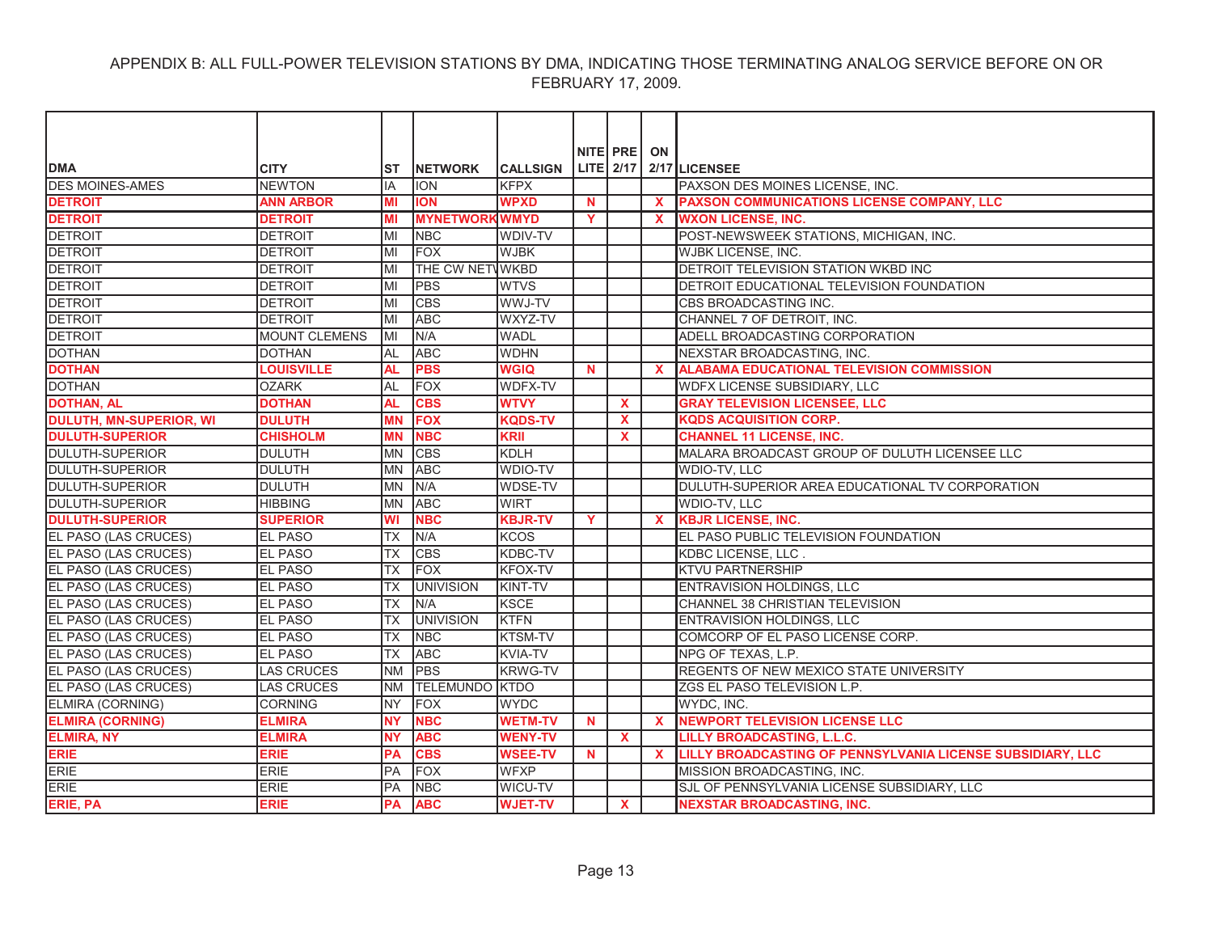| <b>DMA</b>                     | <b>CITY</b>       | ST        | <b>INETWORK</b>       | <b>CALLSIGN</b> |             | NITE PRE ON  |                           | LITE 2/17 2/17 LICENSEE                                    |
|--------------------------------|-------------------|-----------|-----------------------|-----------------|-------------|--------------|---------------------------|------------------------------------------------------------|
| <b>DES MOINES-AMES</b>         | <b>NEWTON</b>     | IA        | <b>ION</b>            | <b>KFPX</b>     |             |              |                           | PAXSON DES MOINES LICENSE, INC.                            |
| <b>DETROIT</b>                 | <b>ANN ARBOR</b>  | MI        | <b>ION</b>            | <b>WPXD</b>     | <b>N</b>    |              | $\boldsymbol{\mathsf{x}}$ | PAXSON COMMUNICATIONS LICENSE COMPANY, LLC                 |
| <b>DETROIT</b>                 | <b>DETROIT</b>    | MI        | <b>MYNETWORKWMYD</b>  |                 | Y           |              | X                         | <b>WXON LICENSE, INC.</b>                                  |
| <b>DETROIT</b>                 | <b>DETROIT</b>    | MI        | <b>NBC</b>            | WDIV-TV         |             |              |                           | POST-NEWSWEEK STATIONS, MICHIGAN, INC.                     |
| <b>DETROIT</b>                 | <b>DETROIT</b>    | MI        | FOX                   | <b>WJBK</b>     |             |              |                           | <b>WJBK LICENSE, INC.</b>                                  |
| <b>DETROIT</b>                 | <b>DETROIT</b>    | MI        | THE CW NETWWKBD       |                 |             |              |                           | DETROIT TELEVISION STATION WKBD INC                        |
| <b>DETROIT</b>                 | <b>DETROIT</b>    | MI        | <b>PBS</b>            | <b>WTVS</b>     |             |              |                           | DETROIT EDUCATIONAL TELEVISION FOUNDATION                  |
| <b>DETROIT</b>                 | <b>DETROIT</b>    | MI        | <b>CBS</b>            | WWJ-TV          |             |              |                           | CBS BROADCASTING INC.                                      |
| <b>DETROIT</b>                 | <b>DETROIT</b>    | MI        | <b>ABC</b>            | WXYZ-TV         |             |              |                           | CHANNEL 7 OF DETROIT, INC.                                 |
| <b>DETROIT</b>                 | MOUNT CLEMENS     | lмı       | N/A                   | <b>WADL</b>     |             |              |                           | ADELL BROADCASTING CORPORATION                             |
| <b>DOTHAN</b>                  | <b>DOTHAN</b>     | AL        | <b>ABC</b>            | <b>WDHN</b>     |             |              |                           | NEXSTAR BROADCASTING, INC.                                 |
| <b>DOTHAN</b>                  | <b>LOUISVILLE</b> | <b>AL</b> | <b>PBS</b>            | <b>WGIQ</b>     | <b>N</b>    |              | $\boldsymbol{\mathsf{x}}$ | <b>ALABAMA EDUCATIONAL TELEVISION COMMISSION</b>           |
| <b>DOTHAN</b>                  | <b>OZARK</b>      | <b>AL</b> | <b>FOX</b>            | WDFX-TV         |             |              |                           | WDFX LICENSE SUBSIDIARY, LLC                               |
| <b>DOTHAN, AL</b>              | <b>DOTHAN</b>     | <b>AL</b> | <b>CBS</b>            | <b>WTVY</b>     |             | X            |                           | <b>GRAY TELEVISION LICENSEE, LLC</b>                       |
| <b>DULUTH, MN-SUPERIOR, WI</b> | <b>DULUTH</b>     | <b>MN</b> | <b>FOX</b>            | <b>KQDS-TV</b>  |             | <b>X</b>     |                           | <b>KQDS ACQUISITION CORP.</b>                              |
| <b>DULUTH-SUPERIOR</b>         | <b>CHISHOLM</b>   | <b>MN</b> | <b>NBC</b>            | <b>KRII</b>     |             | X            |                           | <b>CHANNEL 11 LICENSE. INC.</b>                            |
| <b>DULUTH-SUPERIOR</b>         | <b>DULUTH</b>     | <b>MN</b> | <b>CBS</b>            | <b>KDLH</b>     |             |              |                           | MALARA BROADCAST GROUP OF DULUTH LICENSEE LLC              |
| <b>DULUTH-SUPERIOR</b>         | <b>DULUTH</b>     | <b>MN</b> | <b>ABC</b>            | WDIO-TV         |             |              |                           | WDIO-TV, LLC                                               |
| <b>DULUTH-SUPERIOR</b>         | <b>DULUTH</b>     | <b>MN</b> | N/A                   | WDSE-TV         |             |              |                           | DULUTH-SUPERIOR AREA EDUCATIONAL TV CORPORATION            |
| <b>DULUTH-SUPERIOR</b>         | <b>HIBBING</b>    | <b>MN</b> | <b>ABC</b>            | <b>WIRT</b>     |             |              |                           | WDIO-TV, LLC                                               |
| <b>DULUTH-SUPERIOR</b>         | <b>SUPERIOR</b>   | WI        | <b>NBC</b>            | <b>KBJR-TV</b>  | Y           |              | $\mathbf{x}$              | <b>KBJR LICENSE, INC.</b>                                  |
| EL PASO (LAS CRUCES)           | <b>EL PASO</b>    | <b>TX</b> | N/A                   | <b>KCOS</b>     |             |              |                           | EL PASO PUBLIC TELEVISION FOUNDATION                       |
| EL PASO (LAS CRUCES)           | <b>EL PASO</b>    | <b>TX</b> | <b>CBS</b>            | KDBC-TV         |             |              |                           | KDBC LICENSE, LLC.                                         |
| EL PASO (LAS CRUCES)           | <b>EL PASO</b>    | <b>TX</b> | <b>FOX</b>            | <b>KFOX-TV</b>  |             |              |                           | KTVU PARTNERSHIP                                           |
| EL PASO (LAS CRUCES)           | <b>EL PASO</b>    | <b>TX</b> | <b>UNIVISION</b>      | KINT-TV         |             |              |                           | ENTRAVISION HOLDINGS, LLC                                  |
| EL PASO (LAS CRUCES)           | <b>EL PASO</b>    | <b>TX</b> | N/A                   | <b>KSCE</b>     |             |              |                           | CHANNEL 38 CHRISTIAN TELEVISION                            |
| EL PASO (LAS CRUCES)           | <b>EL PASO</b>    | ТX        | <b>UNIVISION</b>      | <b>KTFN</b>     |             |              |                           | <b>ENTRAVISION HOLDINGS, LLC</b>                           |
| <b>EL PASO (LAS CRUCES)</b>    | <b>EL PASO</b>    | <b>TX</b> | <b>NBC</b>            | KTSM-TV         |             |              |                           | COMCORP OF EL PASO LICENSE CORP.                           |
| EL PASO (LAS CRUCES)           | <b>EL PASO</b>    | <b>TX</b> | <b>ABC</b>            | <b>KVIA-TV</b>  |             |              |                           | NPG OF TEXAS, L.P.                                         |
| EL PASO (LAS CRUCES)           | <b>LAS CRUCES</b> | <b>NM</b> | <b>PBS</b>            | <b>KRWG-TV</b>  |             |              |                           | REGENTS OF NEW MEXICO STATE UNIVERSITY                     |
| EL PASO (LAS CRUCES)           | <b>LAS CRUCES</b> | <b>NM</b> | <b>TELEMUNDO KTDO</b> |                 |             |              |                           | ZGS EL PASO TELEVISION L.P.                                |
| ELMIRA (CORNING)               | <b>CORNING</b>    | <b>NY</b> | <b>FOX</b>            | <b>WYDC</b>     |             |              |                           | WYDC, INC.                                                 |
| <b>ELMIRA (CORNING)</b>        | <b>ELMIRA</b>     | <b>NY</b> | <b>NBC</b>            | <b>WETM-TV</b>  | $\mathbf N$ |              | $\mathbf{x}$              | <b>NEWPORT TELEVISION LICENSE LLC</b>                      |
| <b>ELMIRA, NY</b>              | <b>ELMIRA</b>     | <b>NY</b> | <b>ABC</b>            | <b>WENY-TV</b>  |             | $\mathbf{x}$ |                           | LILLY BROADCASTING, L.L.C.                                 |
| <b>ERIE</b>                    | <b>ERIE</b>       | <b>PA</b> | <b>CBS</b>            | <b>WSEE-TV</b>  | $\mathbf N$ |              | $\mathbf{x}$              | LILLY BROADCASTING OF PENNSYLVANIA LICENSE SUBSIDIARY, LLC |
| <b>ERIE</b>                    | <b>ERIE</b>       | PA        | <b>FOX</b>            | <b>WFXP</b>     |             |              |                           | MISSION BROADCASTING, INC.                                 |
| ERIE                           | <b>ERIE</b>       | <b>PA</b> | <b>NBC</b>            | WICU-TV         |             |              |                           | SJL OF PENNSYLVANIA LICENSE SUBSIDIARY, LLC                |
| ERIE, PA                       | <b>ERIE</b>       | <b>PA</b> | <b>ABC</b>            | <b>WJET-TV</b>  |             | $\mathbf{x}$ |                           | <b>NEXSTAR BROADCASTING. INC.</b>                          |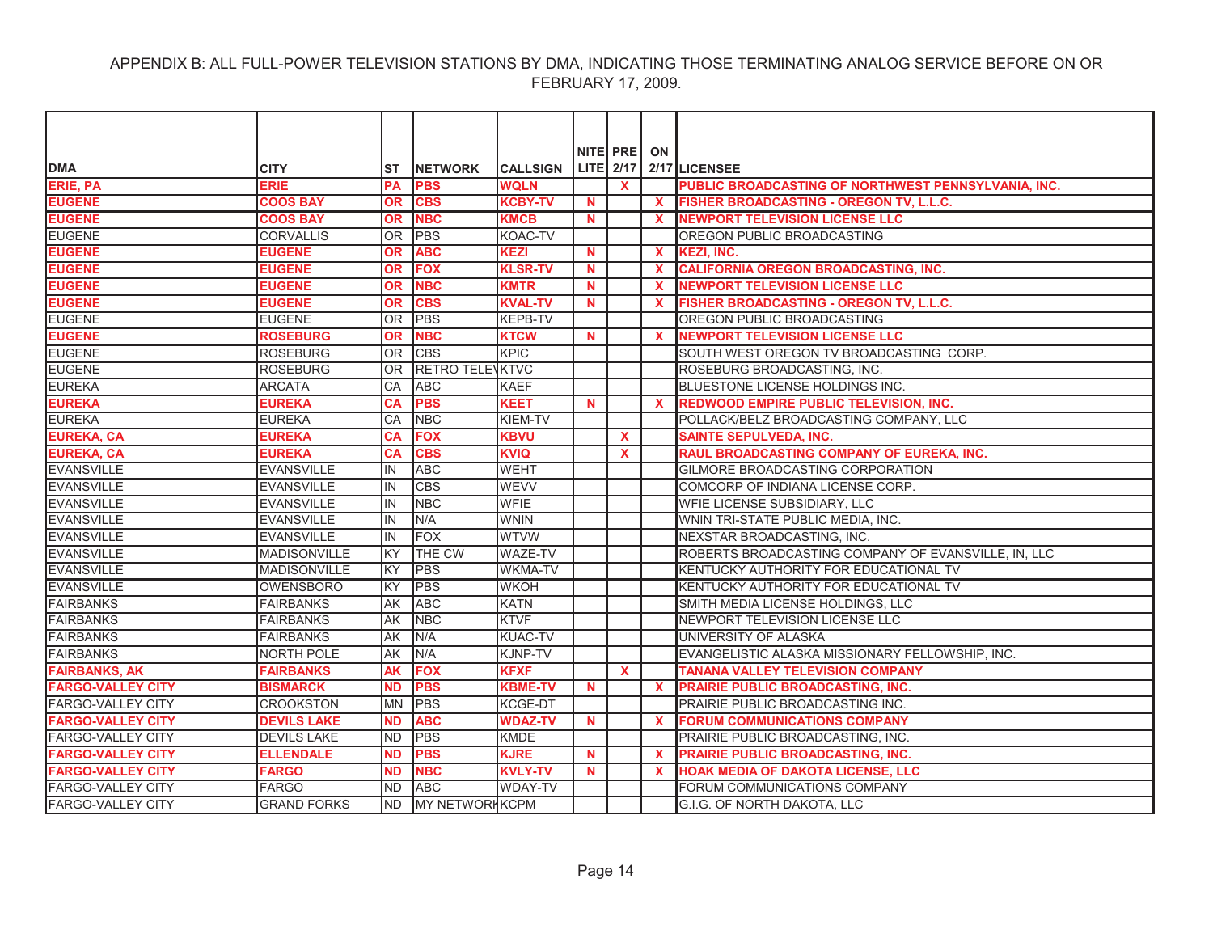|                          |                     |                 |                        |                 |             | NITE PRE     | ON           |                                                     |
|--------------------------|---------------------|-----------------|------------------------|-----------------|-------------|--------------|--------------|-----------------------------------------------------|
| <b>DMA</b>               | <b>CITY</b>         | ST              | <b>INETWORK</b>        | <b>CALLSIGN</b> |             |              |              | LITE $2/17$ 2/17 LICENSEE                           |
| ERIE, PA                 | <b>ERIE</b>         | <b>PA</b>       | <b>PBS</b>             | <b>WQLN</b>     |             | <b>X</b>     |              | PUBLIC BROADCASTING OF NORTHWEST PENNSYLVANIA, INC. |
| <b>EUGENE</b>            | <b>COOS BAY</b>     | <b>OR</b>       | <b>CBS</b>             | <b>KCBY-TV</b>  | $\mathbf N$ |              | $\mathbf{x}$ | FISHER BROADCASTING - OREGON TV, L.L.C.             |
| <b>EUGENE</b>            | <b>COOS BAY</b>     | <b>OR</b>       | <b>NBC</b>             | <b>KMCB</b>     | <b>N</b>    |              | X.           | <b>NEWPORT TELEVISION LICENSE LLC</b>               |
| <b>EUGENE</b>            | <b>CORVALLIS</b>    | OR <sub>1</sub> | <b>PBS</b>             | KOAC-TV         |             |              |              | OREGON PUBLIC BROADCASTING                          |
| <b>EUGENE</b>            | <b>EUGENE</b>       | <b>OR</b>       | <b>ABC</b>             | <b>KEZI</b>     | <b>N</b>    |              | <b>X</b>     | <b>KEZI, INC.</b>                                   |
| <b>EUGENE</b>            | <b>EUGENE</b>       | <b>OR</b>       | <b>FOX</b>             | <b>KLSR-TV</b>  | $\mathbf N$ |              | $\mathbf{x}$ | <b>CALIFORNIA OREGON BROADCASTING, INC.</b>         |
| <b>EUGENE</b>            | <b>EUGENE</b>       | <b>OR</b>       | <b>NBC</b>             | <b>KMTR</b>     | N           |              | $\mathbf x$  | <b>NEWPORT TELEVISION LICENSE LLC</b>               |
| <b>EUGENE</b>            | <b>EUGENE</b>       | <b>OR</b>       | <b>CBS</b>             | <b>KVAL-TV</b>  | N           |              | X            | FISHER BROADCASTING - OREGON TV, L.L.C.             |
| <b>EUGENE</b>            | <b>EUGENE</b>       | 0R              | <b>PBS</b>             | <b>KEPB-TV</b>  |             |              |              | OREGON PUBLIC BROADCASTING                          |
| <b>EUGENE</b>            | <b>ROSEBURG</b>     | <b>OR</b>       | <b>NBC</b>             | <b>KTCW</b>     | <b>N</b>    |              | $\mathbf{x}$ | <b>NEWPORT TELEVISION LICENSE LLC</b>               |
| <b>EUGENE</b>            | <b>ROSEBURG</b>     | OR.             | <b>CBS</b>             | KPIC            |             |              |              | SOUTH WEST OREGON TV BROADCASTING CORP.             |
| <b>EUGENE</b>            | <b>ROSEBURG</b>     | <b>OR</b>       | <b>RETRO TELEVKTVC</b> |                 |             |              |              | ROSEBURG BROADCASTING, INC.                         |
| <b>EUREKA</b>            | <b>ARCATA</b>       | CA              | <b>ABC</b>             | <b>KAEF</b>     |             |              |              | BLUESTONE LICENSE HOLDINGS INC.                     |
| <b>EUREKA</b>            | <b>EUREKA</b>       | <b>CA</b>       | <b>PBS</b>             | <b>KEET</b>     | $\mathbf N$ |              | $\mathbf{x}$ | <b>REDWOOD EMPIRE PUBLIC TELEVISION. INC.</b>       |
| <b>EUREKA</b>            | <b>EUREKA</b>       | СA              | <b>NBC</b>             | KIEM-TV         |             |              |              | POLLACK/BELZ BROADCASTING COMPANY, LLC              |
| <b>EUREKA, CA</b>        | <b>EUREKA</b>       | CA              | <b>FOX</b>             | <b>KBVU</b>     |             | $\mathbf{x}$ |              | <b>SAINTE SEPULVEDA, INC.</b>                       |
| <b>EUREKA, CA</b>        | <b>EUREKA</b>       | <b>CA</b>       | <b>CBS</b>             | <b>KVIQ</b>     |             | $\mathbf{x}$ |              | RAUL BROADCASTING COMPANY OF EUREKA, INC.           |
| <b>EVANSVILLE</b>        | <b>EVANSVILLE</b>   | lin.            | <b>ABC</b>             | <b>WEHT</b>     |             |              |              | GILMORE BROADCASTING CORPORATION                    |
| <b>EVANSVILLE</b>        | <b>EVANSVILLE</b>   | lin.            | <b>CBS</b>             | <b>WEVV</b>     |             |              |              | COMCORP OF INDIANA LICENSE CORP.                    |
| <b>EVANSVILLE</b>        | <b>EVANSVILLE</b>   | IN              | <b>NBC</b>             | <b>WFIE</b>     |             |              |              | WFIE LICENSE SUBSIDIARY, LLC                        |
| <b>EVANSVILLE</b>        | <b>EVANSVILLE</b>   | lin.            | N/A                    | <b>WNIN</b>     |             |              |              | WNIN TRI-STATE PUBLIC MEDIA, INC.                   |
| <b>EVANSVILLE</b>        | <b>EVANSVILLE</b>   | IN              | <b>FOX</b>             | <b>WTVW</b>     |             |              |              | NEXSTAR BROADCASTING, INC.                          |
| <b>EVANSVILLE</b>        | <b>MADISONVILLE</b> | KY              | THE CW                 | <b>WAZE-TV</b>  |             |              |              | ROBERTS BROADCASTING COMPANY OF EVANSVILLE, IN, LLC |
| <b>EVANSVILLE</b>        | <b>MADISONVILLE</b> | <b>KY</b>       | <b>PBS</b>             | <b>WKMA-TV</b>  |             |              |              | KENTUCKY AUTHORITY FOR EDUCATIONAL TV               |
| <b>EVANSVILLE</b>        | OWENSBORO           | <b>KY</b>       | <b>PBS</b>             | <b>WKOH</b>     |             |              |              | KENTUCKY AUTHORITY FOR EDUCATIONAL TV               |
| <b>FAIRBANKS</b>         | <b>FAIRBANKS</b>    | lAK             | <b>ABC</b>             | <b>KATN</b>     |             |              |              | SMITH MEDIA LICENSE HOLDINGS, LLC                   |
| <b>FAIRBANKS</b>         | <b>FAIRBANKS</b>    | AΚ              | <b>NBC</b>             | <b>KTVF</b>     |             |              |              | NEWPORT TELEVISION LICENSE LLC                      |
| <b>FAIRBANKS</b>         | <b>FAIRBANKS</b>    | AK              | N/A                    | <b>KUAC-TV</b>  |             |              |              | UNIVERSITY OF ALASKA                                |
| <b>FAIRBANKS</b>         | <b>NORTH POLE</b>   | <b>AK</b>       | N/A                    | KJNP-TV         |             |              |              | EVANGELISTIC ALASKA MISSIONARY FELLOWSHIP, INC.     |
| <b>FAIRBANKS, AK</b>     | <b>FAIRBANKS</b>    | <b>AK</b>       | <b>FOX</b>             | <b>KFXF</b>     |             | $\mathbf{x}$ |              | <b>TANANA VALLEY TELEVISION COMPANY</b>             |
| <b>FARGO-VALLEY CITY</b> | <b>BISMARCK</b>     | <b>ND</b>       | <b>PBS</b>             | <b>KBME-TV</b>  | N           |              | $\mathbf{x}$ | <b>PRAIRIE PUBLIC BROADCASTING, INC.</b>            |
| <b>FARGO-VALLEY CITY</b> | <b>CROOKSTON</b>    | <b>MN</b>       | <b>PBS</b>             | KCGE-DT         |             |              |              | PRAIRIE PUBLIC BROADCASTING INC.                    |
| <b>FARGO-VALLEY CITY</b> | <b>DEVILS LAKE</b>  | <b>ND</b>       | <b>ABC</b>             | <b>WDAZ-TV</b>  | N           |              | $\mathbf{x}$ | <b>FORUM COMMUNICATIONS COMPANY</b>                 |
| FARGO-VALLEY CITY        | <b>DEVILS LAKE</b>  | <b>ND</b>       | <b>PBS</b>             | KMDE            |             |              |              | PRAIRIE PUBLIC BROADCASTING, INC.                   |
| <b>FARGO-VALLEY CITY</b> | <b>ELLENDALE</b>    | <b>ND</b>       | <b>PBS</b>             | <b>KJRE</b>     | N           |              | X            | PRAIRIE PUBLIC BROADCASTING, INC.                   |
| <b>FARGO-VALLEY CITY</b> | <b>FARGO</b>        | <b>ND</b>       | <b>NBC</b>             | <b>KVLY-TV</b>  | N           |              | X            | <b>HOAK MEDIA OF DAKOTA LICENSE, LLC</b>            |
| <b>FARGO-VALLEY CITY</b> | FARGO               | ND.             | <b>ABC</b>             | <b>WDAY-TV</b>  |             |              |              | FORUM COMMUNICATIONS COMPANY                        |
| <b>FARGO-VALLEY CITY</b> | <b>GRAND FORKS</b>  | <b>ND</b>       | <b>MY NETWORHKCPM</b>  |                 |             |              |              | G.I.G. OF NORTH DAKOTA, LLC                         |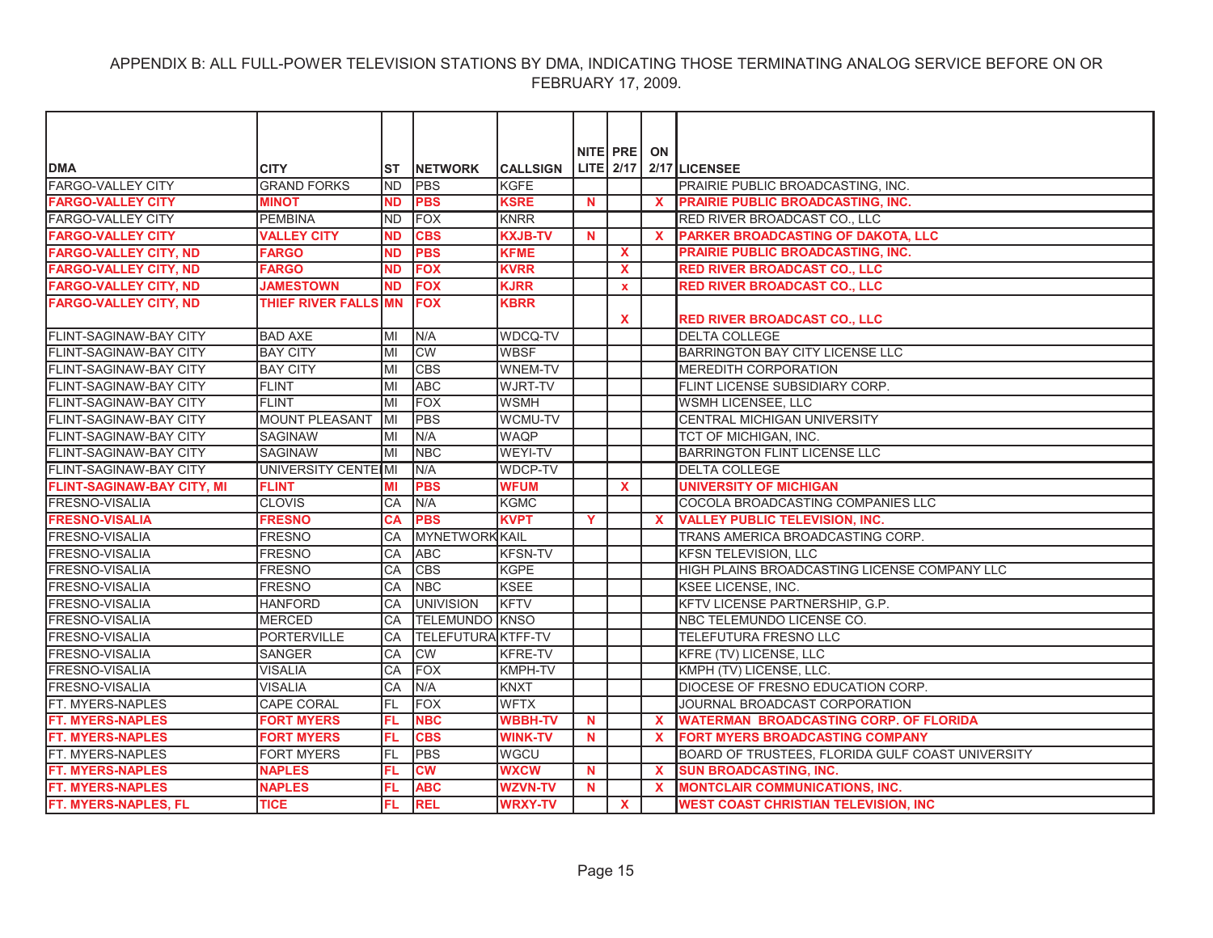|                                   |                       |           |                        |                 |             | NITE PRE     | ON           |                                                  |
|-----------------------------------|-----------------------|-----------|------------------------|-----------------|-------------|--------------|--------------|--------------------------------------------------|
| <b>DMA</b>                        | <b>CITY</b>           | <b>ST</b> | <b>NETWORK</b>         | <b>CALLSIGN</b> |             |              |              | LITE $2/17$ $2/17$ LICENSEE                      |
| <b>FARGO-VALLEY CITY</b>          | <b>GRAND FORKS</b>    | <b>ND</b> | <b>PBS</b>             | <b>KGFE</b>     |             |              |              | PRAIRIE PUBLIC BROADCASTING, INC.                |
| <b>FARGO-VALLEY CITY</b>          | <b>MINOT</b>          | <b>ND</b> | <b>PBS</b>             | <b>KSRE</b>     | $\mathbf N$ |              | $\mathbf{x}$ | <b>PRAIRIE PUBLIC BROADCASTING, INC.</b>         |
| <b>FARGO-VALLEY CITY</b>          | <b>PEMBINA</b>        | <b>ND</b> | <b>FOX</b>             | <b>KNRR</b>     |             |              |              | RED RIVER BROADCAST CO., LLC                     |
| <b>FARGO-VALLEY CITY</b>          | <b>VALLEY CITY</b>    | <b>ND</b> | <b>CBS</b>             | <b>KXJB-TV</b>  | $\mathbf N$ |              | $\mathbf{x}$ | PARKER BROADCASTING OF DAKOTA, LLC               |
| <b>FARGO-VALLEY CITY, ND</b>      | <b>FARGO</b>          | <b>ND</b> | <b>PBS</b>             | <b>KFME</b>     |             | $\mathbf{x}$ |              | <b>PRAIRIE PUBLIC BROADCASTING, INC.</b>         |
| <b>FARGO-VALLEY CITY, ND</b>      | <b>FARGO</b>          | <b>ND</b> | <b>FOX</b>             | <b>KVRR</b>     |             | <b>X</b>     |              | <b>RED RIVER BROADCAST CO., LLC</b>              |
| <b>FARGO-VALLEY CITY, ND</b>      | <b>JAMESTOWN</b>      | <b>ND</b> | <b>FOX</b>             | <b>KJRR</b>     |             | $\mathbf{x}$ |              | <b>RED RIVER BROADCAST CO., LLC</b>              |
| <b>FARGO-VALLEY CITY, ND</b>      | THIEF RIVER FALLS     | <b>MN</b> | <b>FOX</b>             | <b>KBRR</b>     |             | X            |              | <b>RED RIVER BROADCAST CO., LLC</b>              |
| FLINT-SAGINAW-BAY CITY            | <b>BAD AXE</b>        | MI        | N/A                    | WDCQ-TV         |             |              |              | <b>DELTA COLLEGE</b>                             |
| FLINT-SAGINAW-BAY CITY            | <b>BAY CITY</b>       | MI        | <b>CW</b>              | <b>WBSF</b>     |             |              |              | BARRINGTON BAY CITY LICENSE LLC                  |
| <b>FLINT-SAGINAW-BAY CITY</b>     | <b>BAY CITY</b>       | MI        | <b>CBS</b>             | WNEM-TV         |             |              |              | MEREDITH CORPORATION                             |
| IFLINT-SAGINAW-BAY CITY           | <b>FLINT</b>          | MI        | <b>ABC</b>             | <b>WJRT-TV</b>  |             |              |              | FLINT LICENSE SUBSIDIARY CORP.                   |
| <b>FLINT-SAGINAW-BAY CITY</b>     | <b>FLINT</b>          | MI        | <b>FOX</b>             | <b>WSMH</b>     |             |              |              | WSMH LICENSEE, LLC                               |
| FLINT-SAGINAW-BAY CITY            | <b>MOUNT PLEASANT</b> | MI        | <b>PBS</b>             | <b>WCMU-TV</b>  |             |              |              | CENTRAL MICHIGAN UNIVERSITY                      |
| <b>FLINT-SAGINAW-BAY CITY</b>     | <b>SAGINAW</b>        | MI        | N/A                    | <b>WAQP</b>     |             |              |              | TCT OF MICHIGAN. INC.                            |
| FLINT-SAGINAW-BAY CITY            | <b>SAGINAW</b>        | MI        | <b>NBC</b>             | WEYI-TV         |             |              |              | <b>BARRINGTON FLINT LICENSE LLC</b>              |
| <b>FLINT-SAGINAW-BAY CITY</b>     | UNIVERSITY CENTEIMI   |           | N/A                    | <b>WDCP-TV</b>  |             |              |              | <b>DELTA COLLEGE</b>                             |
| <b>FLINT-SAGINAW-BAY CITY, MI</b> | <b>FLINT</b>          | ΜI        | <b>PBS</b>             | <b>WFUM</b>     |             | X            |              | <b>UNIVERSITY OF MICHIGAN</b>                    |
| FRESNO-VISALIA                    | <b>CLOVIS</b>         | CA        | N/A                    | <b>KGMC</b>     |             |              |              | COCOLA BROADCASTING COMPANIES LLC                |
| <b>FRESNO-VISALIA</b>             | <b>FRESNO</b>         | CА        | <b>PBS</b>             | <b>KVPT</b>     | Y           |              | $\mathbf{x}$ | <b>VALLEY PUBLIC TELEVISION, INC.</b>            |
| <b>FRESNO-VISALIA</b>             | <b>FRESNO</b>         | CA        | <b>MYNETWORK KAIL</b>  |                 |             |              |              | TRANS AMERICA BROADCASTING CORP.                 |
| <b>FRESNO-VISALIA</b>             | <b>FRESNO</b>         | CA        | <b>ABC</b>             | <b>KFSN-TV</b>  |             |              |              | KFSN TELEVISION, LLC                             |
| <b>FRESNO-VISALIA</b>             | <b>FRESNO</b>         | CA        | <b>CBS</b>             | <b>KGPE</b>     |             |              |              | HIGH PLAINS BROADCASTING LICENSE COMPANY LLC     |
| FRESNO-VISALIA                    | <b>FRESNO</b>         | CA        | <b>NBC</b>             | <b>KSEE</b>     |             |              |              | KSEE LICENSE, INC.                               |
| <b>FRESNO-VISALIA</b>             | <b>HANFORD</b>        | CA        | <b>UNIVISION</b>       | KFTV            |             |              |              | KFTV LICENSE PARTNERSHIP, G.P.                   |
| <b>FRESNO-VISALIA</b>             | <b>MERCED</b>         | CA        | <b>TELEMUNDO KNSO</b>  |                 |             |              |              | NBC TELEMUNDO LICENSE CO.                        |
| <b>FRESNO-VISALIA</b>             | <b>PORTERVILLE</b>    | CA        | TELEFUTURA KTFF-TV     |                 |             |              |              | TELEFUTURA FRESNO LLC                            |
| <b>FRESNO-VISALIA</b>             | <b>SANGER</b>         | CA        | <b>CW</b>              | <b>KFRE-TV</b>  |             |              |              | KFRE (TV) LICENSE, LLC                           |
| <b>FRESNO-VISALIA</b>             | <b>VISALIA</b>        | CA        | <b>FOX</b>             | <b>KMPH-TV</b>  |             |              |              | KMPH (TV) LICENSE, LLC.                          |
| <b>FRESNO-VISALIA</b>             | <b>VISALIA</b>        | CA        | N/A                    | <b>KNXT</b>     |             |              |              | DIOCESE OF FRESNO EDUCATION CORP.                |
| FT. MYERS-NAPLES                  | <b>CAPE CORAL</b>     | <b>FL</b> | <b>FOX</b>             | <b>WFTX</b>     |             |              |              | JOURNAL BROADCAST CORPORATION                    |
| <b>FT. MYERS-NAPLES</b>           | <b>FORT MYERS</b>     | FL        | <b>NBC</b>             | <b>WBBH-TV</b>  | $\mathbf N$ |              | $\mathbf{x}$ | <b>WATERMAN BROADCASTING CORP. OF FLORIDA</b>    |
| <b>FT. MYERS-NAPLES</b>           | <b>FORT MYERS</b>     | FL.       | <b>CBS</b>             | <b>WINK-TV</b>  | N           |              | $\mathbf{x}$ | FORT MYERS BROADCASTING COMPANY                  |
| FT. MYERS-NAPLES                  | <b>FORT MYERS</b>     | FL        | PBS                    | <b>WGCU</b>     |             |              |              | BOARD OF TRUSTEES, FLORIDA GULF COAST UNIVERSITY |
| <b>FT. MYERS-NAPLES</b>           | <b>NAPLES</b>         | FL        | $\overline{\text{cw}}$ | <b>WXCW</b>     | <b>N</b>    |              | $\mathbf x$  | <b>SUN BROADCASTING, INC.</b>                    |
| <b>FT. MYERS-NAPLES</b>           | <b>NAPLES</b>         | FL        | <b>ABC</b>             | <b>WZVN-TV</b>  | N.          |              | X            | <b>MONTCLAIR COMMUNICATIONS, INC.</b>            |
| <b>FT. MYERS-NAPLES. FL</b>       | <b>TICE</b>           | FL.       | <b>REL</b>             | <b>WRXY-TV</b>  |             | $\mathbf{x}$ |              | <b>WEST COAST CHRISTIAN TELEVISION. INC</b>      |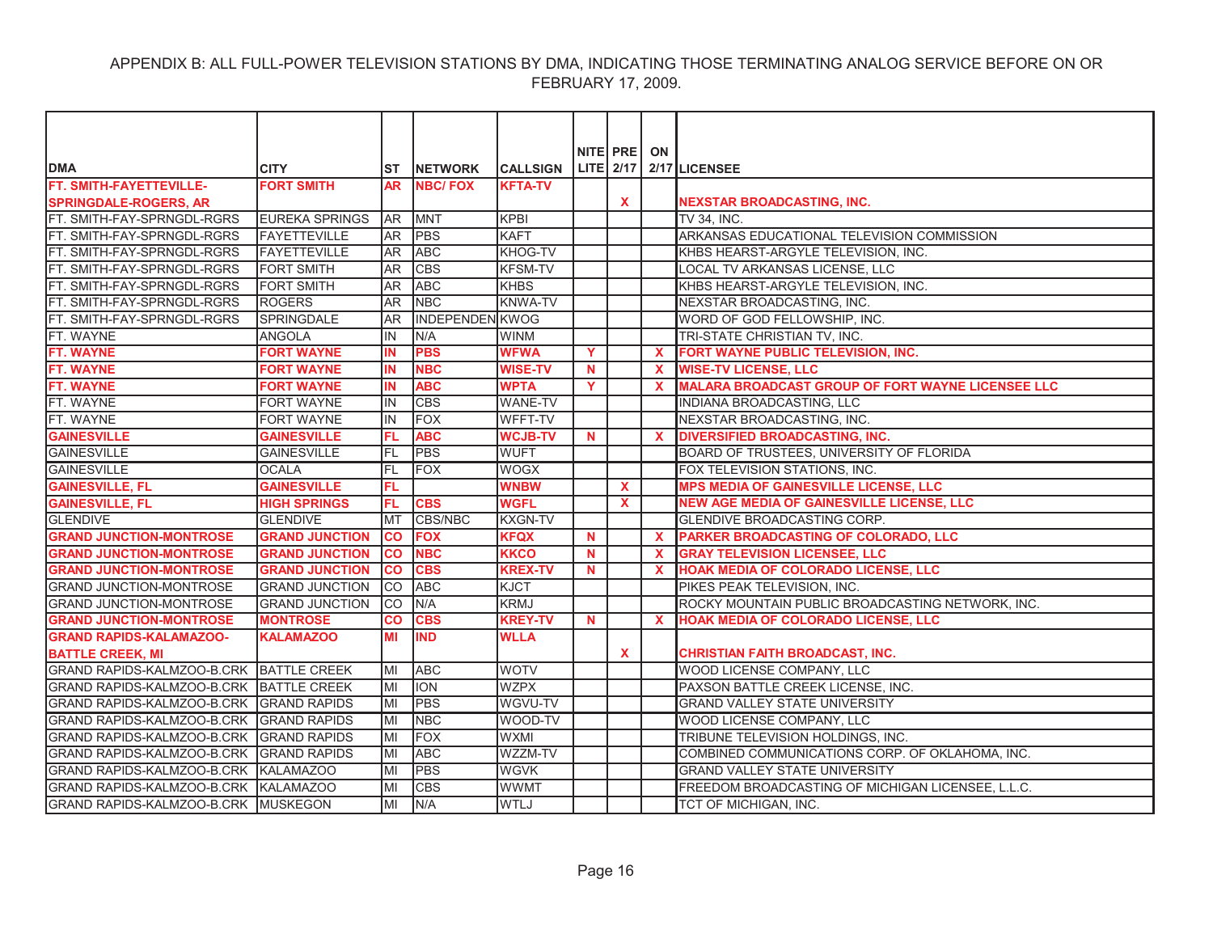| <b>DMA</b>                              | <b>CITY</b>           | ST         | <b>NETWORK</b>         | <b>CALLSIGN</b> |             | NITE PRE ON  |              | LITE 2/17 2/17 LICENSEE                                  |
|-----------------------------------------|-----------------------|------------|------------------------|-----------------|-------------|--------------|--------------|----------------------------------------------------------|
| FT. SMITH-FAYETTEVILLE-                 | <b>FORT SMITH</b>     | <b>AR</b>  | <b>NBC/FOX</b>         | <b>KFTA-TV</b>  |             |              |              |                                                          |
| <b>SPRINGDALE-ROGERS, AR</b>            |                       |            |                        |                 |             | $\mathbf{x}$ |              | NEXSTAR BROADCASTING, INC.                               |
| FT. SMITH-FAY-SPRNGDL-RGRS              | <b>EUREKA SPRINGS</b> | <b>AR</b>  | <b>MNT</b>             | <b>KPBI</b>     |             |              |              | TV 34, INC.                                              |
| FT. SMITH-FAY-SPRNGDL-RGRS              | <b>FAYETTEVILLE</b>   | <b>JAR</b> | <b>PBS</b>             | KAFT            |             |              |              | ARKANSAS EDUCATIONAL TELEVISION COMMISSION               |
| FT. SMITH-FAY-SPRNGDL-RGRS              | <b>FAYETTEVILLE</b>   | AR         | <b>ABC</b>             | KHOG-TV         |             |              |              | KHBS HEARST-ARGYLE TELEVISION, INC.                      |
| FT. SMITH-FAY-SPRNGDL-RGRS              | <b>FORT SMITH</b>     | <b>AR</b>  | <b>CBS</b>             | <b>KFSM-TV</b>  |             |              |              | LOCAL TV ARKANSAS LICENSE, LLC                           |
| FT. SMITH-FAY-SPRNGDL-RGRS              | <b>FORT SMITH</b>     | <b>AR</b>  | <b>ABC</b>             | <b>KHBS</b>     |             |              |              | KHBS HEARST-ARGYLE TELEVISION, INC.                      |
| FT. SMITH-FAY-SPRNGDL-RGRS              | <b>ROGERS</b>         | <b>AR</b>  | <b>NBC</b>             | <b>KNWA-TV</b>  |             |              |              | NEXSTAR BROADCASTING, INC.                               |
| FT. SMITH-FAY-SPRNGDL-RGRS              | SPRINGDALE            | <b>AR</b>  | <b>INDEPENDEN KWOG</b> |                 |             |              |              | WORD OF GOD FELLOWSHIP, INC.                             |
| FT. WAYNE                               | ANGOLA                | IN         | N/A                    | <b>WINM</b>     |             |              |              | TRI-STATE CHRISTIAN TV, INC.                             |
| FT. WAYNE                               | <b>FORT WAYNE</b>     | IN         | <b>PBS</b>             | <b>WFWA</b>     | Y           |              | $\mathbf{x}$ | FORT WAYNE PUBLIC TELEVISION, INC.                       |
| <b>FT. WAYNE</b>                        | <b>FORT WAYNE</b>     | <b>IN</b>  | <b>NBC</b>             | <b>WISE-TV</b>  | <b>N</b>    |              | X            | <b>WISE-TV LICENSE, LLC</b>                              |
| FT. WAYNE                               | <b>FORT WAYNE</b>     | <b>IN</b>  | <b>ABC</b>             | <b>WPTA</b>     | Y           |              | $\mathbf{x}$ | <b>MALARA BROADCAST GROUP OF FORT WAYNE LICENSEE LLC</b> |
| FT. WAYNE                               | <b>FORT WAYNE</b>     | IN         | <b>CBS</b>             | <b>WANE-TV</b>  |             |              |              | INDIANA BROADCASTING, LLC                                |
| FT. WAYNE                               | <b>FORT WAYNE</b>     | IN         | <b>FOX</b>             | WFFT-TV         |             |              |              | NEXSTAR BROADCASTING, INC.                               |
| <b>GAINESVILLE</b>                      | <b>GAINESVILLE</b>    | <b>FL</b>  | <b>ABC</b>             | <b>WCJB-TV</b>  | N           |              | $\mathbf{x}$ | <b>DIVERSIFIED BROADCASTING, INC.</b>                    |
| <b>GAINESVILLE</b>                      | <b>GAINESVILLE</b>    | FL         | <b>PBS</b>             | <b>WUFT</b>     |             |              |              | BOARD OF TRUSTEES, UNIVERSITY OF FLORIDA                 |
| GAINESVILLE                             | <b>OCALA</b>          | FL         | <b>FOX</b>             | <b>WOGX</b>     |             |              |              | FOX TELEVISION STATIONS, INC.                            |
| <b>GAINESVILLE, FL</b>                  | <b>GAINESVILLE</b>    | FL         |                        | <b>WNBW</b>     |             | $\mathbf{x}$ |              | <b>MPS MEDIA OF GAINESVILLE LICENSE, LLC</b>             |
| <b>GAINESVILLE, FL</b>                  | <b>HIGH SPRINGS</b>   | <b>FL</b>  | <b>CBS</b>             | <b>WGFL</b>     |             | $\mathbf{x}$ |              | <b>NEW AGE MEDIA OF GAINESVILLE LICENSE, LLC</b>         |
| <b>GLENDIVE</b>                         | <b>GLENDIVE</b>       | <b>MT</b>  | CBS/NBC                | <b>KXGN-TV</b>  |             |              |              | GLENDIVE BROADCASTING CORP.                              |
| <b>GRAND JUNCTION-MONTROSE</b>          | <b>GRAND JUNCTION</b> | co         | <b>FOX</b>             | <b>KFQX</b>     | <b>N</b>    |              | $\mathbf{x}$ | PARKER BROADCASTING OF COLORADO, LLC                     |
| <b>GRAND JUNCTION-MONTROSE</b>          | <b>GRAND JUNCTION</b> | <b>CO</b>  | <b>NBC</b>             | <b>KKCO</b>     | <b>N</b>    |              | $\mathbf{x}$ | <b>GRAY TELEVISION LICENSEE, LLC</b>                     |
| <b>GRAND JUNCTION-MONTROSE</b>          | <b>GRAND JUNCTION</b> | <b>CO</b>  | <b>CBS</b>             | <b>KREX-TV</b>  | N           |              | $\mathbf{x}$ | HOAK MEDIA OF COLORADO LICENSE, LLC                      |
| <b>GRAND JUNCTION-MONTROSE</b>          | <b>GRAND JUNCTION</b> | <b>ICO</b> | <b>ABC</b>             | <b>KJCT</b>     |             |              |              | PIKES PEAK TELEVISION, INC.                              |
| <b>GRAND JUNCTION-MONTROSE</b>          | <b>GRAND JUNCTION</b> | <b>ICO</b> | N/A                    | KRMJ            |             |              |              | ROCKY MOUNTAIN PUBLIC BROADCASTING NETWORK, INC.         |
| <b>GRAND JUNCTION-MONTROSE</b>          | <b>MONTROSE</b>       | CO         | <b>CBS</b>             | <b>KREY-TV</b>  | $\mathbf N$ |              | $\mathbf{x}$ | HOAK MEDIA OF COLORADO LICENSE, LLC                      |
| <b>GRAND RAPIDS-KALAMAZOO-</b>          | <b>KALAMAZOO</b>      | MI         | <b>IND</b>             | <b>WLLA</b>     |             |              |              |                                                          |
| <b>BATTLE CREEK, MI</b>                 |                       |            |                        |                 |             | $\mathbf{x}$ |              | <b>CHRISTIAN FAITH BROADCAST, INC.</b>                   |
| GRAND RAPIDS-KALMZOO-B.CRK BATTLE CREEK |                       | lмı        | <b>ABC</b>             | <b>WOTV</b>     |             |              |              | WOOD LICENSE COMPANY, LLC                                |
| GRAND RAPIDS-KALMZOO-B.CRK BATTLE CREEK |                       | MI         | <b>ION</b>             | <b>WZPX</b>     |             |              |              | PAXSON BATTLE CREEK LICENSE, INC.                        |
| GRAND RAPIDS-KALMZOO-B.CRK GRAND RAPIDS |                       | lмı        | <b>PBS</b>             | WGVU-TV         |             |              |              | <b>GRAND VALLEY STATE UNIVERSITY</b>                     |
| GRAND RAPIDS-KALMZOO-B.CRK GRAND RAPIDS |                       | lМI        | <b>NBC</b>             | <b>WOOD-TV</b>  |             |              |              | WOOD LICENSE COMPANY, LLC                                |
| GRAND RAPIDS-KALMZOO-B.CRK GRAND RAPIDS |                       | MI         | <b>FOX</b>             | <b>WXMI</b>     |             |              |              | TRIBUNE TELEVISION HOLDINGS, INC.                        |
| GRAND RAPIDS-KALMZOO-B.CRK GRAND RAPIDS |                       | MI         | <b>ABC</b>             | WZZM-TV         |             |              |              | COMBINED COMMUNICATIONS CORP. OF OKLAHOMA, INC.          |
| GRAND RAPIDS-KALMZOO-B.CRK KALAMAZOO    |                       | lмı        | <b>PBS</b>             | <b>WGVK</b>     |             |              |              | <b>GRAND VALLEY STATE UNIVERSITY</b>                     |
| GRAND RAPIDS-KALMZOO-B.CRK KALAMAZOO    |                       | MI         | <b>CBS</b>             | <b>WWMT</b>     |             |              |              | FREEDOM BROADCASTING OF MICHIGAN LICENSEE, L.L.C.        |
| GRAND RAPIDS-KALMZOO-B.CRK MUSKEGON     |                       | lмı        | N/A                    | <b>WTLJ</b>     |             |              |              | TCT OF MICHIGAN. INC.                                    |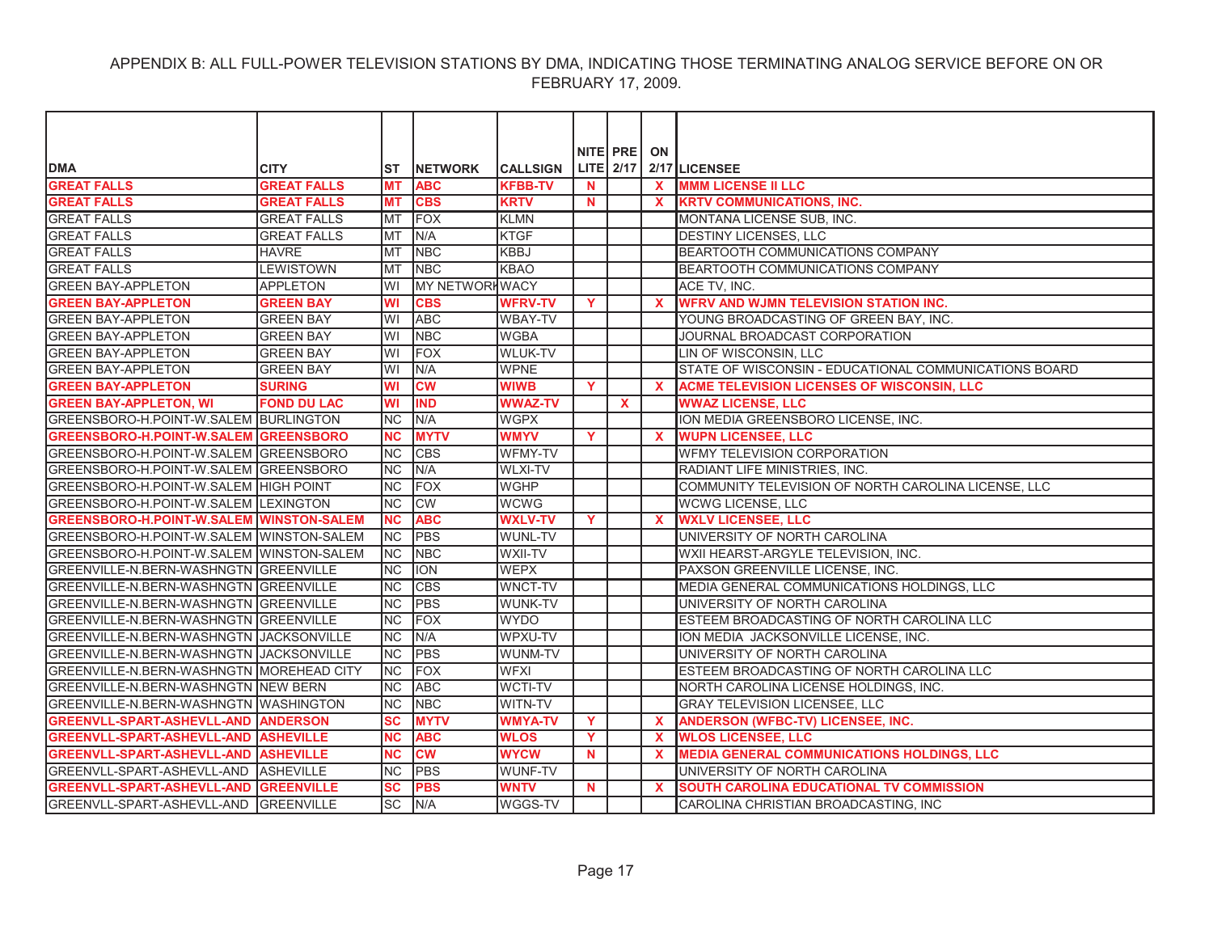|                                                 |                    |                 |                       |                 |              | NITE PRE ON  |              |                                                       |
|-------------------------------------------------|--------------------|-----------------|-----------------------|-----------------|--------------|--------------|--------------|-------------------------------------------------------|
| <b>DMA</b>                                      | <b>CITY</b>        | ST              | <b>INETWORK</b>       | <b>CALLSIGN</b> |              |              |              | LITE 2/17 2/17 LICENSEE                               |
| <b>GREAT FALLS</b>                              | <b>GREAT FALLS</b> | <b>MT</b>       | <b>ABC</b>            | <b>KFBB-TV</b>  | $\mathbf N$  |              | $\mathbf{x}$ | <b>MMM LICENSE II LLC</b>                             |
| <b>GREAT FALLS</b>                              | <b>GREAT FALLS</b> | МT              | <b>CBS</b>            | <b>KRTV</b>     | <b>N</b>     |              |              | <b>KRTV COMMUNICATIONS, INC.</b>                      |
| <b>GREAT FALLS</b>                              | <b>GREAT FALLS</b> | <b>MT</b>       | <b>FOX</b>            | KLMN            |              |              |              | MONTANA LICENSE SUB, INC.                             |
| <b>GREAT FALLS</b>                              | <b>GREAT FALLS</b> | <b>MT</b>       | N/A                   | <b>KTGF</b>     |              |              |              | DESTINY LICENSES, LLC                                 |
| <b>GREAT FALLS</b>                              | <b>HAVRE</b>       | <b>MT</b>       | <b>NBC</b>            | <b>KBBJ</b>     |              |              |              | BEARTOOTH COMMUNICATIONS COMPANY                      |
| <b>GREAT FALLS</b>                              | <b>LEWISTOWN</b>   | <b>MT</b>       | <b>NBC</b>            | KBAO            |              |              |              | <b>BEARTOOTH COMMUNICATIONS COMPANY</b>               |
| <b>GREEN BAY-APPLETON</b>                       | <b>APPLETON</b>    | WI              | <b>MY NETWORKWACY</b> |                 |              |              |              | ACE TV, INC.                                          |
| <b>GREEN BAY-APPLETON</b>                       | <b>GREEN BAY</b>   | WI              | <b>CBS</b>            | <b>WFRV-TV</b>  | Y            |              | $\mathbf{x}$ | <b>WFRV AND WJMN TELEVISION STATION INC.</b>          |
| <b>GREEN BAY-APPLETON</b>                       | <b>GREEN BAY</b>   | WI              | <b>ABC</b>            | WBAY-TV         |              |              |              | YOUNG BROADCASTING OF GREEN BAY, INC.                 |
| <b>GREEN BAY-APPLETON</b>                       | <b>GREEN BAY</b>   | WI              | <b>NBC</b>            | <b>WGBA</b>     |              |              |              | JOURNAL BROADCAST CORPORATION                         |
| <b>GREEN BAY-APPLETON</b>                       | <b>GREEN BAY</b>   | WI              | <b>FOX</b>            | <b>WLUK-TV</b>  |              |              |              | LIN OF WISCONSIN, LLC                                 |
| <b>GREEN BAY-APPLETON</b>                       | <b>GREEN BAY</b>   | WI              | N/A                   | <b>WPNE</b>     |              |              |              | STATE OF WISCONSIN - EDUCATIONAL COMMUNICATIONS BOARD |
| <b>GREEN BAY-APPLETON</b>                       | <b>SURING</b>      | WI              | <b>CW</b>             | <b>WIWB</b>     | Y.           |              | $\mathbf{x}$ | ACME TELEVISION LICENSES OF WISCONSIN, LLC            |
| <b>GREEN BAY-APPLETON, WI</b>                   | <b>FOND DU LAC</b> | <b>WI</b>       | <b>IND</b>            | <b>WWAZ-TV</b>  |              | $\mathbf{x}$ |              | <b>WWAZ LICENSE, LLC</b>                              |
| GREENSBORO-H.POINT-W.SALEM BURLINGTON           |                    | <b>NC</b>       | N/A                   | <b>WGPX</b>     |              |              |              | ION MEDIA GREENSBORO LICENSE, INC.                    |
| <b>GREENSBORO-H.POINT-W.SALEM GREENSBORO</b>    |                    | <b>NC</b>       | <b>MYTV</b>           | <b>WMYV</b>     | <b>Y</b>     |              | $\mathbf{x}$ | <b>WUPN LICENSEE, LLC</b>                             |
| GREENSBORO-H.POINT-W.SALEM GREENSBORO           |                    | <b>NC</b>       | <b>CBS</b>            | <b>WFMY-TV</b>  |              |              |              | WFMY TELEVISION CORPORATION                           |
| GREENSBORO-H.POINT-W.SALEM GREENSBORO           |                    | <b>NC</b>       | N/A                   | <b>WLXI-TV</b>  |              |              |              | RADIANT LIFE MINISTRIES, INC.                         |
| GREENSBORO-H.POINT-W.SALEM HIGH POINT           |                    | NC              | <b>FOX</b>            | <b>WGHP</b>     |              |              |              | COMMUNITY TELEVISION OF NORTH CAROLINA LICENSE, LLC   |
| GREENSBORO-H.POINT-W.SALEM LEXINGTON            |                    | <b>NC</b>       | <b>CW</b>             | <b>WCWG</b>     |              |              |              | WCWG LICENSE, LLC                                     |
| <b>GREENSBORO-H.POINT-W.SALEM WINSTON-SALEM</b> |                    | <b>NC</b>       | <b>ABC</b>            | <b>WXLV-TV</b>  | $\mathbf{Y}$ |              | $\mathbf{x}$ | <b>WXLV LICENSEE, LLC</b>                             |
| GREENSBORO-H.POINT-W.SALEM WINSTON-SALEM        |                    | <b>INC</b>      | PBS                   | WUNL-TV         |              |              |              | UNIVERSITY OF NORTH CAROLINA                          |
| GREENSBORO-H.POINT-W.SALEM WINSTON-SALEM        |                    | <b>INC</b>      | <b>NBC</b>            | WXII-TV         |              |              |              | WXII HEARST-ARGYLE TELEVISION, INC.                   |
| GREENVILLE-N.BERN-WASHNGTN GREENVILLE           |                    | <b>NC</b>       | <b>ION</b>            | <b>WEPX</b>     |              |              |              | PAXSON GREENVILLE LICENSE, INC.                       |
| GREENVILLE-N.BERN-WASHNGTN GREENVILLE           |                    | INC             | <b>CBS</b>            | <b>WNCT-TV</b>  |              |              |              | MEDIA GENERAL COMMUNICATIONS HOLDINGS, LLC            |
| GREENVILLE-N.BERN-WASHNGTN GREENVILLE           |                    | <b>NC</b>       | <b>PBS</b>            | <b>WUNK-TV</b>  |              |              |              | UNIVERSITY OF NORTH CAROLINA                          |
| GREENVILLE-N.BERN-WASHNGTN GREENVILLE           |                    | <b>NC</b>       | <b>FOX</b>            | <b>WYDO</b>     |              |              |              | ESTEEM BROADCASTING OF NORTH CAROLINA LLC             |
| GREENVILLE-N.BERN-WASHNGTN JACKSONVILLE         |                    | <b>INC</b>      | N/A                   | WPXU-TV         |              |              |              | ION MEDIA JACKSONVILLE LICENSE, INC.                  |
| GREENVILLE-N.BERN-WASHNGTN JACKSONVILLE         |                    | <b>NC</b>       | PBS                   | WUNM-TV         |              |              |              | UNIVERSITY OF NORTH CAROLINA                          |
| GREENVILLE-N.BERN-WASHNGTN MOREHEAD CITY        |                    | <b>NC</b>       | <b>FOX</b>            | <b>WFXI</b>     |              |              |              | ESTEEM BROADCASTING OF NORTH CAROLINA LLC             |
| GREENVILLE-N.BERN-WASHNGTN NEW BERN             |                    | <b>NC</b>       | <b>ABC</b>            | WCTI-TV         |              |              |              | NORTH CAROLINA LICENSE HOLDINGS, INC.                 |
| GREENVILLE-N.BERN-WASHNGTN WASHINGTON           |                    | <b>NC</b>       | <b>NBC</b>            | WITN-TV         |              |              |              | <b>GRAY TELEVISION LICENSEE, LLC</b>                  |
| <b>GREENVLL-SPART-ASHEVLL-AND ANDERSON</b>      |                    | <b>SC</b>       | <b>MYTV</b>           | <b>WMYA-TV</b>  | Y            |              | $\mathbf{x}$ | ANDERSON (WFBC-TV) LICENSEE, INC.                     |
| GREENVLL-SPART-ASHEVLL-AND ASHEVILLE            |                    | <b>NC</b>       | <b>ABC</b>            | <b>WLOS</b>     | Y.           |              | $\mathbf x$  | <b>WLOS LICENSEE, LLC</b>                             |
| GREENVLL-SPART-ASHEVLL-AND ASHEVILLE            |                    | <b>NC</b>       | <b>CW</b>             | <b>WYCW</b>     | $\mathbf N$  |              | $\mathbf{x}$ | <b>MEDIA GENERAL COMMUNICATIONS HOLDINGS, LLC</b>     |
| GREENVLL-SPART-ASHEVLL-AND ASHEVILLE            |                    | NC              | <b>PBS</b>            | <b>WUNF-TV</b>  |              |              |              | UNIVERSITY OF NORTH CAROLINA                          |
| <b>GREENVLL-SPART-ASHEVLL-AND GREENVILLE</b>    |                    | SC              | <b>PBS</b>            | <b>WNTV</b>     | <b>N</b>     |              | <b>X</b>     | <b>SOUTH CAROLINA EDUCATIONAL TV COMMISSION</b>       |
| GREENVLL-SPART-ASHEVLL-AND GREENVILLE           |                    | $\overline{sc}$ | N/A                   | WGGS-TV         |              |              |              | CAROLINA CHRISTIAN BROADCASTING. INC                  |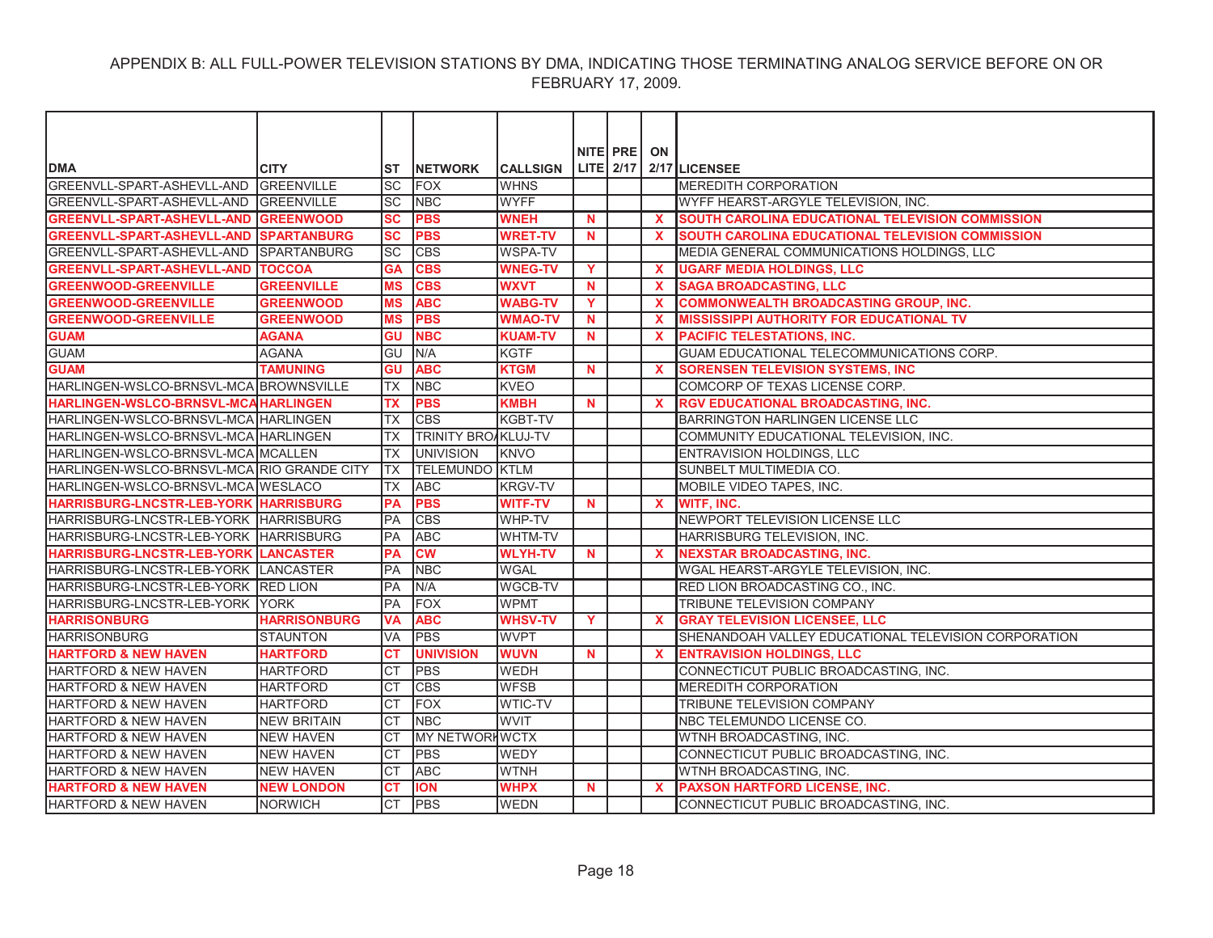| <b>NITE PRE</b><br>ON<br>$LITE$ 2/17<br><b>DMA</b><br>2/17 LICENSEE<br><b>CITY</b><br><b>CALLSIGN</b><br>ST<br><b>NETWORK</b><br>GREENVLL-SPART-ASHEVLL-AND GREENVILLE<br><b>SC</b><br><b>FOX</b><br><b>WHNS</b><br>MEREDITH CORPORATION<br><b>WYFF</b><br>GREENVLL-SPART-ASHEVLL-AND GREENVILLE<br>SC<br><b>NBC</b><br>WYFF HEARST-ARGYLE TELEVISION, INC.<br><b>GREENVLL-SPART-ASHEVLL-AND GREENWOOD</b><br>SC<br><b>PBS</b><br><b>WNEH</b><br><b>SOUTH CAROLINA EDUCATIONAL TELEVISION COMMISSION</b><br><b>N</b><br>$\mathbf x$<br><b>PBS</b><br>GREENVLL-SPART-ASHEVLL-AND SPARTANBURG<br><b>SC</b><br><b>WRET-TV</b><br>SOUTH CAROLINA EDUCATIONAL TELEVISION COMMISSION<br>$\mathbf N$<br>$\mathbf{x}$<br>lsc<br><b>CBS</b><br>GREENVLL-SPART-ASHEVLL-AND SPARTANBURG<br><b>WSPA-TV</b><br>MEDIA GENERAL COMMUNICATIONS HOLDINGS, LLC |
|----------------------------------------------------------------------------------------------------------------------------------------------------------------------------------------------------------------------------------------------------------------------------------------------------------------------------------------------------------------------------------------------------------------------------------------------------------------------------------------------------------------------------------------------------------------------------------------------------------------------------------------------------------------------------------------------------------------------------------------------------------------------------------------------------------------------------------------------|
|                                                                                                                                                                                                                                                                                                                                                                                                                                                                                                                                                                                                                                                                                                                                                                                                                                              |
|                                                                                                                                                                                                                                                                                                                                                                                                                                                                                                                                                                                                                                                                                                                                                                                                                                              |
|                                                                                                                                                                                                                                                                                                                                                                                                                                                                                                                                                                                                                                                                                                                                                                                                                                              |
|                                                                                                                                                                                                                                                                                                                                                                                                                                                                                                                                                                                                                                                                                                                                                                                                                                              |
|                                                                                                                                                                                                                                                                                                                                                                                                                                                                                                                                                                                                                                                                                                                                                                                                                                              |
|                                                                                                                                                                                                                                                                                                                                                                                                                                                                                                                                                                                                                                                                                                                                                                                                                                              |
|                                                                                                                                                                                                                                                                                                                                                                                                                                                                                                                                                                                                                                                                                                                                                                                                                                              |
|                                                                                                                                                                                                                                                                                                                                                                                                                                                                                                                                                                                                                                                                                                                                                                                                                                              |
| <b>GREENVLL-SPART-ASHEVLL-AND TOCCOA</b><br><b>GA</b><br><b>CBS</b><br><b>WNEG-TV</b><br>Y<br><b>UGARF MEDIA HOLDINGS, LLC</b><br>$\mathbf{x}$                                                                                                                                                                                                                                                                                                                                                                                                                                                                                                                                                                                                                                                                                               |
| <b>GREENWOOD-GREENVILLE</b><br><b>GREENVILLE</b><br><b>MS</b><br><b>CBS</b><br><b>WXVT</b><br>N<br>$\mathbf x$<br><b>SAGA BROADCASTING, LLC</b>                                                                                                                                                                                                                                                                                                                                                                                                                                                                                                                                                                                                                                                                                              |
| <b>MS</b><br><b>ABC</b><br><b>COMMONWEALTH BROADCASTING GROUP, INC.</b><br><b>GREENWOOD-GREENVILLE</b><br><b>GREENWOOD</b><br><b>WABG-TV</b><br>Y<br><b>X</b>                                                                                                                                                                                                                                                                                                                                                                                                                                                                                                                                                                                                                                                                                |
| <b>PBS</b><br><b>GREENWOOD-GREENVILLE</b><br><b>GREENWOOD</b><br><b>MS</b><br><b>WMAO-TV</b><br><b>N</b><br>$\mathbf x$<br><b>MISSISSIPPI AUTHORITY FOR EDUCATIONAL TV</b>                                                                                                                                                                                                                                                                                                                                                                                                                                                                                                                                                                                                                                                                   |
| <b>GUAM</b><br><b>NBC</b><br><b>AGANA</b><br>GU<br><b>KUAM-TV</b><br><b>N</b><br><b>PACIFIC TELESTATIONS, INC.</b><br>$\mathbf x$                                                                                                                                                                                                                                                                                                                                                                                                                                                                                                                                                                                                                                                                                                            |
| <b>GUAM</b><br><b>AGANA</b><br>GU<br>N/A<br><b>KGTF</b><br>GUAM EDUCATIONAL TELECOMMUNICATIONS CORP.                                                                                                                                                                                                                                                                                                                                                                                                                                                                                                                                                                                                                                                                                                                                         |
| GU<br><b>GUAM</b><br><b>TAMUNING</b><br><b>ABC</b><br><b>KTGM</b><br>N<br>$\mathbf x$<br><b>SORENSEN TELEVISION SYSTEMS, INC</b>                                                                                                                                                                                                                                                                                                                                                                                                                                                                                                                                                                                                                                                                                                             |
| <b>NBC</b><br>HARLINGEN-WSLCO-BRNSVL-MCA BROWNSVILLE<br><b>TX</b><br><b>KVEO</b><br>COMCORP OF TEXAS LICENSE CORP.                                                                                                                                                                                                                                                                                                                                                                                                                                                                                                                                                                                                                                                                                                                           |
| <b>PBS</b><br><b>KMBH</b><br><b>HARLINGEN-WSLCO-BRNSVL-MCA HARLINGEN</b><br><b>TX</b><br><b>N</b><br>$\mathbf x$<br><b>RGV EDUCATIONAL BROADCASTING, INC.</b>                                                                                                                                                                                                                                                                                                                                                                                                                                                                                                                                                                                                                                                                                |
| HARLINGEN-WSLCO-BRNSVL-MCA HARLINGEN<br><b>CBS</b><br><b>KGBT-TV</b><br>BARRINGTON HARLINGEN LICENSE LLC<br><b>TX</b>                                                                                                                                                                                                                                                                                                                                                                                                                                                                                                                                                                                                                                                                                                                        |
| HARLINGEN-WSLCO-BRNSVL-MCA HARLINGEN<br><b>TRINITY BROAKLUJ-TV</b><br><b>TX</b><br>COMMUNITY EDUCATIONAL TELEVISION, INC.                                                                                                                                                                                                                                                                                                                                                                                                                                                                                                                                                                                                                                                                                                                    |
| HARLINGEN-WSLCO-BRNSVL-MCA MCALLEN<br><b>UNIVISION</b><br><b>KNVO</b><br>ENTRAVISION HOLDINGS, LLC<br><b>TX</b>                                                                                                                                                                                                                                                                                                                                                                                                                                                                                                                                                                                                                                                                                                                              |
| HARLINGEN-WSLCO-BRNSVL-MCA RIO GRANDE CITY<br><b>TX</b><br><b>TELEMUNDO KTLM</b><br>SUNBELT MULTIMEDIA CO.                                                                                                                                                                                                                                                                                                                                                                                                                                                                                                                                                                                                                                                                                                                                   |
| <b>ABC</b><br><b>KRGV-TV</b><br>MOBILE VIDEO TAPES, INC.<br>HARLINGEN-WSLCO-BRNSVL-MCA WESLACO<br>ТX                                                                                                                                                                                                                                                                                                                                                                                                                                                                                                                                                                                                                                                                                                                                         |
| HARRISBURG-LNCSTR-LEB-YORK HARRISBURG<br><b>PBS</b><br><b>WITF-TV</b><br>PA<br>$\mathbf{x}$<br>WITF, INC.<br>N                                                                                                                                                                                                                                                                                                                                                                                                                                                                                                                                                                                                                                                                                                                               |
| HARRISBURG-LNCSTR-LEB-YORK HARRISBURG<br>PA<br><b>CBS</b><br>WHP-TV<br>NEWPORT TELEVISION LICENSE LLC                                                                                                                                                                                                                                                                                                                                                                                                                                                                                                                                                                                                                                                                                                                                        |
| <b>ABC</b><br>HARRISBURG-LNCSTR-LEB-YORK HARRISBURG<br>PA<br><b>WHTM-TV</b><br>HARRISBURG TELEVISION, INC.                                                                                                                                                                                                                                                                                                                                                                                                                                                                                                                                                                                                                                                                                                                                   |
| <b>CW</b><br>HARRISBURG-LNCSTR-LEB-YORK LANCASTER<br><b>PA</b><br><b>WLYH-TV</b><br>$\mathbf N$<br><b>NEXSTAR BROADCASTING, INC.</b><br>X                                                                                                                                                                                                                                                                                                                                                                                                                                                                                                                                                                                                                                                                                                    |
| HARRISBURG-LNCSTR-LEB-YORK LANCASTER<br>PA<br><b>NBC</b><br><b>WGAL</b><br>WGAL HEARST-ARGYLE TELEVISION, INC.                                                                                                                                                                                                                                                                                                                                                                                                                                                                                                                                                                                                                                                                                                                               |
| HARRISBURG-LNCSTR-LEB-YORK RED LION<br><b>IPA</b><br>N/A<br><b>WGCB-TV</b><br>RED LION BROADCASTING CO., INC.                                                                                                                                                                                                                                                                                                                                                                                                                                                                                                                                                                                                                                                                                                                                |
| HARRISBURG-LNCSTR-LEB-YORK YORK<br>PA<br><b>FOX</b><br><b>WPMT</b><br>TRIBUNE TELEVISION COMPANY                                                                                                                                                                                                                                                                                                                                                                                                                                                                                                                                                                                                                                                                                                                                             |
| <b>ABC</b><br><b>HARRISONBURG</b><br><b>HARRISONBURG</b><br><b>WHSV-TV</b><br><b>GRAY TELEVISION LICENSEE, LLC</b><br>VA<br>Y<br>X                                                                                                                                                                                                                                                                                                                                                                                                                                                                                                                                                                                                                                                                                                           |
| <b>PBS</b><br><b>WVPT</b><br><b>STAUNTON</b><br><b>VA</b><br>SHENANDOAH VALLEY EDUCATIONAL TELEVISION CORPORATION<br><b>HARRISONBURG</b>                                                                                                                                                                                                                                                                                                                                                                                                                                                                                                                                                                                                                                                                                                     |
| <b>HARTFORD &amp; NEW HAVEN</b><br><b>UNIVISION</b><br><b>WUVN</b><br><b>ENTRAVISION HOLDINGS, LLC</b><br><b>HARTFORD</b><br><b>CT</b><br>N<br>$\mathbf x$                                                                                                                                                                                                                                                                                                                                                                                                                                                                                                                                                                                                                                                                                   |
| <b>HARTFORD &amp; NEW HAVEN</b><br><b>HARTFORD</b><br><b>CT</b><br><b>PBS</b><br><b>WEDH</b><br>CONNECTICUT PUBLIC BROADCASTING, INC.                                                                                                                                                                                                                                                                                                                                                                                                                                                                                                                                                                                                                                                                                                        |
| <b>CBS</b><br><b>WFSB</b><br><b>HARTFORD &amp; NEW HAVEN</b><br><b>HARTFORD</b><br><b>CT</b><br><b>MEREDITH CORPORATION</b>                                                                                                                                                                                                                                                                                                                                                                                                                                                                                                                                                                                                                                                                                                                  |
| FOX<br><b>HARTFORD</b><br><b>CT</b><br><b>WTIC-TV</b><br>TRIBUNE TELEVISION COMPANY<br><b>HARTFORD &amp; NEW HAVEN</b>                                                                                                                                                                                                                                                                                                                                                                                                                                                                                                                                                                                                                                                                                                                       |
| <b>CT</b><br><b>NBC</b><br><b>WVIT</b><br>NBC TELEMUNDO LICENSE CO.<br><b>HARTFORD &amp; NEW HAVEN</b><br><b>NEW BRITAIN</b>                                                                                                                                                                                                                                                                                                                                                                                                                                                                                                                                                                                                                                                                                                                 |
| <b>HARTFORD &amp; NEW HAVEN</b><br>Iст<br><b>MY NETWORKWCTX</b><br><b>NEW HAVEN</b><br>WTNH BROADCASTING, INC.                                                                                                                                                                                                                                                                                                                                                                                                                                                                                                                                                                                                                                                                                                                               |
| CT<br>PBS<br>CONNECTICUT PUBLIC BROADCASTING, INC.<br><b>HARTFORD &amp; NEW HAVEN</b><br><b>NEW HAVEN</b><br><b>WEDY</b>                                                                                                                                                                                                                                                                                                                                                                                                                                                                                                                                                                                                                                                                                                                     |
| <b>HARTFORD &amp; NEW HAVEN</b><br>Iст<br><b>ABC</b><br>WTNH BROADCASTING, INC.<br><b>NEW HAVEN</b><br><b>WTNH</b>                                                                                                                                                                                                                                                                                                                                                                                                                                                                                                                                                                                                                                                                                                                           |
| <b>ION</b><br><b>WHPX</b><br><b>PAXSON HARTFORD LICENSE, INC.</b><br><b>HARTFORD &amp; NEW HAVEN</b><br><b>NEW LONDON</b><br><b>CT</b><br><b>N</b><br>$\mathbf x$                                                                                                                                                                                                                                                                                                                                                                                                                                                                                                                                                                                                                                                                            |
| <b>HARTFORD &amp; NEW HAVEN</b><br>Iст<br><b>PBS</b><br>CONNECTICUT PUBLIC BROADCASTING. INC.<br><b>NORWICH</b><br><b>WEDN</b>                                                                                                                                                                                                                                                                                                                                                                                                                                                                                                                                                                                                                                                                                                               |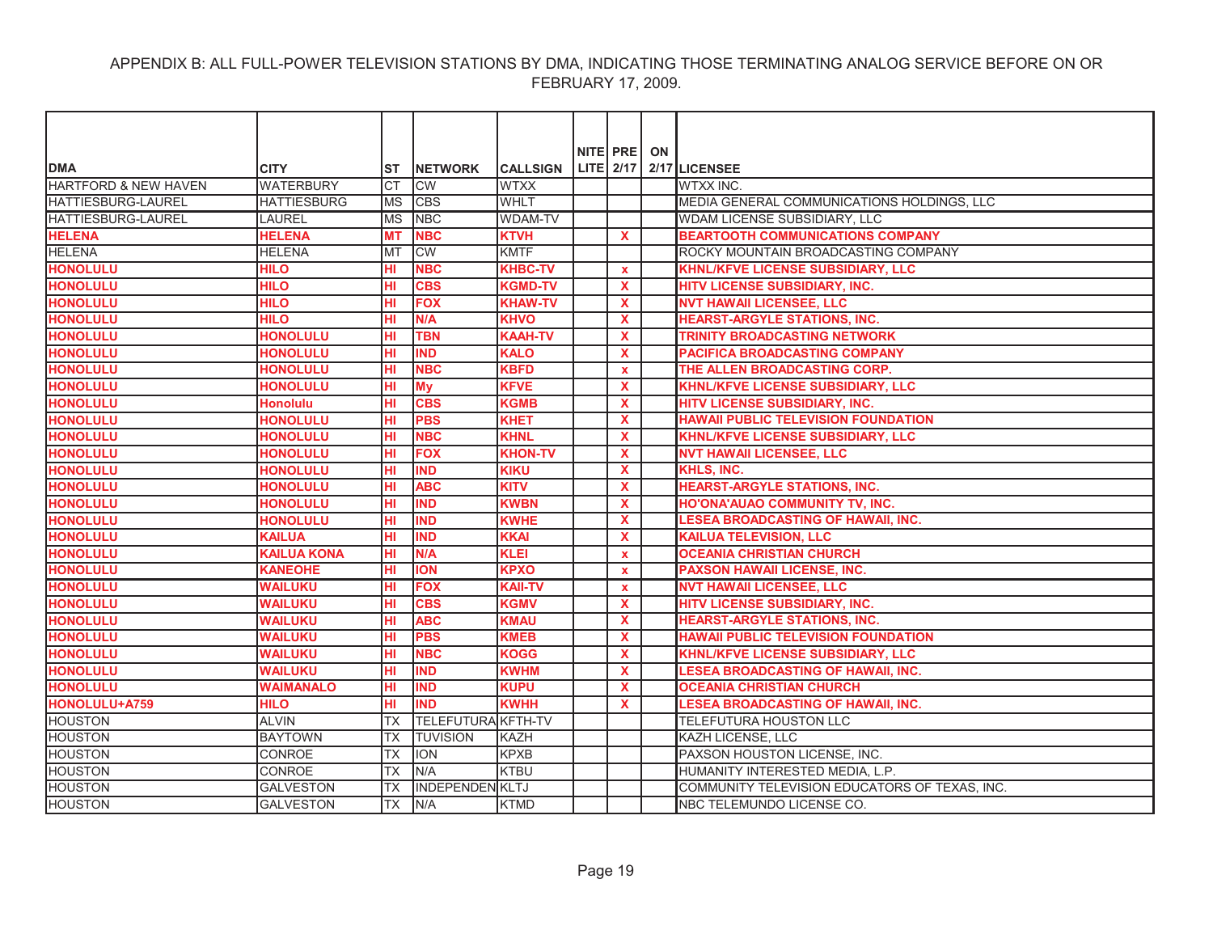|                           |                    |            |                           |                 | NITE PRE ON  |                                               |
|---------------------------|--------------------|------------|---------------------------|-----------------|--------------|-----------------------------------------------|
| <b>DMA</b>                | <b>CITY</b>        | ST         | <b>INETWORK</b>           | <b>CALLSIGN</b> | $LITE$ 2/17  | 2/17 LICENSEE                                 |
| HARTFORD & NEW HAVEN      | <b>WATERBURY</b>   | <b>CT</b>  | <b>CW</b>                 | <b>WTXX</b>     |              | WTXX INC.                                     |
| <b>HATTIESBURG-LAUREL</b> | <b>HATTIESBURG</b> | <b>MS</b>  | <b>CBS</b>                | <b>WHLT</b>     |              | MEDIA GENERAL COMMUNICATIONS HOLDINGS, LLC    |
| <b>HATTIESBURG-LAUREL</b> | <b>LAUREL</b>      | <b>MS</b>  | <b>NBC</b>                | <b>WDAM-TV</b>  |              | WDAM LICENSE SUBSIDIARY, LLC                  |
| <b>HELENA</b>             | <b>HELENA</b>      | <b>MT</b>  | <b>NBC</b>                | <b>KTVH</b>     | X            | <b>BEARTOOTH COMMUNICATIONS COMPANY</b>       |
| <b>HELENA</b>             | <b>HELENA</b>      | <b>MT</b>  | CW                        | <b>KMTF</b>     |              | ROCKY MOUNTAIN BROADCASTING COMPANY           |
| <b>HONOLULU</b>           | <b>HILO</b>        | нı         | <b>NBC</b>                | <b>KHBC-TV</b>  | $\mathbf{x}$ | <b>KHNL/KFVE LICENSE SUBSIDIARY, LLC</b>      |
| <b>HONOLULU</b>           | <b>HILO</b>        | нı         | <b>CBS</b>                | <b>KGMD-TV</b>  | $\mathbf{x}$ | HITV LICENSE SUBSIDIARY, INC.                 |
| <b>HONOLULU</b>           | <b>HILO</b>        | HI         | <b>FOX</b>                | <b>KHAW-TV</b>  | <b>X</b>     | <b>NVT HAWAII LICENSEE, LLC</b>               |
| <b>HONOLULU</b>           | <b>HILO</b>        | HI         | N/A                       | <b>KHVO</b>     | $\mathbf{x}$ | <b>HEARST-ARGYLE STATIONS, INC.</b>           |
| <b>HONOLULU</b>           | <b>HONOLULU</b>    | HI         | <b>TBN</b>                | <b>KAAH-TV</b>  | X            | <b>TRINITY BROADCASTING NETWORK</b>           |
| <b>HONOLULU</b>           | <b>HONOLULU</b>    | HI         | <b>IND</b>                | <b>KALO</b>     | X            | <b>PACIFICA BROADCASTING COMPANY</b>          |
| <b>HONOLULU</b>           | <b>HONOLULU</b>    | нı         | <b>NBC</b>                | <b>KBFD</b>     | $\mathbf{x}$ | THE ALLEN BROADCASTING CORP.                  |
| <b>HONOLULU</b>           | <b>HONOLULU</b>    | HI         | <b>My</b>                 | <b>KFVE</b>     | X            | <b>KHNL/KFVE LICENSE SUBSIDIARY, LLC</b>      |
| <b>HONOLULU</b>           | <b>Honolulu</b>    | HI         | <b>CBS</b>                | <b>KGMB</b>     | X            | HITV LICENSE SUBSIDIARY, INC.                 |
| <b>HONOLULU</b>           | <b>HONOLULU</b>    | HI         | <b>PBS</b>                | <b>KHET</b>     | $\mathbf{x}$ | <b>HAWAII PUBLIC TELEVISION FOUNDATION</b>    |
| <b>HONOLULU</b>           | <b>HONOLULU</b>    | HI         | <b>NBC</b>                | <b>KHNL</b>     | $\mathbf{x}$ | <b>KHNL/KFVE LICENSE SUBSIDIARY, LLC</b>      |
| <b>HONOLULU</b>           | <b>HONOLULU</b>    | HI         | <b>FOX</b>                | <b>KHON-TV</b>  | X            | <b>NVT HAWAII LICENSEE, LLC</b>               |
| <b>HONOLULU</b>           | <b>HONOLULU</b>    | HГ         | <b>IND</b>                | <b>KIKU</b>     | X            | KHLS, INC.                                    |
| <b>HONOLULU</b>           | <b>HONOLULU</b>    | HI         | <b>ABC</b>                | <b>KITV</b>     | X            | <b>HEARST-ARGYLE STATIONS, INC.</b>           |
| <b>HONOLULU</b>           | <b>HONOLULU</b>    | HI         | <b>IND</b>                | <b>KWBN</b>     | X            | HO'ONA'AUAO COMMUNITY TV, INC.                |
| <b>HONOLULU</b>           | <b>HONOLULU</b>    | HI         | <b>IND</b>                | <b>KWHE</b>     | $\mathbf{x}$ | <b>LESEA BROADCASTING OF HAWAII, INC.</b>     |
| <b>HONOLULU</b>           | <b>KAILUA</b>      | HI         | <b>IND</b>                | <b>KKAI</b>     | <b>X</b>     | <b>KAILUA TELEVISION, LLC</b>                 |
| <b>HONOLULU</b>           | <b>KAILUA KONA</b> | HI         | N/A                       | <b>KLEI</b>     | $\mathbf{x}$ | <b>OCEANIA CHRISTIAN CHURCH</b>               |
| <b>HONOLULU</b>           | <b>KANEOHE</b>     | HI         | <b>ION</b>                | <b>KPXO</b>     | $\mathbf x$  | <b>PAXSON HAWAII LICENSE, INC.</b>            |
| <b>HONOLULU</b>           | <b>WAILUKU</b>     | HI         | <b>FOX</b>                | <b>KAII-TV</b>  | $\mathbf{x}$ | <b>NVT HAWAII LICENSEE, LLC</b>               |
| <b>HONOLULU</b>           | <b>WAILUKU</b>     | HI         | <b>CBS</b>                | <b>KGMV</b>     | X            | HITV LICENSE SUBSIDIARY, INC.                 |
| <b>HONOLULU</b>           | <b>WAILUKU</b>     | HI         | <b>ABC</b>                | <b>KMAU</b>     | X            | <b>HEARST-ARGYLE STATIONS, INC.</b>           |
| <b>HONOLULU</b>           | <b>WAILUKU</b>     | HI         | <b>PBS</b>                | <b>KMEB</b>     | X            | <b>HAWAII PUBLIC TELEVISION FOUNDATION</b>    |
| <b>HONOLULU</b>           | <b>WAILUKU</b>     | HI         | <b>NBC</b>                | <b>KOGG</b>     | X            | <b>KHNL/KFVE LICENSE SUBSIDIARY, LLC</b>      |
| <b>HONOLULU</b>           | <b>WAILUKU</b>     | HI         | <b>IND</b>                | <b>KWHM</b>     | $\mathbf{x}$ | <b>LESEA BROADCASTING OF HAWAII, INC.</b>     |
| <b>HONOLULU</b>           | <b>WAIMANALO</b>   | HI         | <b>IND</b>                | <b>KUPU</b>     | X            | <b>OCEANIA CHRISTIAN CHURCH</b>               |
| HONOLULU+A759             | <b>HILO</b>        | HI         | <b>IND</b>                | <b>KWHH</b>     | X            | <b>LESEA BROADCASTING OF HAWAII, INC.</b>     |
| <b>HOUSTON</b>            | <b>ALVIN</b>       | <b>TX</b>  | <b>TELEFUTURA KFTH-TV</b> |                 |              | <b>TELEFUTURA HOUSTON LLC</b>                 |
| <b>HOUSTON</b>            | <b>BAYTOWN</b>     | ТX         | <b>TUVISION</b>           | KAZH            |              | KAZH LICENSE, LLC                             |
| <b>HOUSTON</b>            | <b>CONROE</b>      | <b>TX</b>  | <b>ION</b>                | <b>KPXB</b>     |              | PAXSON HOUSTON LICENSE, INC.                  |
| <b>HOUSTON</b>            | <b>CONROE</b>      | ТX         | N/A                       | <b>KTBU</b>     |              | HUMANITY INTERESTED MEDIA, L.P.               |
| <b>HOUSTON</b>            | <b>GALVESTON</b>   | <b>TX</b>  | <b>INDEPENDEN KLTJ</b>    |                 |              | COMMUNITY TELEVISION EDUCATORS OF TEXAS, INC. |
| <b>HOUSTON</b>            | <b>GALVESTON</b>   | <b>ITX</b> | IN/A                      | <b>KTMD</b>     |              | NBC TELEMUNDO LICENSE CO.                     |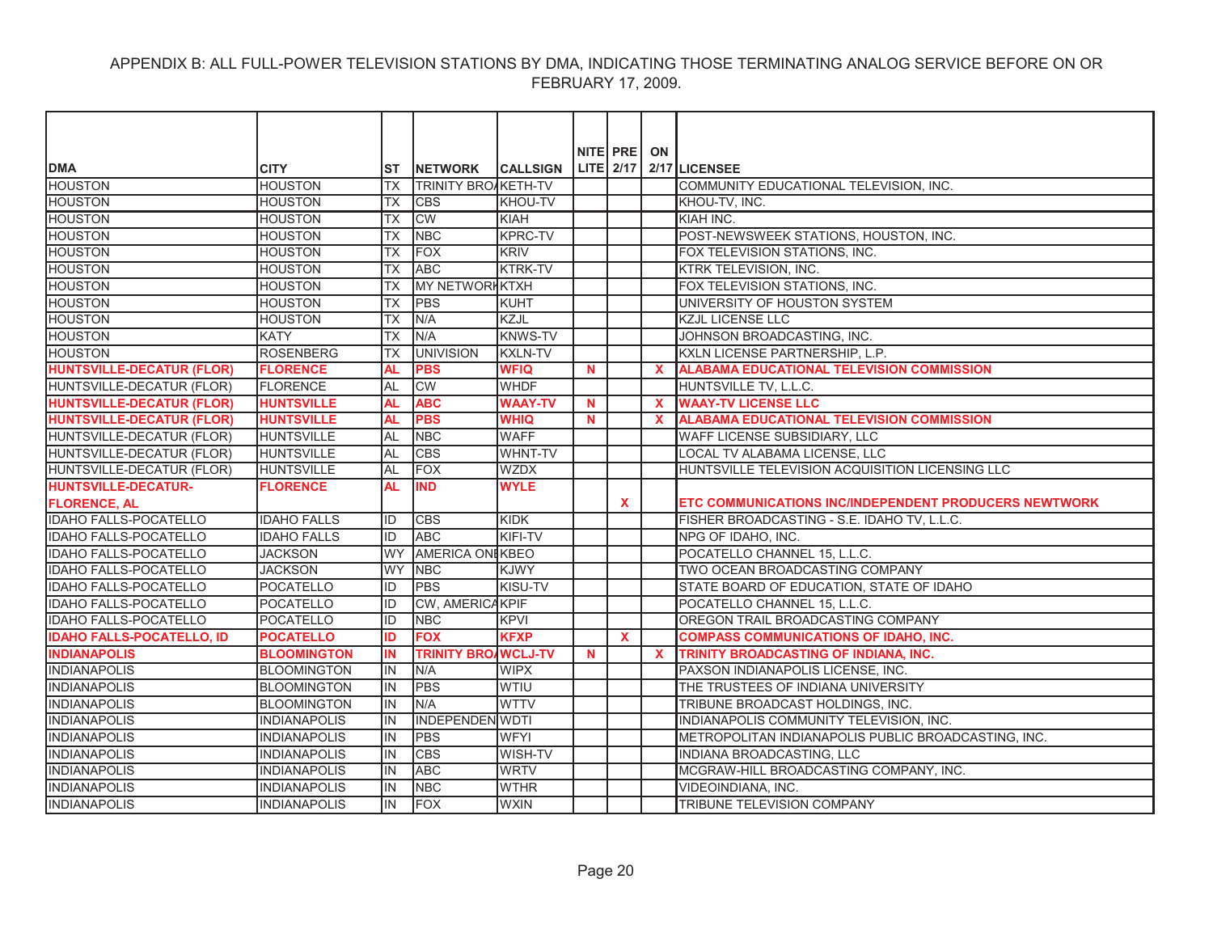| NITE PRE ON<br>LITE $2/17$ $2/17$ LICENSEE<br><b>DMA</b><br><b>CITY</b><br><b>INETWORK</b><br><b>CALLSIGN</b><br>ST                                                               |  |
|-----------------------------------------------------------------------------------------------------------------------------------------------------------------------------------|--|
| <b>HOUSTON</b><br><b>HOUSTON</b><br><b>TRINITY BROAKETH-TV</b><br>COMMUNITY EDUCATIONAL TELEVISION, INC.<br><b>TX</b>                                                             |  |
| <b>HOUSTON</b><br><b>HOUSTON</b><br><b>TX</b><br><b>CBS</b><br>KHOU-TV<br>KHOU-TV, INC.                                                                                           |  |
| <b>HOUSTON</b><br><b>CW</b><br>KIAH INC.<br><b>HOUSTON</b><br><b>TX</b><br>KIAH                                                                                                   |  |
| <b>NBC</b><br><b>HOUSTON</b><br><b>HOUSTON</b><br><b>TX</b><br><b>KPRC-TV</b><br>POST-NEWSWEEK STATIONS, HOUSTON, INC.                                                            |  |
| <b>HOUSTON</b><br><b>FOX</b><br><b>HOUSTON</b><br>ltx<br><b>KRIV</b><br>FOX TELEVISION STATIONS, INC.                                                                             |  |
| <b>HOUSTON</b><br><b>HOUSTON</b><br><b>ABC</b><br><b>KTRK-TV</b><br>KTRK TELEVISION, INC.<br><b>TX</b>                                                                            |  |
| <b>HOUSTON</b><br><b>HOUSTON</b><br><b>TX</b><br><b>MY NETWORHKTXH</b><br>FOX TELEVISION STATIONS, INC.                                                                           |  |
| <b>HOUSTON</b><br>PBS<br>UNIVERSITY OF HOUSTON SYSTEM<br><b>HOUSTON</b><br><b>TX</b><br>KUHT                                                                                      |  |
| N/A<br>KZJL<br><b>HOUSTON</b><br><b>HOUSTON</b><br><b>TX</b><br><b>KZJL LICENSE LLC</b>                                                                                           |  |
| <b>HOUSTON</b><br><b>KATY</b><br>N/A<br><b>KNWS-TV</b><br>JOHNSON BROADCASTING, INC.<br><b>TX</b>                                                                                 |  |
| <b>HOUSTON</b><br><b>ROSENBERG</b>                                                                                                                                                |  |
| <b>UNIVISION</b><br><b>KXLN-TV</b><br>KXLN LICENSE PARTNERSHIP, L.P.<br>ТX                                                                                                        |  |
| <b>HUNTSVILLE-DECATUR (FLOR)</b><br><b>AL</b><br><b>PBS</b><br><b>WFIQ</b><br><b>ALABAMA EDUCATIONAL TELEVISION COMMISSION</b><br><b>FLORENCE</b><br>$\mathbf N$<br>$\mathbf x$   |  |
| <b>FLORENCE</b><br><b>AL</b><br>CW<br><b>WHDF</b><br>HUNTSVILLE-DECATUR (FLOR)<br>HUNTSVILLE TV, L.L.C.                                                                           |  |
| <b>ABC</b><br><b>HUNTSVILLE-DECATUR (FLOR)</b><br><b>HUNTSVILLE</b><br><b>AL</b><br><b>WAAY-TV</b><br>$\mathbf N$<br>$\mathbf{x}$<br><b>WAAY-TV LICENSE LLC</b>                   |  |
| <b>HUNTSVILLE-DECATUR (FLOR)</b><br><b>PBS</b><br><b>ALABAMA EDUCATIONAL TELEVISION COMMISSION</b><br><b>HUNTSVILLE</b><br><b>AL</b><br><b>WHIQ</b><br>$\mathbf N$<br>$\mathbf x$ |  |
| HUNTSVILLE-DECATUR (FLOR)<br><b>HUNTSVILLE</b><br><b>AL</b><br><b>WAFF</b><br>WAFF LICENSE SUBSIDIARY, LLC<br><b>NBC</b>                                                          |  |
| HUNTSVILLE-DECATUR (FLOR)<br><b>HUNTSVILLE</b><br><b>AL</b><br><b>CBS</b><br>WHNT-TV<br>LOCAL TV ALABAMA LICENSE, LLC                                                             |  |
| <b>HUNTSVILLE</b><br>AL<br><b>FOX</b><br><b>WZDX</b><br>HUNTSVILLE TELEVISION ACQUISITION LICENSING LLC<br>HUNTSVILLE-DECATUR (FLOR)                                              |  |
| <b>IND</b><br><b>WYLE</b><br><b>HUNTSVILLE-DECATUR-</b><br><b>FLORENCE</b><br><b>AL</b>                                                                                           |  |
| <b>FLORENCE, AL</b><br>X<br>ETC COMMUNICATIONS INC/INDEPENDENT PRODUCERS NEWTWORK                                                                                                 |  |
| <b>IDAHO FALLS-POCATELLO</b><br>KIDK<br><b>IDAHO FALLS</b><br>ID<br><b>CBS</b><br>FISHER BROADCASTING - S.E. IDAHO TV, L.L.C.                                                     |  |
| <b>IDAHO FALLS-POCATELLO</b><br><b>IDAHO FALLS</b><br><b>ABC</b><br><b>KIFI-TV</b><br>ID<br>NPG OF IDAHO, INC.                                                                    |  |
| AMERICA ON KBEO<br><b>IDAHO FALLS-POCATELLO</b><br><b>JACKSON</b><br><b>WY</b><br>POCATELLO CHANNEL 15, L.L.C.                                                                    |  |
| <b>IDAHO FALLS-POCATELLO</b><br><b>JACKSON</b><br>lwy<br><b>NBC</b><br><b>KJWY</b><br>TWO OCEAN BROADCASTING COMPANY                                                              |  |
| <b>IDAHO FALLS-POCATELLO</b><br><b>PBS</b><br>KISU-TV<br>POCATELLO<br>STATE BOARD OF EDUCATION, STATE OF IDAHO<br>ID                                                              |  |
| <b>IDAHO FALLS-POCATELLO</b><br>CW, AMERICAKPIF<br>POCATELLO<br>POCATELLO CHANNEL 15, L.L.C.<br>ID                                                                                |  |
| <b>IDAHO FALLS-POCATELLO</b><br>POCATELLO<br>ID<br><b>NBC</b><br><b>KPVI</b><br>OREGON TRAIL BROADCASTING COMPANY                                                                 |  |
| <b>FOX</b><br><b>KFXP</b><br><b>IDAHO FALLS-POCATELLO, ID</b><br><b>POCATELLO</b><br>ID<br>$\mathbf{x}$<br><b>COMPASS COMMUNICATIONS OF IDAHO, INC.</b>                           |  |
| <b>INDIANAPOLIS</b><br><b>TRINITY BRO/WCLJ-TV</b><br><b>BLOOMINGTON</b><br><b>IN</b><br>$\mathbf{x}$<br>TRINITY BROADCASTING OF INDIANA, INC.<br>N                                |  |
| <b>INDIANAPOLIS</b><br><b>BLOOMINGTON</b><br><b>WIPX</b><br>PAXSON INDIANAPOLIS LICENSE, INC.<br>IN<br>N/A                                                                        |  |
| <b>INDIANAPOLIS</b><br><b>PBS</b><br><b>WTIU</b><br>THE TRUSTEES OF INDIANA UNIVERSITY<br><b>BLOOMINGTON</b><br>IN                                                                |  |
| <b>INDIANAPOLIS</b><br><b>BLOOMINGTON</b><br>IN<br>IN/A<br><b>WTTV</b><br>TRIBUNE BROADCAST HOLDINGS, INC.                                                                        |  |
| <b>INDEPENDEN WDTI</b><br><b>INDIANAPOLIS</b><br><b>INDIANAPOLIS</b><br>lin.<br>INDIANAPOLIS COMMUNITY TELEVISION, INC.                                                           |  |
| <b>INDIANAPOLIS</b><br>PBS<br><b>INDIANAPOLIS</b><br><b>WFYI</b><br>METROPOLITAN INDIANAPOLIS PUBLIC BROADCASTING, INC.<br>lin.                                                   |  |
| <b>INDIANAPOLIS</b><br><b>CBS</b><br>WISH-TV<br>INDIANA BROADCASTING, LLC<br><b>INDIANAPOLIS</b><br>lin.                                                                          |  |
| <b>INDIANAPOLIS</b><br>IN<br><b>ABC</b><br><b>WRTV</b><br>MCGRAW-HILL BROADCASTING COMPANY, INC.<br><b>INDIANAPOLIS</b>                                                           |  |
| <b>INDIANAPOLIS</b><br>NBC<br><b>WTHR</b><br>VIDEOINDIANA, INC.<br><b>INDIANAPOLIS</b><br>IN                                                                                      |  |
| <b>INDIANAPOLIS</b><br>FOX<br><b>WXIN</b><br><b>INDIANAPOLIS</b><br>lin.<br><b>TRIBUNE TELEVISION COMPANY</b>                                                                     |  |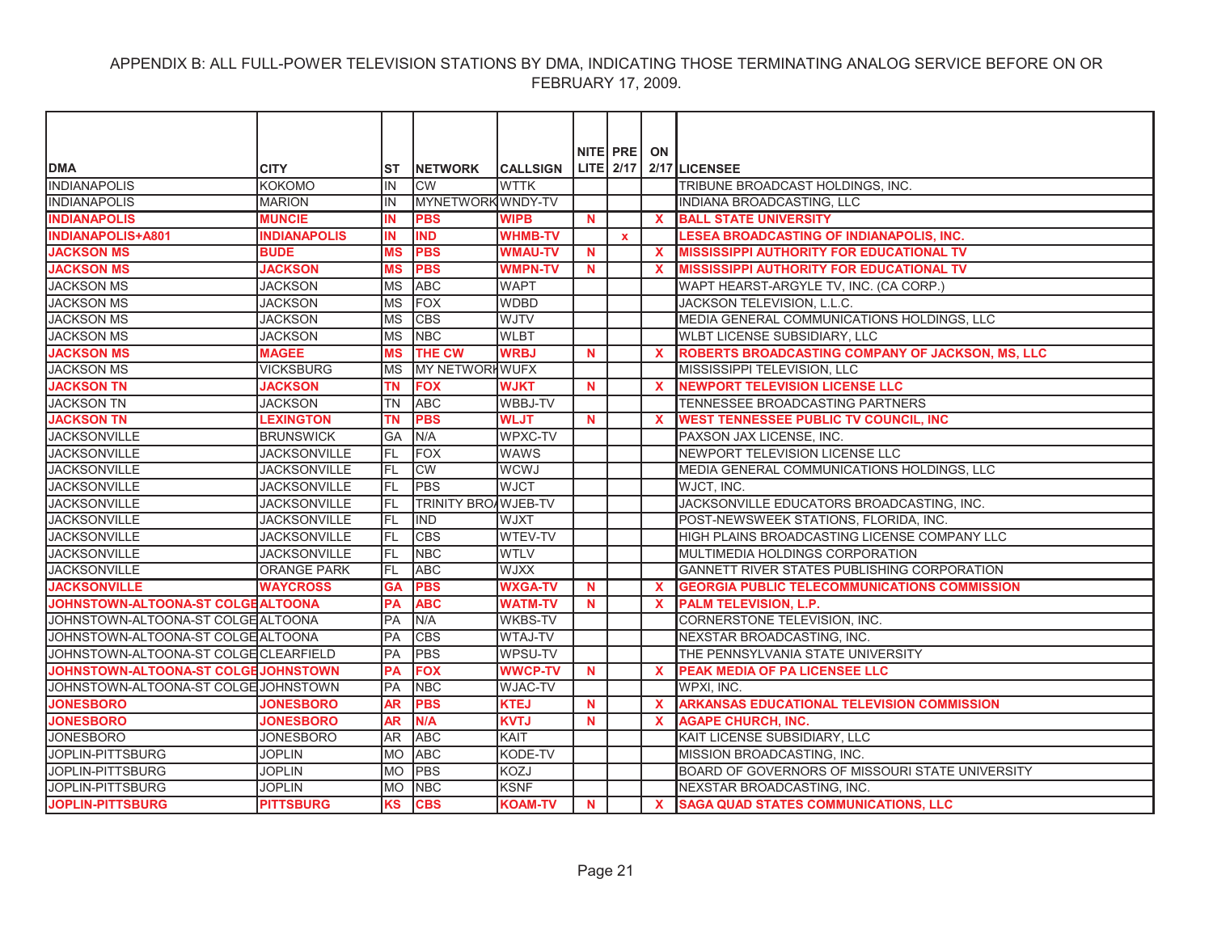| <b>DMA</b>                            | <b>CITY</b>         | IST        | <b>NETWORK</b>             | <b>CALLSIGN</b> |             | NITE PRE     | ON           | LITE 2/17 2/17 LICENSEE                             |
|---------------------------------------|---------------------|------------|----------------------------|-----------------|-------------|--------------|--------------|-----------------------------------------------------|
| <b>INDIANAPOLIS</b>                   | KOKOMO              | IN         | <b>CW</b>                  | <b>WTTK</b>     |             |              |              | TRIBUNE BROADCAST HOLDINGS. INC.                    |
| <b>INDIANAPOLIS</b>                   | <b>MARION</b>       | IN         | MYNETWORK WNDY-TV          |                 |             |              |              | INDIANA BROADCASTING, LLC                           |
| <b>INDIANAPOLIS</b>                   | <b>MUNCIE</b>       | IN         | <b>PBS</b>                 | <b>WIPB</b>     | N           |              | $\mathbf x$  | <b>BALL STATE UNIVERSITY</b>                        |
| <b>INDIANAPOLIS+A801</b>              | <b>INDIANAPOLIS</b> | IN         | <b>IND</b>                 | <b>WHMB-TV</b>  |             | $\mathbf{x}$ |              | LESEA BROADCASTING OF INDIANAPOLIS, INC.            |
| <b>JACKSON MS</b>                     | <b>BUDE</b>         | <b>MS</b>  | <b>PBS</b>                 | <b>WMAU-TV</b>  | N           |              | $\mathbf x$  | <b>MISSISSIPPI AUTHORITY FOR EDUCATIONAL TV</b>     |
| <b>JACKSON MS</b>                     | <b>JACKSON</b>      | <b>MS</b>  | <b>PBS</b>                 | <b>WMPN-TV</b>  | N.          |              | $\mathbf x$  | <b>MISSISSIPPI AUTHORITY FOR EDUCATIONAL TV</b>     |
| <b>JACKSON MS</b>                     | <b>JACKSON</b>      | <b>MS</b>  | <b>ABC</b>                 | <b>WAPT</b>     |             |              |              | WAPT HEARST-ARGYLE TV, INC. (CA CORP.)              |
| <b>JACKSON MS</b>                     | <b>JACKSON</b>      | <b>MS</b>  | <b>FOX</b>                 | <b>WDBD</b>     |             |              |              | JACKSON TELEVISION, L.L.C.                          |
| <b>JACKSON MS</b>                     | <b>JACKSON</b>      | <b>MS</b>  | <b>CBS</b>                 | WJTV            |             |              |              | MEDIA GENERAL COMMUNICATIONS HOLDINGS, LLC          |
| <b>JACKSON MS</b>                     | <b>JACKSON</b>      | <b>IMS</b> | <b>NBC</b>                 | <b>WLBT</b>     |             |              |              | WLBT LICENSE SUBSIDIARY, LLC                        |
| <b>JACKSON MS</b>                     | <b>MAGEE</b>        | <b>MS</b>  | <b>THE CW</b>              | <b>WRBJ</b>     | N.          |              | $\mathbf{x}$ | ROBERTS BROADCASTING COMPANY OF JACKSON, MS, LLC    |
| <b>JACKSON MS</b>                     | <b>VICKSBURG</b>    | <b>MS</b>  | MY NETWORKWUFX             |                 |             |              |              | MISSISSIPPI TELEVISION, LLC                         |
| <b>JACKSON TN</b>                     | <b>JACKSON</b>      | <b>TN</b>  | <b>FOX</b>                 | <b>WJKT</b>     | N.          |              | $\mathbf x$  | <b>NEWPORT TELEVISION LICENSE LLC</b>               |
| <b>JACKSON TN</b>                     | <b>JACKSON</b>      | <b>TN</b>  | <b>ABC</b>                 | WBBJ-TV         |             |              |              | TENNESSEE BROADCASTING PARTNERS                     |
| <b>JACKSON TN</b>                     | <b>LEXINGTON</b>    | <b>TN</b>  | <b>PBS</b>                 | <b>WLJT</b>     | N.          |              | $\mathbf{x}$ | <b>WEST TENNESSEE PUBLIC TV COUNCIL, INC</b>        |
| <b>JACKSONVILLE</b>                   | <b>BRUNSWICK</b>    | <b>GA</b>  | N/A                        | WPXC-TV         |             |              |              | PAXSON JAX LICENSE, INC.                            |
| <b>JACKSONVILLE</b>                   | <b>JACKSONVILLE</b> | IfL        | <b>FOX</b>                 | <b>WAWS</b>     |             |              |              | NEWPORT TELEVISION LICENSE LLC                      |
| <b>JACKSONVILLE</b>                   | JACKSONVILLE        | IFL        | <b>CW</b>                  | <b>WCWJ</b>     |             |              |              | MEDIA GENERAL COMMUNICATIONS HOLDINGS, LLC          |
| <b>JACKSONVILLE</b>                   | <b>JACKSONVILLE</b> | IFL        | <b>PBS</b>                 | <b>WJCT</b>     |             |              |              | WJCT, INC.                                          |
| <b>JACKSONVILLE</b>                   | <b>JACKSONVILLE</b> | IFL        | <b>TRINITY BROAWJEB-TV</b> |                 |             |              |              | JACKSONVILLE EDUCATORS BROADCASTING, INC.           |
| <b>JACKSONVILLE</b>                   | <b>JACKSONVILLE</b> | IfL        | <b>IND</b>                 | <b>WJXT</b>     |             |              |              | POST-NEWSWEEK STATIONS, FLORIDA, INC.               |
| <b>JACKSONVILLE</b>                   | <b>JACKSONVILLE</b> | FL         | <b>CBS</b>                 | WTEV-TV         |             |              |              | HIGH PLAINS BROADCASTING LICENSE COMPANY LLC        |
| <b>JACKSONVILLE</b>                   | <b>JACKSONVILLE</b> | IFL        | <b>NBC</b>                 | <b>WTLV</b>     |             |              |              | MULTIMEDIA HOLDINGS CORPORATION                     |
| <b>JACKSONVILLE</b>                   | <b>ORANGE PARK</b>  | IfL        | <b>ABC</b>                 | <b>WJXX</b>     |             |              |              | GANNETT RIVER STATES PUBLISHING CORPORATION         |
| <b>JACKSONVILLE</b>                   | <b>WAYCROSS</b>     | <b>GA</b>  | <b>PBS</b>                 | <b>WXGA-TV</b>  | N           |              | $\mathbf x$  | <b>GEORGIA PUBLIC TELECOMMUNICATIONS COMMISSION</b> |
| JOHNSTOWN-ALTOONA-ST COLGEALTOONA     |                     | PA         | <b>ABC</b>                 | <b>WATM-TV</b>  | N           |              | $\mathbf x$  | <b>PALM TELEVISION, L.P.</b>                        |
| JOHNSTOWN-ALTOONA-ST COLGE ALTOONA    |                     | PA         | N/A                        | <b>WKBS-TV</b>  |             |              |              | <b>CORNERSTONE TELEVISION, INC.</b>                 |
| JOHNSTOWN-ALTOONA-ST COLGE ALTOONA    |                     | <b>PA</b>  | <b>CBS</b>                 | <b>WTAJ-TV</b>  |             |              |              | NEXSTAR BROADCASTING, INC.                          |
| JOHNSTOWN-ALTOONA-ST COLGE CLEARFIELD |                     | PA         | <b>PBS</b>                 | WPSU-TV         |             |              |              | THE PENNSYLVANIA STATE UNIVERSITY                   |
| JOHNSTOWN-ALTOONA-ST COLGE JOHNSTOWN  |                     | PA         | <b>FOX</b>                 | <b>WWCP-TV</b>  | N.          |              | $\mathbf{x}$ | PEAK MEDIA OF PA LICENSEE LLC                       |
| JOHNSTOWN-ALTOONA-ST COLGE JOHNSTOWN  |                     | PA         | <b>NBC</b>                 | <b>WJAC-TV</b>  |             |              |              | WPXI, INC.                                          |
| <b>JONESBORO</b>                      | <b>JONESBORO</b>    | <b>AR</b>  | <b>PBS</b>                 | <b>KTEJ</b>     | N           |              | $\mathbf{x}$ | ARKANSAS EDUCATIONAL TELEVISION COMMISSION          |
| <b>JONESBORO</b>                      | <b>JONESBORO</b>    | <b>AR</b>  | N/A                        | <b>KVTJ</b>     | N.          |              | $\mathbf x$  | <b>AGAPE CHURCH, INC.</b>                           |
| <b>JONESBORO</b>                      | <b>JONESBORO</b>    | AR         | <b>ABC</b>                 | KAIT            |             |              |              | KAIT LICENSE SUBSIDIARY, LLC                        |
| JOPLIN-PITTSBURG                      | <b>JOPLIN</b>       | MO         | <b>ABC</b>                 | KODE-TV         |             |              |              | MISSION BROADCASTING, INC.                          |
| JOPLIN-PITTSBURG                      | <b>JOPLIN</b>       | MO         | <b>PBS</b>                 | KOZJ            |             |              |              | BOARD OF GOVERNORS OF MISSOURI STATE UNIVERSITY     |
| JOPLIN-PITTSBURG                      | JOPLIN              | <b>MO</b>  | <b>NBC</b>                 | <b>KSNF</b>     |             |              |              | NEXSTAR BROADCASTING, INC.                          |
| JOPLIN-PITTSBURG                      | <b>PITTSBURG</b>    | <b>KS</b>  | <b>CBS</b>                 | <b>KOAM-TV</b>  | $\mathbf N$ |              | $\mathbf{x}$ | <b>SAGA QUAD STATES COMMUNICATIONS, LLC</b>         |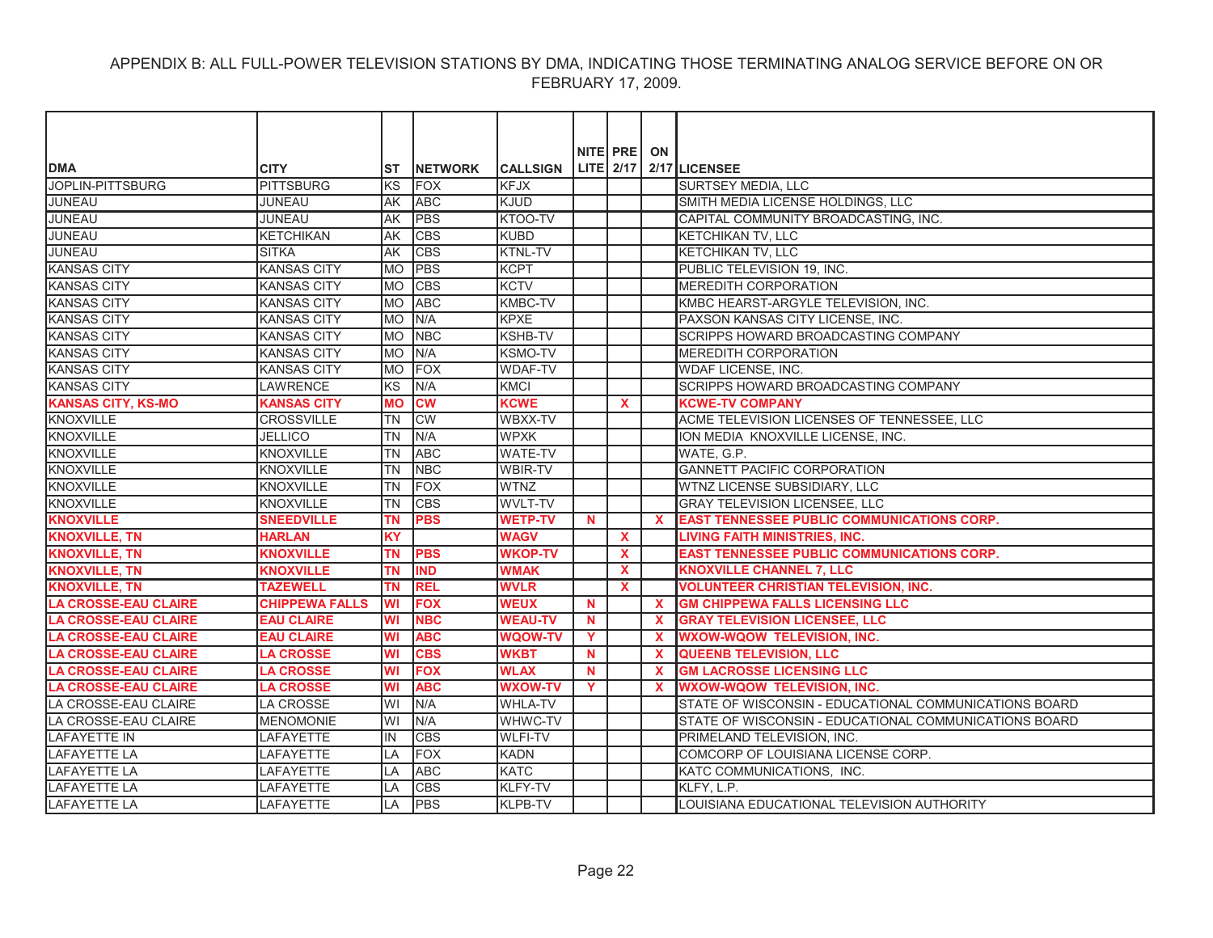| <b>DMA</b>                  | <b>CITY</b>           | ST        | <b>INETWORK</b> | <b>CALLSIGN</b> |          | NITE PRE<br>LITE 2/17 | ON           | 2/17 LICENSEE                                         |
|-----------------------------|-----------------------|-----------|-----------------|-----------------|----------|-----------------------|--------------|-------------------------------------------------------|
| JOPLIN-PITTSBURG            | <b>PITTSBURG</b>      | KS        | <b>FOX</b>      | <b>KFJX</b>     |          |                       |              | SURTSEY MEDIA, LLC                                    |
| <b>JUNEAU</b>               | <b>JUNEAU</b>         | AK        | <b>ABC</b>      | <b>KJUD</b>     |          |                       |              | SMITH MEDIA LICENSE HOLDINGS, LLC                     |
| <b>JUNEAU</b>               | <b>JUNEAU</b>         | AK        | <b>PBS</b>      | KTOO-TV         |          |                       |              | CAPITAL COMMUNITY BROADCASTING, INC.                  |
| JUNEAU                      | <b>KETCHIKAN</b>      | AK        | <b>CBS</b>      | <b>KUBD</b>     |          |                       |              | KETCHIKAN TV, LLC                                     |
| JUNEAU                      | <b>SITKA</b>          | lAK       | <b>CBS</b>      | <b>KTNL-TV</b>  |          |                       |              | <b>KETCHIKAN TV, LLC</b>                              |
| <b>KANSAS CITY</b>          | <b>KANSAS CITY</b>    | <b>MO</b> | <b>PBS</b>      | <b>KCPT</b>     |          |                       |              | PUBLIC TELEVISION 19, INC.                            |
| <b>KANSAS CITY</b>          | <b>KANSAS CITY</b>    | <b>MO</b> | <b>CBS</b>      | <b>KCTV</b>     |          |                       |              | <b>MEREDITH CORPORATION</b>                           |
| <b>KANSAS CITY</b>          | <b>KANSAS CITY</b>    | MO        | <b>ABC</b>      | KMBC-TV         |          |                       |              | KMBC HEARST-ARGYLE TELEVISION, INC.                   |
| <b>KANSAS CITY</b>          | <b>KANSAS CITY</b>    | MO        | N/A             | <b>KPXE</b>     |          |                       |              | PAXSON KANSAS CITY LICENSE, INC.                      |
| <b>KANSAS CITY</b>          | <b>KANSAS CITY</b>    | MO        | <b>NBC</b>      | <b>KSHB-TV</b>  |          |                       |              | SCRIPPS HOWARD BROADCASTING COMPANY                   |
| <b>KANSAS CITY</b>          | <b>KANSAS CITY</b>    | <b>MO</b> | N/A             | <b>KSMO-TV</b>  |          |                       |              | <b>MEREDITH CORPORATION</b>                           |
| <b>KANSAS CITY</b>          | <b>KANSAS CITY</b>    | <b>MO</b> | FOX             | <b>WDAF-TV</b>  |          |                       |              | WDAF LICENSE, INC.                                    |
| <b>KANSAS CITY</b>          | LAWRENCE              | KS        | N/A             | KMCI            |          |                       |              | SCRIPPS HOWARD BROADCASTING COMPANY                   |
| <b>KANSAS CITY, KS-MO</b>   | <b>KANSAS CITY</b>    | <b>MO</b> | <b>CW</b>       | <b>KCWE</b>     |          | X                     |              | <b>KCWE-TV COMPANY</b>                                |
| <b>KNOXVILLE</b>            | <b>CROSSVILLE</b>     | <b>TN</b> | <b>CW</b>       | WBXX-TV         |          |                       |              | ACME TELEVISION LICENSES OF TENNESSEE, LLC            |
| <b>KNOXVILLE</b>            | <b>JELLICO</b>        | <b>TN</b> | N/A             | <b>WPXK</b>     |          |                       |              | ION MEDIA KNOXVILLE LICENSE. INC.                     |
| <b>KNOXVILLE</b>            | <b>KNOXVILLE</b>      | <b>TN</b> | <b>ABC</b>      | <b>WATE-TV</b>  |          |                       |              | WATE, G.P.                                            |
| <b>KNOXVILLE</b>            | <b>KNOXVILLE</b>      | <b>TN</b> | <b>NBC</b>      | <b>WBIR-TV</b>  |          |                       |              | <b>GANNETT PACIFIC CORPORATION</b>                    |
| <b>KNOXVILLE</b>            | <b>KNOXVILLE</b>      | TN        | <b>FOX</b>      | <b>WTNZ</b>     |          |                       |              | WTNZ LICENSE SUBSIDIARY, LLC                          |
| <b>KNOXVILLE</b>            | <b>KNOXVILLE</b>      | <b>TN</b> | <b>CBS</b>      | <b>WVLT-TV</b>  |          |                       |              | <b>GRAY TELEVISION LICENSEE, LLC</b>                  |
| <b>KNOXVILLE</b>            | <b>SNEEDVILLE</b>     | <b>TN</b> | <b>PBS</b>      | <b>WETP-TV</b>  | N.       |                       | $\mathbf x$  | <b>EAST TENNESSEE PUBLIC COMMUNICATIONS CORP.</b>     |
| <b>KNOXVILLE, TN</b>        | <b>HARLAN</b>         | <b>KY</b> |                 | <b>WAGV</b>     |          | $\mathbf{x}$          |              | <b>LIVING FAITH MINISTRIES, INC.</b>                  |
| <b>KNOXVILLE, TN</b>        | <b>KNOXVILLE</b>      | <b>TN</b> | <b>PBS</b>      | <b>WKOP-TV</b>  |          | $\mathbf x$           |              | <b>EAST TENNESSEE PUBLIC COMMUNICATIONS CORP.</b>     |
| <b>KNOXVILLE, TN</b>        | <b>KNOXVILLE</b>      | ΤN        | <b>IND</b>      | <b>WMAK</b>     |          | $\mathbf{x}$          |              | <b>KNOXVILLE CHANNEL 7, LLC</b>                       |
| <b>KNOXVILLE, TN</b>        | <b>TAZEWELL</b>       | ΤN        | <b>REL</b>      | <b>WVLR</b>     |          | <b>X</b>              |              | <b>VOLUNTEER CHRISTIAN TELEVISION, INC.</b>           |
| <b>LA CROSSE-EAU CLAIRE</b> | <b>CHIPPEWA FALLS</b> | WI        | <b>FOX</b>      | <b>WEUX</b>     | <b>N</b> |                       | $\mathbf{x}$ | <b>GM CHIPPEWA FALLS LICENSING LLC</b>                |
| <b>LA CROSSE-EAU CLAIRE</b> | <b>EAU CLAIRE</b>     | <b>WI</b> | <b>NBC</b>      | <b>WEAU-TV</b>  | <b>N</b> |                       | $\mathbf x$  | <b>GRAY TELEVISION LICENSEE. LLC</b>                  |
| <b>LA CROSSE-EAU CLAIRE</b> | <b>EAU CLAIRE</b>     | WI        | <b>ABC</b>      | <b>WQOW-TV</b>  | Y        |                       | <b>X</b>     | <b>WXOW-WQOW TELEVISION, INC.</b>                     |
| <b>LA CROSSE-EAU CLAIRE</b> | <b>LA CROSSE</b>      | <b>WI</b> | <b>CBS</b>      | <b>WKBT</b>     | N        |                       | $\mathbf x$  | <b>QUEENB TELEVISION, LLC</b>                         |
| <b>LA CROSSE-EAU CLAIRE</b> | <b>LA CROSSE</b>      | WI        | <b>FOX</b>      | <b>WLAX</b>     | N        |                       | $\mathbf x$  | <b>GM LACROSSE LICENSING LLC</b>                      |
| <b>LA CROSSE-EAU CLAIRE</b> | <b>LA CROSSE</b>      | WI        | <b>ABC</b>      | <b>WXOW-TV</b>  | Y        |                       |              | <b>WXOW-WQOW TELEVISION, INC.</b>                     |
| LA CROSSE-EAU CLAIRE        | LA CROSSE             | WI        | N/A             | <b>WHLA-TV</b>  |          |                       |              | STATE OF WISCONSIN - EDUCATIONAL COMMUNICATIONS BOARD |
| LA CROSSE-EAU CLAIRE        | <b>MENOMONIE</b>      | lwı       | N/A             | WHWC-TV         |          |                       |              | STATE OF WISCONSIN - EDUCATIONAL COMMUNICATIONS BOARD |
| <b>LAFAYETTE IN</b>         | LAFAYETTE             | IN        | <b>CBS</b>      | <b>WLFI-TV</b>  |          |                       |              | PRIMELAND TELEVISION, INC.                            |
| <b>LAFAYETTE LA</b>         | <b>LAFAYETTE</b>      | LA        | <b>FOX</b>      | <b>KADN</b>     |          |                       |              | COMCORP OF LOUISIANA LICENSE CORP.                    |
| <b>LAFAYETTE LA</b>         | LAFAYETTE             | LA        | <b>ABC</b>      | <b>KATC</b>     |          |                       |              | KATC COMMUNICATIONS, INC.                             |
| LAFAYETTE LA                | LAFAYETTE             | LA        | <b>CBS</b>      | <b>KLFY-TV</b>  |          |                       |              | KLFY, L.P.                                            |
| <b>LAFAYETTE LA</b>         | <b>LAFAYETTE</b>      | LA        | <b>PBS</b>      | <b>KLPB-TV</b>  |          |                       |              | LOUISIANA EDUCATIONAL TELEVISION AUTHORITY            |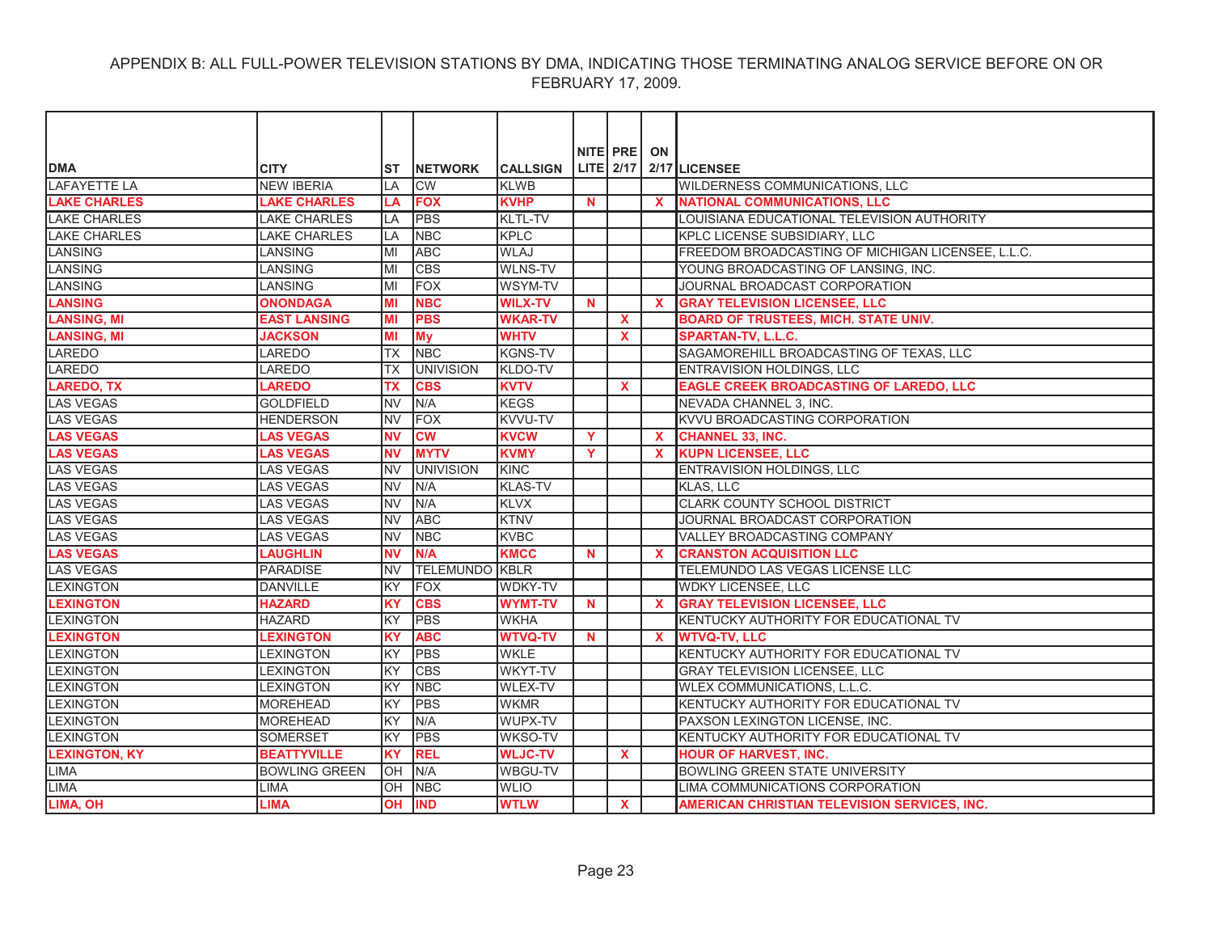|                      |                      |            |                       |                 |              | NITE PRE     | ON           |                                                     |
|----------------------|----------------------|------------|-----------------------|-----------------|--------------|--------------|--------------|-----------------------------------------------------|
| <b>DMA</b>           | <b>CITY</b>          | ST         | <b>INETWORK</b>       | <b>CALLSIGN</b> |              | LITE 2/17    |              | 2/17 LICENSEE                                       |
| LAFAYETTE LA         | <b>NEW IBERIA</b>    | LA         | <b>CW</b>             | <b>KLWB</b>     |              |              |              | WILDERNESS COMMUNICATIONS, LLC                      |
| <b>LAKE CHARLES</b>  | <b>LAKE CHARLES</b>  | LA         | <b>FOX</b>            | <b>KVHP</b>     | $\mathbf N$  |              |              | <b>NATIONAL COMMUNICATIONS, LLC</b>                 |
| <b>LAKE CHARLES</b>  | <b>LAKE CHARLES</b>  | LA         | PBS                   | KLTL-TV         |              |              |              | LOUISIANA EDUCATIONAL TELEVISION AUTHORITY          |
| <b>LAKE CHARLES</b>  | <b>LAKE CHARLES</b>  | LA         | <b>NBC</b>            | <b>KPLC</b>     |              |              |              | KPLC LICENSE SUBSIDIARY, LLC                        |
| <b>LANSING</b>       | LANSING              | MI         | <b>ABC</b>            | <b>WLAJ</b>     |              |              |              | FREEDOM BROADCASTING OF MICHIGAN LICENSEE, L.L.C.   |
| <b>LANSING</b>       | LANSING              | MI         | <b>CBS</b>            | <b>WLNS-TV</b>  |              |              |              | YOUNG BROADCASTING OF LANSING, INC.                 |
| <b>LANSING</b>       | LANSING              | MI         | FOX                   | WSYM-TV         |              |              |              | JOURNAL BROADCAST CORPORATION                       |
| <b>LANSING</b>       | <b>ONONDAGA</b>      | MI         | <b>NBC</b>            | <b>WILX-TV</b>  | <b>N</b>     |              | $\mathbf{x}$ | <b>GRAY TELEVISION LICENSEE, LLC</b>                |
| <b>LANSING, MI</b>   | <b>EAST LANSING</b>  | MI         | <b>PBS</b>            | <b>WKAR-TV</b>  |              | $\mathbf{x}$ |              | <b>BOARD OF TRUSTEES, MICH. STATE UNIV.</b>         |
| <b>LANSING, MI</b>   | <b>JACKSON</b>       | MI         | My                    | <b>WHTV</b>     |              | <b>X</b>     |              | SPARTAN-TV, L.L.C.                                  |
| <b>LAREDO</b>        | LAREDO               | <b>TX</b>  | <b>NBC</b>            | <b>KGNS-TV</b>  |              |              |              | SAGAMOREHILL BROADCASTING OF TEXAS, LLC             |
| LAREDO               | <b>LAREDO</b>        | ТX         | <b>UNIVISION</b>      | KLDO-TV         |              |              |              | ENTRAVISION HOLDINGS, LLC                           |
| <b>LAREDO, TX</b>    | <b>LAREDO</b>        | <b>TX</b>  | <b>CBS</b>            | <b>KVTV</b>     |              | $\mathbf{x}$ |              | <b>EAGLE CREEK BROADCASTING OF LAREDO, LLC</b>      |
| <b>LAS VEGAS</b>     | <b>GOLDFIELD</b>     | <b>NV</b>  | N/A                   | <b>KEGS</b>     |              |              |              | NEVADA CHANNEL 3, INC.                              |
| <b>LAS VEGAS</b>     | <b>HENDERSON</b>     | <b>NV</b>  | <b>IFOX</b>           | <b>KVVU-TV</b>  |              |              |              | KVVU BROADCASTING CORPORATION                       |
| <b>LAS VEGAS</b>     | <b>LAS VEGAS</b>     | <b>NV</b>  | <b>CW</b>             | <b>KVCW</b>     | $\mathbf{Y}$ |              | $\mathbf{x}$ | <b>CHANNEL 33, INC.</b>                             |
| <b>LAS VEGAS</b>     | <b>LAS VEGAS</b>     | <b>NV</b>  | <b>MYTV</b>           | <b>KVMY</b>     | Y.           |              | $\mathbf{x}$ | <b>KUPN LICENSEE, LLC</b>                           |
| <b>LAS VEGAS</b>     | <b>LAS VEGAS</b>     | <b>NV</b>  | <b>UNIVISION</b>      | <b>KINC</b>     |              |              |              | ENTRAVISION HOLDINGS, LLC                           |
| <b>LAS VEGAS</b>     | <b>LAS VEGAS</b>     | <b>INV</b> | N/A                   | <b>KLAS-TV</b>  |              |              |              | KLAS, LLC                                           |
| <b>LAS VEGAS</b>     | <b>LAS VEGAS</b>     | <b>NV</b>  | N/A                   | <b>KLVX</b>     |              |              |              | <b>CLARK COUNTY SCHOOL DISTRICT</b>                 |
| <b>LAS VEGAS</b>     | <b>LAS VEGAS</b>     | <b>NV</b>  | <b>ABC</b>            | <b>KTNV</b>     |              |              |              | JOURNAL BROADCAST CORPORATION                       |
| <b>LAS VEGAS</b>     | <b>LAS VEGAS</b>     | <b>NV</b>  | <b>NBC</b>            | <b>KVBC</b>     |              |              |              | VALLEY BROADCASTING COMPANY                         |
| <b>LAS VEGAS</b>     | <b>LAUGHLIN</b>      | <b>NV</b>  | N/A                   | <b>KMCC</b>     | $\mathbf N$  |              | $\mathbf{x}$ | <b>CRANSTON ACQUISITION LLC</b>                     |
| <b>LAS VEGAS</b>     | PARADISE             | <b>NV</b>  | <b>TELEMUNDO KBLR</b> |                 |              |              |              | TELEMUNDO LAS VEGAS LICENSE LLC                     |
| <b>LEXINGTON</b>     | <b>DANVILLE</b>      | <b>KY</b>  | <b>FOX</b>            | <b>WDKY-TV</b>  |              |              |              | <b>WDKY LICENSEE, LLC</b>                           |
| <b>LEXINGTON</b>     | <b>HAZARD</b>        | <b>KY</b>  | <b>CBS</b>            | <b>WYMT-TV</b>  | $\mathbf N$  |              | $\mathbf{x}$ | <b>GRAY TELEVISION LICENSEE, LLC</b>                |
| <b>LEXINGTON</b>     | <b>HAZARD</b>        | <b>KY</b>  | <b>PBS</b>            | <b>WKHA</b>     |              |              |              | KENTUCKY AUTHORITY FOR EDUCATIONAL TV               |
| <b>LEXINGTON</b>     | <b>LEXINGTON</b>     | <b>KY</b>  | <b>ABC</b>            | <b>WTVQ-TV</b>  | N            |              | $\mathbf{x}$ | <b>WTVQ-TV, LLC</b>                                 |
| <b>LEXINGTON</b>     | <b>LEXINGTON</b>     | KY         | <b>PBS</b>            | <b>WKLE</b>     |              |              |              | KENTUCKY AUTHORITY FOR EDUCATIONAL TV               |
| <b>LEXINGTON</b>     | <b>LEXINGTON</b>     | <b>KY</b>  | <b>CBS</b>            | WKYT-TV         |              |              |              | GRAY TELEVISION LICENSEE, LLC                       |
| <b>LEXINGTON</b>     | <b>LEXINGTON</b>     | KY         | <b>NBC</b>            | <b>WLEX-TV</b>  |              |              |              | WLEX COMMUNICATIONS, L.L.C.                         |
| <b>LEXINGTON</b>     | <b>MOREHEAD</b>      | KY         | PBS                   | <b>WKMR</b>     |              |              |              | KENTUCKY AUTHORITY FOR EDUCATIONAL TV               |
| <b>LEXINGTON</b>     | <b>MOREHEAD</b>      | KY         | N/A                   | WUPX-TV         |              |              |              | PAXSON LEXINGTON LICENSE, INC.                      |
| <b>LEXINGTON</b>     | <b>SOMERSET</b>      | KY         | <b>PBS</b>            | <b>WKSO-TV</b>  |              |              |              | KENTUCKY AUTHORITY FOR EDUCATIONAL TV               |
| <b>LEXINGTON, KY</b> | <b>BEATTYVILLE</b>   | <b>KY</b>  | <b>REL</b>            | <b>WLJC-TV</b>  |              | <b>X</b>     |              | <b>HOUR OF HARVEST, INC.</b>                        |
| <b>LIMA</b>          | <b>BOWLING GREEN</b> | lОH        | N/A                   | <b>WBGU-TV</b>  |              |              |              | <b>BOWLING GREEN STATE UNIVERSITY</b>               |
| <b>LIMA</b>          | <b>LIMA</b>          | lОH        | <b>NBC</b>            | <b>WLIO</b>     |              |              |              | LIMA COMMUNICATIONS CORPORATION                     |
| LIMA, OH             | <b>LIMA</b>          | <b>OH</b>  | <b>IND</b>            | <b>WTLW</b>     |              | $\mathbf{x}$ |              | <b>AMERICAN CHRISTIAN TELEVISION SERVICES, INC.</b> |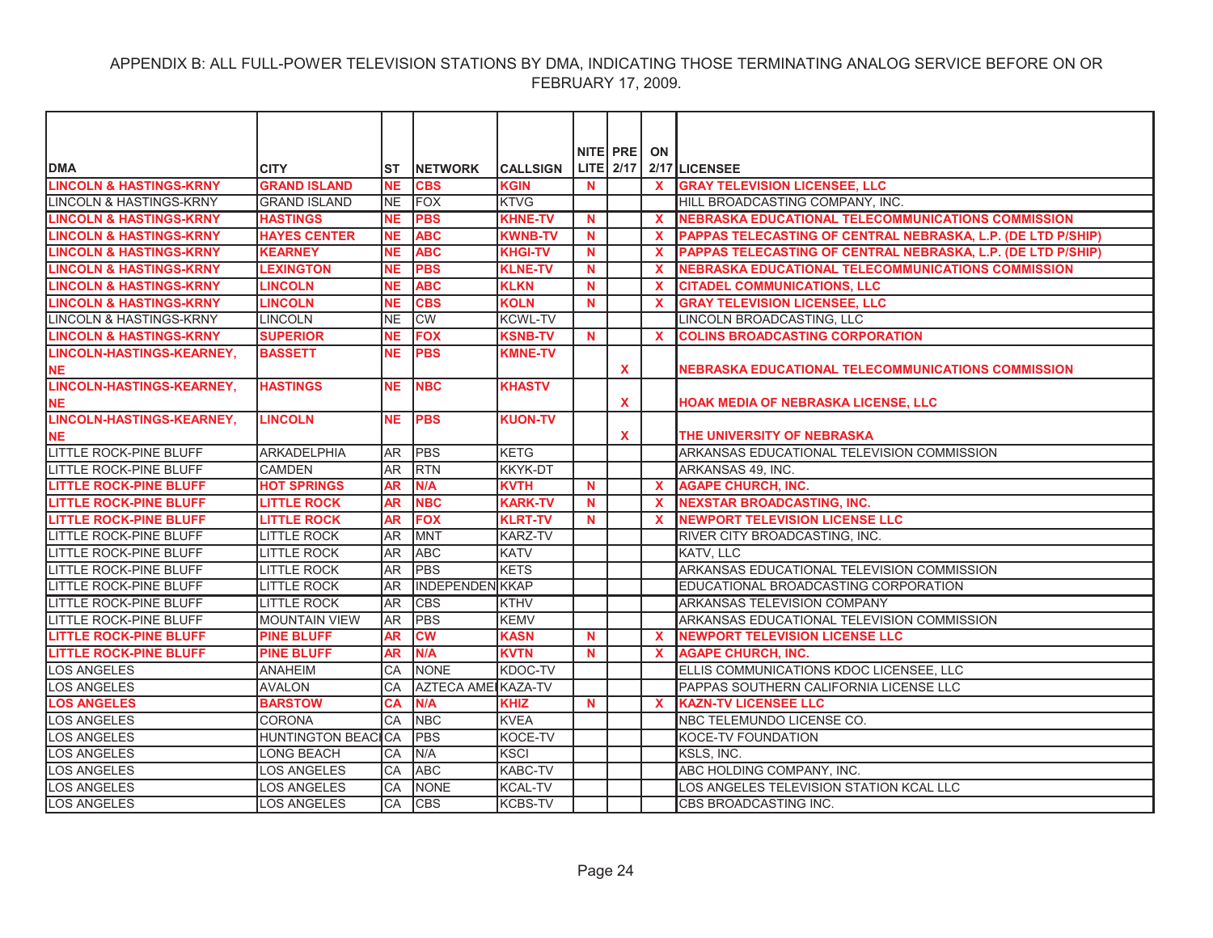|                                    |                      |                |                            |                 |          | NITE PRE     | ON           |                                                              |
|------------------------------------|----------------------|----------------|----------------------------|-----------------|----------|--------------|--------------|--------------------------------------------------------------|
| <b>DMA</b>                         | <b>CITY</b>          | IST            | <b>INETWORK</b>            | <b>CALLSIGN</b> |          | $LITE$ 2/17  |              | 2/17 LICENSEE                                                |
| <b>LINCOLN &amp; HASTINGS-KRNY</b> | <b>GRAND ISLAND</b>  | <b>NE</b>      | <b>CBS</b>                 | <b>KGIN</b>     | N        |              | $\mathbf{x}$ | <b>GRAY TELEVISION LICENSEE, LLC</b>                         |
| <b>LINCOLN &amp; HASTINGS-KRNY</b> | <b>GRAND ISLAND</b>  | <b>NE</b>      | <b>FOX</b>                 | <b>KTVG</b>     |          |              |              | HILL BROADCASTING COMPANY, INC.                              |
| <b>LINCOLN &amp; HASTINGS-KRNY</b> | <b>HASTINGS</b>      | <b>NE</b>      | <b>PBS</b>                 | <b>KHNE-TV</b>  | N        |              | $\mathbf{x}$ | <b>NEBRASKA EDUCATIONAL TELECOMMUNICATIONS COMMISSION</b>    |
| <b>LINCOLN &amp; HASTINGS-KRNY</b> | <b>HAYES CENTER</b>  | <b>NE</b>      | <b>ABC</b>                 | <b>KWNB-TV</b>  | N        |              | $\mathbf{x}$ | PAPPAS TELECASTING OF CENTRAL NEBRASKA, L.P. (DE LTD P/SHIP) |
| <b>LINCOLN &amp; HASTINGS-KRNY</b> | <b>KEARNEY</b>       | <b>NE</b>      | <b>ABC</b>                 | <b>KHGI-TV</b>  | <b>N</b> |              | $\mathbf{x}$ | PAPPAS TELECASTING OF CENTRAL NEBRASKA, L.P. (DE LTD P/SHIP) |
| <b>LINCOLN &amp; HASTINGS-KRNY</b> | <b>LEXINGTON</b>     | <b>NE</b>      | <b>PBS</b>                 | <b>KLNE-TV</b>  | <b>N</b> |              | $\mathbf x$  | <b>NEBRASKA EDUCATIONAL TELECOMMUNICATIONS COMMISSION</b>    |
| <b>LINCOLN &amp; HASTINGS-KRNY</b> | <b>LINCOLN</b>       | <b>NE</b>      | <b>ABC</b>                 | <b>KLKN</b>     | N        |              | $\mathbf x$  | <b>CITADEL COMMUNICATIONS, LLC</b>                           |
| <b>LINCOLN &amp; HASTINGS-KRNY</b> | <b>LINCOLN</b>       | <b>NE</b>      | <b>CBS</b>                 | <b>KOLN</b>     | <b>N</b> |              | X            | <b>GRAY TELEVISION LICENSEE, LLC</b>                         |
| LINCOLN & HASTINGS-KRNY            | <b>LINCOLN</b>       | <b>NE</b>      | <b>CW</b>                  | <b>KCWL-TV</b>  |          |              |              | LINCOLN BROADCASTING, LLC                                    |
| <b>LINCOLN &amp; HASTINGS-KRNY</b> | <b>SUPERIOR</b>      | <b>NE</b>      | <b>FOX</b>                 | <b>KSNB-TV</b>  | <b>N</b> |              | $\mathbf{x}$ | <b>COLINS BROADCASTING CORPORATION</b>                       |
| <b>LINCOLN-HASTINGS-KEARNEY,</b>   | <b>BASSETT</b>       | <b>NE</b>      | <b>PBS</b>                 | <b>KMNE-TV</b>  |          |              |              |                                                              |
| <b>NE</b>                          |                      |                |                            |                 |          | X            |              | NEBRASKA EDUCATIONAL TELECOMMUNICATIONS COMMISSION           |
| <b>LINCOLN-HASTINGS-KEARNEY,</b>   | <b>HASTINGS</b>      | <b>NE</b>      | <b>NBC</b>                 | <b>KHASTV</b>   |          |              |              |                                                              |
| <b>NE</b>                          |                      |                |                            |                 |          | $\mathbf{x}$ |              | HOAK MEDIA OF NEBRASKA LICENSE, LLC                          |
| <b>LINCOLN-HASTINGS-KEARNEY,</b>   | <b>LINCOLN</b>       | <b>NE</b>      | <b>PBS</b>                 | <b>KUON-TV</b>  |          |              |              |                                                              |
| <b>NE</b>                          |                      |                |                            |                 |          | <b>X</b>     |              | THE UNIVERSITY OF NEBRASKA                                   |
| LITTLE ROCK-PINE BLUFF             | <b>ARKADELPHIA</b>   | AR.            | PBS                        | <b>KETG</b>     |          |              |              | ARKANSAS EDUCATIONAL TELEVISION COMMISSION                   |
| <b>LITTLE ROCK-PINE BLUFF</b>      | <b>CAMDEN</b>        | AR.            | <b>IRTN</b>                | <b>KKYK-DT</b>  |          |              |              | ARKANSAS 49, INC.                                            |
| <b>LITTLE ROCK-PINE BLUFF</b>      | <b>HOT SPRINGS</b>   | <b>AR</b>      | N/A                        | <b>KVTH</b>     | <b>N</b> |              | X            | <b>AGAPE CHURCH, INC.</b>                                    |
| <b>LITTLE ROCK-PINE BLUFF</b>      | <b>LITTLE ROCK</b>   | <b>AR</b>      | <b>NBC</b>                 | <b>KARK-TV</b>  | <b>N</b> |              | $\mathbf{x}$ | <b>NEXSTAR BROADCASTING, INC.</b>                            |
| <b>LITTLE ROCK-PINE BLUFF</b>      | <b>LITTLE ROCK</b>   | <b>AR</b>      | <b>FOX</b>                 | <b>KLRT-TV</b>  | N        |              |              | <b>NEWPORT TELEVISION LICENSE LLC</b>                        |
| <b>LITTLE ROCK-PINE BLUFF</b>      | <b>LITTLE ROCK</b>   | AR.            | <b>MNT</b>                 | <b>KARZ-TV</b>  |          |              |              | RIVER CITY BROADCASTING, INC.                                |
| LITTLE ROCK-PINE BLUFF             | <b>LITTLE ROCK</b>   | AR <sup></sup> | <b>ABC</b>                 | <b>KATV</b>     |          |              |              | KATV, LLC                                                    |
| <b>LITTLE ROCK-PINE BLUFF</b>      | <b>LITTLE ROCK</b>   | <b>AR</b>      | <b>PBS</b>                 | <b>KETS</b>     |          |              |              | ARKANSAS EDUCATIONAL TELEVISION COMMISSION                   |
| <b>LITTLE ROCK-PINE BLUFF</b>      | <b>LITTLE ROCK</b>   | <b>AR</b>      | <b>INDEPENDEN KKAP</b>     |                 |          |              |              | EDUCATIONAL BROADCASTING CORPORATION                         |
| <b>LITTLE ROCK-PINE BLUFF</b>      | <b>LITTLE ROCK</b>   | <b>JAR</b>     | <b>CBS</b>                 | <b>KTHV</b>     |          |              |              | <b>ARKANSAS TELEVISION COMPANY</b>                           |
| LITTLE ROCK-PINE BLUFF             | <b>MOUNTAIN VIEW</b> | <b>AR</b>      | <b>PBS</b>                 | <b>KEMV</b>     |          |              |              | ARKANSAS EDUCATIONAL TELEVISION COMMISSION                   |
| <b>LITTLE ROCK-PINE BLUFF</b>      | <b>PINE BLUFF</b>    | <b>AR</b>      | <b>CW</b>                  | <b>KASN</b>     | <b>N</b> |              | X            | <b>NEWPORT TELEVISION LICENSE LLC</b>                        |
| <b>LITTLE ROCK-PINE BLUFF</b>      | <b>PINE BLUFF</b>    | <b>AR</b>      | N/A                        | <b>KVTN</b>     | N        |              | <b>X</b>     | <b>AGAPE CHURCH, INC.</b>                                    |
| <b>LOS ANGELES</b>                 | <b>ANAHEIM</b>       | CA             | <b>NONE</b>                | KDOC-TV         |          |              |              | ELLIS COMMUNICATIONS KDOC LICENSEE, LLC                      |
| <b>LOS ANGELES</b>                 | <b>AVALON</b>        | CA             | <b>AZTECA AMEI KAZA-TV</b> |                 |          |              |              | PAPPAS SOUTHERN CALIFORNIA LICENSE LLC                       |
| <b>LOS ANGELES</b>                 | <b>BARSTOW</b>       | <b>CA</b>      | N/A                        | <b>KHIZ</b>     | <b>N</b> |              | $\mathbf{x}$ | <b>KAZN-TV LICENSEE LLC</b>                                  |
| <b>LOS ANGELES</b>                 | <b>CORONA</b>        | CA             | <b>NBC</b>                 | <b>KVEA</b>     |          |              |              | NBC TELEMUNDO LICENSE CO.                                    |
| <b>LOS ANGELES</b>                 | HUNTINGTON BEACICA   |                | <b>PBS</b>                 | KOCE-TV         |          |              |              | KOCE-TV FOUNDATION                                           |
| <b>LOS ANGELES</b>                 | LONG BEACH           | CA             | N/A                        | <b>KSCI</b>     |          |              |              | KSLS. INC.                                                   |
| <b>LOS ANGELES</b>                 | <b>LOS ANGELES</b>   | CA             | <b>ABC</b>                 | <b>KABC-TV</b>  |          |              |              | ABC HOLDING COMPANY, INC.                                    |
| <b>LOS ANGELES</b>                 | LOS ANGELES          | <b>CA</b>      | <b>NONE</b>                | <b>KCAL-TV</b>  |          |              |              | LOS ANGELES TELEVISION STATION KCAL LLC                      |
|                                    |                      |                |                            |                 |          |              |              |                                                              |
| <b>LOS ANGELES</b>                 | <b>LOS ANGELES</b>   | <b>CA</b>      | <b>CBS</b>                 | <b>KCBS-TV</b>  |          |              |              | CBS BROADCASTING INC.                                        |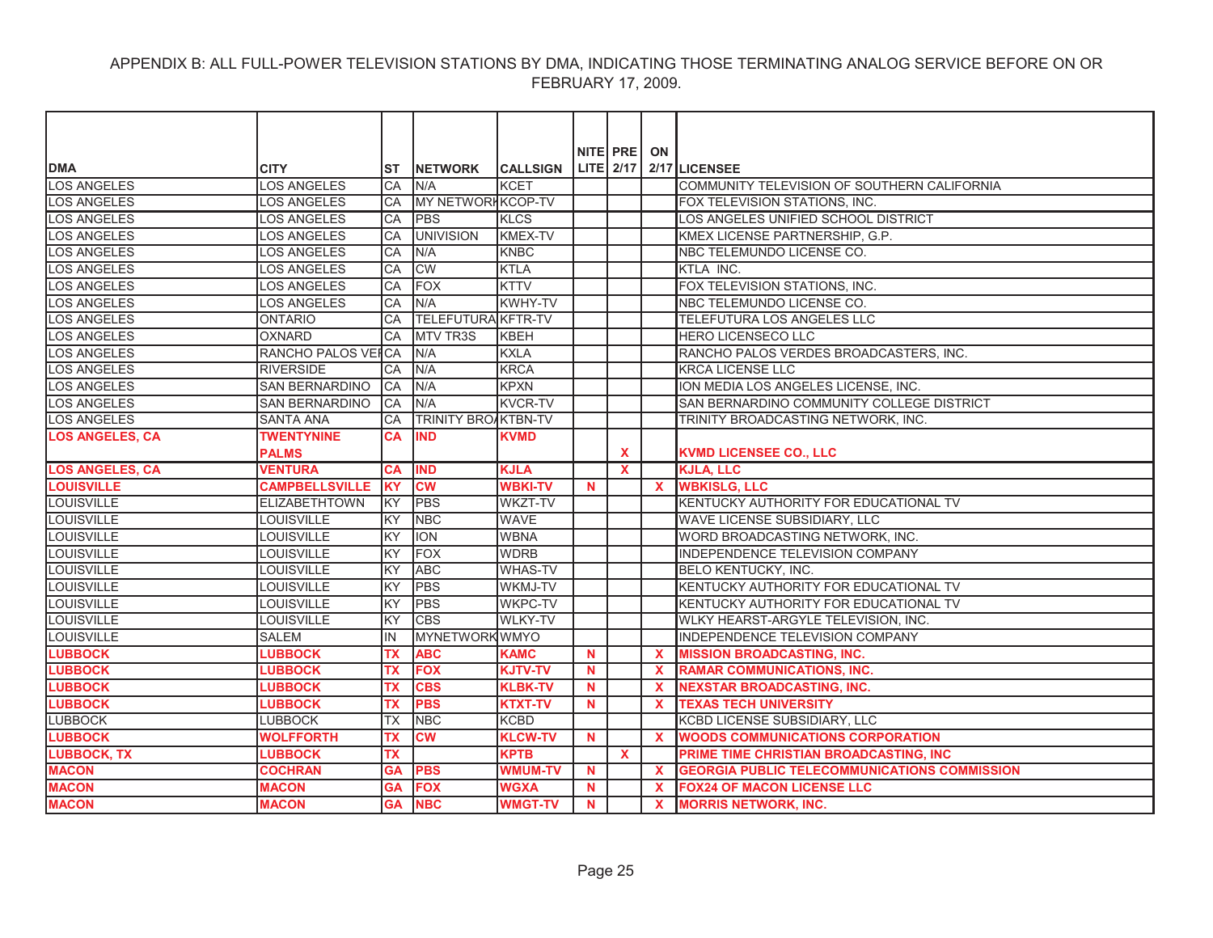| <b>DMA</b>             | <b>CITY</b>           | <b>ST</b> | <b>INETWORK</b>        | <b>CALLSIGN</b> |          | NITE PRE<br>LITE 2/17 | ON           | 2/17 LICENSEE                                       |
|------------------------|-----------------------|-----------|------------------------|-----------------|----------|-----------------------|--------------|-----------------------------------------------------|
| <b>LOS ANGELES</b>     | <b>LOS ANGELES</b>    | CA        | N/A                    | <b>KCET</b>     |          |                       |              | COMMUNITY TELEVISION OF SOUTHERN CALIFORNIA         |
| <b>LOS ANGELES</b>     | <b>LOS ANGELES</b>    | CA        | MY NETWORK KCOP-TV     |                 |          |                       |              | FOX TELEVISION STATIONS, INC.                       |
| <b>LOS ANGELES</b>     | <b>LOS ANGELES</b>    | CA        | <b>PBS</b>             | <b>KLCS</b>     |          |                       |              | LOS ANGELES UNIFIED SCHOOL DISTRICT                 |
| <b>LOS ANGELES</b>     | LOS ANGELES           | CA        | <b>UNIVISION</b>       | <b>KMEX-TV</b>  |          |                       |              | KMEX LICENSE PARTNERSHIP, G.P.                      |
| <b>LOS ANGELES</b>     | <b>LOS ANGELES</b>    | <b>CA</b> | N/A                    | KNBC            |          |                       |              | NBC TELEMUNDO LICENSE CO.                           |
| <b>LOS ANGELES</b>     | <b>LOS ANGELES</b>    | CA        | <b>CW</b>              | <b>KTLA</b>     |          |                       |              | KTLA INC.                                           |
| <b>LOS ANGELES</b>     | <b>LOS ANGELES</b>    | CA        | <b>FOX</b>             | <b>KTTV</b>     |          |                       |              | FOX TELEVISION STATIONS, INC.                       |
| <b>LOS ANGELES</b>     | LOS ANGELES           | CA        | N/A                    | <b>KWHY-TV</b>  |          |                       |              | NBC TELEMUNDO LICENSE CO.                           |
| <b>LOS ANGELES</b>     | <b>ONTARIO</b>        | CA        | TELEFUTURA KFTR-TV     |                 |          |                       |              | TELEFUTURA LOS ANGELES LLC                          |
| <b>LOS ANGELES</b>     | <b>OXNARD</b>         | CA        | <b>MTV TR3S</b>        | <b>KBEH</b>     |          |                       |              | HERO LICENSECO LLC                                  |
| <b>LOS ANGELES</b>     | RANCHO PALOS VEI CA   |           | N/A                    | <b>KXLA</b>     |          |                       |              | RANCHO PALOS VERDES BROADCASTERS, INC.              |
| <b>LOS ANGELES</b>     | <b>RIVERSIDE</b>      | CA        | N/A                    | <b>KRCA</b>     |          |                       |              | <b>KRCA LICENSE LLC</b>                             |
| <b>LOS ANGELES</b>     | SAN BERNARDINO        | CA        | N/A                    | <b>KPXN</b>     |          |                       |              | ION MEDIA LOS ANGELES LICENSE, INC.                 |
| <b>LOS ANGELES</b>     | SAN BERNARDINO        | CA        | N/A                    | <b>KVCR-TV</b>  |          |                       |              | SAN BERNARDINO COMMUNITY COLLEGE DISTRICT           |
| <b>LOS ANGELES</b>     | <b>SANTA ANA</b>      | CA        | TRINITY BROAKTBN-TV    |                 |          |                       |              | TRINITY BROADCASTING NETWORK, INC.                  |
| <b>LOS ANGELES, CA</b> | <b>TWENTYNINE</b>     | <b>CA</b> | <b>IND</b>             | <b>KVMD</b>     |          |                       |              |                                                     |
|                        | <b>PALMS</b>          |           |                        |                 |          | <b>X</b>              |              | <b>KVMD LICENSEE CO., LLC</b>                       |
| <b>LOS ANGELES, CA</b> | <b>VENTURA</b>        | <b>CA</b> | <b>IND</b>             | <b>KJLA</b>     |          | $\mathbf{x}$          |              | <b>KJLA, LLC</b>                                    |
| <b>LOUISVILLE</b>      | <b>CAMPBELLSVILLE</b> | <b>KY</b> | <b>CW</b>              | <b>WBKI-TV</b>  | <b>N</b> |                       | $\mathbf{x}$ | <b>WBKISLG, LLC</b>                                 |
| LOUISVILLE             | <b>ELIZABETHTOWN</b>  | KY        | <b>PBS</b>             | <b>WKZT-TV</b>  |          |                       |              | KENTUCKY AUTHORITY FOR EDUCATIONAL TV               |
| LOUISVILLE             | <b>LOUISVILLE</b>     | KY        | <b>NBC</b>             | <b>WAVE</b>     |          |                       |              | WAVE LICENSE SUBSIDIARY, LLC                        |
| <b>LOUISVILLE</b>      | <b>LOUISVILLE</b>     | KY        | <b>ION</b>             | <b>WBNA</b>     |          |                       |              | WORD BROADCASTING NETWORK, INC.                     |
| <b>LOUISVILLE</b>      | <b>LOUISVILLE</b>     | KY        | <b>FOX</b>             | <b>WDRB</b>     |          |                       |              | INDEPENDENCE TELEVISION COMPANY                     |
| <b>LOUISVILLE</b>      | LOUISVILLE            | lĸy       | <b>ABC</b>             | <b>WHAS-TV</b>  |          |                       |              | <b>BELO KENTUCKY, INC.</b>                          |
| <b>LOUISVILLE</b>      | <b>LOUISVILLE</b>     | KY        | <b>PBS</b>             | <b>WKMJ-TV</b>  |          |                       |              | KENTUCKY AUTHORITY FOR EDUCATIONAL TV               |
| LOUISVILLE             | <b>LOUISVILLE</b>     | KY        | <b>PBS</b>             | <b>WKPC-TV</b>  |          |                       |              | KENTUCKY AUTHORITY FOR EDUCATIONAL TV               |
| LOUISVILLE             | <b>LOUISVILLE</b>     | KY        | <b>CBS</b>             | <b>WLKY-TV</b>  |          |                       |              | WLKY HEARST-ARGYLE TELEVISION, INC.                 |
| <b>LOUISVILLE</b>      | <b>SALEM</b>          | IN        | <b>MYNETWORKWMYO</b>   |                 |          |                       |              | INDEPENDENCE TELEVISION COMPANY                     |
| <b>LUBBOCK</b>         | <b>LUBBOCK</b>        | <b>TX</b> | <b>ABC</b>             | <b>KAMC</b>     | <b>N</b> |                       | $\mathbf{x}$ | <b>MISSION BROADCASTING, INC.</b>                   |
| <b>LUBBOCK</b>         | <b>LUBBOCK</b>        | ТX        | <b>FOX</b>             | <b>KJTV-TV</b>  | N        |                       | $\mathbf x$  | <b>RAMAR COMMUNICATIONS, INC.</b>                   |
| <b>LUBBOCK</b>         | <b>LUBBOCK</b>        | ТX        | <b>CBS</b>             | <b>KLBK-TV</b>  | N        |                       | $\mathbf x$  | <b>NEXSTAR BROADCASTING, INC.</b>                   |
| <b>LUBBOCK</b>         | <b>LUBBOCK</b>        | <b>TX</b> | <b>PBS</b>             | <b>KTXT-TV</b>  | N        |                       | $\mathbf x$  | <b>TEXAS TECH UNIVERSITY</b>                        |
| <b>LUBBOCK</b>         | <b>LUBBOCK</b>        | <b>TX</b> | <b>NBC</b>             | <b>KCBD</b>     |          |                       |              | KCBD LICENSE SUBSIDIARY, LLC                        |
| <b>LUBBOCK</b>         | <b>WOLFFORTH</b>      | <b>TX</b> | $\overline{\text{cw}}$ | <b>KLCW-TV</b>  | <b>N</b> |                       | $\mathbf{x}$ | <b>WOODS COMMUNICATIONS CORPORATION</b>             |
| <b>LUBBOCK, TX</b>     | <b>LUBBOCK</b>        | <b>TX</b> |                        | <b>KPTB</b>     |          | $\mathbf{x}$          |              | PRIME TIME CHRISTIAN BROADCASTING, INC              |
| <b>MACON</b>           | <b>COCHRAN</b>        | <b>GA</b> | <b>PBS</b>             | <b>WMUM-TV</b>  | N        |                       | $\mathbf x$  | <b>GEORGIA PUBLIC TELECOMMUNICATIONS COMMISSION</b> |
| <b>MACON</b>           | <b>MACON</b>          | GΑ        | <b>FOX</b>             | <b>WGXA</b>     | N.       |                       | $\mathbf x$  | <b>FOX24 OF MACON LICENSE LLC</b>                   |
| <b>MACON</b>           | <b>MACON</b>          | <b>GA</b> | <b>NBC</b>             | <b>WMGT-TV</b>  | N        |                       | $\mathbf{x}$ | <b>MORRIS NETWORK, INC.</b>                         |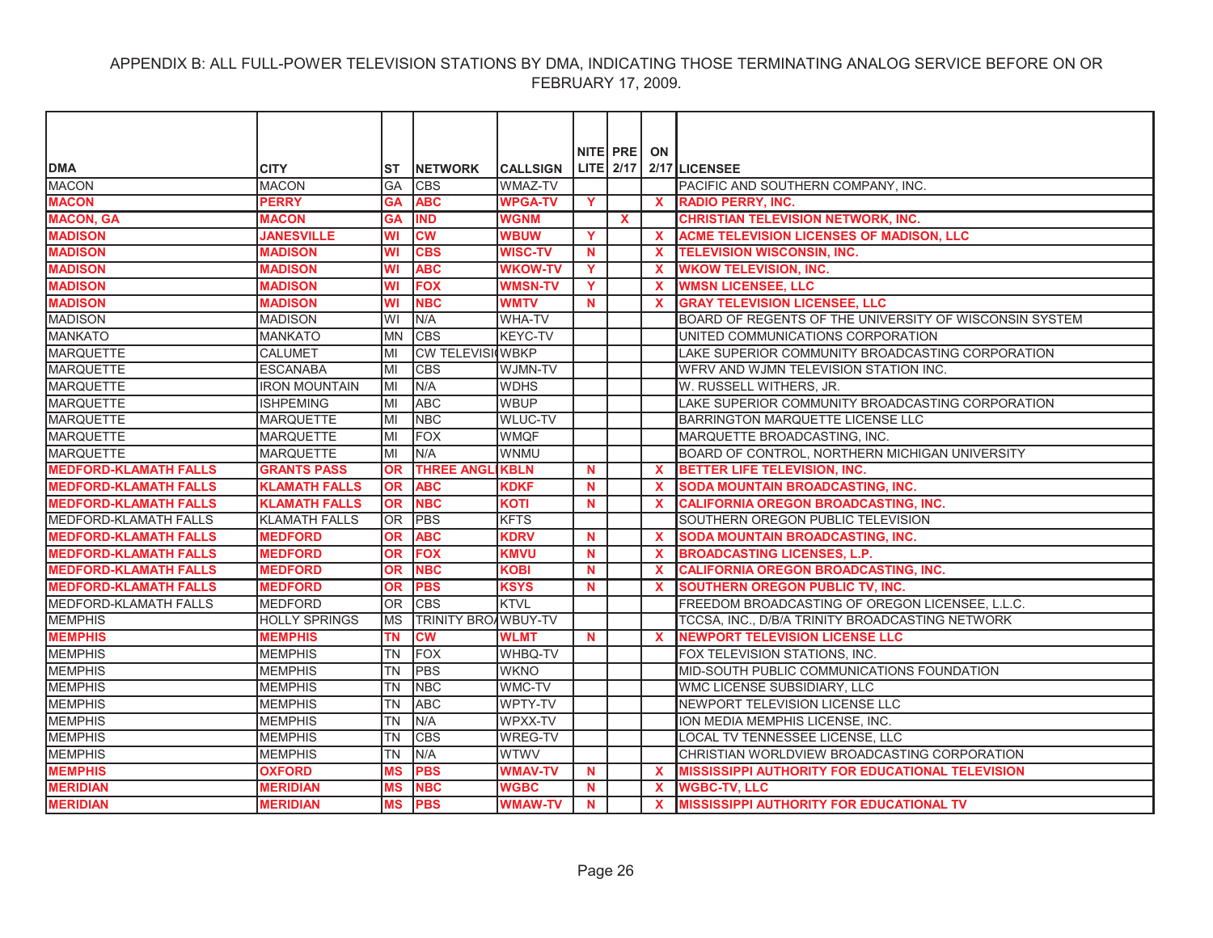|                              |                      |           |                            |                 |             | NITE PRE    | ON                        |                                                         |
|------------------------------|----------------------|-----------|----------------------------|-----------------|-------------|-------------|---------------------------|---------------------------------------------------------|
| <b>DMA</b>                   | <b>CITY</b>          | ST        | <b>NETWORK</b>             | <b>CALLSIGN</b> |             | $LITE$ 2/17 |                           | 2/17 LICENSEE                                           |
| <b>MACON</b>                 | <b>MACON</b>         | <b>GA</b> | <b>CBS</b>                 | WMAZ-TV         |             |             |                           | PACIFIC AND SOUTHERN COMPANY, INC.                      |
| <b>MACON</b>                 | <b>PERRY</b>         | <b>GA</b> | <b>ABC</b>                 | <b>WPGA-TV</b>  | Y           |             | $\mathbf{x}$              | <b>RADIO PERRY, INC.</b>                                |
| <b>MACON, GA</b>             | <b>MACON</b>         | <b>GA</b> | <b>IND</b>                 | <b>WGNM</b>     |             | <b>X</b>    |                           | <b>CHRISTIAN TELEVISION NETWORK, INC.</b>               |
| <b>MADISON</b>               | <b>JANESVILLE</b>    | <b>WI</b> | <b>CW</b>                  | <b>WBUW</b>     | Y           |             | $\mathbf{x}$              | ACME TELEVISION LICENSES OF MADISON, LLC                |
| <b>MADISON</b>               | <b>MADISON</b>       | <b>WI</b> | <b>CBS</b>                 | <b>WISC-TV</b>  | $\mathbf N$ |             | $\mathbf{x}$              | <b>TELEVISION WISCONSIN. INC.</b>                       |
| <b>MADISON</b>               | <b>MADISON</b>       | <b>WI</b> | <b>ABC</b>                 | <b>WKOW-TV</b>  | Y.          |             | $\mathbf{x}$              | <b>WKOW TELEVISION, INC.</b>                            |
| <b>MADISON</b>               | <b>MADISON</b>       | <b>WI</b> | <b>FOX</b>                 | <b>WMSN-TV</b>  | Y           |             | $\boldsymbol{\mathsf{x}}$ | <b>WMSN LICENSEE, LLC</b>                               |
| <b>MADISON</b>               | <b>MADISON</b>       | WI        | <b>NBC</b>                 | <b>WMTV</b>     | <b>N</b>    |             | $\mathbf x$               | <b>GRAY TELEVISION LICENSEE, LLC</b>                    |
| <b>MADISON</b>               | <b>MADISON</b>       | WI        | N/A                        | <b>WHA-TV</b>   |             |             |                           | BOARD OF REGENTS OF THE UNIVERSITY OF WISCONSIN SYSTEM  |
| <b>MANKATO</b>               | <b>MANKATO</b>       | <b>MN</b> | <b>CBS</b>                 | KEYC-TV         |             |             |                           | UNITED COMMUNICATIONS CORPORATION                       |
| <b>MARQUETTE</b>             | <b>CALUMET</b>       | MI        | <b>CW TELEVISIOWBKP</b>    |                 |             |             |                           | LAKE SUPERIOR COMMUNITY BROADCASTING CORPORATION        |
| <b>MARQUETTE</b>             | <b>ESCANABA</b>      | MI        | <b>CBS</b>                 | WJMN-TV         |             |             |                           | WFRV AND WJMN TELEVISION STATION INC.                   |
| <b>MARQUETTE</b>             | <b>IRON MOUNTAIN</b> | lмı       | N/A                        | <b>WDHS</b>     |             |             |                           | W. RUSSELL WITHERS, JR.                                 |
| <b>MARQUETTE</b>             | <b>ISHPEMING</b>     | MI        | <b>ABC</b>                 | <b>WBUP</b>     |             |             |                           | LAKE SUPERIOR COMMUNITY BROADCASTING CORPORATION        |
| <b>MARQUETTE</b>             | <b>MARQUETTE</b>     | MI        | <b>NBC</b>                 | <b>WLUC-TV</b>  |             |             |                           | BARRINGTON MARQUETTE LICENSE LLC                        |
| <b>MARQUETTE</b>             | <b>MARQUETTE</b>     | MI        | <b>FOX</b>                 | <b>WMQF</b>     |             |             |                           | MARQUETTE BROADCASTING, INC.                            |
| <b>MARQUETTE</b>             | <b>MARQUETTE</b>     | MI        | N/A                        | <b>WNMU</b>     |             |             |                           | BOARD OF CONTROL, NORTHERN MICHIGAN UNIVERSITY          |
| <b>MEDFORD-KLAMATH FALLS</b> | <b>GRANTS PASS</b>   | <b>OR</b> | <b>THREE ANGL</b>          | <b>IKBLN</b>    | $\mathbf N$ |             | $\mathbf{x}$              | BETTER LIFE TELEVISION, INC.                            |
| <b>MEDFORD-KLAMATH FALLS</b> | <b>KLAMATH FALLS</b> | OR        | <b>ABC</b>                 | <b>KDKF</b>     | <b>N</b>    |             | $\mathbf x$               | SODA MOUNTAIN BROADCASTING, INC.                        |
| <b>MEDFORD-KLAMATH FALLS</b> | <b>KLAMATH FALLS</b> | <b>OR</b> | <b>NBC</b>                 | <b>KOTI</b>     | N           |             | $\mathbf{x}$              | <b>CALIFORNIA OREGON BROADCASTING, INC.</b>             |
| <b>MEDFORD-KLAMATH FALLS</b> | <b>KLAMATH FALLS</b> | <b>OR</b> | <b>PBS</b>                 | <b>KFTS</b>     |             |             |                           | SOUTHERN OREGON PUBLIC TELEVISION                       |
| <b>MEDFORD-KLAMATH FALLS</b> | <b>MEDFORD</b>       | <b>OR</b> | <b>ABC</b>                 | <b>KDRV</b>     | <b>N</b>    |             | $\mathbf{x}$              | <b>SODA MOUNTAIN BROADCASTING, INC.</b>                 |
| <b>MEDFORD-KLAMATH FALLS</b> | <b>MEDFORD</b>       | <b>OR</b> | <b>FOX</b>                 | <b>KMVU</b>     | $\mathbf N$ |             | $\mathbf{x}$              | <b>BROADCASTING LICENSES, L.P.</b>                      |
| <b>MEDFORD-KLAMATH FALLS</b> | <b>MEDFORD</b>       | <b>OR</b> | <b>NBC</b>                 | <b>KOBI</b>     | N           |             | $\mathbf{x}$              | <b>CALIFORNIA OREGON BROADCASTING, INC.</b>             |
| <b>MEDFORD-KLAMATH FALLS</b> | <b>MEDFORD</b>       | <b>OR</b> | <b>PBS</b>                 | <b>KSYS</b>     | N           |             | $\mathbf{x}$              | SOUTHERN OREGON PUBLIC TV, INC.                         |
| <b>MEDFORD-KLAMATH FALLS</b> | <b>MEDFORD</b>       | <b>OR</b> | <b>CBS</b>                 | KTVL            |             |             |                           | FREEDOM BROADCASTING OF OREGON LICENSEE, L.L.C.         |
| <b>MEMPHIS</b>               | <b>HOLLY SPRINGS</b> | <b>MS</b> | <b>TRINITY BROAWBUY-TV</b> |                 |             |             |                           | TCCSA, INC., D/B/A TRINITY BROADCASTING NETWORK         |
| <b>MEMPHIS</b>               | <b>MEMPHIS</b>       | ΤN        | <b>CM</b>                  | <b>WLMT</b>     | $\mathbf N$ |             | $\mathbf{x}$              | <b>NEWPORT TELEVISION LICENSE LLC</b>                   |
| <b>MEMPHIS</b>               | <b>MEMPHIS</b>       | <b>TN</b> | <b>FOX</b>                 | <b>WHBQ-TV</b>  |             |             |                           | FOX TELEVISION STATIONS, INC.                           |
| <b>MEMPHIS</b>               | <b>MEMPHIS</b>       | <b>TN</b> | PBS                        | <b>WKNO</b>     |             |             |                           | MID-SOUTH PUBLIC COMMUNICATIONS FOUNDATION              |
| <b>MEMPHIS</b>               | <b>MEMPHIS</b>       | <b>TN</b> | <b>NBC</b>                 | <b>WMC-TV</b>   |             |             |                           | WMC LICENSE SUBSIDIARY, LLC                             |
| <b>MEMPHIS</b>               | <b>MEMPHIS</b>       | <b>TN</b> | <b>ABC</b>                 | WPTY-TV         |             |             |                           | NEWPORT TELEVISION LICENSE LLC                          |
| <b>MEMPHIS</b>               | <b>MEMPHIS</b>       | <b>TN</b> | N/A                        | WPXX-TV         |             |             |                           | ION MEDIA MEMPHIS LICENSE, INC.                         |
| <b>MEMPHIS</b>               | <b>MEMPHIS</b>       | <b>TN</b> | <b>CBS</b>                 | <b>WREG-TV</b>  |             |             |                           | LOCAL TV TENNESSEE LICENSE, LLC                         |
| <b>MEMPHIS</b>               | <b>MEMPHIS</b>       | <b>TN</b> | N/A                        | <b>WTWV</b>     |             |             |                           | CHRISTIAN WORLDVIEW BROADCASTING CORPORATION            |
| <b>MEMPHIS</b>               | <b>OXFORD</b>        | MS        | <b>PBS</b>                 | <b>WMAV-TV</b>  | N           |             | $\mathbf x$               | <b>MISSISSIPPI AUTHORITY FOR EDUCATIONAL TELEVISION</b> |
| <b>MERIDIAN</b>              | <b>MERIDIAN</b>      | <b>MS</b> | <b>NBC</b>                 | <b>WGBC</b>     | N.          |             | $\mathbf{x}$              | <b>WGBC-TV, LLC</b>                                     |
| <b>MERIDIAN</b>              | <b>MERIDIAN</b>      | <b>MS</b> | <b>PBS</b>                 | <b>WMAW-TV</b>  | <b>N</b>    |             | $\mathbf{x}$              | <b>MISSISSIPPI AUTHORITY FOR EDUCATIONAL TV</b>         |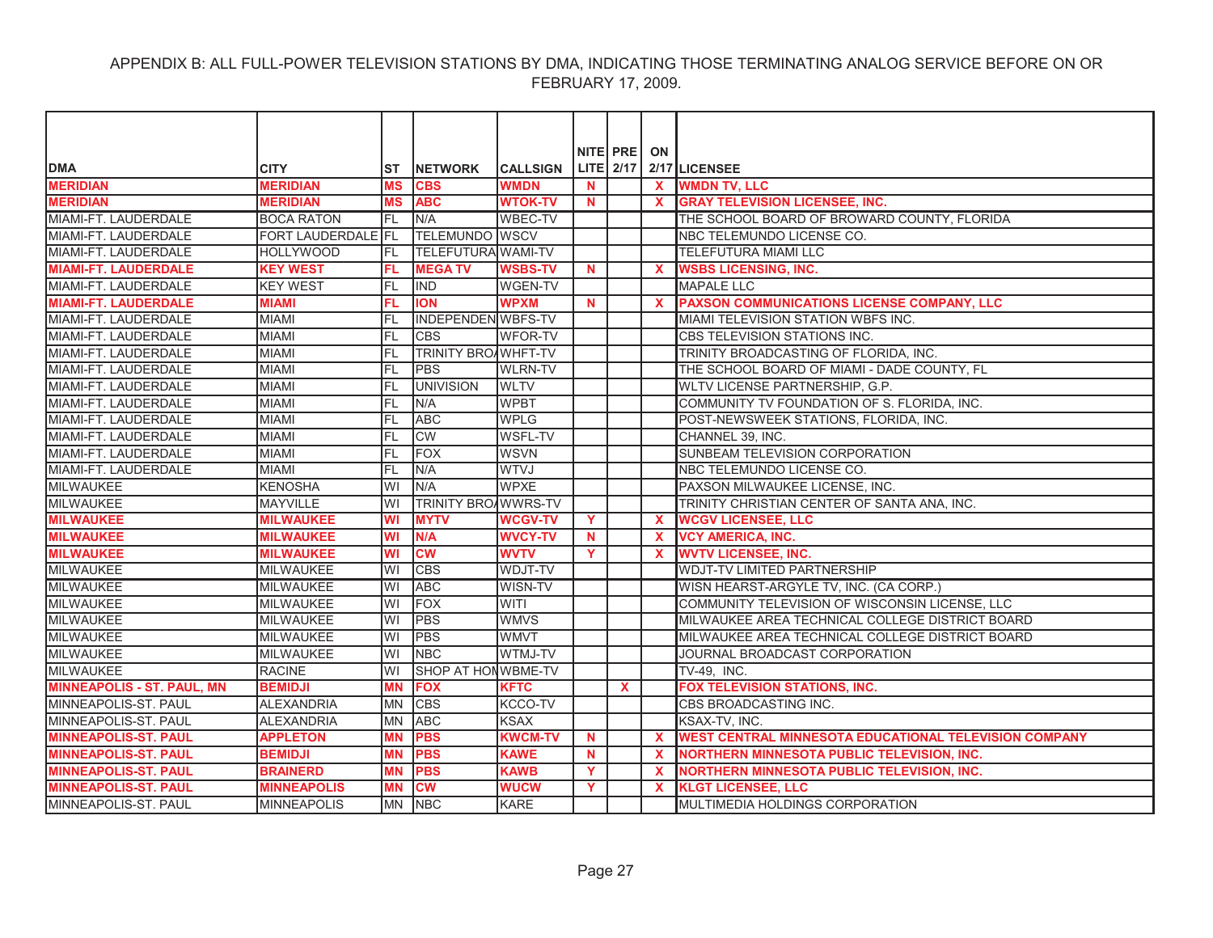|                                   |                           |           |                            |                 |          | NITE PRE  | ON                        |                                                       |
|-----------------------------------|---------------------------|-----------|----------------------------|-----------------|----------|-----------|---------------------------|-------------------------------------------------------|
| <b>DMA</b>                        | <b>CITY</b>               | ST        | <b>INETWORK</b>            | <b>CALLSIGN</b> |          | LITE 2/17 |                           | 2/17 LICENSEE                                         |
| <b>MERIDIAN</b>                   | <b>MERIDIAN</b>           | <b>MS</b> | <b>CBS</b>                 | <b>WMDN</b>     | N        |           | $\mathbf{x}$              | <b>WMDN TV, LLC</b>                                   |
| <b>MERIDIAN</b>                   | <b>MERIDIAN</b>           | <b>MS</b> | <b>ABC</b>                 | <b>WTOK-TV</b>  | <b>N</b> |           |                           | <b>GRAY TELEVISION LICENSEE, INC.</b>                 |
| MIAMI-FT. LAUDERDALE              | <b>BOCA RATON</b>         | FL        | N/A                        | <b>WBEC-TV</b>  |          |           |                           | THE SCHOOL BOARD OF BROWARD COUNTY, FLORIDA           |
| MIAMI-FT. LAUDERDALE              | <b>FORT LAUDERDALE FL</b> |           | <b>TELEMUNDO WSCV</b>      |                 |          |           |                           | NBC TELEMUNDO LICENSE CO.                             |
| MIAMI-FT. LAUDERDALE              | <b>HOLLYWOOD</b>          | IFL       | <b>TELEFUTURA WAMI-TV</b>  |                 |          |           |                           | TELEFUTURA MIAMI LLC                                  |
| <b>MIAMI-FT. LAUDERDALE</b>       | <b>KEY WEST</b>           | FL.       | <b>MEGATV</b>              | <b>WSBS-TV</b>  | N.       |           | $\mathbf{x}$              | <b>WSBS LICENSING, INC.</b>                           |
| MIAMI-FT. LAUDERDALE              | <b>KEY WEST</b>           | IfL       | <b>IND</b>                 | <b>WGEN-TV</b>  |          |           |                           | <b>MAPALE LLC</b>                                     |
| <b>MIAMI-FT. LAUDERDALE</b>       | <b>MIAMI</b>              | FL.       | <b>ION</b>                 | <b>WPXM</b>     | N        |           | $\mathbf{x}$              | PAXSON COMMUNICATIONS LICENSE COMPANY, LLC            |
| MIAMI-FT. LAUDERDALE              | <b>MIAMI</b>              | <b>FL</b> | INDEPENDEN WBFS-TV         |                 |          |           |                           | <b>MIAMI TELEVISION STATION WBFS INC.</b>             |
| MIAMI-FT. LAUDERDALE              | <b>MIAMI</b>              | <b>FL</b> | <b>CBS</b>                 | <b>WFOR-TV</b>  |          |           |                           | CBS TELEVISION STATIONS INC.                          |
| MIAMI-FT. LAUDERDALE              | <b>MIAMI</b>              | FL        | <b>TRINITY BROAWHFT-TV</b> |                 |          |           |                           | TRINITY BROADCASTING OF FLORIDA, INC.                 |
| MIAMI-FT. LAUDERDALE              | <b>MIAMI</b>              | <b>FL</b> | PBS                        | <b>WLRN-TV</b>  |          |           |                           | THE SCHOOL BOARD OF MIAMI - DADE COUNTY, FL           |
| MIAMI-FT. LAUDERDALE              | <b>MIAMI</b>              | FL        | <b>UNIVISION</b>           | <b>WLTV</b>     |          |           |                           | WLTV LICENSE PARTNERSHIP, G.P.                        |
| MIAMI-FT. LAUDERDALE              | MIAMI                     | <b>FL</b> | N/A                        | <b>WPBT</b>     |          |           |                           | COMMUNITY TV FOUNDATION OF S. FLORIDA, INC.           |
| MIAMI-FT. LAUDERDALE              | <b>MIAMI</b>              | <b>FL</b> | <b>ABC</b>                 | <b>WPLG</b>     |          |           |                           | POST-NEWSWEEK STATIONS, FLORIDA, INC.                 |
| MIAMI-FT. LAUDERDALE              | <b>MIAMI</b>              | <b>FL</b> | <b>CW</b>                  | <b>WSFL-TV</b>  |          |           |                           | CHANNEL 39, INC.                                      |
| MIAMI-FT. LAUDERDALE              | <b>MIAMI</b>              | <b>FL</b> | <b>FOX</b>                 | <b>WSVN</b>     |          |           |                           | SUNBEAM TELEVISION CORPORATION                        |
| MIAMI-FT. LAUDERDALE              | <b>MIAMI</b>              | <b>FL</b> | N/A                        | <b>WTVJ</b>     |          |           |                           | NBC TELEMUNDO LICENSE CO.                             |
| <b>MILWAUKEE</b>                  | <b>KENOSHA</b>            | WI        | N/A                        | <b>WPXE</b>     |          |           |                           | PAXSON MILWAUKEE LICENSE, INC.                        |
| <b>MILWAUKEE</b>                  | <b>MAYVILLE</b>           | WI        | <b>TRINITY BROAWWRS-TV</b> |                 |          |           |                           | TRINITY CHRISTIAN CENTER OF SANTA ANA, INC.           |
| <b>MILWAUKEE</b>                  | <b>MILWAUKEE</b>          | WI        | <b>MYTV</b>                | <b>WCGV-TV</b>  | Y        |           | $\mathbf x$               | <b>WCGV LICENSEE, LLC</b>                             |
| <b>MILWAUKEE</b>                  | <b>MILWAUKEE</b>          | WI        | N/A                        | <b>WVCY-TV</b>  | N.       |           | X.                        | <b>VCY AMERICA, INC.</b>                              |
| <b>MILWAUKEE</b>                  | <b>MILWAUKEE</b>          | <b>WI</b> | <b>CW</b>                  | <b>WVTV</b>     | Y        |           | $\mathbf x$               | <b>WVTV LICENSEE, INC.</b>                            |
| <b>MILWAUKEE</b>                  | <b>MILWAUKEE</b>          | WI        | <b>CBS</b>                 | <b>WDJT-TV</b>  |          |           |                           | <b>WDJT-TV LIMITED PARTNERSHIP</b>                    |
| <b>MILWAUKEE</b>                  | <b>MILWAUKEE</b>          | WI        | <b>ABC</b>                 | WISN-TV         |          |           |                           | WISN HEARST-ARGYLE TV, INC. (CA CORP.)                |
| <b>MILWAUKEE</b>                  | <b>MILWAUKEE</b>          | WI        | <b>FOX</b>                 | <b>WITI</b>     |          |           |                           | COMMUNITY TELEVISION OF WISCONSIN LICENSE, LLC        |
| <b>MILWAUKEE</b>                  | <b>MILWAUKEE</b>          | WI        | <b>PBS</b>                 | <b>WMVS</b>     |          |           |                           | MILWAUKEE AREA TECHNICAL COLLEGE DISTRICT BOARD       |
| <b>MILWAUKEE</b>                  | <b>MILWAUKEE</b>          | WI        | <b>PBS</b>                 | <b>WMVT</b>     |          |           |                           | MILWAUKEE AREA TECHNICAL COLLEGE DISTRICT BOARD       |
| <b>MILWAUKEE</b>                  | <b>MILWAUKEE</b>          | WI        | <b>NBC</b>                 | WTMJ-TV         |          |           |                           | JOURNAL BROADCAST CORPORATION                         |
| <b>MILWAUKEE</b>                  | <b>RACINE</b>             | WI        | <b>SHOP AT HONWBME-TV</b>  |                 |          |           |                           | TV-49, INC.                                           |
| <b>MINNEAPOLIS - ST. PAUL, MN</b> | <b>BEMIDJI</b>            | <b>MN</b> | <b>FOX</b>                 | <b>KFTC</b>     |          | X         |                           | FOX TELEVISION STATIONS, INC.                         |
| <b>MINNEAPOLIS-ST. PAUL</b>       | <b>ALEXANDRIA</b>         | <b>MN</b> | <b>CBS</b>                 | <b>KCCO-TV</b>  |          |           |                           | CBS BROADCASTING INC.                                 |
| MINNEAPOLIS-ST. PAUL              | <b>ALEXANDRIA</b>         | MN        | <b>ABC</b>                 | <b>KSAX</b>     |          |           |                           | KSAX-TV, INC.                                         |
| <b>MINNEAPOLIS-ST. PAUL</b>       | <b>APPLETON</b>           | <b>MN</b> | <b>PBS</b>                 | <b>KWCM-TV</b>  | N.       |           | $\mathbf x$               | WEST CENTRAL MINNESOTA EDUCATIONAL TELEVISION COMPANY |
| <b>MINNEAPOLIS-ST. PAUL</b>       | <b>BEMIDJI</b>            | <b>MN</b> | <b>PBS</b>                 | <b>KAWE</b>     | N        |           | $\boldsymbol{\mathsf{x}}$ | <b>NORTHERN MINNESOTA PUBLIC TELEVISION, INC.</b>     |
| <b>MINNEAPOLIS-ST, PAUL</b>       | <b>BRAINERD</b>           | ΜN        | <b>PBS</b>                 | <b>KAWB</b>     | Y        |           | $\mathbf x$               | <b>NORTHERN MINNESOTA PUBLIC TELEVISION, INC.</b>     |
| <b>MINNEAPOLIS-ST. PAUL</b>       | <b>MINNEAPOLIS</b>        | <b>MN</b> | cw                         | <b>WUCW</b>     | Y        |           | $\mathbf x$               | <b>KLGT LICENSEE, LLC</b>                             |
| MINNEAPOLIS-ST. PAUL              | <b>MINNEAPOLIS</b>        | <b>MN</b> | <b>NBC</b>                 | <b>KARE</b>     |          |           |                           | <b>IMULTIMEDIA HOLDINGS CORPORATION</b>               |
|                                   |                           |           |                            |                 |          |           |                           |                                                       |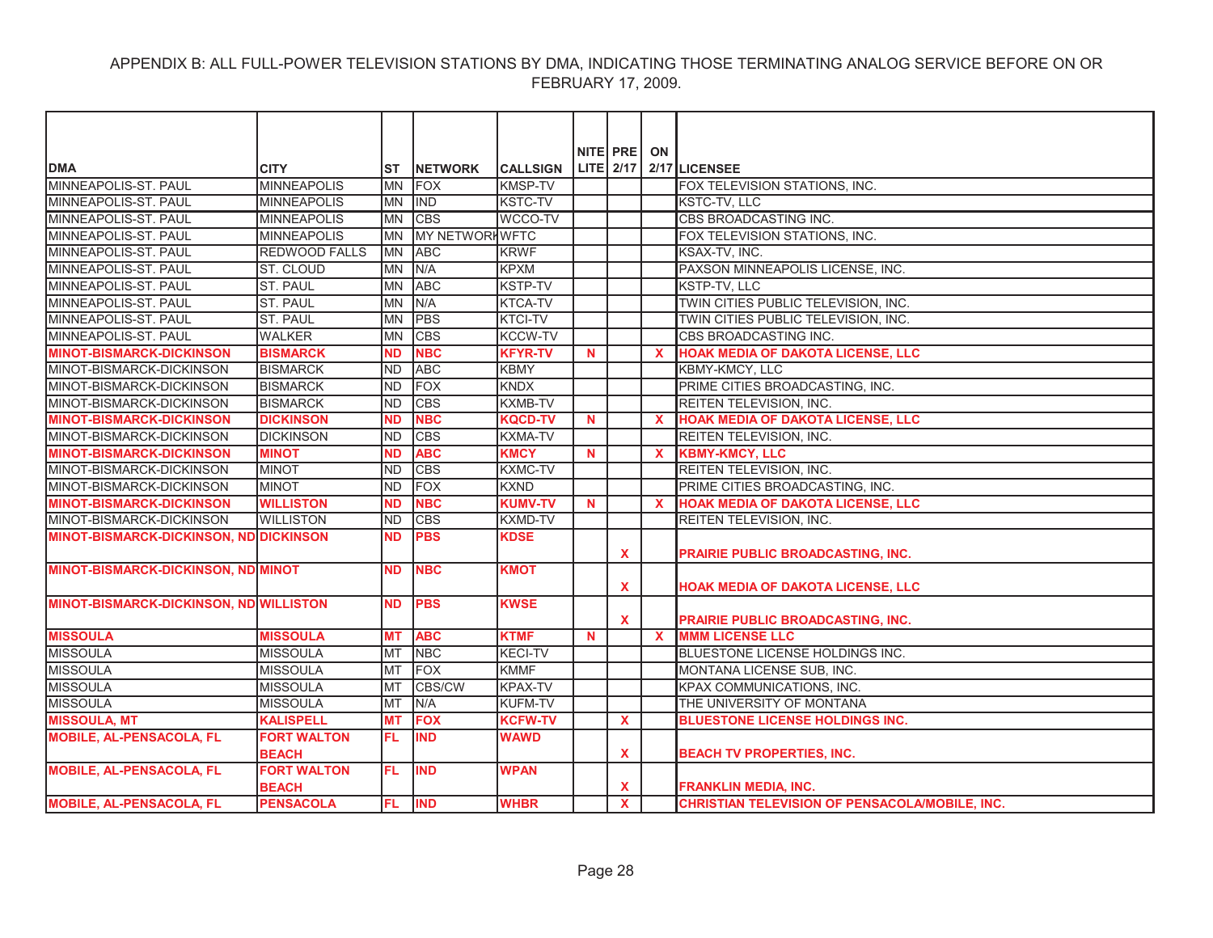|                                               |                                    |            |                       |                 |             | NITE PRE ON  |              |                                                       |
|-----------------------------------------------|------------------------------------|------------|-----------------------|-----------------|-------------|--------------|--------------|-------------------------------------------------------|
| <b>DMA</b>                                    | <b>CITY</b>                        | IST        | <b>INETWORK</b>       | <b>CALLSIGN</b> |             |              |              | LITE 2/17 2/17 LICENSEE                               |
| MINNEAPOLIS-ST. PAUL                          | <b>MINNEAPOLIS</b>                 | <b>MN</b>  | <b>FOX</b>            | <b>KMSP-TV</b>  |             |              |              | FOX TELEVISION STATIONS, INC.                         |
| MINNEAPOLIS-ST, PAUL                          | <b>MINNEAPOLIS</b>                 | <b>IMN</b> | <b>IND</b>            | <b>KSTC-TV</b>  |             |              |              | <b>KSTC-TV, LLC</b>                                   |
| MINNEAPOLIS-ST. PAUL                          | <b>MINNEAPOLIS</b>                 | <b>IMN</b> | <b>CBS</b>            | WCCO-TV         |             |              |              | CBS BROADCASTING INC.                                 |
| MINNEAPOLIS-ST. PAUL                          | <b>MINNEAPOLIS</b>                 | <b>IMN</b> | <b>MY NETWORKWFTC</b> |                 |             |              |              | FOX TELEVISION STATIONS, INC.                         |
| MINNEAPOLIS-ST, PAUL                          | <b>REDWOOD FALLS</b>               | <b>IMN</b> | <b>ABC</b>            | <b>KRWF</b>     |             |              |              | <b>KSAX-TV. INC.</b>                                  |
| MINNEAPOLIS-ST. PAUL                          | ST. CLOUD                          | <b>IMN</b> | N/A                   | <b>KPXM</b>     |             |              |              | PAXSON MINNEAPOLIS LICENSE, INC.                      |
| MINNEAPOLIS-ST, PAUL                          | <b>ST. PAUL</b>                    | <b>MN</b>  | <b>ABC</b>            | <b>KSTP-TV</b>  |             |              |              | <b>KSTP-TV. LLC</b>                                   |
| MINNEAPOLIS-ST. PAUL                          | ST. PAUL                           | <b>IMN</b> | N/A                   | KTCA-TV         |             |              |              | TWIN CITIES PUBLIC TELEVISION, INC.                   |
| MINNEAPOLIS-ST. PAUL                          | ST. PAUL                           | <b>MN</b>  | <b>PBS</b>            | KTCI-TV         |             |              |              | TWIN CITIES PUBLIC TELEVISION, INC.                   |
| MINNEAPOLIS-ST. PAUL                          | <b>WALKER</b>                      | <b>MN</b>  | <b>CBS</b>            | KCCW-TV         |             |              |              | CBS BROADCASTING INC.                                 |
| <b>MINOT-BISMARCK-DICKINSON</b>               | <b>BISMARCK</b>                    | <b>ND</b>  | <b>NBC</b>            | <b>KFYR-TV</b>  | N.          |              | $\mathbf{x}$ | <b>HOAK MEDIA OF DAKOTA LICENSE, LLC</b>              |
| MINOT-BISMARCK-DICKINSON                      | <b>BISMARCK</b>                    | <b>ND</b>  | <b>ABC</b>            | <b>KBMY</b>     |             |              |              | KBMY-KMCY, LLC                                        |
| MINOT-BISMARCK-DICKINSON                      | <b>BISMARCK</b>                    | <b>IND</b> | <b>FOX</b>            | <b>KNDX</b>     |             |              |              | PRIME CITIES BROADCASTING, INC.                       |
| MINOT-BISMARCK-DICKINSON                      | <b>BISMARCK</b>                    | <b>ND</b>  | <b>CBS</b>            | <b>KXMB-TV</b>  |             |              |              | REITEN TELEVISION, INC.                               |
| <b>MINOT-BISMARCK-DICKINSON</b>               | <b>DICKINSON</b>                   | <b>ND</b>  | <b>NBC</b>            | <b>KQCD-TV</b>  | $\mathbf N$ |              | $\mathbf{x}$ | <b>HOAK MEDIA OF DAKOTA LICENSE, LLC</b>              |
| MINOT-BISMARCK-DICKINSON                      | <b>DICKINSON</b>                   | <b>ND</b>  | <b>CBS</b>            | <b>KXMA-TV</b>  |             |              |              | REITEN TELEVISION, INC.                               |
| <b>MINOT-BISMARCK-DICKINSON</b>               | <b>MINOT</b>                       | <b>ND</b>  | <b>ABC</b>            | <b>KMCY</b>     | <b>N</b>    |              | $\mathbf{x}$ | <b>KBMY-KMCY, LLC</b>                                 |
| MINOT-BISMARCK-DICKINSON                      | <b>MINOT</b>                       | <b>ND</b>  | <b>CBS</b>            | <b>KXMC-TV</b>  |             |              |              | REITEN TELEVISION, INC.                               |
| MINOT-BISMARCK-DICKINSON                      | <b>MINOT</b>                       | <b>ND</b>  | FOX                   | <b>KXND</b>     |             |              |              | PRIME CITIES BROADCASTING, INC.                       |
| <b>MINOT-BISMARCK-DICKINSON</b>               | <b>WILLISTON</b>                   | <b>ND</b>  | <b>NBC</b>            | <b>KUMV-TV</b>  | $\mathbf N$ |              | $\mathbf{x}$ | <b>HOAK MEDIA OF DAKOTA LICENSE, LLC</b>              |
| MINOT-BISMARCK-DICKINSON                      | <b>WILLISTON</b>                   | <b>ND</b>  | <b>CBS</b>            | <b>KXMD-TV</b>  |             |              |              | <b>REITEN TELEVISION, INC.</b>                        |
| <b>MINOT-BISMARCK-DICKINSON, ND DICKINSON</b> |                                    | <b>ND</b>  | <b>PBS</b>            | <b>KDSE</b>     |             | X            |              | PRAIRIE PUBLIC BROADCASTING, INC.                     |
| <b>MINOT-BISMARCK-DICKINSON, ND MINOT</b>     |                                    | <b>ND</b>  | <b>NBC</b>            | <b>KMOT</b>     |             | $\mathbf{x}$ |              | HOAK MEDIA OF DAKOTA LICENSE, LLC                     |
| <b>MINOT-BISMARCK-DICKINSON, ND WILLISTON</b> |                                    | <b>ND</b>  | <b>PBS</b>            | <b>KWSE</b>     |             | $\mathbf{x}$ |              | <b>PRAIRIE PUBLIC BROADCASTING, INC.</b>              |
| <b>MISSOULA</b>                               | <b>MISSOULA</b>                    | <b>MT</b>  | <b>ABC</b>            | <b>KTMF</b>     | <b>N</b>    |              | $\mathbf{x}$ | <b>MMM LICENSE LLC</b>                                |
| <b>MISSOULA</b>                               | <b>MISSOULA</b>                    | <b>MT</b>  | <b>NBC</b>            | <b>KECI-TV</b>  |             |              |              | BLUESTONE LICENSE HOLDINGS INC.                       |
| <b>MISSOULA</b>                               | <b>MISSOULA</b>                    | <b>MT</b>  | FOX                   | <b>KMMF</b>     |             |              |              | MONTANA LICENSE SUB, INC.                             |
| <b>MISSOULA</b>                               | <b>MISSOULA</b>                    | <b>MT</b>  | <b>CBS/CW</b>         | <b>KPAX-TV</b>  |             |              |              | KPAX COMMUNICATIONS, INC.                             |
| <b>MISSOULA</b>                               | <b>MISSOULA</b>                    | MT         | N/A                   | <b>KUFM-TV</b>  |             |              |              | THE UNIVERSITY OF MONTANA                             |
| <b>MISSOULA, MT</b>                           | <b>KALISPELL</b>                   | <b>MT</b>  | <b>FOX</b>            | <b>KCFW-TV</b>  |             | X            |              | <b>BLUESTONE LICENSE HOLDINGS INC.</b>                |
| <b>MOBILE, AL-PENSACOLA, FL</b>               | <b>FORT WALTON</b><br><b>BEACH</b> | FL.        | <b>IND</b>            | <b>WAWD</b>     |             | $\mathbf{x}$ |              | <b>BEACH TV PROPERTIES, INC.</b>                      |
| <b>MOBILE, AL-PENSACOLA, FL</b>               | <b>FORT WALTON</b><br><b>BEACH</b> | FL.        | <b>IND</b>            | <b>WPAN</b>     |             | X            |              | <b>FRANKLIN MEDIA, INC.</b>                           |
| <b>MOBILE, AL-PENSACOLA, FL</b>               | <b>PENSACOLA</b>                   | FL.        | <b>IND</b>            | <b>WHBR</b>     |             | $\mathbf{x}$ |              | <b>CHRISTIAN TELEVISION OF PENSACOLA/MOBILE, INC.</b> |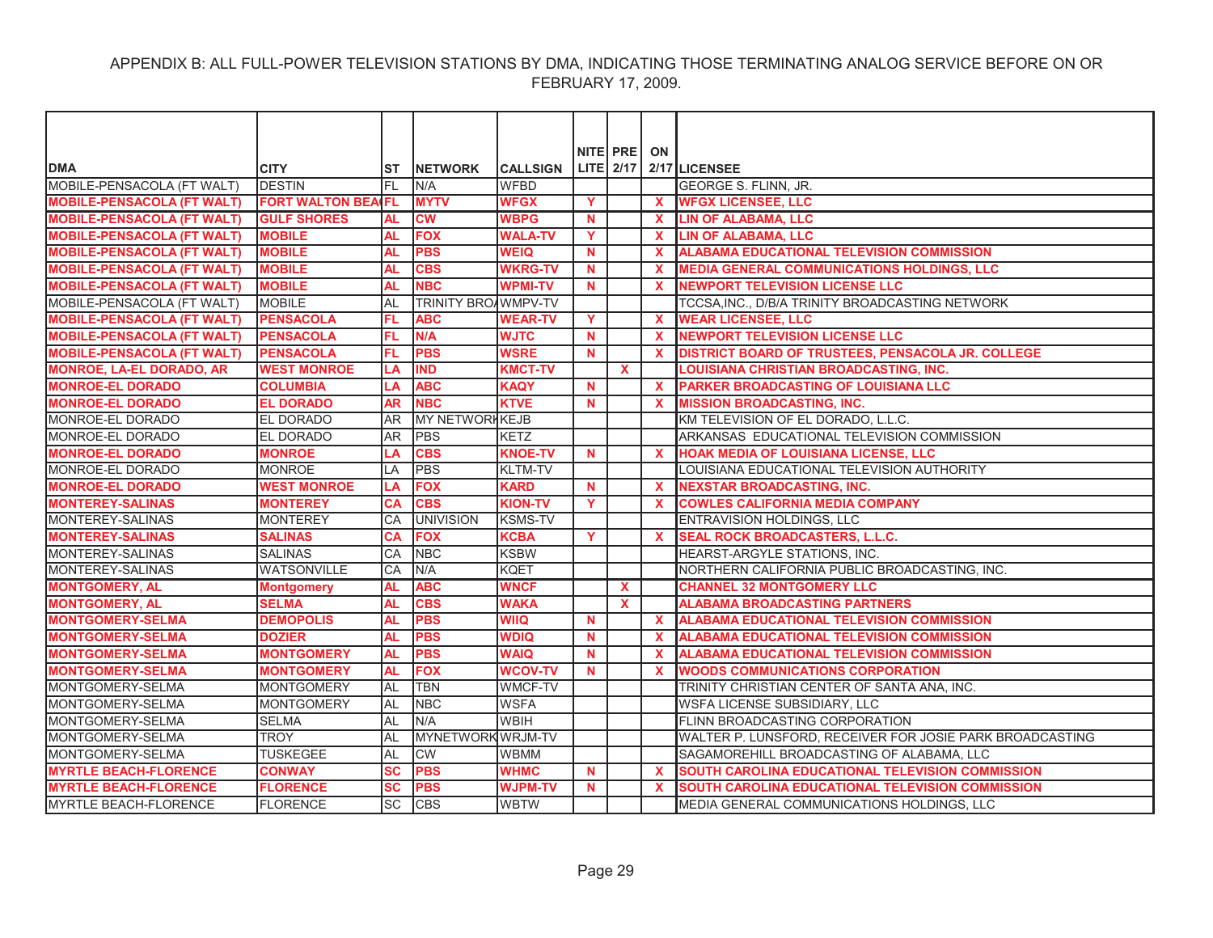|                                   |                        |           |                            |                 |             | NITE PRE     | ON           |                                                          |
|-----------------------------------|------------------------|-----------|----------------------------|-----------------|-------------|--------------|--------------|----------------------------------------------------------|
| <b>DMA</b>                        | <b>CITY</b>            | ST        | <b>INETWORK</b>            | <b>CALLSIGN</b> |             |              |              | LITE $2/17$ 2/17 LICENSEE                                |
| MOBILE-PENSACOLA (FT WALT)        | <b>DESTIN</b>          | FL        | N/A                        | <b>WFBD</b>     |             |              |              | GEORGE S. FLINN, JR.                                     |
| <b>MOBILE-PENSACOLA (FT WALT)</b> | <b>FORT WALTON BEA</b> | IFL.      | <b>MYTV</b>                | <b>WFGX</b>     | Y           |              | $\mathbf{x}$ | <b>WFGX LICENSEE. LLC</b>                                |
| <b>MOBILE-PENSACOLA (FT WALT)</b> | <b>GULF SHORES</b>     | AL        | $\overline{\text{cw}}$     | <b>WBPG</b>     | <b>N</b>    |              | $\mathbf{x}$ | <b>LIN OF ALABAMA, LLC</b>                               |
| <b>MOBILE-PENSACOLA (FT WALT)</b> | <b>MOBILE</b>          | AL        | <b>FOX</b>                 | <b>WALA-TV</b>  | Y           |              | $\mathbf{x}$ | <b>LIN OF ALABAMA, LLC</b>                               |
| <b>MOBILE-PENSACOLA (FT WALT)</b> | <b>MOBILE</b>          | <b>AL</b> | <b>PBS</b>                 | <b>WEIQ</b>     | N           |              | $\mathbf x$  | <b>ALABAMA EDUCATIONAL TELEVISION COMMISSION</b>         |
| <b>MOBILE-PENSACOLA (FT WALT)</b> | <b>MOBILE</b>          | <b>AL</b> | <b>CBS</b>                 | <b>WKRG-TV</b>  | $\mathbf N$ |              | $\mathbf{x}$ | <b>MEDIA GENERAL COMMUNICATIONS HOLDINGS, LLC</b>        |
| <b>MOBILE-PENSACOLA (FT WALT)</b> | <b>MOBILE</b>          | <b>AL</b> | <b>NBC</b>                 | <b>WPMI-TV</b>  | <b>N</b>    |              | X            | <b>NEWPORT TELEVISION LICENSE LLC</b>                    |
| MOBILE-PENSACOLA (FT WALT)        | <b>MOBILE</b>          | <b>AL</b> | <b>TRINITY BROAWMPV-TV</b> |                 |             |              |              | TCCSA, INC., D/B/A TRINITY BROADCASTING NETWORK          |
| <b>MOBILE-PENSACOLA (FT WALT)</b> | <b>PENSACOLA</b>       | FL        | <b>ABC</b>                 | <b>WEAR-TV</b>  | Y           |              | $\mathbf x$  | <b>WEAR LICENSEE, LLC</b>                                |
| <b>MOBILE-PENSACOLA (FT WALT)</b> | <b>PENSACOLA</b>       | FL        | N/A                        | <b>WJTC</b>     | N           |              | $\mathbf{x}$ | <b>NEWPORT TELEVISION LICENSE LLC</b>                    |
| <b>MOBILE-PENSACOLA (FT WALT)</b> | <b>PENSACOLA</b>       | FL        | <b>PBS</b>                 | <b>WSRE</b>     | <b>N</b>    |              | $\mathbf{x}$ | DISTRICT BOARD OF TRUSTEES, PENSACOLA JR. COLLEGE        |
| <b>MONROE, LA-EL DORADO, AR</b>   | <b>WEST MONROE</b>     | LA        | <b>IND</b>                 | <b>KMCT-TV</b>  |             | <b>X</b>     |              | <b>LOUISIANA CHRISTIAN BROADCASTING, INC.</b>            |
| <b>MONROE-EL DORADO</b>           | <b>COLUMBIA</b>        | LA        | <b>ABC</b>                 | <b>KAQY</b>     | <b>N</b>    |              | $\mathbf{x}$ | PARKER BROADCASTING OF LOUISIANA LLC                     |
| <b>MONROE-EL DORADO</b>           | <b>EL DORADO</b>       | <b>AR</b> | <b>NBC</b>                 | <b>KTVE</b>     | $\mathbf N$ |              | X            | <b>MISSION BROADCASTING, INC.</b>                        |
| MONROE-EL DORADO                  | <b>EL DORADO</b>       | <b>AR</b> | MY NETWORKKEJB             |                 |             |              |              | KM TELEVISION OF EL DORADO. L.L.C.                       |
| MONROE-EL DORADO                  | <b>EL DORADO</b>       | <b>AR</b> | <b>PBS</b>                 | KETZ            |             |              |              | ARKANSAS EDUCATIONAL TELEVISION COMMISSION               |
| <b>MONROE-EL DORADO</b>           | <b>MONROE</b>          | LA        | <b>CBS</b>                 | <b>KNOE-TV</b>  | <b>N</b>    |              | $\mathbf{x}$ | HOAK MEDIA OF LOUISIANA LICENSE, LLC                     |
| MONROE-EL DORADO                  | <b>MONROE</b>          | LA        | <b>PBS</b>                 | <b>KLTM-TV</b>  |             |              |              | LOUISIANA EDUCATIONAL TELEVISION AUTHORITY               |
| <b>MONROE-EL DORADO</b>           | <b>WEST MONROE</b>     | LA        | <b>FOX</b>                 | <b>KARD</b>     | $\mathbf N$ |              | $\mathbf{x}$ | <b>NEXSTAR BROADCASTING, INC.</b>                        |
| <b>MONTEREY-SALINAS</b>           | <b>MONTEREY</b>        | CА        | <b>CBS</b>                 | <b>KION-TV</b>  | Y           |              | X            | <b>COWLES CALIFORNIA MEDIA COMPANY</b>                   |
| <b>MONTEREY-SALINAS</b>           | <b>MONTEREY</b>        | CA        | <b>UNIVISION</b>           | <b>KSMS-TV</b>  |             |              |              | ENTRAVISION HOLDINGS, LLC                                |
| <b>MONTEREY-SALINAS</b>           | <b>SALINAS</b>         | CA        | <b>FOX</b>                 | <b>KCBA</b>     | Y           |              | $\mathbf{x}$ | <b>SEAL ROCK BROADCASTERS, L.L.C.</b>                    |
| MONTEREY-SALINAS                  | <b>SALINAS</b>         | CA        | <b>NBC</b>                 | <b>KSBW</b>     |             |              |              | HEARST-ARGYLE STATIONS, INC.                             |
| MONTEREY-SALINAS                  | <b>WATSONVILLE</b>     | CA        | N/A                        | <b>KQET</b>     |             |              |              | NORTHERN CALIFORNIA PUBLIC BROADCASTING, INC.            |
| <b>MONTGOMERY, AL</b>             | <b>Montgomery</b>      | <b>AL</b> | <b>ABC</b>                 | <b>WNCF</b>     |             | $\mathbf{x}$ |              | <b>CHANNEL 32 MONTGOMERY LLC</b>                         |
| <b>MONTGOMERY, AL</b>             | <b>SELMA</b>           | <b>AL</b> | <b>CBS</b>                 | <b>WAKA</b>     |             | $\mathbf{x}$ |              | <b>ALABAMA BROADCASTING PARTNERS</b>                     |
| <b>MONTGOMERY-SELMA</b>           | <b>DEMOPOLIS</b>       | <b>AL</b> | <b>PBS</b>                 | <b>WIIQ</b>     | <b>N</b>    |              | X.           | <b>ALABAMA EDUCATIONAL TELEVISION COMMISSION</b>         |
| <b>MONTGOMERY-SELMA</b>           | <b>DOZIER</b>          | <b>AL</b> | <b>PBS</b>                 | <b>WDIQ</b>     | <b>N</b>    |              | $\mathbf{x}$ | <b>ALABAMA EDUCATIONAL TELEVISION COMMISSION</b>         |
| <b>MONTGOMERY-SELMA</b>           | <b>MONTGOMERY</b>      | <b>AL</b> | <b>PBS</b>                 | <b>WAIQ</b>     | <b>N</b>    |              | $\mathbf{x}$ | <b>ALABAMA EDUCATIONAL TELEVISION COMMISSION</b>         |
| <b>MONTGOMERY-SELMA</b>           | <b>MONTGOMERY</b>      | <b>AL</b> | <b>FOX</b>                 | <b>WCOV-TV</b>  | $\mathbf N$ |              | $\mathbf{x}$ | <b>WOODS COMMUNICATIONS CORPORATION</b>                  |
| MONTGOMERY-SELMA                  | <b>MONTGOMERY</b>      | AL        | <b>TBN</b>                 | <b>WMCF-TV</b>  |             |              |              | TRINITY CHRISTIAN CENTER OF SANTA ANA, INC.              |
| MONTGOMERY-SELMA                  | <b>MONTGOMERY</b>      | AL        | <b>NBC</b>                 | <b>WSFA</b>     |             |              |              | WSFA LICENSE SUBSIDIARY, LLC                             |
| MONTGOMERY-SELMA                  | <b>SELMA</b>           | <b>AL</b> | N/A                        | <b>WBIH</b>     |             |              |              | FLINN BROADCASTING CORPORATION                           |
| MONTGOMERY-SELMA                  | <b>TROY</b>            | <b>AL</b> | MYNETWORK WRJM-TV          |                 |             |              |              | WALTER P. LUNSFORD, RECEIVER FOR JOSIE PARK BROADCASTING |
| MONTGOMERY-SELMA                  | <b>TUSKEGEE</b>        | <b>AL</b> | <b>CW</b>                  | <b>WBMM</b>     |             |              |              | SAGAMOREHILL BROADCASTING OF ALABAMA, LLC                |
| <b>MYRTLE BEACH-FLORENCE</b>      | <b>CONWAY</b>          | SC        | <b>PBS</b>                 | <b>WHMC</b>     | N           |              | $\mathbf{x}$ | SOUTH CAROLINA EDUCATIONAL TELEVISION COMMISSION         |
| <b>MYRTLE BEACH-FLORENCE</b>      | <b>FLORENCE</b>        | <b>SC</b> | <b>PBS</b>                 | <b>WJPM-TV</b>  | <b>N</b>    |              | X            | SOUTH CAROLINA EDUCATIONAL TELEVISION COMMISSION         |
| MYRTLE BEACH-FLORENCE             | <b>FLORENCE</b>        | <b>SC</b> | <b>CBS</b>                 | <b>WBTW</b>     |             |              |              | MEDIA GENERAL COMMUNICATIONS HOLDINGS, LLC               |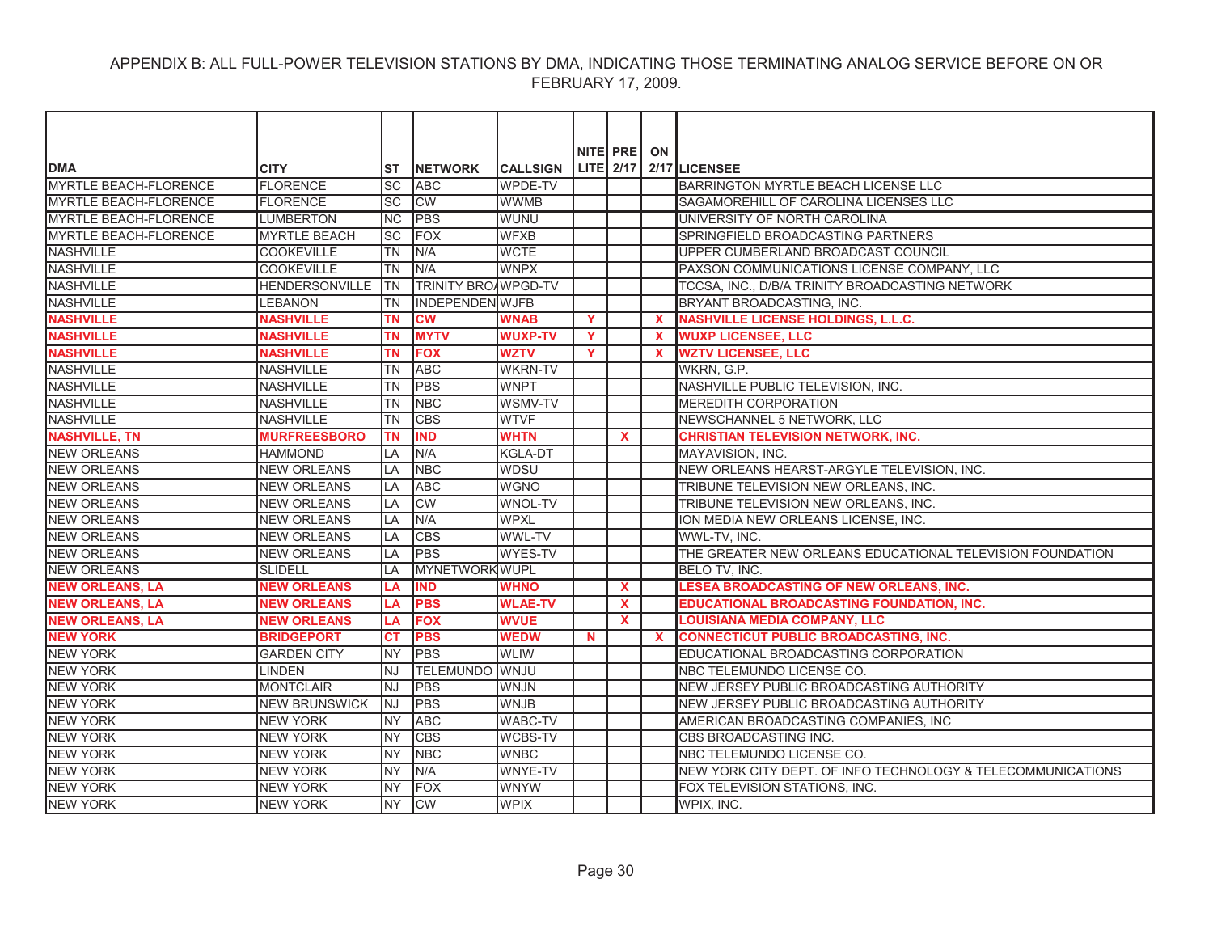|                              |                       |                 |                            |                 |                | NITE PRE ON |              |                                                             |
|------------------------------|-----------------------|-----------------|----------------------------|-----------------|----------------|-------------|--------------|-------------------------------------------------------------|
| <b>DMA</b>                   | <b>CITY</b>           | ST              | <b>INETWORK</b>            | <b>CALLSIGN</b> |                |             |              | LITE $2/17$ $2/17$ LICENSEE                                 |
| <b>MYRTLE BEACH-FLORENCE</b> | <b>FLORENCE</b>       | SC              | <b>ABC</b>                 | <b>WPDE-TV</b>  |                |             |              | <b>BARRINGTON MYRTLE BEACH LICENSE LLC</b>                  |
| <b>MYRTLE BEACH-FLORENCE</b> | <b>FLORENCE</b>       | <b>SC</b>       | <b>CW</b>                  | <b>WWMB</b>     |                |             |              | SAGAMOREHILL OF CAROLINA LICENSES LLC                       |
| <b>MYRTLE BEACH-FLORENCE</b> | <b>LUMBERTON</b>      | <b>NC</b>       | <b>PBS</b>                 | <b>I</b> WUNU   |                |             |              | UNIVERSITY OF NORTH CAROLINA                                |
| <b>MYRTLE BEACH-FLORENCE</b> | <b>MYRTLE BEACH</b>   | $\overline{SC}$ | <b>FOX</b>                 | <b>WFXB</b>     |                |             |              | SPRINGFIELD BROADCASTING PARTNERS                           |
| <b>NASHVILLE</b>             | <b>COOKEVILLE</b>     | <b>TN</b>       | N/A                        | <b>WCTE</b>     |                |             |              | UPPER CUMBERLAND BROADCAST COUNCIL                          |
| <b>NASHVILLE</b>             | <b>COOKEVILLE</b>     | <b>TN</b>       | N/A                        | <b>WNPX</b>     |                |             |              | PAXSON COMMUNICATIONS LICENSE COMPANY, LLC                  |
| <b>NASHVILLE</b>             | <b>HENDERSONVILLE</b> | ltn             | <b>TRINITY BROAWPGD-TV</b> |                 |                |             |              | TCCSA, INC., D/B/A TRINITY BROADCASTING NETWORK             |
| <b>NASHVILLE</b>             | <b>LEBANON</b>        | TN              | <b>INDEPENDEN WJFB</b>     |                 |                |             |              | BRYANT BROADCASTING, INC.                                   |
| <b>NASHVILLE</b>             | <b>NASHVILLE</b>      | <b>TN</b>       | <b>CW</b>                  | <b>WNAB</b>     | $\mathbf{Y}$   |             | $\mathbf{x}$ | <b>NASHVILLE LICENSE HOLDINGS, L.L.C.</b>                   |
| <b>NASHVILLE</b>             | <b>NASHVILLE</b>      | <b>TN</b>       | <b>MYTV</b>                | <b>WUXP-TV</b>  | $\overline{Y}$ |             | $\mathbf x$  | <b>WUXP LICENSEE, LLC</b>                                   |
| <b>NASHVILLE</b>             | <b>NASHVILLE</b>      | <b>TN</b>       | <b>FOX</b>                 | <b>WZTV</b>     | Y              |             | $\mathbf{x}$ | <b>WZTV LICENSEE, LLC</b>                                   |
| <b>NASHVILLE</b>             | <b>NASHVILLE</b>      | <b>TN</b>       | <b>ABC</b>                 | <b>WKRN-TV</b>  |                |             |              | WKRN, G.P.                                                  |
| <b>NASHVILLE</b>             | <b>NASHVILLE</b>      | <b>TN</b>       | <b>PBS</b>                 | <b>WNPT</b>     |                |             |              | NASHVILLE PUBLIC TELEVISION. INC.                           |
| <b>NASHVILLE</b>             | <b>NASHVILLE</b>      | <b>TN</b>       | <b>NBC</b>                 | WSMV-TV         |                |             |              | <b>MEREDITH CORPORATION</b>                                 |
| <b>NASHVILLE</b>             | <b>NASHVILLE</b>      | <b>TN</b>       | <b>CBS</b>                 | <b>WTVF</b>     |                |             |              | NEWSCHANNEL 5 NETWORK, LLC                                  |
| <b>NASHVILLE, TN</b>         | <b>MURFREESBORO</b>   | <b>TN</b>       | <b>IND</b>                 | <b>WHTN</b>     |                | <b>X</b>    |              | <b>CHRISTIAN TELEVISION NETWORK, INC.</b>                   |
| <b>NEW ORLEANS</b>           | <b>HAMMOND</b>        | LA              | N/A                        | <b>KGLA-DT</b>  |                |             |              | MAYAVISION, INC.                                            |
| <b>NEW ORLEANS</b>           | <b>NEW ORLEANS</b>    | LA              | <b>NBC</b>                 | <b>WDSU</b>     |                |             |              | NEW ORLEANS HEARST-ARGYLE TELEVISION, INC.                  |
| <b>NEW ORLEANS</b>           | <b>NEW ORLEANS</b>    | LA              | <b>ABC</b>                 | <b>WGNO</b>     |                |             |              | TRIBUNE TELEVISION NEW ORLEANS, INC.                        |
| <b>NEW ORLEANS</b>           | <b>NEW ORLEANS</b>    | LA              | <b>CW</b>                  | <b>WNOL-TV</b>  |                |             |              | TRIBUNE TELEVISION NEW ORLEANS, INC.                        |
| <b>NEW ORLEANS</b>           | <b>NEW ORLEANS</b>    | IA              | N/A                        | <b>WPXL</b>     |                |             |              | ION MEDIA NEW ORLEANS LICENSE, INC.                         |
| <b>NEW ORLEANS</b>           | <b>NEW ORLEANS</b>    | LA              | <b>CBS</b>                 | WWL-TV          |                |             |              | WWL-TV, INC.                                                |
| <b>NEW ORLEANS</b>           | <b>NEW ORLEANS</b>    | LA              | <b>PBS</b>                 | WYES-TV         |                |             |              | THE GREATER NEW ORLEANS EDUCATIONAL TELEVISION FOUNDATION   |
| <b>NEW ORLEANS</b>           | <b>SLIDELL</b>        | LA              | <b>MYNETWORK WUPL</b>      |                 |                |             |              | BELO TV, INC.                                               |
| <b>NEW ORLEANS, LA</b>       | <b>NEW ORLEANS</b>    | LА              | <b>IND</b>                 | <b>WHNO</b>     |                | X           |              | LESEA BROADCASTING OF NEW ORLEANS, INC.                     |
| <b>NEW ORLEANS, LA</b>       | <b>NEW ORLEANS</b>    | LА              | <b>PBS</b>                 | <b>WLAE-TV</b>  |                | X           |              | EDUCATIONAL BROADCASTING FOUNDATION, INC.                   |
| <b>NEW ORLEANS, LA</b>       | <b>NEW ORLEANS</b>    | LA              | <b>FOX</b>                 | <b>WVUE</b>     |                | X           |              | <b>LOUISIANA MEDIA COMPANY, LLC</b>                         |
| <b>NEW YORK</b>              | <b>BRIDGEPORT</b>     | <b>CT</b>       | <b>PBS</b>                 | <b>WEDW</b>     | $\mathbf N$    |             | $\mathbf{x}$ | <b>CONNECTICUT PUBLIC BROADCASTING, INC.</b>                |
| <b>NEW YORK</b>              | <b>GARDEN CITY</b>    | <b>NY</b>       | <b>PBS</b>                 | <b>WLIW</b>     |                |             |              | EDUCATIONAL BROADCASTING CORPORATION                        |
| <b>NEW YORK</b>              | <b>LINDEN</b>         | <b>NJ</b>       | <b>TELEMUNDO WNJU</b>      |                 |                |             |              | NBC TELEMUNDO LICENSE CO.                                   |
| <b>NEW YORK</b>              | <b>MONTCLAIR</b>      | <b>NJ</b>       | <b>PBS</b>                 | <b>WNJN</b>     |                |             |              | NEW JERSEY PUBLIC BROADCASTING AUTHORITY                    |
| <b>NEW YORK</b>              | <b>NEW BRUNSWICK</b>  | <b>NJ</b>       | <b>PBS</b>                 | <b>WNJB</b>     |                |             |              | NEW JERSEY PUBLIC BROADCASTING AUTHORITY                    |
| <b>NEW YORK</b>              | <b>NEW YORK</b>       | <b>NY</b>       | <b>ABC</b>                 | WABC-TV         |                |             |              | AMERICAN BROADCASTING COMPANIES, INC                        |
| <b>NEW YORK</b>              | <b>NEW YORK</b>       | <b>NY</b>       | <b>CBS</b>                 | <b>WCBS-TV</b>  |                |             |              | CBS BROADCASTING INC.                                       |
| <b>NEW YORK</b>              | <b>NEW YORK</b>       | <b>NY</b>       | <b>NBC</b>                 | <b>WNBC</b>     |                |             |              | NBC TELEMUNDO LICENSE CO.                                   |
| <b>NEW YORK</b>              | <b>NEW YORK</b>       | <b>NY</b>       | N/A                        | WNYE-TV         |                |             |              | NEW YORK CITY DEPT. OF INFO TECHNOLOGY & TELECOMMUNICATIONS |
| <b>NEW YORK</b>              | <b>NEW YORK</b>       | <b>NY</b>       | <b>FOX</b>                 | <b>WNYW</b>     |                |             |              | FOX TELEVISION STATIONS, INC.                               |
| <b>NEW YORK</b>              | <b>NEW YORK</b>       | <b>NY</b>       | <b>CW</b>                  | <b>WPIX</b>     |                |             |              | WPIX. INC.                                                  |
|                              |                       |                 |                            |                 |                |             |              |                                                             |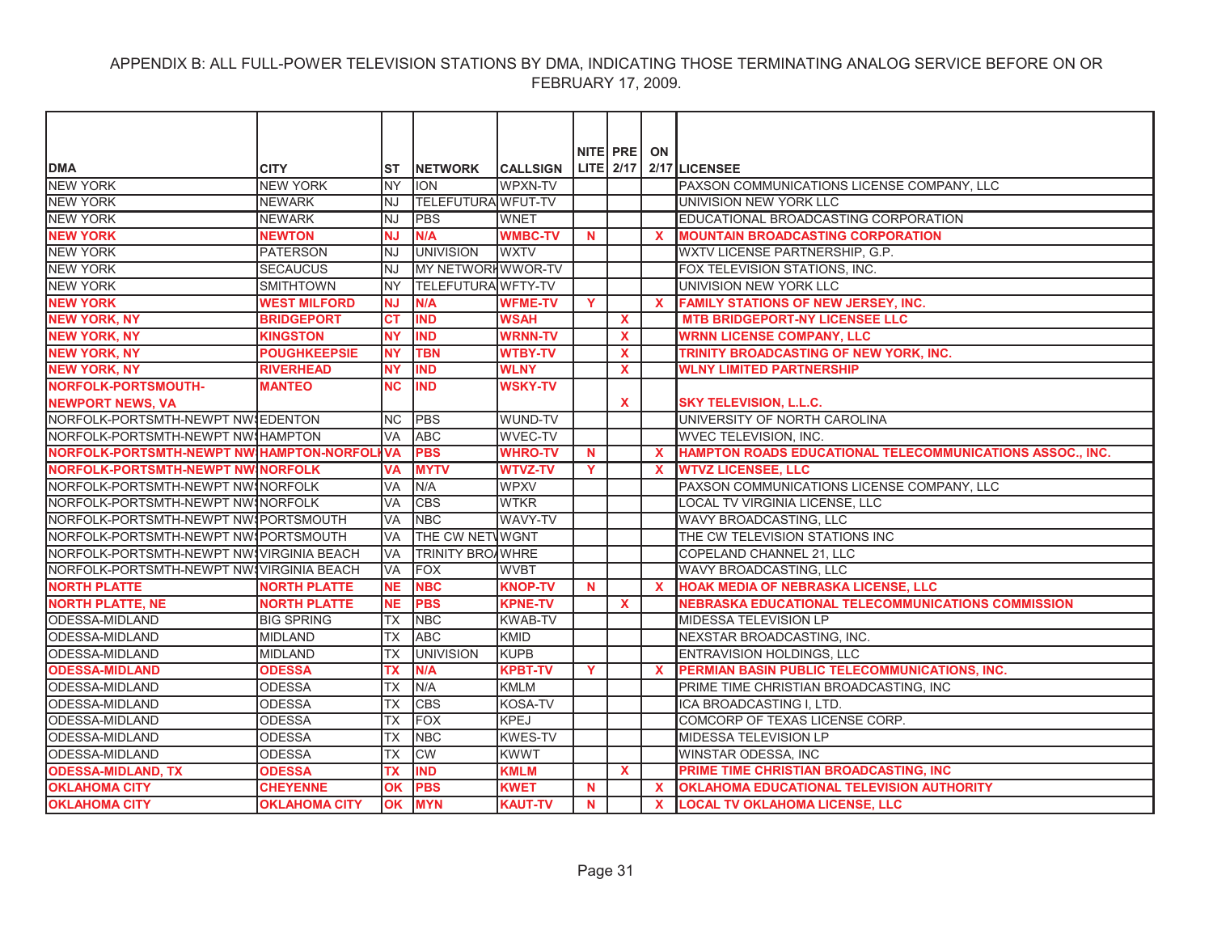|                                          |                      |            |                           |                 |             | NITE PRE     | ON           |                                                           |
|------------------------------------------|----------------------|------------|---------------------------|-----------------|-------------|--------------|--------------|-----------------------------------------------------------|
| <b>DMA</b>                               | <b>CITY</b>          | IST        | <b>NETWORK</b>            | <b>CALLSIGN</b> |             |              |              | LITE 2/17 2/17 LICENSEE                                   |
| <b>NEW YORK</b>                          | <b>NEW YORK</b>      | <b>INY</b> | <b>ION</b>                | WPXN-TV         |             |              |              | PAXSON COMMUNICATIONS LICENSE COMPANY, LLC                |
| <b>NEW YORK</b>                          | <b>NEWARK</b>        | INJ        | <b>TELEFUTURA WFUT-TV</b> |                 |             |              |              | UNIVISION NEW YORK LLC                                    |
| <b>NEW YORK</b>                          | <b>NEWARK</b>        | <b>NJ</b>  | <b>IPBS</b>               | <b>WNET</b>     |             |              |              | EDUCATIONAL BROADCASTING CORPORATION                      |
| <b>NEW YORK</b>                          | <b>NEWTON</b>        | <b>NJ</b>  | N/A                       | <b>WMBC-TV</b>  | $\mathbf N$ |              | $\mathbf{x}$ | <b>MOUNTAIN BROADCASTING CORPORATION</b>                  |
| <b>NEW YORK</b>                          | <b>PATERSON</b>      | INJ        | <b>UNIVISION</b>          | <b>WXTV</b>     |             |              |              | WXTV LICENSE PARTNERSHIP, G.P.                            |
| <b>NEW YORK</b>                          | <b>SECAUCUS</b>      | INJ        | MY NETWORKWWOR-TV         |                 |             |              |              | FOX TELEVISION STATIONS, INC.                             |
| <b>NEW YORK</b>                          | <b>SMITHTOWN</b>     | lny        | <b>TELEFUTURA WFTY-TV</b> |                 |             |              |              | UNIVISION NEW YORK LLC                                    |
| <b>NEW YORK</b>                          | <b>WEST MILFORD</b>  | <b>NJ</b>  | N/A                       | <b>WFME-TV</b>  | Y           |              | $\mathbf{x}$ | FAMILY STATIONS OF NEW JERSEY, INC.                       |
| <b>NEW YORK, NY</b>                      | <b>BRIDGEPORT</b>    | <b>CT</b>  | <b>IND</b>                | <b>WSAH</b>     |             | $\mathbf{x}$ |              | <b>MTB BRIDGEPORT-NY LICENSEE LLC</b>                     |
| <b>NEW YORK, NY</b>                      | <b>KINGSTON</b>      | <b>NY</b>  | <b>IND</b>                | <b>WRNN-TV</b>  |             | $\mathbf{x}$ |              | <b>WRNN LICENSE COMPANY, LLC</b>                          |
| <b>NEW YORK, NY</b>                      | <b>POUGHKEEPSIE</b>  | <b>NY</b>  | <b>TBN</b>                | <b>WTBY-TV</b>  |             | $\mathbf{x}$ |              | TRINITY BROADCASTING OF NEW YORK, INC.                    |
| <b>NEW YORK, NY</b>                      | <b>RIVERHEAD</b>     | <b>NY</b>  | <b>IND</b>                | <b>WLNY</b>     |             | $\mathbf{x}$ |              | <b>WLNY LIMITED PARTNERSHIP</b>                           |
| NORFOLK-PORTSMOUTH-                      | <b>MANTEO</b>        | <b>NC</b>  | <b>IND</b>                | <b>WSKY-TV</b>  |             |              |              |                                                           |
| <b>NEWPORT NEWS, VA</b>                  |                      |            |                           |                 |             | X            |              | <b>SKY TELEVISION, L.L.C.</b>                             |
| NORFOLK-PORTSMTH-NEWPT NW EDENTON        |                      | <b>INC</b> | <b>PBS</b>                | WUND-TV         |             |              |              | UNIVERSITY OF NORTH CAROLINA                              |
| NORFOLK-PORTSMTH-NEWPT NW HAMPTON        |                      | <b>VA</b>  | <b>ABC</b>                | <b>WVEC-TV</b>  |             |              |              | <b>WVEC TELEVISION. INC.</b>                              |
| NORFOLK-PORTSMTH-NEWPT NWIHAMPTON-NORFOL |                      | <b>IVA</b> | <b>PBS</b>                | <b>WHRO-TV</b>  | N           |              | $\mathbf{x}$ | HAMPTON ROADS EDUCATIONAL TELECOMMUNICATIONS ASSOC., INC. |
| <b>NORFOLK-PORTSMTH-NEWPT NWINORFOLK</b> |                      | <b>VA</b>  | <b>MYTV</b>               | <b>WTVZ-TV</b>  | Y           |              | $\mathbf{x}$ | <b>WTVZ LICENSEE, LLC</b>                                 |
| NORFOLK-PORTSMTH-NEWPT NWINORFOLK        |                      | <b>VA</b>  | N/A                       | <b>WPXV</b>     |             |              |              | PAXSON COMMUNICATIONS LICENSE COMPANY, LLC                |
| NORFOLK-PORTSMTH-NEWPT NWINORFOLK        |                      | <b>VA</b>  | <b>CBS</b>                | <b>WTKR</b>     |             |              |              | LOCAL TV VIRGINIA LICENSE. LLC                            |
| NORFOLK-PORTSMTH-NEWPT NW PORTSMOUTH     |                      | <b>VA</b>  | <b>NBC</b>                | WAVY-TV         |             |              |              | WAVY BROADCASTING, LLC                                    |
| NORFOLK-PORTSMTH-NEWPT NWIPORTSMOUTH     |                      | <b>VA</b>  | THE CW NETWOGNT           |                 |             |              |              | THE CW TELEVISION STATIONS INC                            |
| NORFOLK-PORTSMTH-NEWPT NWIVIRGINIA BEACH |                      | <b>VA</b>  | <b>TRINITY BROAWHRE</b>   |                 |             |              |              | COPELAND CHANNEL 21, LLC                                  |
| NORFOLK-PORTSMTH-NEWPT NWIVIRGINIA BEACH |                      | <b>VA</b>  | <b>FOX</b>                | <b>WVBT</b>     |             |              |              | WAVY BROADCASTING, LLC                                    |
| <b>NORTH PLATTE</b>                      | <b>NORTH PLATTE</b>  | <b>NE</b>  | <b>NBC</b>                | <b>KNOP-TV</b>  | $\mathbf N$ |              | $\mathbf{x}$ | <b>HOAK MEDIA OF NEBRASKA LICENSE, LLC</b>                |
| <b>NORTH PLATTE, NE</b>                  | <b>NORTH PLATTE</b>  | <b>NE</b>  | <b>PBS</b>                | <b>KPNE-TV</b>  |             | $\mathbf{x}$ |              | <b>NEBRASKA EDUCATIONAL TELECOMMUNICATIONS COMMISSION</b> |
| <b>ODESSA-MIDLAND</b>                    | <b>BIG SPRING</b>    | TX         | <b>NBC</b>                | <b>KWAB-TV</b>  |             |              |              | MIDESSA TELEVISION LP                                     |
| ODESSA-MIDLAND                           | <b>MIDLAND</b>       | ТX         | <b>ABC</b>                | <b>KMID</b>     |             |              |              | NEXSTAR BROADCASTING, INC.                                |
| ODESSA-MIDLAND                           | <b>MIDLAND</b>       | ТX         | <b>UNIVISION</b>          | <b>KUPB</b>     |             |              |              | ENTRAVISION HOLDINGS, LLC                                 |
| <b>ODESSA-MIDLAND</b>                    | <b>ODESSA</b>        | ТX         | N/A                       | <b>KPBT-TV</b>  | Y           |              | X            | PERMIAN BASIN PUBLIC TELECOMMUNICATIONS, INC.             |
| ODESSA-MIDLAND                           | <b>ODESSA</b>        | TX         | N/A                       | <b>KMLM</b>     |             |              |              | PRIME TIME CHRISTIAN BROADCASTING, INC                    |
| ODESSA-MIDLAND                           | ODESSA               | ТX         | <b>CBS</b>                | KOSA-TV         |             |              |              | ICA BROADCASTING I, LTD.                                  |
| ODESSA-MIDLAND                           | <b>ODESSA</b>        | ТX         | <b>FOX</b>                | <b>KPEJ</b>     |             |              |              | COMCORP OF TEXAS LICENSE CORP.                            |
| ODESSA-MIDLAND                           | <b>ODESSA</b>        | <b>TX</b>  | <b>NBC</b>                | <b>KWES-TV</b>  |             |              |              | MIDESSA TELEVISION LP                                     |
| ODESSA-MIDLAND                           | <b>ODESSA</b>        | ТX         | <b>CW</b>                 | <b>KWWT</b>     |             |              |              | WINSTAR ODESSA, INC                                       |
| <b>ODESSA-MIDLAND, TX</b>                | <b>ODESSA</b>        | <b>TX</b>  | <b>IND</b>                | <b>KMLM</b>     |             | X            |              | PRIME TIME CHRISTIAN BROADCASTING, INC                    |
| <b>OKLAHOMA CITY</b>                     | <b>CHEYENNE</b>      | <b>OK</b>  | <b>PBS</b>                | <b>KWET</b>     | N           |              | $\mathbf{x}$ | OKLAHOMA EDUCATIONAL TELEVISION AUTHORITY                 |
| <b>OKLAHOMA CITY</b>                     | <b>OKLAHOMA CITY</b> | <b>OK</b>  | <b>MYN</b>                | <b>KAUT-TV</b>  | $\mathbf N$ |              | $\mathbf{x}$ | <b>LOCAL TV OKLAHOMA LICENSE. LLC</b>                     |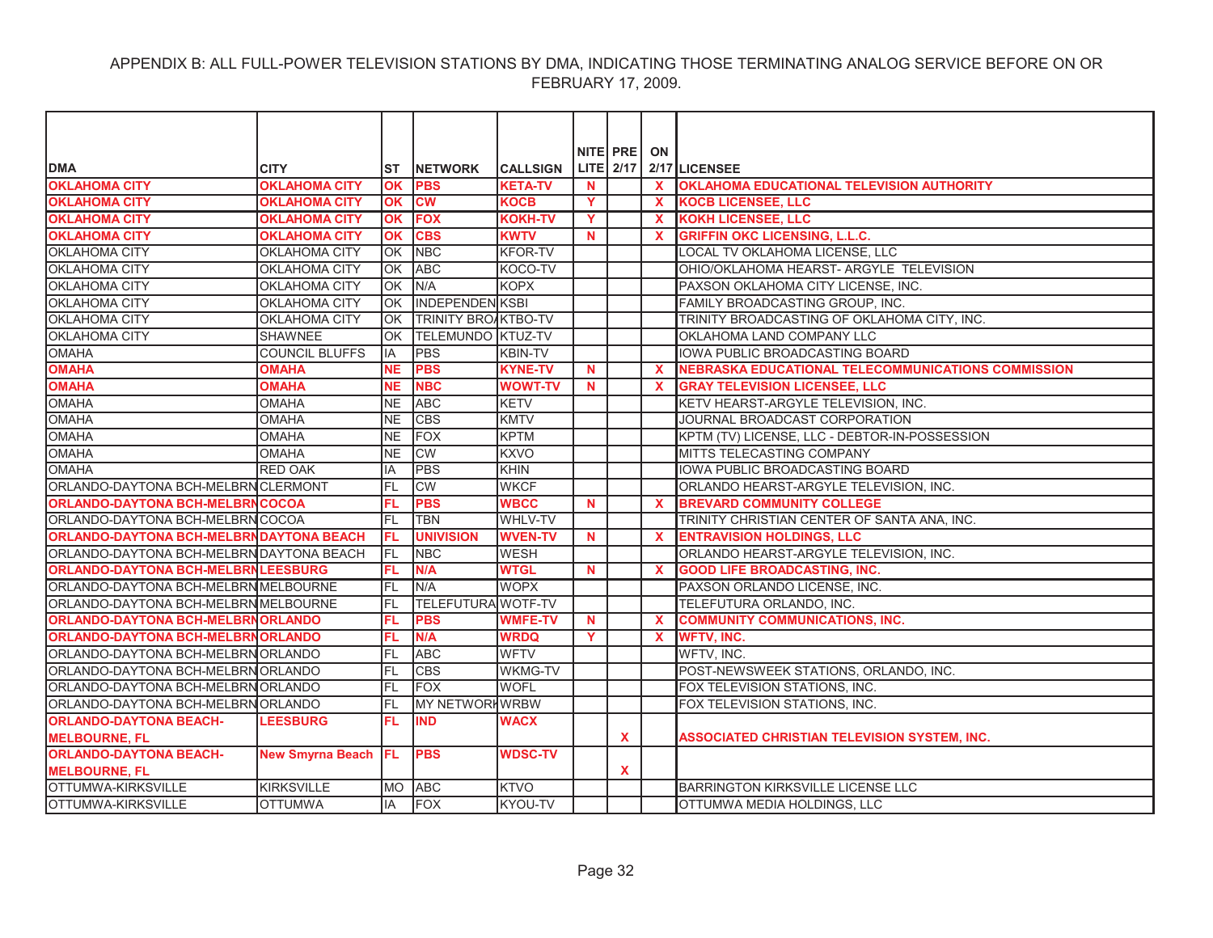|                                                 |                       |           |                            |                 |             | NITE PRE     | ON           |                                                           |
|-------------------------------------------------|-----------------------|-----------|----------------------------|-----------------|-------------|--------------|--------------|-----------------------------------------------------------|
| <b>DMA</b>                                      | <b>CITY</b>           | <b>ST</b> | <b>NETWORK</b>             | <b>CALLSIGN</b> |             |              |              | LITE $2/17$ $2/17$ LICENSEE                               |
| <b>OKLAHOMA CITY</b>                            | <b>OKLAHOMA CITY</b>  | <b>OK</b> | <b>PBS</b>                 | <b>KETA-TV</b>  | <b>N</b>    |              | $\mathbf{x}$ | <b>OKLAHOMA EDUCATIONAL TELEVISION AUTHORITY</b>          |
| <b>OKLAHOMA CITY</b>                            | <b>OKLAHOMA CITY</b>  | OK        | <b>CW</b>                  | <b>KOCB</b>     | Y           |              | $\mathbf{x}$ | <b>KOCB LICENSEE, LLC</b>                                 |
| <b>OKLAHOMA CITY</b>                            | <b>OKLAHOMA CITY</b>  | OK        | <b>FOX</b>                 | <b>KOKH-TV</b>  | Y           |              | $\mathbf{x}$ | <b>KOKH LICENSEE, LLC</b>                                 |
| <b>OKLAHOMA CITY</b>                            | <b>OKLAHOMA CITY</b>  | OK        | <b>CBS</b>                 | <b>KWTV</b>     | $\mathbf N$ |              | $\mathbf{x}$ | <b>GRIFFIN OKC LICENSING, L.L.C.</b>                      |
| OKLAHOMA CITY                                   | <b>OKLAHOMA CITY</b>  | <b>OK</b> | <b>NBC</b>                 | <b>KFOR-TV</b>  |             |              |              | LOCAL TV OKLAHOMA LICENSE, LLC                            |
| OKLAHOMA CITY                                   | <b>OKLAHOMA CITY</b>  | OK        | <b>ABC</b>                 | KOCO-TV         |             |              |              | OHIO/OKLAHOMA HEARST- ARGYLE TELEVISION                   |
| OKLAHOMA CITY                                   | <b>OKLAHOMA CITY</b>  | OK        | N/A                        | <b>KOPX</b>     |             |              |              | PAXSON OKLAHOMA CITY LICENSE, INC.                        |
| <b>OKLAHOMA CITY</b>                            | <b>OKLAHOMA CITY</b>  | <b>OK</b> | <b>INDEPENDENIKSBI</b>     |                 |             |              |              | FAMILY BROADCASTING GROUP, INC.                           |
| <b>OKLAHOMA CITY</b>                            | <b>OKLAHOMA CITY</b>  | OK        | <b>TRINITY BROAKTBO-TV</b> |                 |             |              |              | TRINITY BROADCASTING OF OKLAHOMA CITY, INC.               |
| OKLAHOMA CITY                                   | SHAWNEE               | OK        | <b>TELEMUNDO KTUZ-TV</b>   |                 |             |              |              | OKLAHOMA LAND COMPANY LLC                                 |
| <b>OMAHA</b>                                    | <b>COUNCIL BLUFFS</b> | IA        | <b>PBS</b>                 | <b>KBIN-TV</b>  |             |              |              | IOWA PUBLIC BROADCASTING BOARD                            |
| <b>OMAHA</b>                                    | <b>OMAHA</b>          | <b>NE</b> | <b>PBS</b>                 | <b>KYNE-TV</b>  | $\mathbf N$ |              | $\mathbf x$  | <b>NEBRASKA EDUCATIONAL TELECOMMUNICATIONS COMMISSION</b> |
| <b>OMAHA</b>                                    | <b>OMAHA</b>          | <b>NE</b> | <b>NBC</b>                 | <b>WOWT-TV</b>  | <b>N</b>    |              | X            | <b>GRAY TELEVISION LICENSEE, LLC</b>                      |
| <b>OMAHA</b>                                    | <b>OMAHA</b>          | <b>NE</b> | <b>ABC</b>                 | <b>KETV</b>     |             |              |              | KETV HEARST-ARGYLE TELEVISION. INC.                       |
| <b>OMAHA</b>                                    | <b>OMAHA</b>          | <b>NE</b> | <b>CBS</b>                 | <b>KMTV</b>     |             |              |              | JOURNAL BROADCAST CORPORATION                             |
| <b>OMAHA</b>                                    | <b>OMAHA</b>          | <b>NE</b> | <b>FOX</b>                 | <b>KPTM</b>     |             |              |              | KPTM (TV) LICENSE, LLC - DEBTOR-IN-POSSESSION             |
| <b>OMAHA</b>                                    | <b>OMAHA</b>          | <b>NE</b> | <b>CW</b>                  | <b>KXVO</b>     |             |              |              | MITTS TELECASTING COMPANY                                 |
| <b>OMAHA</b>                                    | <b>RED OAK</b>        | IA        | <b>PBS</b>                 | <b>KHIN</b>     |             |              |              | IOWA PUBLIC BROADCASTING BOARD                            |
| ORLANDO-DAYTONA BCH-MELBRN CLERMONT             |                       | FL        | CW                         | <b>WKCF</b>     |             |              |              | ORLANDO HEARST-ARGYLE TELEVISION, INC.                    |
| <b>ORLANDO-DAYTONA BCH-MELBRN COCOA</b>         |                       | FL        | <b>PBS</b>                 | <b>WBCC</b>     | N           |              | $\mathbf{x}$ | <b>BREVARD COMMUNITY COLLEGE</b>                          |
| ORLANDO-DAYTONA BCH-MELBRN COCOA                |                       | FL        | TBN                        | <b>WHLV-TV</b>  |             |              |              | TRINITY CHRISTIAN CENTER OF SANTA ANA, INC.               |
| <b>ORLANDO-DAYTONA BCH-MELBRN DAYTONA BEACH</b> |                       | FL        | <b>UNIVISION</b>           | <b>WVEN-TV</b>  | <b>N</b>    |              | X            | <b>ENTRAVISION HOLDINGS, LLC</b>                          |
| ORLANDO-DAYTONA BCH-MELBRN DAYTONA BEACH        |                       | IFL       | <b>NBC</b>                 | <b>WESH</b>     |             |              |              | ORLANDO HEARST-ARGYLE TELEVISION, INC.                    |
| ORLANDO-DAYTONA BCH-MELBRN LEESBURG             |                       | FL        | N/A                        | <b>WTGL</b>     | $\mathbf N$ |              | $\mathbf{x}$ | <b>GOOD LIFE BROADCASTING. INC.</b>                       |
| ORLANDO-DAYTONA BCH-MELBRN MELBOURNE            |                       | FL        | N/A                        | <b>WOPX</b>     |             |              |              | PAXSON ORLANDO LICENSE, INC.                              |
| ORLANDO-DAYTONA BCH-MELBRN MELBOURNE            |                       | FL        | TELEFUTURA WOTF-TV         |                 |             |              |              | TELEFUTURA ORLANDO, INC.                                  |
| <b>ORLANDO-DAYTONA BCH-MELBRNORLANDO</b>        |                       | FL        | <b>PBS</b>                 | <b>WMFE-TV</b>  | <b>N</b>    |              | X            | <b>COMMUNITY COMMUNICATIONS, INC.</b>                     |
| <b>ORLANDO-DAYTONA BCH-MELBRN ORLANDO</b>       |                       | FL        | N/A                        | <b>WRDQ</b>     | Y           |              | $\mathbf{x}$ | <b>WFTV, INC.</b>                                         |
| ORLANDO-DAYTONA BCH-MELBRN ORLANDO              |                       | FL        | <b>ABC</b>                 | <b>WFTV</b>     |             |              |              | WFTV, INC.                                                |
| ORLANDO-DAYTONA BCH-MELBRN ORLANDO              |                       | FL        | <b>CBS</b>                 | <b>WKMG-TV</b>  |             |              |              | POST-NEWSWEEK STATIONS, ORLANDO, INC.                     |
| ORLANDO-DAYTONA BCH-MELBRN ORLANDO              |                       | FL        | <b>FOX</b>                 | <b>WOFL</b>     |             |              |              | FOX TELEVISION STATIONS, INC.                             |
| ORLANDO-DAYTONA BCH-MELBRN ORLANDO              |                       | FL        | <b>MY NETWORH WRBW</b>     |                 |             |              |              | FOX TELEVISION STATIONS, INC.                             |
| <b>ORLANDO-DAYTONA BEACH-</b>                   | <b>LEESBURG</b>       | FL.       | <b>IND</b>                 | <b>WACX</b>     |             |              |              |                                                           |
| <b>MELBOURNE, FL</b>                            |                       |           |                            |                 |             | $\mathbf{x}$ |              | ASSOCIATED CHRISTIAN TELEVISION SYSTEM. INC.              |
| <b>ORLANDO-DAYTONA BEACH-</b>                   | New Smyrna Beach   FL |           | <b>PBS</b>                 | <b>WDSC-TV</b>  |             |              |              |                                                           |
| <b>MELBOURNE, FL</b>                            |                       |           |                            |                 |             | X            |              |                                                           |
| OTTUMWA-KIRKSVILLE                              | <b>KIRKSVILLE</b>     | MO.       | <b>ABC</b>                 | <b>KTVO</b>     |             |              |              | <b>BARRINGTON KIRKSVILLE LICENSE LLC</b>                  |
| OTTUMWA-KIRKSVILLE                              | <b>OTTUMWA</b>        | lIA       | <b>FOX</b>                 | KYOU-TV         |             |              |              | OTTUMWA MEDIA HOLDINGS, LLC                               |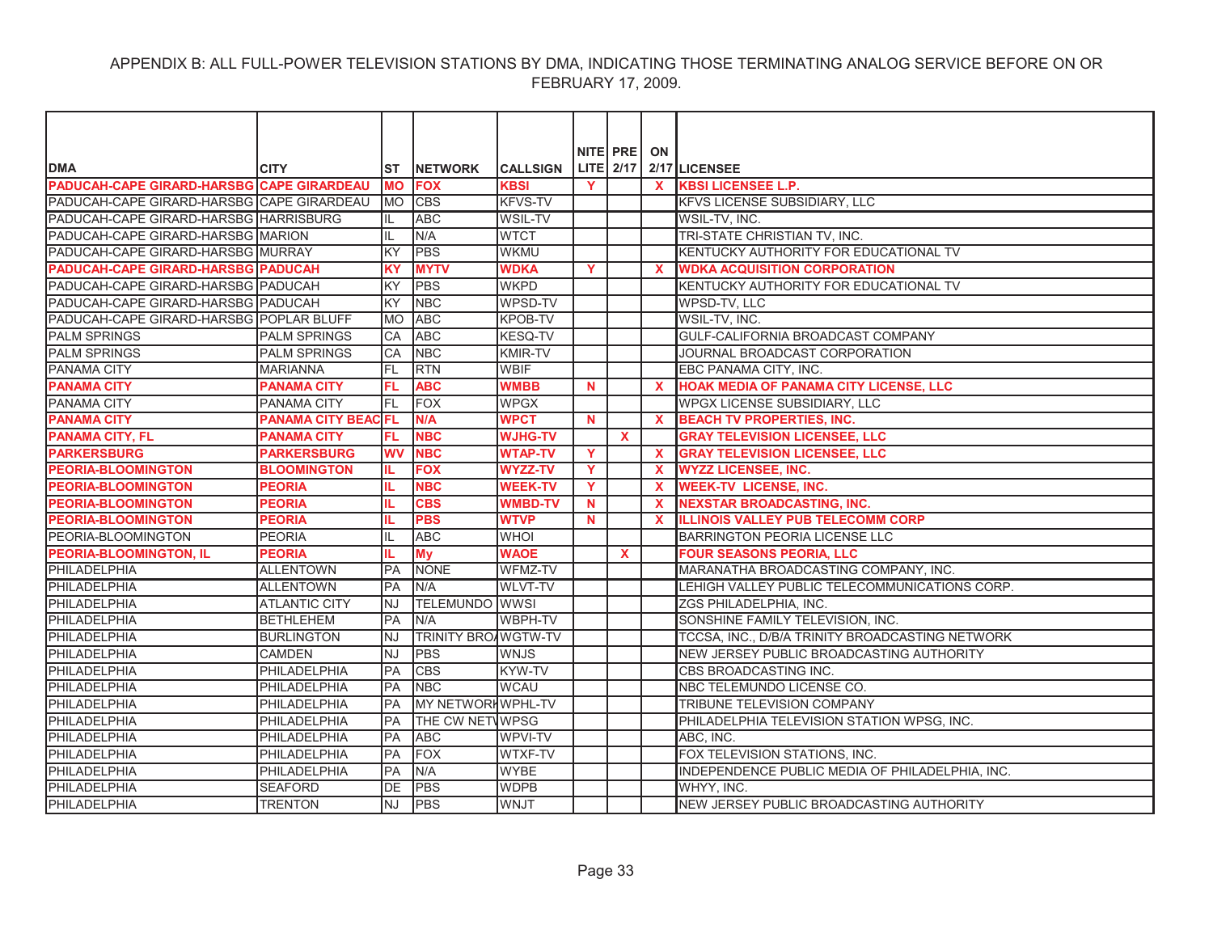|                                           |                            |            |                            |                 |    | NITE PRE     | ON           |                                                 |
|-------------------------------------------|----------------------------|------------|----------------------------|-----------------|----|--------------|--------------|-------------------------------------------------|
| <b>DMA</b>                                | <b>CITY</b>                | <b>ST</b>  | <b>INETWORK</b>            | <b>CALLSIGN</b> |    |              |              | LITE $2/17$ $2/17$ LICENSEE                     |
| PADUCAH-CAPE GIRARD-HARSBG CAPE GIRARDEAU |                            | <b>MO</b>  | <b>FOX</b>                 | <b>KBSI</b>     | Y  |              | X            | <b>KBSI LICENSEE L.P.</b>                       |
| PADUCAH-CAPE GIRARD-HARSBG CAPE GIRARDEAU |                            | <b>MO</b>  | <b>CBS</b>                 | <b>KFVS-TV</b>  |    |              |              | <b>KFVS LICENSE SUBSIDIARY, LLC</b>             |
| PADUCAH-CAPE GIRARD-HARSBG HARRISBURG     |                            | IL         | <b>ABC</b>                 | <b>WSIL-TV</b>  |    |              |              | WSIL-TV, INC.                                   |
| PADUCAH-CAPE GIRARD-HARSBG MARION         |                            | IL         | N/A                        | <b>WTCT</b>     |    |              |              | TRI-STATE CHRISTIAN TV, INC.                    |
| PADUCAH-CAPE GIRARD-HARSBG MURRAY         |                            | KY         | <b>PBS</b>                 | <b>WKMU</b>     |    |              |              | KENTUCKY AUTHORITY FOR EDUCATIONAL TV           |
| <b>PADUCAH-CAPE GIRARD-HARSBG PADUCAH</b> |                            | <b>KY</b>  | <b>MYTV</b>                | <b>WDKA</b>     | Y. |              | $\mathbf x$  | <b>WDKA ACQUISITION CORPORATION</b>             |
| PADUCAH-CAPE GIRARD-HARSBG PADUCAH        |                            | KY         | <b>PBS</b>                 | <b>WKPD</b>     |    |              |              | KENTUCKY AUTHORITY FOR EDUCATIONAL TV           |
| PADUCAH-CAPE GIRARD-HARSBG PADUCAH        |                            | KY         | <b>NBC</b>                 | <b>WPSD-TV</b>  |    |              |              | WPSD-TV. LLC                                    |
| PADUCAH-CAPE GIRARD-HARSBG POPLAR BLUFF   |                            | <b>MO</b>  | <b>ABC</b>                 | <b>KPOB-TV</b>  |    |              |              | WSIL-TV, INC.                                   |
| <b>PALM SPRINGS</b>                       | <b>PALM SPRINGS</b>        | CA         | <b>ABC</b>                 | <b>KESQ-TV</b>  |    |              |              | GULF-CALIFORNIA BROADCAST COMPANY               |
| <b>PALM SPRINGS</b>                       | <b>PALM SPRINGS</b>        | CA         | <b>NBC</b>                 | <b>KMIR-TV</b>  |    |              |              | JOURNAL BROADCAST CORPORATION                   |
| <b>PANAMA CITY</b>                        | <b>MARIANNA</b>            | <b>FL</b>  | <b>RTN</b>                 | <b>WBIF</b>     |    |              |              | EBC PANAMA CITY, INC.                           |
| <b>PANAMA CITY</b>                        | <b>PANAMA CITY</b>         | FL         | <b>ABC</b>                 | <b>WMBB</b>     | N  |              | X            | <b>HOAK MEDIA OF PANAMA CITY LICENSE, LLC</b>   |
| PANAMA CITY                               | <b>PANAMA CITY</b>         | FL         | <b>FOX</b>                 | <b>WPGX</b>     |    |              |              | WPGX LICENSE SUBSIDIARY, LLC                    |
| <b>PANAMA CITY</b>                        | <b>PANAMA CITY BEAC FL</b> |            | N/A                        | <b>WPCT</b>     | N  |              | $\mathbf{x}$ | <b>BEACH TV PROPERTIES, INC.</b>                |
| <b>PANAMA CITY, FL</b>                    | <b>PANAMA CITY</b>         | FL         | <b>NBC</b>                 | <b>WJHG-TV</b>  |    | $\mathbf{x}$ |              | <b>GRAY TELEVISION LICENSEE. LLC</b>            |
| <b>PARKERSBURG</b>                        | <b>PARKERSBURG</b>         | <b>WV</b>  | <b>NBC</b>                 | <b>WTAP-TV</b>  | Y  |              | $\mathbf x$  | <b>GRAY TELEVISION LICENSEE, LLC</b>            |
| <b>PEORIA-BLOOMINGTON</b>                 | <b>BLOOMINGTON</b>         | IL.        | <b>FOX</b>                 | <b>WYZZ-TV</b>  | Y  |              | $\mathbf{x}$ | <b>WYZZ LICENSEE, INC.</b>                      |
| <b>PEORIA-BLOOMINGTON</b>                 | <b>PEORIA</b>              | IL         | <b>NBC</b>                 | <b>WEEK-TV</b>  | Y  |              | $\mathbf{x}$ | <b>WEEK-TV LICENSE, INC.</b>                    |
| <b>PEORIA-BLOOMINGTON</b>                 | <b>PEORIA</b>              |            | <b>CBS</b>                 | <b>WMBD-TV</b>  | N. |              | $\mathbf x$  | <b>NEXSTAR BROADCASTING, INC.</b>               |
| <b>PEORIA-BLOOMINGTON</b>                 | <b>PEORIA</b>              |            | <b>PBS</b>                 | <b>WTVP</b>     | N  |              | $\mathbf x$  | <b>ILLINOIS VALLEY PUB TELECOMM CORP</b>        |
| PEORIA-BLOOMINGTON                        | <b>PEORIA</b>              | IL         | <b>ABC</b>                 | <b>WHOI</b>     |    |              |              | <b>BARRINGTON PEORIA LICENSE LLC</b>            |
| <b>PEORIA-BLOOMINGTON, IL</b>             | <b>PEORIA</b>              | IL.        | <b>My</b>                  | <b>WAOE</b>     |    | <b>X</b>     |              | <b>FOUR SEASONS PEORIA, LLC</b>                 |
| PHILADELPHIA                              | <b>ALLENTOWN</b>           | <b>IPA</b> | <b>NONE</b>                | WFMZ-TV         |    |              |              | MARANATHA BROADCASTING COMPANY. INC.            |
| PHILADELPHIA                              | <b>ALLENTOWN</b>           | <b>PA</b>  | N/A                        | <b>WLVT-TV</b>  |    |              |              | LEHIGH VALLEY PUBLIC TELECOMMUNICATIONS CORP.   |
| PHILADELPHIA                              | ATLANTIC CITY              | lnj        | <b>TELEMUNDO WWSI</b>      |                 |    |              |              | ZGS PHILADELPHIA. INC.                          |
| PHILADELPHIA                              | <b>BETHLEHEM</b>           | <b>PA</b>  | N/A                        | WBPH-TV         |    |              |              | SONSHINE FAMILY TELEVISION, INC.                |
| <b>PHILADELPHIA</b>                       | <b>BURLINGTON</b>          | <b>NJ</b>  | <b>TRINITY BROAWGTW-TV</b> |                 |    |              |              | TCCSA, INC., D/B/A TRINITY BROADCASTING NETWORK |
| PHILADELPHIA                              | <b>CAMDEN</b>              | <b>NJ</b>  | <b>PBS</b>                 | <b>WNJS</b>     |    |              |              | NEW JERSEY PUBLIC BROADCASTING AUTHORITY        |
| PHILADELPHIA                              | PHILADELPHIA               | PA         | <b>CBS</b>                 | <b>KYW-TV</b>   |    |              |              | CBS BROADCASTING INC.                           |
| PHILADELPHIA                              | PHILADELPHIA               | <b>PA</b>  | <b>NBC</b>                 | <b>WCAU</b>     |    |              |              | NBC TELEMUNDO LICENSE CO.                       |
| PHILADELPHIA                              | PHILADELPHIA               | <b>PA</b>  | <b>MY NETWORHWPHL-TV</b>   |                 |    |              |              | TRIBUNE TELEVISION COMPANY                      |
| PHILADELPHIA                              | PHILADELPHIA               | <b>PA</b>  | <b>THE CW NETWWPSG</b>     |                 |    |              |              | PHILADELPHIA TELEVISION STATION WPSG, INC.      |
| PHILADELPHIA                              | PHILADELPHIA               | <b>PA</b>  | <b>ABC</b>                 | <b>WPVI-TV</b>  |    |              |              | ABC. INC.                                       |
| PHILADELPHIA                              | PHILADELPHIA               | PA         | FOX                        | <b>WTXF-TV</b>  |    |              |              | FOX TELEVISION STATIONS, INC.                   |
| PHILADELPHIA                              | PHILADELPHIA               | <b>PA</b>  | N/A                        | <b>WYBE</b>     |    |              |              | INDEPENDENCE PUBLIC MEDIA OF PHILADELPHIA. INC. |
| PHILADELPHIA                              | <b>SEAFORD</b>             | DE         | <b>PBS</b>                 | <b>WDPB</b>     |    |              |              | WHYY, INC.                                      |
| PHILADELPHIA                              | <b>TRENTON</b>             | lnj        | <b>PBS</b>                 | <b>WNJT</b>     |    |              |              | INEW JERSEY PUBLIC BROADCASTING AUTHORITY       |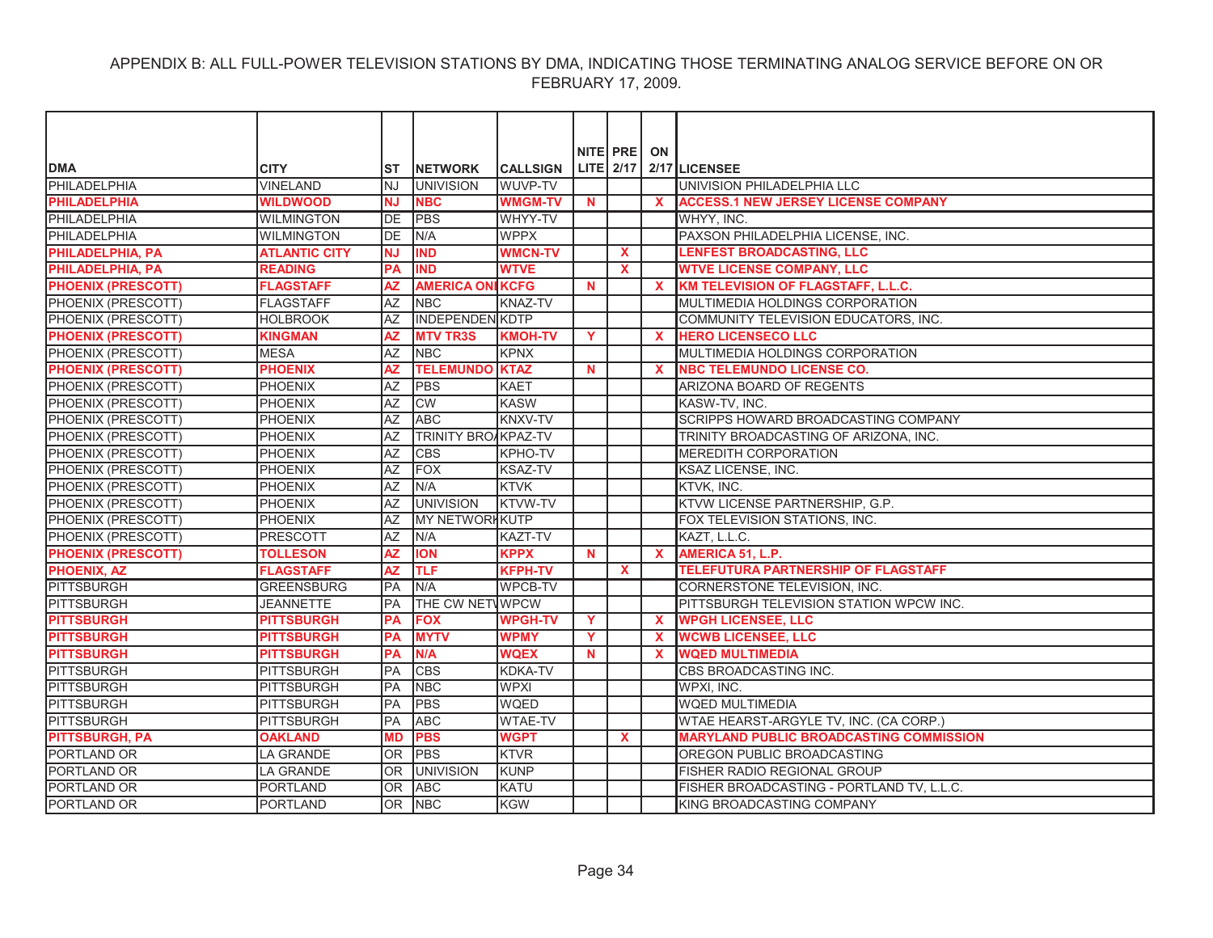|                           |                      |            |                         |                 |          | NITE PRE     | ON                        |                                                |
|---------------------------|----------------------|------------|-------------------------|-----------------|----------|--------------|---------------------------|------------------------------------------------|
| <b>DMA</b>                | <b>CITY</b>          | <b>ST</b>  | <b>INETWORK</b>         | <b>CALLSIGN</b> |          | LITE 2/17    |                           | 2/17 LICENSEE                                  |
| PHILADELPHIA              | <b>VINELAND</b>      | <b>NJ</b>  | <b>UNIVISION</b>        | WUVP-TV         |          |              |                           | UNIVISION PHILADELPHIA LLC                     |
| <b>PHILADELPHIA</b>       | <b>WILDWOOD</b>      | <b>NJ</b>  | <b>NBC</b>              | <b>WMGM-TV</b>  | N        |              | X                         | <b>ACCESS.1 NEW JERSEY LICENSE COMPANY</b>     |
| PHILADELPHIA              | <b>WILMINGTON</b>    | DE         | <b>PBS</b>              | WHYY-TV         |          |              |                           | WHYY, INC.                                     |
| PHILADELPHIA              | <b>WILMINGTON</b>    | <b>DE</b>  | N/A                     | <b>WPPX</b>     |          |              |                           | PAXSON PHILADELPHIA LICENSE, INC.              |
| PHILADELPHIA, PA          | <b>ATLANTIC CITY</b> | <b>NJ</b>  | <b>IND</b>              | <b>WMCN-TV</b>  |          | <b>X</b>     |                           | <b>LENFEST BROADCASTING, LLC</b>               |
| PHILADELPHIA, PA          | <b>READING</b>       | PA         | <b>IND</b>              | <b>WTVE</b>     |          | $\mathbf{x}$ |                           | <b>WTVE LICENSE COMPANY, LLC</b>               |
| <b>PHOENIX (PRESCOTT)</b> | <b>FLAGSTAFF</b>     | <b>AZ</b>  | <b>AMERICA ONI KCFG</b> |                 | N        |              | $\mathbf x$               | KM TELEVISION OF FLAGSTAFF, L.L.C.             |
| PHOENIX (PRESCOTT)        | <b>FLAGSTAFF</b>     | AZ         | <b>NBC</b>              | <b>KNAZ-TV</b>  |          |              |                           | MULTIMEDIA HOLDINGS CORPORATION                |
| PHOENIX (PRESCOTT)        | <b>HOLBROOK</b>      | AZ         | <b>INDEPENDENIKDTP</b>  |                 |          |              |                           | COMMUNITY TELEVISION EDUCATORS, INC.           |
| <b>PHOENIX (PRESCOTT)</b> | <b>KINGMAN</b>       | <b>AZ</b>  | <b>MTV TR3S</b>         | <b>KMOH-TV</b>  | Y        |              | $\mathbf{x}$              | <b>HERO LICENSECO LLC</b>                      |
| PHOENIX (PRESCOTT)        | <b>IMESA</b>         | AZ         | <b>INBC</b>             | KPNX            |          |              |                           | MULTIMEDIA HOLDINGS CORPORATION                |
| <b>PHOENIX (PRESCOTT)</b> | <b>PHOENIX</b>       | <b>AZ</b>  | <b>TELEMUNDO</b>        | <b>KTAZ</b>     | N        |              | $\boldsymbol{\mathsf{x}}$ | <b>NBC TELEMUNDO LICENSE CO.</b>               |
| PHOENIX (PRESCOTT)        | PHOENIX              | <b>AZ</b>  | <b>PBS</b>              | <b>KAET</b>     |          |              |                           | ARIZONA BOARD OF REGENTS                       |
| PHOENIX (PRESCOTT)        | <b>PHOENIX</b>       | AZ         | CW                      | <b>KASW</b>     |          |              |                           | KASW-TV, INC.                                  |
| PHOENIX (PRESCOTT)        | <b>PHOENIX</b>       | <b>AZ</b>  | <b>ABC</b>              | <b>KNXV-TV</b>  |          |              |                           | SCRIPPS HOWARD BROADCASTING COMPANY            |
| PHOENIX (PRESCOTT)        | <b>PHOENIX</b>       | <b>AZ</b>  | TRINITY BROAKPAZ-TV     |                 |          |              |                           | TRINITY BROADCASTING OF ARIZONA, INC.          |
| PHOENIX (PRESCOTT)        | <b>PHOENIX</b>       | AZ         | <b>CBS</b>              | <b>KPHO-TV</b>  |          |              |                           | <b>MEREDITH CORPORATION</b>                    |
| PHOENIX (PRESCOTT)        | <b>PHOENIX</b>       | AZ         | <b>FOX</b>              | <b>KSAZ-TV</b>  |          |              |                           | <b>KSAZ LICENSE, INC.</b>                      |
| PHOENIX (PRESCOTT)        | <b>PHOENIX</b>       | AZ         | N/A                     | <b>KTVK</b>     |          |              |                           | KTVK, INC.                                     |
| PHOENIX (PRESCOTT)        | <b>PHOENIX</b>       | AZ         | <b>UNIVISION</b>        | <b>KTVW-TV</b>  |          |              |                           | KTVW LICENSE PARTNERSHIP, G.P.                 |
| PHOENIX (PRESCOTT)        | <b>PHOENIX</b>       | <b>AZ</b>  | <b>MY NETWORHKUTP</b>   |                 |          |              |                           | FOX TELEVISION STATIONS, INC.                  |
| PHOENIX (PRESCOTT)        | <b>PRESCOTT</b>      | AZ         | N/A                     | <b>KAZT-TV</b>  |          |              |                           | KAZT, L.L.C.                                   |
| <b>PHOENIX (PRESCOTT)</b> | <b>TOLLESON</b>      | <b>AZ</b>  | <b>ION</b>              | <b>KPPX</b>     | <b>N</b> |              | $\mathbf{x}$              | <b>AMERICA 51. L.P.</b>                        |
| <b>PHOENIX, AZ</b>        | <b>FLAGSTAFF</b>     | <b>AZ</b>  | <b>TLF</b>              | <b>KFPH-TV</b>  |          | $\mathbf{x}$ |                           | <b>TELEFUTURA PARTNERSHIP OF FLAGSTAFF</b>     |
| <b>PITTSBURGH</b>         | <b>GREENSBURG</b>    | <b>PA</b>  | N/A                     | <b>WPCB-TV</b>  |          |              |                           | CORNERSTONE TELEVISION, INC.                   |
| PITTSBURGH                | <b>JEANNETTE</b>     | <b>PA</b>  | THE CW NETWPCW          |                 |          |              |                           | PITTSBURGH TELEVISION STATION WPCW INC.        |
| <b>PITTSBURGH</b>         | <b>PITTSBURGH</b>    | <b>PA</b>  | <b>FOX</b>              | <b>WPGH-TV</b>  | Y        |              | $\mathbf{x}$              | <b>WPGH LICENSEE, LLC</b>                      |
| <b>PITTSBURGH</b>         | <b>PITTSBURGH</b>    | <b>PA</b>  | <b>MYTV</b>             | <b>WPMY</b>     | Y        |              | $\mathbf x$               | <b>WCWB LICENSEE, LLC</b>                      |
| <b>PITTSBURGH</b>         | <b>PITTSBURGH</b>    | PA         | N/A                     | <b>WQEX</b>     | N        |              | $\mathbf x$               | <b>WQED MULTIMEDIA</b>                         |
| PITTSBURGH                | <b>PITTSBURGH</b>    | <b>IPA</b> | <b>CBS</b>              | KDKA-TV         |          |              |                           | CBS BROADCASTING INC.                          |
| PITTSBURGH                | PITTSBURGH           | PA         | <b>NBC</b>              | <b>WPXI</b>     |          |              |                           | WPXI, INC.                                     |
| PITTSBURGH                | PITTSBURGH           | <b>PA</b>  | <b>PBS</b>              | <b>WQED</b>     |          |              |                           | <b>WQED MULTIMEDIA</b>                         |
| <b>PITTSBURGH</b>         | <b>PITTSBURGH</b>    | PA         | <b>ABC</b>              | <b>WTAE-TV</b>  |          |              |                           | WTAE HEARST-ARGYLE TV, INC. (CA CORP.)         |
| <b>PITTSBURGH, PA</b>     | <b>OAKLAND</b>       | <b>MD</b>  | <b>PBS</b>              | <b>WGPT</b>     |          | $\mathbf{x}$ |                           | <b>MARYLAND PUBLIC BROADCASTING COMMISSION</b> |
| PORTLAND OR               | <b>LA GRANDE</b>     | <b>OR</b>  | <b>PBS</b>              | <b>KTVR</b>     |          |              |                           | OREGON PUBLIC BROADCASTING                     |
| <b>PORTLAND OR</b>        | <b>LA GRANDE</b>     | <b>OR</b>  | <b>UNIVISION</b>        | <b>KUNP</b>     |          |              |                           | FISHER RADIO REGIONAL GROUP                    |
| PORTLAND OR               | <b>PORTLAND</b>      | <b>OR</b>  | <b>ABC</b>              | <b>KATU</b>     |          |              |                           | FISHER BROADCASTING - PORTLAND TV, L.L.C.      |
| PORTLAND OR               | <b>PORTLAND</b>      | <b>OR</b>  | <b>NBC</b>              | <b>KGW</b>      |          |              |                           | KING BROADCASTING COMPANY                      |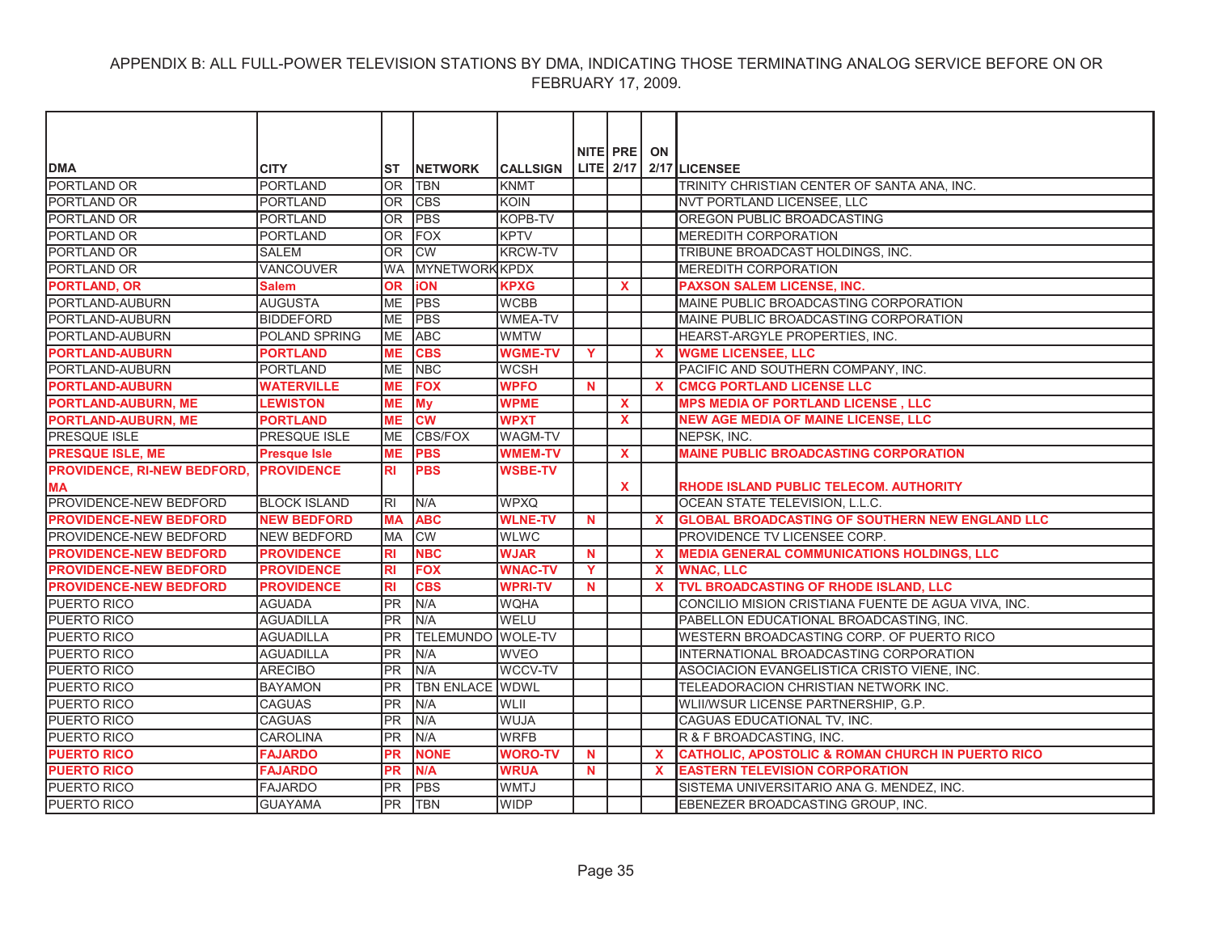| NITE PRE<br>ON<br>LITE 2/17 2/17 LICENSEE<br><b>DMA</b><br><b>CITY</b><br><b>INETWORK</b><br><b>CALLSIGN</b><br><b>ST</b><br>PORTLAND OR<br><b>PORTLAND</b><br>OR<br><b>TBN</b><br><b>KNMT</b><br>TRINITY CHRISTIAN CENTER OF SANTA ANA, INC.<br>PORTLAND OR<br><b>PORTLAND</b><br><b>OR</b><br><b>CBS</b><br><b>KOIN</b><br><b>INVT PORTLAND LICENSEE. LLC</b><br><b>PBS</b><br><b>PORTLAND OR</b><br><b>PORTLAND</b><br><b>OR</b><br>KOPB-TV<br>OREGON PUBLIC BROADCASTING<br><b>PORTLAND</b><br><b>OR</b><br><b>FOX</b><br><b>KPTV</b><br><b>PORTLAND OR</b><br><b>MEREDITH CORPORATION</b><br><b>CW</b><br>PORTLAND OR<br><b>SALEM</b><br><b>OR</b><br><b>KRCW-TV</b><br>TRIBUNE BROADCAST HOLDINGS, INC.<br>PORTLAND OR<br><b>VANCOUVER</b><br><b>MYNETWORK KPDX</b><br><b>MEREDITH CORPORATION</b><br><b>WA</b><br><b>PORTLAND, OR</b><br><b>Salem</b><br><b>OR</b><br><b>iON</b><br><b>KPXG</b><br><b>PAXSON SALEM LICENSE, INC.</b><br><b>X</b><br><b>ME</b><br><b>PBS</b><br>PORTLAND-AUBURN<br><b>AUGUSTA</b><br><b>WCBB</b><br>MAINE PUBLIC BROADCASTING CORPORATION<br><b>ME</b><br><b>PBS</b><br>PORTLAND-AUBURN<br><b>BIDDEFORD</b><br><b>WMEA-TV</b><br>MAINE PUBLIC BROADCASTING CORPORATION<br>PORTLAND-AUBURN<br><b>POLAND SPRING</b><br><b>ME</b><br><b>ABC</b><br><b>WMTW</b><br>HEARST-ARGYLE PROPERTIES. INC.<br><b>PORTLAND-AUBURN</b><br><b>PORTLAND</b><br><b>ME</b><br><b>CBS</b><br><b>WGME-TV</b><br><b>WGME LICENSEE, LLC</b><br>Y<br>X<br>PORTLAND<br><b>NBC</b><br><b>WCSH</b><br>PACIFIC AND SOUTHERN COMPANY, INC.<br>PORTLAND-AUBURN<br><b>ME</b><br><b>FOX</b><br><b>PORTLAND-AUBURN</b><br><b>WATERVILLE</b><br><b>ME</b><br><b>WPFO</b><br><b>CMCG PORTLAND LICENSE LLC</b><br>N<br>$\mathbf x$<br><b>WPME</b><br><b>PORTLAND-AUBURN, ME</b><br><b>LEWISTON</b><br><b>ME</b><br><b>My</b><br><b>MPS MEDIA OF PORTLAND LICENSE. LLC</b><br><b>X</b><br><b>PORTLAND-AUBURN, ME</b><br><b>CW</b><br><b>WPXT</b><br><b>PORTLAND</b><br><b>NEW AGE MEDIA OF MAINE LICENSE, LLC</b><br>MЕ<br><b>X</b><br><b>PRESQUE ISLE</b><br><b>PRESQUE ISLE</b><br><b>ME</b><br><b>CBS/FOX</b><br><b>WAGM-TV</b><br>NEPSK. INC.<br><b>MAINE PUBLIC BROADCASTING CORPORATION</b><br><b>ME</b><br><b>PBS</b><br><b>WMEM-TV</b><br><b>Presque Isle</b><br><b>X</b><br><b>PBS</b><br><b>WSBE-TV</b><br><b>PROVIDENCE</b><br><b>RI</b><br>X<br>RHODE ISLAND PUBLIC TELECOM. AUTHORITY<br>PROVIDENCE-NEW BEDFORD<br><b>BLOCK ISLAND</b><br>IRI<br>N/A<br><b>WPXQ</b><br>OCEAN STATE TELEVISION, L.L.C.<br><b>ABC</b><br><b>WLNE-TV</b><br><b>GLOBAL BROADCASTING OF SOUTHERN NEW ENGLAND LLC</b><br><b>NEW BEDFORD</b><br><b>MA</b><br>N<br><b>CW</b><br><b>NEW BEDFORD</b><br><b>MA</b><br><b>WLWC</b><br>PROVIDENCE TV LICENSEE CORP.<br><b>NBC</b><br><b>WJAR</b><br><b>PROVIDENCE</b><br>$\mathbf N$<br><b>MEDIA GENERAL COMMUNICATIONS HOLDINGS, LLC</b><br><b>RI</b><br>$\mathbf{x}$<br><b>FOX</b><br><b>WNAC-TV</b><br>Y<br><b>WNAC. LLC</b><br><b>PROVIDENCE</b><br><b>RI</b><br>$\mathbf x$<br><b>CBS</b><br><b>WPRI-TV</b><br>TVL BROADCASTING OF RHODE ISLAND, LLC<br><b>PROVIDENCE</b><br><b>RI</b><br>N.<br>$\mathbf x$<br><b>IPR</b><br>N/A<br>CONCILIO MISION CRISTIANA FUENTE DE AGUA VIVA, INC.<br><b>AGUADA</b><br><b>WQHA</b><br><b>PR</b><br>N/A<br>WELU<br><b>AGUADILLA</b><br>PABELLON EDUCATIONAL BROADCASTING, INC.<br><b>PR</b><br><b>TELEMUNDO WOLE-TV</b><br><b>AGUADILLA</b><br>WESTERN BROADCASTING CORP. OF PUERTO RICO<br><b>AGUADILLA</b><br><b>PR</b><br><b>WVEO</b><br>INTERNATIONAL BROADCASTING CORPORATION<br>N/A<br>WCCV-TV<br><b>ARECIBO</b><br><b>PR</b><br>N/A<br>ASOCIACION EVANGELISTICA CRISTO VIENE. INC.<br><b>BAYAMON</b><br><b>PR</b><br><b>TBN ENLACE WDWL</b><br>TELEADORACION CHRISTIAN NETWORK INC. |                                    |  |  |  |  |
|----------------------------------------------------------------------------------------------------------------------------------------------------------------------------------------------------------------------------------------------------------------------------------------------------------------------------------------------------------------------------------------------------------------------------------------------------------------------------------------------------------------------------------------------------------------------------------------------------------------------------------------------------------------------------------------------------------------------------------------------------------------------------------------------------------------------------------------------------------------------------------------------------------------------------------------------------------------------------------------------------------------------------------------------------------------------------------------------------------------------------------------------------------------------------------------------------------------------------------------------------------------------------------------------------------------------------------------------------------------------------------------------------------------------------------------------------------------------------------------------------------------------------------------------------------------------------------------------------------------------------------------------------------------------------------------------------------------------------------------------------------------------------------------------------------------------------------------------------------------------------------------------------------------------------------------------------------------------------------------------------------------------------------------------------------------------------------------------------------------------------------------------------------------------------------------------------------------------------------------------------------------------------------------------------------------------------------------------------------------------------------------------------------------------------------------------------------------------------------------------------------------------------------------------------------------------------------------------------------------------------------------------------------------------------------------------------------------------------------------------------------------------------------------------------------------------------------------------------------------------------------------------------------------------------------------------------------------------------------------------------------------------------------------------------------------------------------------------------------------------------------------------------------------------------------------------------------------------------------------------------------------------------------------------------------------------------------------------------------------------------------------------------------------------------------------------------------------------------------------------------------------------------------------------------------------------------------------------------------------------------------------------------------------------------------------------------------------------------------------------------------------------|------------------------------------|--|--|--|--|
|                                                                                                                                                                                                                                                                                                                                                                                                                                                                                                                                                                                                                                                                                                                                                                                                                                                                                                                                                                                                                                                                                                                                                                                                                                                                                                                                                                                                                                                                                                                                                                                                                                                                                                                                                                                                                                                                                                                                                                                                                                                                                                                                                                                                                                                                                                                                                                                                                                                                                                                                                                                                                                                                                                                                                                                                                                                                                                                                                                                                                                                                                                                                                                                                                                                                                                                                                                                                                                                                                                                                                                                                                                                                                                                                                                      |                                    |  |  |  |  |
|                                                                                                                                                                                                                                                                                                                                                                                                                                                                                                                                                                                                                                                                                                                                                                                                                                                                                                                                                                                                                                                                                                                                                                                                                                                                                                                                                                                                                                                                                                                                                                                                                                                                                                                                                                                                                                                                                                                                                                                                                                                                                                                                                                                                                                                                                                                                                                                                                                                                                                                                                                                                                                                                                                                                                                                                                                                                                                                                                                                                                                                                                                                                                                                                                                                                                                                                                                                                                                                                                                                                                                                                                                                                                                                                                                      |                                    |  |  |  |  |
|                                                                                                                                                                                                                                                                                                                                                                                                                                                                                                                                                                                                                                                                                                                                                                                                                                                                                                                                                                                                                                                                                                                                                                                                                                                                                                                                                                                                                                                                                                                                                                                                                                                                                                                                                                                                                                                                                                                                                                                                                                                                                                                                                                                                                                                                                                                                                                                                                                                                                                                                                                                                                                                                                                                                                                                                                                                                                                                                                                                                                                                                                                                                                                                                                                                                                                                                                                                                                                                                                                                                                                                                                                                                                                                                                                      |                                    |  |  |  |  |
|                                                                                                                                                                                                                                                                                                                                                                                                                                                                                                                                                                                                                                                                                                                                                                                                                                                                                                                                                                                                                                                                                                                                                                                                                                                                                                                                                                                                                                                                                                                                                                                                                                                                                                                                                                                                                                                                                                                                                                                                                                                                                                                                                                                                                                                                                                                                                                                                                                                                                                                                                                                                                                                                                                                                                                                                                                                                                                                                                                                                                                                                                                                                                                                                                                                                                                                                                                                                                                                                                                                                                                                                                                                                                                                                                                      |                                    |  |  |  |  |
|                                                                                                                                                                                                                                                                                                                                                                                                                                                                                                                                                                                                                                                                                                                                                                                                                                                                                                                                                                                                                                                                                                                                                                                                                                                                                                                                                                                                                                                                                                                                                                                                                                                                                                                                                                                                                                                                                                                                                                                                                                                                                                                                                                                                                                                                                                                                                                                                                                                                                                                                                                                                                                                                                                                                                                                                                                                                                                                                                                                                                                                                                                                                                                                                                                                                                                                                                                                                                                                                                                                                                                                                                                                                                                                                                                      |                                    |  |  |  |  |
|                                                                                                                                                                                                                                                                                                                                                                                                                                                                                                                                                                                                                                                                                                                                                                                                                                                                                                                                                                                                                                                                                                                                                                                                                                                                                                                                                                                                                                                                                                                                                                                                                                                                                                                                                                                                                                                                                                                                                                                                                                                                                                                                                                                                                                                                                                                                                                                                                                                                                                                                                                                                                                                                                                                                                                                                                                                                                                                                                                                                                                                                                                                                                                                                                                                                                                                                                                                                                                                                                                                                                                                                                                                                                                                                                                      |                                    |  |  |  |  |
|                                                                                                                                                                                                                                                                                                                                                                                                                                                                                                                                                                                                                                                                                                                                                                                                                                                                                                                                                                                                                                                                                                                                                                                                                                                                                                                                                                                                                                                                                                                                                                                                                                                                                                                                                                                                                                                                                                                                                                                                                                                                                                                                                                                                                                                                                                                                                                                                                                                                                                                                                                                                                                                                                                                                                                                                                                                                                                                                                                                                                                                                                                                                                                                                                                                                                                                                                                                                                                                                                                                                                                                                                                                                                                                                                                      |                                    |  |  |  |  |
|                                                                                                                                                                                                                                                                                                                                                                                                                                                                                                                                                                                                                                                                                                                                                                                                                                                                                                                                                                                                                                                                                                                                                                                                                                                                                                                                                                                                                                                                                                                                                                                                                                                                                                                                                                                                                                                                                                                                                                                                                                                                                                                                                                                                                                                                                                                                                                                                                                                                                                                                                                                                                                                                                                                                                                                                                                                                                                                                                                                                                                                                                                                                                                                                                                                                                                                                                                                                                                                                                                                                                                                                                                                                                                                                                                      |                                    |  |  |  |  |
|                                                                                                                                                                                                                                                                                                                                                                                                                                                                                                                                                                                                                                                                                                                                                                                                                                                                                                                                                                                                                                                                                                                                                                                                                                                                                                                                                                                                                                                                                                                                                                                                                                                                                                                                                                                                                                                                                                                                                                                                                                                                                                                                                                                                                                                                                                                                                                                                                                                                                                                                                                                                                                                                                                                                                                                                                                                                                                                                                                                                                                                                                                                                                                                                                                                                                                                                                                                                                                                                                                                                                                                                                                                                                                                                                                      |                                    |  |  |  |  |
|                                                                                                                                                                                                                                                                                                                                                                                                                                                                                                                                                                                                                                                                                                                                                                                                                                                                                                                                                                                                                                                                                                                                                                                                                                                                                                                                                                                                                                                                                                                                                                                                                                                                                                                                                                                                                                                                                                                                                                                                                                                                                                                                                                                                                                                                                                                                                                                                                                                                                                                                                                                                                                                                                                                                                                                                                                                                                                                                                                                                                                                                                                                                                                                                                                                                                                                                                                                                                                                                                                                                                                                                                                                                                                                                                                      |                                    |  |  |  |  |
|                                                                                                                                                                                                                                                                                                                                                                                                                                                                                                                                                                                                                                                                                                                                                                                                                                                                                                                                                                                                                                                                                                                                                                                                                                                                                                                                                                                                                                                                                                                                                                                                                                                                                                                                                                                                                                                                                                                                                                                                                                                                                                                                                                                                                                                                                                                                                                                                                                                                                                                                                                                                                                                                                                                                                                                                                                                                                                                                                                                                                                                                                                                                                                                                                                                                                                                                                                                                                                                                                                                                                                                                                                                                                                                                                                      |                                    |  |  |  |  |
|                                                                                                                                                                                                                                                                                                                                                                                                                                                                                                                                                                                                                                                                                                                                                                                                                                                                                                                                                                                                                                                                                                                                                                                                                                                                                                                                                                                                                                                                                                                                                                                                                                                                                                                                                                                                                                                                                                                                                                                                                                                                                                                                                                                                                                                                                                                                                                                                                                                                                                                                                                                                                                                                                                                                                                                                                                                                                                                                                                                                                                                                                                                                                                                                                                                                                                                                                                                                                                                                                                                                                                                                                                                                                                                                                                      |                                    |  |  |  |  |
|                                                                                                                                                                                                                                                                                                                                                                                                                                                                                                                                                                                                                                                                                                                                                                                                                                                                                                                                                                                                                                                                                                                                                                                                                                                                                                                                                                                                                                                                                                                                                                                                                                                                                                                                                                                                                                                                                                                                                                                                                                                                                                                                                                                                                                                                                                                                                                                                                                                                                                                                                                                                                                                                                                                                                                                                                                                                                                                                                                                                                                                                                                                                                                                                                                                                                                                                                                                                                                                                                                                                                                                                                                                                                                                                                                      |                                    |  |  |  |  |
|                                                                                                                                                                                                                                                                                                                                                                                                                                                                                                                                                                                                                                                                                                                                                                                                                                                                                                                                                                                                                                                                                                                                                                                                                                                                                                                                                                                                                                                                                                                                                                                                                                                                                                                                                                                                                                                                                                                                                                                                                                                                                                                                                                                                                                                                                                                                                                                                                                                                                                                                                                                                                                                                                                                                                                                                                                                                                                                                                                                                                                                                                                                                                                                                                                                                                                                                                                                                                                                                                                                                                                                                                                                                                                                                                                      |                                    |  |  |  |  |
|                                                                                                                                                                                                                                                                                                                                                                                                                                                                                                                                                                                                                                                                                                                                                                                                                                                                                                                                                                                                                                                                                                                                                                                                                                                                                                                                                                                                                                                                                                                                                                                                                                                                                                                                                                                                                                                                                                                                                                                                                                                                                                                                                                                                                                                                                                                                                                                                                                                                                                                                                                                                                                                                                                                                                                                                                                                                                                                                                                                                                                                                                                                                                                                                                                                                                                                                                                                                                                                                                                                                                                                                                                                                                                                                                                      |                                    |  |  |  |  |
|                                                                                                                                                                                                                                                                                                                                                                                                                                                                                                                                                                                                                                                                                                                                                                                                                                                                                                                                                                                                                                                                                                                                                                                                                                                                                                                                                                                                                                                                                                                                                                                                                                                                                                                                                                                                                                                                                                                                                                                                                                                                                                                                                                                                                                                                                                                                                                                                                                                                                                                                                                                                                                                                                                                                                                                                                                                                                                                                                                                                                                                                                                                                                                                                                                                                                                                                                                                                                                                                                                                                                                                                                                                                                                                                                                      |                                    |  |  |  |  |
|                                                                                                                                                                                                                                                                                                                                                                                                                                                                                                                                                                                                                                                                                                                                                                                                                                                                                                                                                                                                                                                                                                                                                                                                                                                                                                                                                                                                                                                                                                                                                                                                                                                                                                                                                                                                                                                                                                                                                                                                                                                                                                                                                                                                                                                                                                                                                                                                                                                                                                                                                                                                                                                                                                                                                                                                                                                                                                                                                                                                                                                                                                                                                                                                                                                                                                                                                                                                                                                                                                                                                                                                                                                                                                                                                                      |                                    |  |  |  |  |
|                                                                                                                                                                                                                                                                                                                                                                                                                                                                                                                                                                                                                                                                                                                                                                                                                                                                                                                                                                                                                                                                                                                                                                                                                                                                                                                                                                                                                                                                                                                                                                                                                                                                                                                                                                                                                                                                                                                                                                                                                                                                                                                                                                                                                                                                                                                                                                                                                                                                                                                                                                                                                                                                                                                                                                                                                                                                                                                                                                                                                                                                                                                                                                                                                                                                                                                                                                                                                                                                                                                                                                                                                                                                                                                                                                      |                                    |  |  |  |  |
|                                                                                                                                                                                                                                                                                                                                                                                                                                                                                                                                                                                                                                                                                                                                                                                                                                                                                                                                                                                                                                                                                                                                                                                                                                                                                                                                                                                                                                                                                                                                                                                                                                                                                                                                                                                                                                                                                                                                                                                                                                                                                                                                                                                                                                                                                                                                                                                                                                                                                                                                                                                                                                                                                                                                                                                                                                                                                                                                                                                                                                                                                                                                                                                                                                                                                                                                                                                                                                                                                                                                                                                                                                                                                                                                                                      |                                    |  |  |  |  |
|                                                                                                                                                                                                                                                                                                                                                                                                                                                                                                                                                                                                                                                                                                                                                                                                                                                                                                                                                                                                                                                                                                                                                                                                                                                                                                                                                                                                                                                                                                                                                                                                                                                                                                                                                                                                                                                                                                                                                                                                                                                                                                                                                                                                                                                                                                                                                                                                                                                                                                                                                                                                                                                                                                                                                                                                                                                                                                                                                                                                                                                                                                                                                                                                                                                                                                                                                                                                                                                                                                                                                                                                                                                                                                                                                                      | <b>PRESQUE ISLE, ME</b>            |  |  |  |  |
|                                                                                                                                                                                                                                                                                                                                                                                                                                                                                                                                                                                                                                                                                                                                                                                                                                                                                                                                                                                                                                                                                                                                                                                                                                                                                                                                                                                                                                                                                                                                                                                                                                                                                                                                                                                                                                                                                                                                                                                                                                                                                                                                                                                                                                                                                                                                                                                                                                                                                                                                                                                                                                                                                                                                                                                                                                                                                                                                                                                                                                                                                                                                                                                                                                                                                                                                                                                                                                                                                                                                                                                                                                                                                                                                                                      | <b>PROVIDENCE, RI-NEW BEDFORD,</b> |  |  |  |  |
|                                                                                                                                                                                                                                                                                                                                                                                                                                                                                                                                                                                                                                                                                                                                                                                                                                                                                                                                                                                                                                                                                                                                                                                                                                                                                                                                                                                                                                                                                                                                                                                                                                                                                                                                                                                                                                                                                                                                                                                                                                                                                                                                                                                                                                                                                                                                                                                                                                                                                                                                                                                                                                                                                                                                                                                                                                                                                                                                                                                                                                                                                                                                                                                                                                                                                                                                                                                                                                                                                                                                                                                                                                                                                                                                                                      | <b>MA</b>                          |  |  |  |  |
|                                                                                                                                                                                                                                                                                                                                                                                                                                                                                                                                                                                                                                                                                                                                                                                                                                                                                                                                                                                                                                                                                                                                                                                                                                                                                                                                                                                                                                                                                                                                                                                                                                                                                                                                                                                                                                                                                                                                                                                                                                                                                                                                                                                                                                                                                                                                                                                                                                                                                                                                                                                                                                                                                                                                                                                                                                                                                                                                                                                                                                                                                                                                                                                                                                                                                                                                                                                                                                                                                                                                                                                                                                                                                                                                                                      |                                    |  |  |  |  |
|                                                                                                                                                                                                                                                                                                                                                                                                                                                                                                                                                                                                                                                                                                                                                                                                                                                                                                                                                                                                                                                                                                                                                                                                                                                                                                                                                                                                                                                                                                                                                                                                                                                                                                                                                                                                                                                                                                                                                                                                                                                                                                                                                                                                                                                                                                                                                                                                                                                                                                                                                                                                                                                                                                                                                                                                                                                                                                                                                                                                                                                                                                                                                                                                                                                                                                                                                                                                                                                                                                                                                                                                                                                                                                                                                                      | <b>PROVIDENCE-NEW BEDFORD</b>      |  |  |  |  |
|                                                                                                                                                                                                                                                                                                                                                                                                                                                                                                                                                                                                                                                                                                                                                                                                                                                                                                                                                                                                                                                                                                                                                                                                                                                                                                                                                                                                                                                                                                                                                                                                                                                                                                                                                                                                                                                                                                                                                                                                                                                                                                                                                                                                                                                                                                                                                                                                                                                                                                                                                                                                                                                                                                                                                                                                                                                                                                                                                                                                                                                                                                                                                                                                                                                                                                                                                                                                                                                                                                                                                                                                                                                                                                                                                                      | <b>PROVIDENCE-NEW BEDFORD</b>      |  |  |  |  |
|                                                                                                                                                                                                                                                                                                                                                                                                                                                                                                                                                                                                                                                                                                                                                                                                                                                                                                                                                                                                                                                                                                                                                                                                                                                                                                                                                                                                                                                                                                                                                                                                                                                                                                                                                                                                                                                                                                                                                                                                                                                                                                                                                                                                                                                                                                                                                                                                                                                                                                                                                                                                                                                                                                                                                                                                                                                                                                                                                                                                                                                                                                                                                                                                                                                                                                                                                                                                                                                                                                                                                                                                                                                                                                                                                                      | <b>PROVIDENCE-NEW BEDFORD</b>      |  |  |  |  |
|                                                                                                                                                                                                                                                                                                                                                                                                                                                                                                                                                                                                                                                                                                                                                                                                                                                                                                                                                                                                                                                                                                                                                                                                                                                                                                                                                                                                                                                                                                                                                                                                                                                                                                                                                                                                                                                                                                                                                                                                                                                                                                                                                                                                                                                                                                                                                                                                                                                                                                                                                                                                                                                                                                                                                                                                                                                                                                                                                                                                                                                                                                                                                                                                                                                                                                                                                                                                                                                                                                                                                                                                                                                                                                                                                                      | <b>PROVIDENCE-NEW BEDFORD</b>      |  |  |  |  |
|                                                                                                                                                                                                                                                                                                                                                                                                                                                                                                                                                                                                                                                                                                                                                                                                                                                                                                                                                                                                                                                                                                                                                                                                                                                                                                                                                                                                                                                                                                                                                                                                                                                                                                                                                                                                                                                                                                                                                                                                                                                                                                                                                                                                                                                                                                                                                                                                                                                                                                                                                                                                                                                                                                                                                                                                                                                                                                                                                                                                                                                                                                                                                                                                                                                                                                                                                                                                                                                                                                                                                                                                                                                                                                                                                                      | <b>PROVIDENCE-NEW BEDFORD</b>      |  |  |  |  |
|                                                                                                                                                                                                                                                                                                                                                                                                                                                                                                                                                                                                                                                                                                                                                                                                                                                                                                                                                                                                                                                                                                                                                                                                                                                                                                                                                                                                                                                                                                                                                                                                                                                                                                                                                                                                                                                                                                                                                                                                                                                                                                                                                                                                                                                                                                                                                                                                                                                                                                                                                                                                                                                                                                                                                                                                                                                                                                                                                                                                                                                                                                                                                                                                                                                                                                                                                                                                                                                                                                                                                                                                                                                                                                                                                                      | <b>PUERTO RICO</b>                 |  |  |  |  |
|                                                                                                                                                                                                                                                                                                                                                                                                                                                                                                                                                                                                                                                                                                                                                                                                                                                                                                                                                                                                                                                                                                                                                                                                                                                                                                                                                                                                                                                                                                                                                                                                                                                                                                                                                                                                                                                                                                                                                                                                                                                                                                                                                                                                                                                                                                                                                                                                                                                                                                                                                                                                                                                                                                                                                                                                                                                                                                                                                                                                                                                                                                                                                                                                                                                                                                                                                                                                                                                                                                                                                                                                                                                                                                                                                                      | <b>PUERTO RICO</b>                 |  |  |  |  |
|                                                                                                                                                                                                                                                                                                                                                                                                                                                                                                                                                                                                                                                                                                                                                                                                                                                                                                                                                                                                                                                                                                                                                                                                                                                                                                                                                                                                                                                                                                                                                                                                                                                                                                                                                                                                                                                                                                                                                                                                                                                                                                                                                                                                                                                                                                                                                                                                                                                                                                                                                                                                                                                                                                                                                                                                                                                                                                                                                                                                                                                                                                                                                                                                                                                                                                                                                                                                                                                                                                                                                                                                                                                                                                                                                                      | PUERTO RICO                        |  |  |  |  |
|                                                                                                                                                                                                                                                                                                                                                                                                                                                                                                                                                                                                                                                                                                                                                                                                                                                                                                                                                                                                                                                                                                                                                                                                                                                                                                                                                                                                                                                                                                                                                                                                                                                                                                                                                                                                                                                                                                                                                                                                                                                                                                                                                                                                                                                                                                                                                                                                                                                                                                                                                                                                                                                                                                                                                                                                                                                                                                                                                                                                                                                                                                                                                                                                                                                                                                                                                                                                                                                                                                                                                                                                                                                                                                                                                                      | PUERTO RICO                        |  |  |  |  |
|                                                                                                                                                                                                                                                                                                                                                                                                                                                                                                                                                                                                                                                                                                                                                                                                                                                                                                                                                                                                                                                                                                                                                                                                                                                                                                                                                                                                                                                                                                                                                                                                                                                                                                                                                                                                                                                                                                                                                                                                                                                                                                                                                                                                                                                                                                                                                                                                                                                                                                                                                                                                                                                                                                                                                                                                                                                                                                                                                                                                                                                                                                                                                                                                                                                                                                                                                                                                                                                                                                                                                                                                                                                                                                                                                                      | PUERTO RICO                        |  |  |  |  |
|                                                                                                                                                                                                                                                                                                                                                                                                                                                                                                                                                                                                                                                                                                                                                                                                                                                                                                                                                                                                                                                                                                                                                                                                                                                                                                                                                                                                                                                                                                                                                                                                                                                                                                                                                                                                                                                                                                                                                                                                                                                                                                                                                                                                                                                                                                                                                                                                                                                                                                                                                                                                                                                                                                                                                                                                                                                                                                                                                                                                                                                                                                                                                                                                                                                                                                                                                                                                                                                                                                                                                                                                                                                                                                                                                                      | <b>PUERTO RICO</b>                 |  |  |  |  |
| <b>IPR</b><br>N/A<br><b>WLII</b><br><b>CAGUAS</b><br>WLII/WSUR LICENSE PARTNERSHIP, G.P.                                                                                                                                                                                                                                                                                                                                                                                                                                                                                                                                                                                                                                                                                                                                                                                                                                                                                                                                                                                                                                                                                                                                                                                                                                                                                                                                                                                                                                                                                                                                                                                                                                                                                                                                                                                                                                                                                                                                                                                                                                                                                                                                                                                                                                                                                                                                                                                                                                                                                                                                                                                                                                                                                                                                                                                                                                                                                                                                                                                                                                                                                                                                                                                                                                                                                                                                                                                                                                                                                                                                                                                                                                                                             | PUERTO RICO                        |  |  |  |  |
| N/A<br><b>CAGUAS</b><br><b>PR</b><br><b>WUJA</b><br>CAGUAS EDUCATIONAL TV, INC.                                                                                                                                                                                                                                                                                                                                                                                                                                                                                                                                                                                                                                                                                                                                                                                                                                                                                                                                                                                                                                                                                                                                                                                                                                                                                                                                                                                                                                                                                                                                                                                                                                                                                                                                                                                                                                                                                                                                                                                                                                                                                                                                                                                                                                                                                                                                                                                                                                                                                                                                                                                                                                                                                                                                                                                                                                                                                                                                                                                                                                                                                                                                                                                                                                                                                                                                                                                                                                                                                                                                                                                                                                                                                      | PUERTO RICO                        |  |  |  |  |
| <b>WRFB</b><br><b>CAROLINA</b><br><b>PR</b><br>N/A<br>R & F BROADCASTING. INC.                                                                                                                                                                                                                                                                                                                                                                                                                                                                                                                                                                                                                                                                                                                                                                                                                                                                                                                                                                                                                                                                                                                                                                                                                                                                                                                                                                                                                                                                                                                                                                                                                                                                                                                                                                                                                                                                                                                                                                                                                                                                                                                                                                                                                                                                                                                                                                                                                                                                                                                                                                                                                                                                                                                                                                                                                                                                                                                                                                                                                                                                                                                                                                                                                                                                                                                                                                                                                                                                                                                                                                                                                                                                                       | PUERTO RICO                        |  |  |  |  |
| <b>FAJARDO</b><br><b>PR</b><br><b>WORO-TV</b><br><b>CATHOLIC, APOSTOLIC &amp; ROMAN CHURCH IN PUERTO RICO</b><br><b>NONE</b><br>N<br>$\mathbf x$                                                                                                                                                                                                                                                                                                                                                                                                                                                                                                                                                                                                                                                                                                                                                                                                                                                                                                                                                                                                                                                                                                                                                                                                                                                                                                                                                                                                                                                                                                                                                                                                                                                                                                                                                                                                                                                                                                                                                                                                                                                                                                                                                                                                                                                                                                                                                                                                                                                                                                                                                                                                                                                                                                                                                                                                                                                                                                                                                                                                                                                                                                                                                                                                                                                                                                                                                                                                                                                                                                                                                                                                                     | <b>PUERTO RICO</b>                 |  |  |  |  |
| N/A<br><b>FAJARDO</b><br><b>PR</b><br><b>WRUA</b><br>N.<br><b>EASTERN TELEVISION CORPORATION</b><br>$\mathbf x$                                                                                                                                                                                                                                                                                                                                                                                                                                                                                                                                                                                                                                                                                                                                                                                                                                                                                                                                                                                                                                                                                                                                                                                                                                                                                                                                                                                                                                                                                                                                                                                                                                                                                                                                                                                                                                                                                                                                                                                                                                                                                                                                                                                                                                                                                                                                                                                                                                                                                                                                                                                                                                                                                                                                                                                                                                                                                                                                                                                                                                                                                                                                                                                                                                                                                                                                                                                                                                                                                                                                                                                                                                                      | <b>PUERTO RICO</b>                 |  |  |  |  |
| <b>PBS</b><br><b>FAJARDO</b><br><b>PR</b><br><b>WMTJ</b><br>SISTEMA UNIVERSITARIO ANA G. MENDEZ, INC.                                                                                                                                                                                                                                                                                                                                                                                                                                                                                                                                                                                                                                                                                                                                                                                                                                                                                                                                                                                                                                                                                                                                                                                                                                                                                                                                                                                                                                                                                                                                                                                                                                                                                                                                                                                                                                                                                                                                                                                                                                                                                                                                                                                                                                                                                                                                                                                                                                                                                                                                                                                                                                                                                                                                                                                                                                                                                                                                                                                                                                                                                                                                                                                                                                                                                                                                                                                                                                                                                                                                                                                                                                                                | PUERTO RICO                        |  |  |  |  |
| <b>GUAYAMA</b><br>PR<br><b>TBN</b><br><b>WIDP</b><br>EBENEZER BROADCASTING GROUP. INC.                                                                                                                                                                                                                                                                                                                                                                                                                                                                                                                                                                                                                                                                                                                                                                                                                                                                                                                                                                                                                                                                                                                                                                                                                                                                                                                                                                                                                                                                                                                                                                                                                                                                                                                                                                                                                                                                                                                                                                                                                                                                                                                                                                                                                                                                                                                                                                                                                                                                                                                                                                                                                                                                                                                                                                                                                                                                                                                                                                                                                                                                                                                                                                                                                                                                                                                                                                                                                                                                                                                                                                                                                                                                               | <b>PUERTO RICO</b>                 |  |  |  |  |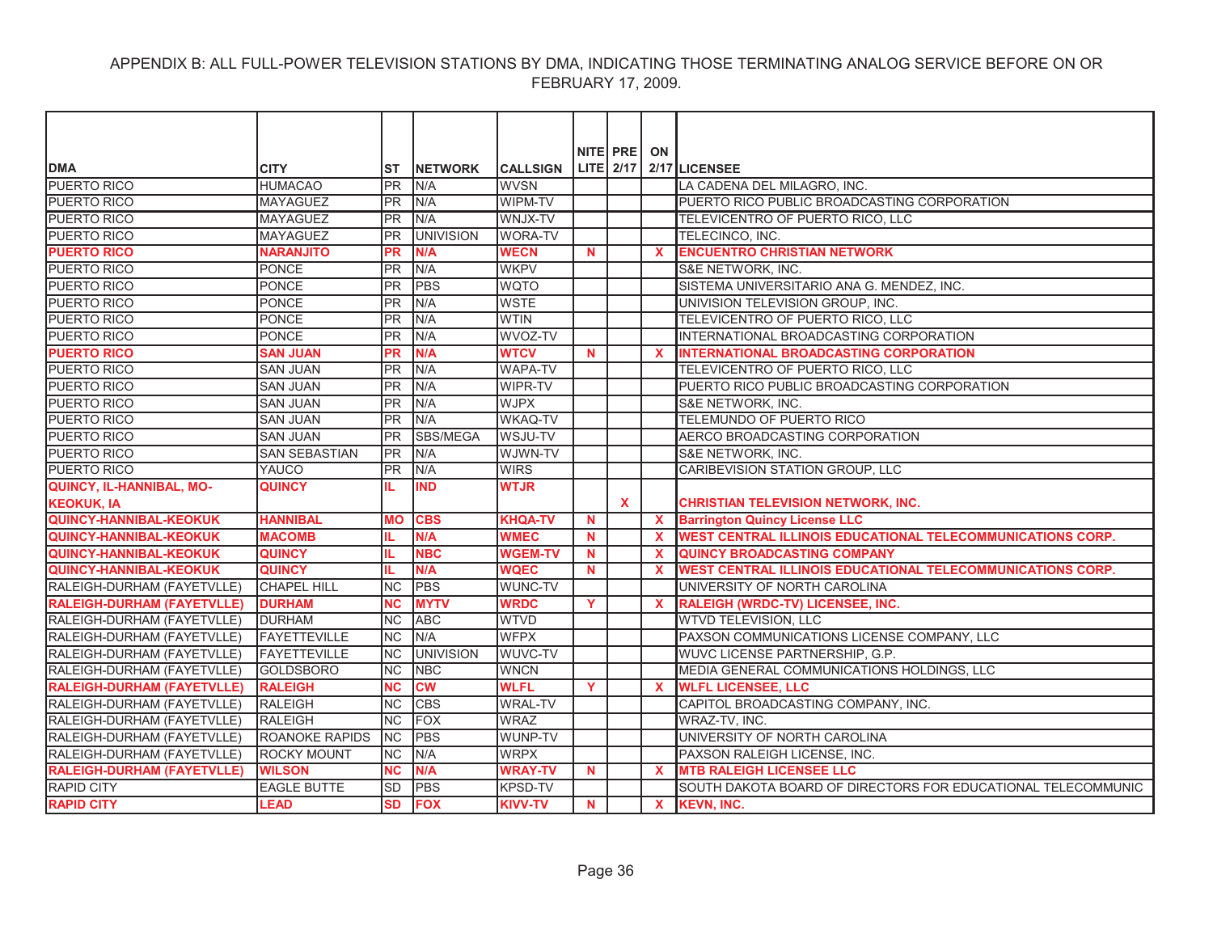| <b>DMA</b>                        | <b>CITY</b>           | <b>ST</b>  | <b>INETWORK</b>  | <b>CALLSIGN</b> |          | NITE PRE     | ON           | LITE 2/17 2/17 LICENSEE                                           |
|-----------------------------------|-----------------------|------------|------------------|-----------------|----------|--------------|--------------|-------------------------------------------------------------------|
| PUERTO RICO                       | <b>HUMACAO</b>        | PR         | N/A              | <b>WVSN</b>     |          |              |              | LA CADENA DEL MILAGRO, INC.                                       |
| <b>PUERTO RICO</b>                | <b>MAYAGUEZ</b>       | <b>PR</b>  | N/A              | <b>WIPM-TV</b>  |          |              |              | PUERTO RICO PUBLIC BROADCASTING CORPORATION                       |
| PUERTO RICO                       | <b>MAYAGUEZ</b>       | <b>PR</b>  | N/A              | WNJX-TV         |          |              |              | TELEVICENTRO OF PUERTO RICO, LLC                                  |
| <b>PUERTO RICO</b>                | <b>MAYAGUEZ</b>       | <b>PR</b>  | <b>UNIVISION</b> | <b>WORA-TV</b>  |          |              |              | TELECINCO, INC.                                                   |
| <b>PUERTO RICO</b>                | <b>NARANJITO</b>      | <b>PR</b>  | N/A              | <b>WECN</b>     | <b>N</b> |              | $\mathbf x$  | <b>ENCUENTRO CHRISTIAN NETWORK</b>                                |
| <b>PUERTO RICO</b>                | PONCE                 | <b>IPR</b> | N/A              | <b>WKPV</b>     |          |              |              | S&E NETWORK, INC.                                                 |
| PUERTO RICO                       | PONCE                 | <b>PR</b>  | PBS              | <b>WQTO</b>     |          |              |              | SISTEMA UNIVERSITARIO ANA G. MENDEZ, INC.                         |
| <b>PUERTO RICO</b>                | <b>PONCE</b>          | <b>PR</b>  | N/A              | <b>WSTE</b>     |          |              |              | UNIVISION TELEVISION GROUP, INC.                                  |
| <b>PUERTO RICO</b>                | <b>PONCE</b>          | <b>PR</b>  | N/A              | <b>WTIN</b>     |          |              |              | TELEVICENTRO OF PUERTO RICO, LLC                                  |
| PUERTO RICO                       | <b>PONCE</b>          | <b>PR</b>  | N/A              | WVOZ-TV         |          |              |              | INTERNATIONAL BROADCASTING CORPORATION                            |
| <b>PUERTO RICO</b>                | <b>SAN JUAN</b>       | <b>PR</b>  | N/A              | <b>WTCV</b>     | N        |              | <b>X</b>     | <b>INTERNATIONAL BROADCASTING CORPORATION</b>                     |
| <b>PUERTO RICO</b>                | <b>SAN JUAN</b>       | <b>IPR</b> | N/A              | <b>WAPA-TV</b>  |          |              |              | TELEVICENTRO OF PUERTO RICO, LLC                                  |
| PUERTO RICO                       | <b>SAN JUAN</b>       | <b>PR</b>  | N/A              | WIPR-TV         |          |              |              | PUERTO RICO PUBLIC BROADCASTING CORPORATION                       |
| <b>PUERTO RICO</b>                | <b>SAN JUAN</b>       | <b>PR</b>  | N/A              | <b>WJPX</b>     |          |              |              | S&E NETWORK, INC.                                                 |
| PUERTO RICO                       | <b>SAN JUAN</b>       | <b>PR</b>  | N/A              | <b>WKAQ-TV</b>  |          |              |              | TELEMUNDO OF PUERTO RICO                                          |
| <b>PUERTO RICO</b>                | <b>SAN JUAN</b>       | <b>PR</b>  | SBS/MEGA         | WSJU-TV         |          |              |              | AERCO BROADCASTING CORPORATION                                    |
| PUERTO RICO                       | <b>SAN SEBASTIAN</b>  | <b>IPR</b> | N/A              | WJWN-TV         |          |              |              | S&E NETWORK, INC.                                                 |
| <b>PUERTO RICO</b>                | YAUCO                 | <b>PR</b>  | N/A              | <b>WIRS</b>     |          |              |              | CARIBEVISION STATION GROUP, LLC                                   |
| <b>QUINCY, IL-HANNIBAL, MO-</b>   | <b>QUINCY</b>         |            | <b>IND</b>       | <b>WTJR</b>     |          |              |              |                                                                   |
| <b>KEOKUK, IA</b>                 |                       |            |                  |                 |          | $\mathbf{x}$ |              | <b>CHRISTIAN TELEVISION NETWORK, INC.</b>                         |
| <b>QUINCY-HANNIBAL-KEOKUK</b>     | <b>HANNIBAL</b>       | <b>MO</b>  | <b>CBS</b>       | <b>KHQA-TV</b>  | N        |              | $\mathbf{x}$ | <b>Barrington Quincy License LLC</b>                              |
| <b>QUINCY-HANNIBAL-KEOKUK</b>     | <b>MACOMB</b>         | IL         | N/A              | <b>WMEC</b>     | N        |              | $\mathbf x$  | <b>WEST CENTRAL ILLINOIS EDUCATIONAL TELECOMMUNICATIONS CORP.</b> |
| <b>QUINCY-HANNIBAL-KEOKUK</b>     | <b>QUINCY</b>         | IL.        | <b>NBC</b>       | <b>WGEM-TV</b>  | N        |              | $\mathbf{x}$ | <b>QUINCY BROADCASTING COMPANY</b>                                |
| <b>QUINCY-HANNIBAL-KEOKUK</b>     | <b>QUINCY</b>         | IL.        | N/A              | <b>WQEC</b>     | <b>N</b> |              | $\mathbf x$  | <b>WEST CENTRAL ILLINOIS EDUCATIONAL TELECOMMUNICATIONS CORP.</b> |
| RALEIGH-DURHAM (FAYETVLLE)        | <b>CHAPEL HILL</b>    | <b>NC</b>  | PBS              | WUNC-TV         |          |              |              | UNIVERSITY OF NORTH CAROLINA                                      |
| <b>RALEIGH-DURHAM (FAYETVLLE)</b> | <b>DURHAM</b>         | <b>NC</b>  | <b>MYTV</b>      | <b>WRDC</b>     | Y        |              | $\mathbf x$  | RALEIGH (WRDC-TV) LICENSEE, INC.                                  |
| RALEIGH-DURHAM (FAYETVLLE)        | <b>DURHAM</b>         | <b>NC</b>  | <b>ABC</b>       | <b>WTVD</b>     |          |              |              | <b>WTVD TELEVISION, LLC</b>                                       |
| RALEIGH-DURHAM (FAYETVLLE)        | <b>FAYETTEVILLE</b>   | <b>INC</b> | N/A              | <b>WFPX</b>     |          |              |              | PAXSON COMMUNICATIONS LICENSE COMPANY, LLC                        |
| RALEIGH-DURHAM (FAYETVLLE)        | <b>FAYETTEVILLE</b>   | <b>NC</b>  | <b>UNIVISION</b> | WUVC-TV         |          |              |              | WUVC LICENSE PARTNERSHIP, G.P.                                    |
| RALEIGH-DURHAM (FAYETVLLE)        | <b>GOLDSBORO</b>      | <b>NC</b>  | <b>NBC</b>       | <b>WNCN</b>     |          |              |              | MEDIA GENERAL COMMUNICATIONS HOLDINGS, LLC                        |
| <b>RALEIGH-DURHAM (FAYETVLLE)</b> | <b>RALEIGH</b>        | <b>NC</b>  | <b>CW</b>        | <b>WLFL</b>     | Y        |              | $\mathbf x$  | <b>WLFL LICENSEE, LLC</b>                                         |
| RALEIGH-DURHAM (FAYETVLLE)        | <b>RALEIGH</b>        | <b>NC</b>  | <b>CBS</b>       | <b>WRAL-TV</b>  |          |              |              | CAPITOL BROADCASTING COMPANY, INC.                                |
| RALEIGH-DURHAM (FAYETVLLE)        | <b>RALEIGH</b>        | <b>NC</b>  | <b>FOX</b>       | <b>WRAZ</b>     |          |              |              | WRAZ-TV, INC.                                                     |
| RALEIGH-DURHAM (FAYETVLLE)        | <b>ROANOKE RAPIDS</b> | <b>INC</b> | <b>PBS</b>       | WUNP-TV         |          |              |              | UNIVERSITY OF NORTH CAROLINA                                      |
| RALEIGH-DURHAM (FAYETVLLE)        | <b>ROCKY MOUNT</b>    | <b>NC</b>  | N/A              | <b>WRPX</b>     |          |              |              | PAXSON RALEIGH LICENSE, INC.                                      |
| <b>RALEIGH-DURHAM (FAYETVLLE)</b> | <b>WILSON</b>         | <b>NC</b>  | N/A              | <b>WRAY-TV</b>  | N.       |              | $\mathbf x$  | <b>MTB RALEIGH LICENSEE LLC</b>                                   |
| <b>RAPID CITY</b>                 | <b>EAGLE BUTTE</b>    | <b>SD</b>  | <b>PBS</b>       | <b>KPSD-TV</b>  |          |              |              | SOUTH DAKOTA BOARD OF DIRECTORS FOR EDUCATIONAL TELECOMMUNIC      |
| <b>RAPID CITY</b>                 | <b>LEAD</b>           | <b>SD</b>  | <b>FOX</b>       | <b>KIVV-TV</b>  | N        |              | $\mathbf{x}$ | <b>KEVN, INC.</b>                                                 |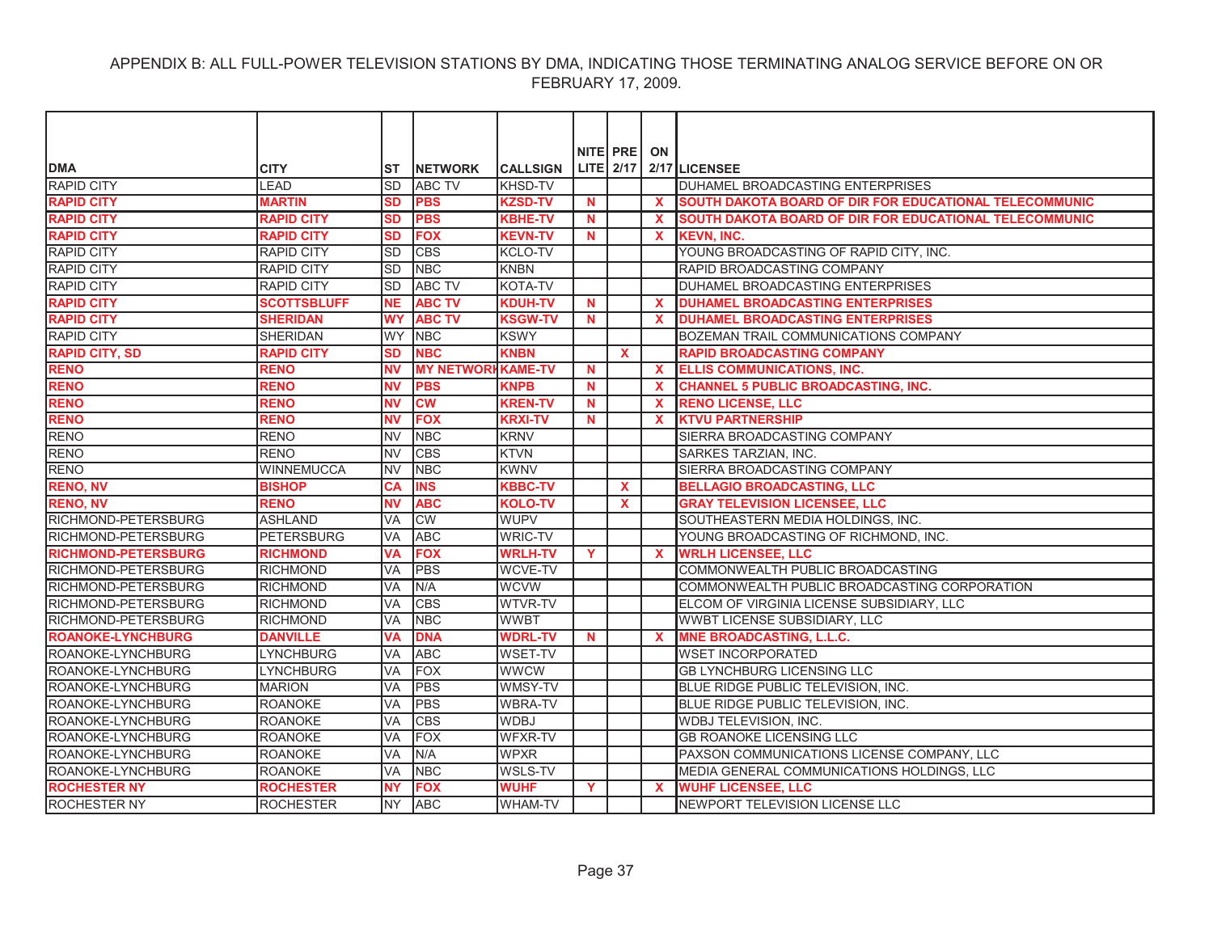|                            |                    |           |                          |                 |              | NITE PRE     | ON           |                                                                |
|----------------------------|--------------------|-----------|--------------------------|-----------------|--------------|--------------|--------------|----------------------------------------------------------------|
| <b>DMA</b>                 | <b>CITY</b>        | IST       | <b>INETWORK</b>          | <b>CALLSIGN</b> |              |              |              | LITE $2/17$ $2/17$ LICENSEE                                    |
| <b>RAPID CITY</b>          | <b>LEAD</b>        | <b>SD</b> | <b>ABC TV</b>            | <b>KHSD-TV</b>  |              |              |              | <b>DUHAMEL BROADCASTING ENTERPRISES</b>                        |
| <b>RAPID CITY</b>          | <b>MARTIN</b>      | <b>SD</b> | <b>PBS</b>               | <b>KZSD-TV</b>  | N            |              | $\mathbf{x}$ | <b>ISOUTH DAKOTA BOARD OF DIR FOR EDUCATIONAL TELECOMMUNIC</b> |
| <b>RAPID CITY</b>          | <b>RAPID CITY</b>  | SD        | <b>PBS</b>               | <b>KBHE-TV</b>  | N.           |              | <b>X</b>     | <b>SOUTH DAKOTA BOARD OF DIR FOR EDUCATIONAL TELECOMMUNIC</b>  |
| <b>RAPID CITY</b>          | <b>RAPID CITY</b>  | <b>SD</b> | <b>FOX</b>               | <b>KEVN-TV</b>  | <b>N</b>     |              | $\mathbf{x}$ | <b>KEVN. INC.</b>                                              |
| <b>RAPID CITY</b>          | <b>RAPID CITY</b>  | <b>SD</b> | <b>CBS</b>               | <b>KCLO-TV</b>  |              |              |              | YOUNG BROADCASTING OF RAPID CITY, INC.                         |
| <b>RAPID CITY</b>          | <b>RAPID CITY</b>  | lsd       | <b>NBC</b>               | <b>KNBN</b>     |              |              |              | <b>RAPID BROADCASTING COMPANY</b>                              |
| <b>RAPID CITY</b>          | <b>RAPID CITY</b>  | <b>SD</b> | <b>ABC TV</b>            | <b>KOTA-TV</b>  |              |              |              | DUHAMEL BROADCASTING ENTERPRISES                               |
| <b>RAPID CITY</b>          | <b>SCOTTSBLUFF</b> | <b>NE</b> | <b>ABC TV</b>            | <b>KDUH-TV</b>  | N            |              | <b>X</b>     | <b>DUHAMEL BROADCASTING ENTERPRISES</b>                        |
| <b>RAPID CITY</b>          | <b>SHERIDAN</b>    | <b>WY</b> | <b>ABC TV</b>            | <b>KSGW-TV</b>  | <b>N</b>     |              | X            | <b>DUHAMEL BROADCASTING ENTERPRISES</b>                        |
| RAPID CITY                 | <b>SHERIDAN</b>    | <b>WY</b> | <b>NBC</b>               | <b>KSWY</b>     |              |              |              | <b>BOZEMAN TRAIL COMMUNICATIONS COMPANY</b>                    |
| <b>RAPID CITY, SD</b>      | <b>RAPID CITY</b>  | <b>SD</b> | <b>NBC</b>               | <b>KNBN</b>     |              | <b>X</b>     |              | <b>RAPID BROADCASTING COMPANY</b>                              |
| <b>RENO</b>                | <b>RENO</b>        | <b>NV</b> | <b>MY NETWORKKAME-TV</b> |                 | N            |              | $\mathbf x$  | <b>ELLIS COMMUNICATIONS, INC.</b>                              |
| <b>RENO</b>                | <b>RENO</b>        | <b>NV</b> | <b>PBS</b>               | <b>KNPB</b>     | N.           |              | <b>X</b>     | <b>CHANNEL 5 PUBLIC BROADCASTING, INC.</b>                     |
| <b>RENO</b>                | <b>RENO</b>        | <b>NV</b> | <b>CW</b>                | <b>KREN-TV</b>  | <b>N</b>     |              | $\mathbf{x}$ | <b>RENO LICENSE, LLC</b>                                       |
| <b>RENO</b>                | <b>RENO</b>        | ΝV        | <b>FOX</b>               | <b>KRXI-TV</b>  | N            |              | <b>X</b>     | <b>KTVU PARTNERSHIP</b>                                        |
| <b>RENO</b>                | <b>RENO</b>        | <b>NV</b> | <b>NBC</b>               | <b>KRNV</b>     |              |              |              | <b>SIERRA BROADCASTING COMPANY</b>                             |
| <b>RENO</b>                | <b>RENO</b>        | <b>NV</b> | <b>CBS</b>               | <b>KTVN</b>     |              |              |              | <b>SARKES TARZIAN, INC.</b>                                    |
| <b>RENO</b>                | <b>WINNEMUCCA</b>  | <b>NV</b> | <b>NBC</b>               | <b>KWNV</b>     |              |              |              | SIERRA BROADCASTING COMPANY                                    |
| <b>RENO, NV</b>            | <b>BISHOP</b>      | <b>CA</b> | <b>INS</b>               | <b>KBBC-TV</b>  |              | X            |              | <b>BELLAGIO BROADCASTING, LLC</b>                              |
| <b>RENO, NV</b>            | <b>RENO</b>        | <b>NV</b> | <b>ABC</b>               | <b>KOLO-TV</b>  |              | $\mathbf{x}$ |              | <b>GRAY TELEVISION LICENSEE, LLC</b>                           |
| RICHMOND-PETERSBURG        | <b>ASHLAND</b>     | <b>VA</b> | <b>CW</b>                | <b>WUPV</b>     |              |              |              | SOUTHEASTERN MEDIA HOLDINGS, INC.                              |
| RICHMOND-PETERSBURG        | <b>PETERSBURG</b>  | <b>VA</b> | <b>ABC</b>               | <b>WRIC-TV</b>  |              |              |              | YOUNG BROADCASTING OF RICHMOND, INC.                           |
| <b>RICHMOND-PETERSBURG</b> | <b>RICHMOND</b>    | <b>VA</b> | <b>FOX</b>               | <b>WRLH-TV</b>  | $\mathbf{Y}$ |              | $\mathbf{x}$ | <b>WRLH LICENSEE, LLC</b>                                      |
| RICHMOND-PETERSBURG        | <b>RICHMOND</b>    | <b>VA</b> | PBS                      | <b>WCVE-TV</b>  |              |              |              | COMMONWEALTH PUBLIC BROADCASTING                               |
| RICHMOND-PETERSBURG        | <b>RICHMOND</b>    | <b>VA</b> | N/A                      | <b>WCVW</b>     |              |              |              | COMMONWEALTH PUBLIC BROADCASTING CORPORATION                   |
| RICHMOND-PETERSBURG        | <b>RICHMOND</b>    | <b>VA</b> | <b>CBS</b>               | <b>WTVR-TV</b>  |              |              |              | ELCOM OF VIRGINIA LICENSE SUBSIDIARY, LLC                      |
| <b>RICHMOND-PETERSBURG</b> | <b>RICHMOND</b>    | VA        | <b>NBC</b>               | <b>WWBT</b>     |              |              |              | WWBT LICENSE SUBSIDIARY, LLC                                   |
| <b>ROANOKE-LYNCHBURG</b>   | <b>DANVILLE</b>    | VA        | <b>DNA</b>               | <b>WDRL-TV</b>  | <b>N</b>     |              | X            | <b>MNE BROADCASTING, L.L.C.</b>                                |
| ROANOKE-LYNCHBURG          | <b>LYNCHBURG</b>   | VA        | <b>ABC</b>               | <b>WSET-TV</b>  |              |              |              | <b>WSET INCORPORATED</b>                                       |
| ROANOKE-LYNCHBURG          | <b>LYNCHBURG</b>   | <b>VA</b> | <b>FOX</b>               | <b>WWCW</b>     |              |              |              | <b>GB LYNCHBURG LICENSING LLC</b>                              |
| ROANOKE-LYNCHBURG          | <b>MARION</b>      | <b>VA</b> | <b>PBS</b>               | WMSY-TV         |              |              |              | BLUE RIDGE PUBLIC TELEVISION, INC.                             |
| ROANOKE-LYNCHBURG          | <b>ROANOKE</b>     | <b>VA</b> | <b>PBS</b>               | <b>WBRA-TV</b>  |              |              |              | BLUE RIDGE PUBLIC TELEVISION, INC.                             |
| ROANOKE-LYNCHBURG          | <b>ROANOKE</b>     | <b>VA</b> | <b>CBS</b>               | <b>WDBJ</b>     |              |              |              | <b>WDBJ TELEVISION, INC.</b>                                   |
| ROANOKE-LYNCHBURG          | <b>ROANOKE</b>     | VA        | <b>FOX</b>               | <b>WFXR-TV</b>  |              |              |              | <b>GB ROANOKE LICENSING LLC</b>                                |
| ROANOKE-LYNCHBURG          | <b>ROANOKE</b>     | <b>VA</b> | N/A                      | <b>WPXR</b>     |              |              |              | PAXSON COMMUNICATIONS LICENSE COMPANY, LLC                     |
| ROANOKE-LYNCHBURG          | <b>ROANOKE</b>     | <b>VA</b> | <b>NBC</b>               | <b>WSLS-TV</b>  |              |              |              | MEDIA GENERAL COMMUNICATIONS HOLDINGS, LLC                     |
| <b>ROCHESTER NY</b>        | <b>ROCHESTER</b>   | <b>NY</b> | <b>FOX</b>               | <b>WUHF</b>     | Y            |              | <b>X</b>     | <b>WUHF LICENSEE, LLC</b>                                      |
| <b>ROCHESTER NY</b>        | <b>ROCHESTER</b>   | <b>NY</b> | <b>ABC</b>               | <b>WHAM-TV</b>  |              |              |              | NEWPORT TELEVISION LICENSE LLC                                 |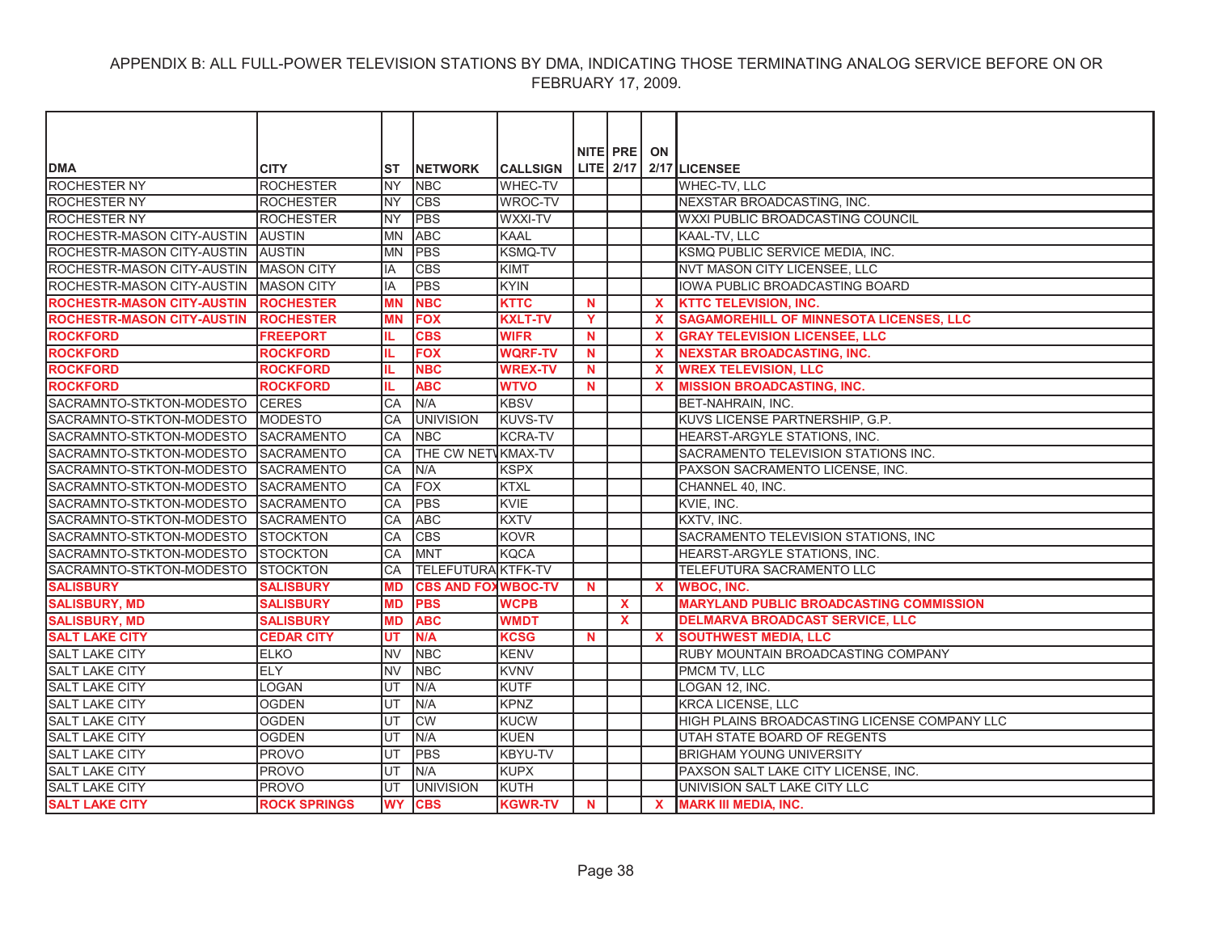| NITE PRE<br>ON                                                                                                                                                                               |  |
|----------------------------------------------------------------------------------------------------------------------------------------------------------------------------------------------|--|
| LITE 2/17<br><b>DMA</b><br>2/17 LICENSEE<br><b>CITY</b><br><b>NETWORK</b><br><b>CALLSIGN</b><br>ST<br><b>ROCHESTER NY</b><br><b>ROCHESTER</b><br><b>NY</b><br><b>WHEC-TV</b><br>WHEC-TV, LLC |  |
| <b>NBC</b><br><b>ROCHESTER NY</b><br><b>ROCHESTER</b><br><b>NY</b><br><b>CBS</b><br>WROC-TV<br>NEXSTAR BROADCASTING, INC.                                                                    |  |
|                                                                                                                                                                                              |  |
| <b>ROCHESTER NY</b><br><b>NY</b><br><b>PBS</b><br>WXXI-TV<br>WXXI PUBLIC BROADCASTING COUNCIL<br><b>ROCHESTER</b>                                                                            |  |
| <b>ABC</b><br>ROCHESTR-MASON CITY-AUSTIN AUSTIN<br>MN<br><b>KAAL</b><br>KAAL-TV, LLC                                                                                                         |  |
| <b>PBS</b><br>ROCHESTR-MASON CITY-AUSTIN AUSTIN<br><b>KSMQ-TV</b><br>KSMQ PUBLIC SERVICE MEDIA, INC.<br><b>MN</b>                                                                            |  |
| ROCHESTR-MASON CITY-AUSTIN MASON CITY<br><b>CBS</b><br>NVT MASON CITY LICENSEE, LLC<br><b>KIMT</b><br>IA                                                                                     |  |
| ROCHESTR-MASON CITY-AUSTIN IMASON CITY<br><b>PBS</b><br><b>KYIN</b><br><b>IOWA PUBLIC BROADCASTING BOARD</b><br>IA                                                                           |  |
| <b>ROCHESTR-MASON CITY-AUSTIN</b><br><b>NBC</b><br><b>KTTC TELEVISION, INC.</b><br><b>ROCHESTER</b><br><b>MN</b><br><b>KTTC</b><br>N.<br>X.                                                  |  |
| <b>FOX</b><br><b>KXLT-TV</b><br><b>ROCHESTR-MASON CITY-AUSTIN</b><br><b>ROCHESTER</b><br><b>MN</b><br>Y<br>$\mathbf x$<br><b>SAGAMOREHILL OF MINNESOTA LICENSES, LLC</b>                     |  |
| <b>ROCKFORD</b><br><b>CBS</b><br><b>WIFR</b><br><b>GRAY TELEVISION LICENSEE, LLC</b><br><b>FREEPORT</b><br><b>N</b><br>$\mathbf x$                                                           |  |
| <b>ROCKFORD</b><br><b>ROCKFORD</b><br><b>FOX</b><br><b>WQRF-TV</b><br><b>NEXSTAR BROADCASTING, INC.</b><br>N<br>$\mathbf x$                                                                  |  |
| <b>ROCKFORD</b><br><b>NBC</b><br><b>WREX TELEVISION, LLC</b><br><b>ROCKFORD</b><br><b>WREX-TV</b><br>$\boldsymbol{\mathsf{x}}$<br>N                                                          |  |
| <b>ABC</b><br><b>MISSION BROADCASTING, INC.</b><br><b>ROCKFORD</b><br><b>ROCKFORD</b><br><b>WTVO</b><br>$\mathbf x$<br>IL.<br>N                                                              |  |
| N/A<br><b>KBSV</b><br>SACRAMNTO-STKTON-MODESTO CERES<br>CA<br>BET-NAHRAIN, INC.                                                                                                              |  |
| SACRAMNTO-STKTON-MODESTO MODESTO<br><b>UNIVISION</b><br><b>KUVS-TV</b><br>KUVS LICENSE PARTNERSHIP, G.P.<br>CA                                                                               |  |
| SACRAMNTO-STKTON-MODESTO SACRAMENTO<br><b>KCRA-TV</b><br>HEARST-ARGYLE STATIONS, INC.<br>CA<br><b>NBC</b>                                                                                    |  |
| SACRAMNTO-STKTON-MODESTO SACRAMENTO<br>CA<br>THE CW NETWKMAX-TV<br>SACRAMENTO TELEVISION STATIONS INC.                                                                                       |  |
| N/A<br><b>KSPX</b><br>SACRAMNTO-STKTON-MODESTO SACRAMENTO<br>CA<br>PAXSON SACRAMENTO LICENSE, INC.                                                                                           |  |
| FOX<br>SACRAMNTO-STKTON-MODESTO SACRAMENTO<br>CA<br><b>KTXL</b><br>CHANNEL 40, INC.                                                                                                          |  |
| <b>PBS</b><br>SACRAMNTO-STKTON-MODESTO SACRAMENTO<br><b>KVIE</b><br>KVIE, INC.<br>CA                                                                                                         |  |
| <b>KXTV</b><br>SACRAMNTO-STKTON-MODESTO SACRAMENTO<br>CA<br><b>ABC</b><br>KXTV, INC.                                                                                                         |  |
| <b>CBS</b><br>SACRAMNTO-STKTON-MODESTO STOCKTON<br>CA<br><b>KOVR</b><br>SACRAMENTO TELEVISION STATIONS, INC                                                                                  |  |
| <b>IMNT</b><br><b>KQCA</b><br>SACRAMNTO-STKTON-MODESTO STOCKTON<br>CA<br>HEARST-ARGYLE STATIONS, INC.                                                                                        |  |
| <b>TELEFUTURA KTFK-TV</b><br>SACRAMNTO-STKTON-MODESTO<br><b>STOCKTON</b><br>TELEFUTURA SACRAMENTO LLC<br>CA                                                                                  |  |
| <b>SALISBURY</b><br><b>CBS AND FOXWBOC-TV</b><br><b>SALISBURY</b><br>N.<br>$\mathbf{x}$<br><b>WBOC. INC.</b><br><b>MD</b>                                                                    |  |
| <b>MARYLAND PUBLIC BROADCASTING COMMISSION</b><br><b>PBS</b><br><b>SALISBURY, MD</b><br><b>SALISBURY</b><br><b>MD</b><br><b>WCPB</b><br>$\mathbf{x}$                                         |  |
| <b>ABC</b><br><b>DELMARVA BROADCAST SERVICE, LLC</b><br><b>SALISBURY</b><br><b>MD</b><br><b>WMDT</b><br><b>SALISBURY, MD</b><br>X.                                                           |  |
| UT<br>N/A<br><b>KCSG</b><br><b>SOUTHWEST MEDIA, LLC</b><br><b>SALT LAKE CITY</b><br><b>CEDAR CITY</b><br><b>N</b><br>X                                                                       |  |
| <b>SALT LAKE CITY</b><br><b>ELKO</b><br><b>NV</b><br><b>NBC</b><br><b>KENV</b><br><b>RUBY MOUNTAIN BROADCASTING COMPANY</b>                                                                  |  |
| <b>SALT LAKE CITY</b><br>ELY<br><b>NV</b><br><b>NBC</b><br><b>KVNV</b><br>PMCM TV, LLC                                                                                                       |  |
| <b>SALT LAKE CITY</b><br>N/A<br><b>KUTF</b><br>LOGAN<br>UT<br>LOGAN 12, INC.                                                                                                                 |  |
| N/A<br><b>KPNZ</b><br><b>SALT LAKE CITY</b><br><b>OGDEN</b><br>UT<br><b>KRCA LICENSE, LLC</b>                                                                                                |  |
| <b>CW</b><br>SALT LAKE CITY<br><b>OGDEN</b><br>UT<br><b>KUCW</b><br>HIGH PLAINS BROADCASTING LICENSE COMPANY LLC                                                                             |  |
| <b>SALT LAKE CITY</b><br><b>OGDEN</b><br>N/A<br><b>KUEN</b><br>UTAH STATE BOARD OF REGENTS<br>UT                                                                                             |  |
| PBS<br><b>SALT LAKE CITY</b><br>PROVO<br>UT<br>KBYU-TV<br><b>BRIGHAM YOUNG UNIVERSITY</b>                                                                                                    |  |
| <b>SALT LAKE CITY</b><br><b>PROVO</b><br>N/A<br><b>KUPX</b><br>PAXSON SALT LAKE CITY LICENSE, INC.<br>UT                                                                                     |  |
| <b>PROVO</b><br><b>UNIVISION</b><br><b>KUTH</b><br>UNIVISION SALT LAKE CITY LLC<br><b>SALT LAKE CITY</b><br>UT                                                                               |  |
| <b>SALT LAKE CITY</b><br><b>CBS</b><br><b>KGWR-TV</b><br><b>MARK III MEDIA. INC.</b><br><b>ROCK SPRINGS</b><br><b>WY</b><br><b>N</b><br>$\mathbf{x}$                                         |  |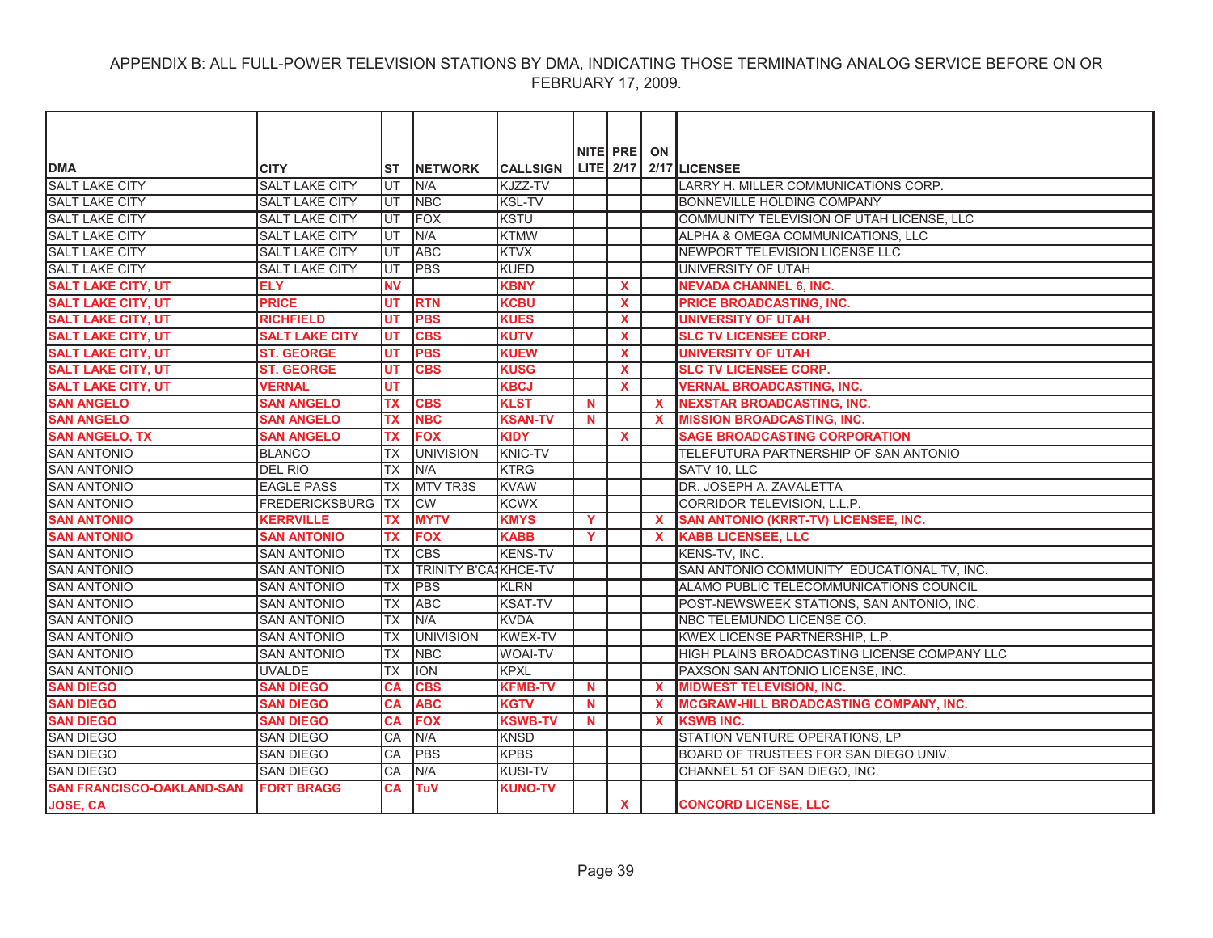| <b>DMA</b>                       | <b>CITY</b>           | <b>ST</b>  | <b>INETWORK</b>             | <b>CALLSIGN</b> |          | NITE PRE     | ON          | LITE 2/17 2/17 LICENSEE                       |
|----------------------------------|-----------------------|------------|-----------------------------|-----------------|----------|--------------|-------------|-----------------------------------------------|
| <b>SALT LAKE CITY</b>            | <b>SALT LAKE CITY</b> | UT         | N/A                         | KJZZ-TV         |          |              |             | LARRY H. MILLER COMMUNICATIONS CORP.          |
| <b>SALT LAKE CITY</b>            | <b>SALT LAKE CITY</b> | UT         | <b>NBC</b>                  | <b>KSL-TV</b>   |          |              |             | <b>BONNEVILLE HOLDING COMPANY</b>             |
| <b>SALT LAKE CITY</b>            | <b>SALT LAKE CITY</b> | UT         | <b>FOX</b>                  | <b>KSTU</b>     |          |              |             | COMMUNITY TELEVISION OF UTAH LICENSE, LLC     |
| <b>SALT LAKE CITY</b>            | <b>SALT LAKE CITY</b> | UT         | N/A                         | <b>KTMW</b>     |          |              |             | ALPHA & OMEGA COMMUNICATIONS, LLC             |
| SALT LAKE CITY                   | <b>SALT LAKE CITY</b> | UT         | <b>ABC</b>                  | <b>KTVX</b>     |          |              |             | NEWPORT TELEVISION LICENSE LLC                |
| <b>SALT LAKE CITY</b>            | <b>SALT LAKE CITY</b> | UT         | <b>PBS</b>                  | KUED            |          |              |             | UNIVERSITY OF UTAH                            |
| <b>SALT LAKE CITY, UT</b>        | <b>ELY</b>            | <b>NV</b>  |                             | <b>KBNY</b>     |          | X            |             | <b>NEVADA CHANNEL 6, INC.</b>                 |
| <b>SALT LAKE CITY, UT</b>        | <b>PRICE</b>          | UT         | <b>RTN</b>                  | <b>KCBU</b>     |          | X            |             | PRICE BROADCASTING, INC.                      |
| <b>SALT LAKE CITY, UT</b>        | <b>RICHFIELD</b>      | UT         | <b>PBS</b>                  | <b>KUES</b>     |          | X            |             | <b>UNIVERSITY OF UTAH</b>                     |
| <b>SALT LAKE CITY, UT</b>        | <b>SALT LAKE CITY</b> | UT         | <b>CBS</b>                  | <b>KUTV</b>     |          | $\mathbf{x}$ |             | <b>SLC TV LICENSEE CORP.</b>                  |
| <b>SALT LAKE CITY, UT</b>        | <b>ST. GEORGE</b>     | UT         | <b>PBS</b>                  | <b>KUEW</b>     |          | <b>X</b>     |             | <b>UNIVERSITY OF UTAH</b>                     |
| <b>SALT LAKE CITY, UT</b>        | <b>ST. GEORGE</b>     | UT         | <b>CBS</b>                  | <b>KUSG</b>     |          | X            |             | <b>SLC TV LICENSEE CORP.</b>                  |
| <b>SALT LAKE CITY, UT</b>        | <b>VERNAL</b>         | UT         |                             | <b>KBCJ</b>     |          | <b>X</b>     |             | <b>VERNAL BROADCASTING, INC.</b>              |
| <b>SAN ANGELO</b>                | <b>SAN ANGELO</b>     | <b>TX</b>  | <b>CBS</b>                  | <b>KLST</b>     | <b>N</b> |              | $\mathbf x$ | <b>INEXSTAR BROADCASTING, INC.</b>            |
| <b>SAN ANGELO</b>                | <b>SAN ANGELO</b>     | <b>TX</b>  | <b>NBC</b>                  | <b>KSAN-TV</b>  | N        |              | $\mathbf x$ | <b>MISSION BROADCASTING, INC.</b>             |
| <b>SAN ANGELO, TX</b>            | <b>SAN ANGELO</b>     | <b>TX</b>  | <b>FOX</b>                  | <b>KIDY</b>     |          | $\mathbf{x}$ |             | <b>SAGE BROADCASTING CORPORATION</b>          |
| <b>SAN ANTONIO</b>               | <b>BLANCO</b>         | <b>TX</b>  | <b>UNIVISION</b>            | <b>KNIC-TV</b>  |          |              |             | TELEFUTURA PARTNERSHIP OF SAN ANTONIO         |
| <b>SAN ANTONIO</b>               | <b>DEL RIO</b>        | <b>TX</b>  | N/A                         | <b>KTRG</b>     |          |              |             | SATV 10, LLC                                  |
| <b>SAN ANTONIO</b>               | <b>EAGLE PASS</b>     | <b>TX</b>  | <b>MTV TR3S</b>             | <b>KVAW</b>     |          |              |             | DR. JOSEPH A. ZAVALETTA                       |
| <b>SAN ANTONIO</b>               | <b>FREDERICKSBURG</b> | <b>ITX</b> | <b>CW</b>                   | <b>KCWX</b>     |          |              |             | CORRIDOR TELEVISION, L.L.P.                   |
| <b>SAN ANTONIO</b>               | <b>KERRVILLE</b>      | <b>TX</b>  | <b>MYTV</b>                 | <b>KMYS</b>     | Y        |              | $\mathbf x$ | <b>SAN ANTONIO (KRRT-TV) LICENSEE, INC.</b>   |
| <b>SAN ANTONIO</b>               | <b>SAN ANTONIO</b>    | <b>TX</b>  | <b>FOX</b>                  | <b>KABB</b>     | Y        |              | $\mathbf x$ | <b>KABB LICENSEE, LLC</b>                     |
| <b>SAN ANTONIO</b>               | <b>SAN ANTONIO</b>    | <b>TX</b>  | <b>CBS</b>                  | <b>KENS-TV</b>  |          |              |             | KENS-TV, INC.                                 |
| <b>SAN ANTONIO</b>               | <b>SAN ANTONIO</b>    | <b>TX</b>  | <b>TRINITY B'CASKHCE-TV</b> |                 |          |              |             | SAN ANTONIO COMMUNITY EDUCATIONAL TV, INC.    |
| <b>SAN ANTONIO</b>               | <b>SAN ANTONIO</b>    | <b>TX</b>  | <b>PBS</b>                  | <b>KLRN</b>     |          |              |             | ALAMO PUBLIC TELECOMMUNICATIONS COUNCIL       |
| <b>SAN ANTONIO</b>               | <b>SAN ANTONIO</b>    | <b>TX</b>  | <b>ABC</b>                  | <b>KSAT-TV</b>  |          |              |             | POST-NEWSWEEK STATIONS, SAN ANTONIO, INC.     |
| <b>SAN ANTONIO</b>               | <b>SAN ANTONIO</b>    | <b>TX</b>  | N/A                         | <b>KVDA</b>     |          |              |             | NBC TELEMUNDO LICENSE CO.                     |
| <b>SAN ANTONIO</b>               | <b>SAN ANTONIO</b>    | <b>TX</b>  | <b>UNIVISION</b>            | <b>KWEX-TV</b>  |          |              |             | KWEX LICENSE PARTNERSHIP, L.P.                |
| <b>SAN ANTONIO</b>               | <b>SAN ANTONIO</b>    | <b>TX</b>  | <b>NBC</b>                  | <b>WOAI-TV</b>  |          |              |             | HIGH PLAINS BROADCASTING LICENSE COMPANY LLC  |
| <b>SAN ANTONIO</b>               | <b>UVALDE</b>         | <b>TX</b>  | <b>ION</b>                  | KPXL            |          |              |             | PAXSON SAN ANTONIO LICENSE, INC.              |
| <b>SAN DIEGO</b>                 | <b>SAN DIEGO</b>      | <b>CA</b>  | <b>CBS</b>                  | <b>KFMB-TV</b>  | N        |              | X           | <b>MIDWEST TELEVISION, INC.</b>               |
| <b>SAN DIEGO</b>                 | <b>SAN DIEGO</b>      | <b>CA</b>  | <b>ABC</b>                  | <b>KGTV</b>     | N.       |              | $\mathbf x$ | <b>MCGRAW-HILL BROADCASTING COMPANY, INC.</b> |
| <b>SAN DIEGO</b>                 | <b>SAN DIEGO</b>      | <b>CA</b>  | <b>FOX</b>                  | <b>KSWB-TV</b>  | N        |              | $\mathbf x$ | <b>KSWB INC.</b>                              |
| <b>SAN DIEGO</b>                 | <b>SAN DIEGO</b>      | CA         | N/A                         | <b>KNSD</b>     |          |              |             | STATION VENTURE OPERATIONS, LP                |
| <b>SAN DIEGO</b>                 | <b>SAN DIEGO</b>      | CA         | <b>PBS</b>                  | <b>KPBS</b>     |          |              |             | BOARD OF TRUSTEES FOR SAN DIEGO UNIV.         |
| <b>SAN DIEGO</b>                 | <b>SAN DIEGO</b>      | CA         | N/A                         | <b>KUSI-TV</b>  |          |              |             | CHANNEL 51 OF SAN DIEGO. INC.                 |
| <b>SAN FRANCISCO-OAKLAND-SAN</b> | <b>FORT BRAGG</b>     | CА         | <b>TuV</b>                  | <b>KUNO-TV</b>  |          |              |             |                                               |
| JOSE, CA                         |                       |            |                             |                 |          | $\mathbf{x}$ |             | <b>CONCORD LICENSE, LLC</b>                   |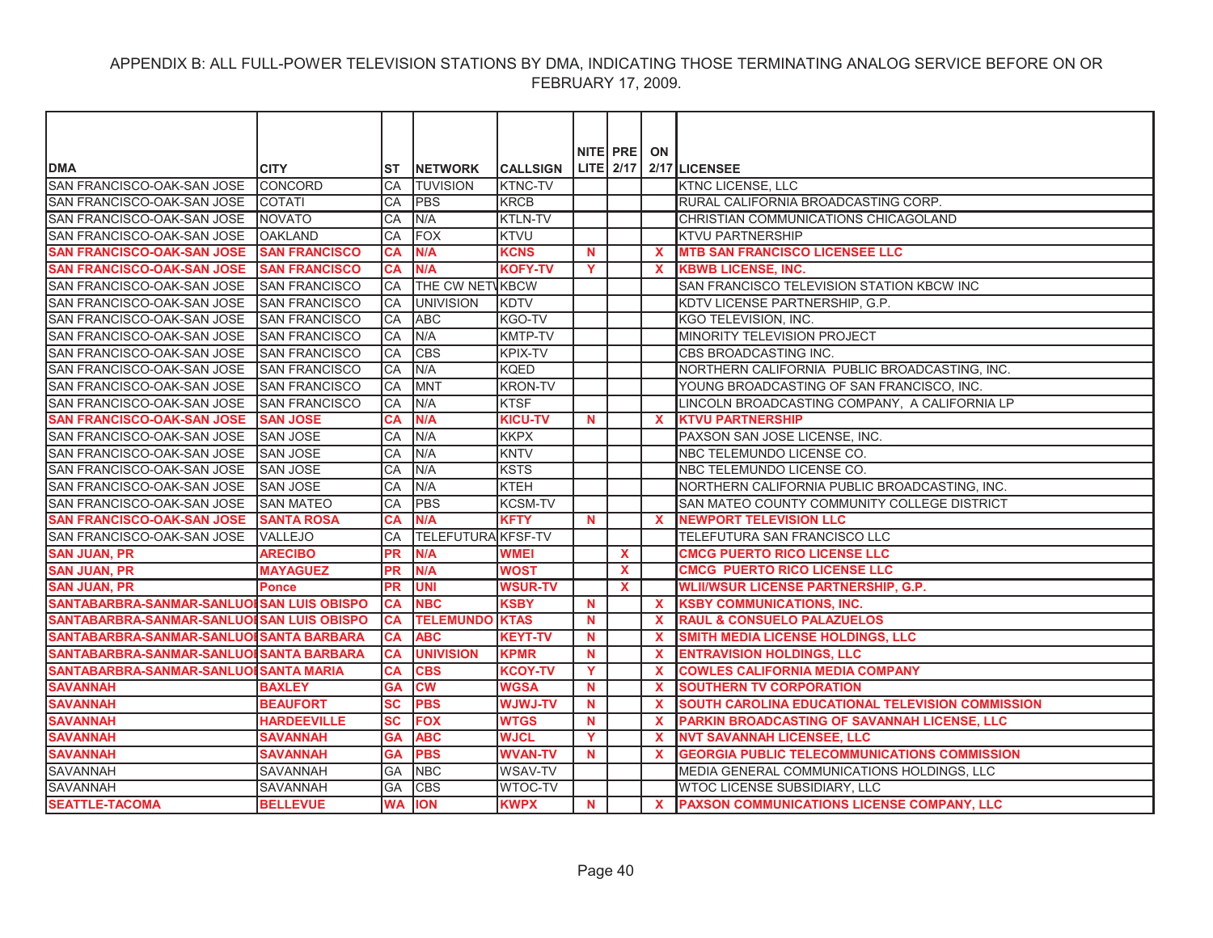| NITE PRE<br>ON<br>LITE $2/17$ 2/17 LICENSEE<br><b>DMA</b><br><b>CITY</b><br><b>CALLSIGN</b><br><b>INETWORK</b><br>ST<br>SAN FRANCISCO-OAK-SAN JOSE<br><b>TUVISION</b><br><b>KTNC-TV</b><br>ICONCORD<br>CA<br><b>KTNC LICENSE, LLC</b><br>SAN FRANCISCO-OAK-SAN JOSE<br><b>KRCB</b><br>RURAL CALIFORNIA BROADCASTING CORP.<br><b>COTATI</b><br>CA<br><b>PBS</b><br>SAN FRANCISCO-OAK-SAN JOSE<br><b>INOVATO</b><br>CA<br>N/A<br><b>KTLN-TV</b><br>CHRISTIAN COMMUNICATIONS CHICAGOLAND<br>FOX<br>SAN FRANCISCO-OAK-SAN JOSE<br><b>OAKLAND</b><br>CA<br><b>KTVU</b><br>KTVU PARTNERSHIP<br>N/A<br><b>KCNS</b><br><b>MTB SAN FRANCISCO LICENSEE LLC</b><br><b>SAN FRANCISCO-OAK-SAN JOSE</b><br><b>SAN FRANCISCO</b><br>$\mathbf N$<br><b>CA</b><br>$\mathbf{x}$<br><b>SAN FRANCISCO-OAK-SAN JOSE</b><br><b>SAN FRANCISCO</b><br>N/A<br><b>KOFY-TV</b><br>Y<br><b>KBWB LICENSE, INC.</b><br><b>CA</b><br>$\mathbf{x}$<br>SAN FRANCISCO-OAK-SAN JOSE<br>CA<br><b>THE CW NETVKBCW</b><br>SAN FRANCISCO TELEVISION STATION KBCW INC<br>ISAN FRANCISCO<br>SAN FRANCISCO-OAK-SAN JOSE<br><b>SAN FRANCISCO</b><br>CA<br><b>UNIVISION</b><br><b>KDTV</b><br>KDTV LICENSE PARTNERSHIP, G.P.<br><b>ABC</b><br>SAN FRANCISCO-OAK-SAN JOSE SAN FRANCISCO<br>KGO-TV<br><b>CA</b><br>KGO TELEVISION, INC.<br>SAN FRANCISCO-OAK-SAN JOSE SAN FRANCISCO<br>N/A<br><b>KMTP-TV</b><br>MINORITY TELEVISION PROJECT<br>CA<br>SAN FRANCISCO-OAK-SAN JOSE<br><b>CBS</b><br><b>KPIX-TV</b><br>CBS BROADCASTING INC.<br><b>SAN FRANCISCO</b><br><b>ICA</b><br>SAN FRANCISCO-OAK-SAN JOSE<br><b>SAN FRANCISCO</b><br>CA<br>N/A<br><b>KQED</b><br>NORTHERN CALIFORNIA PUBLIC BROADCASTING, INC. |                            |                       |    |             |                |  |                                           |
|---------------------------------------------------------------------------------------------------------------------------------------------------------------------------------------------------------------------------------------------------------------------------------------------------------------------------------------------------------------------------------------------------------------------------------------------------------------------------------------------------------------------------------------------------------------------------------------------------------------------------------------------------------------------------------------------------------------------------------------------------------------------------------------------------------------------------------------------------------------------------------------------------------------------------------------------------------------------------------------------------------------------------------------------------------------------------------------------------------------------------------------------------------------------------------------------------------------------------------------------------------------------------------------------------------------------------------------------------------------------------------------------------------------------------------------------------------------------------------------------------------------------------------------------------------------------------------------------------------------------------------------------------------------------|----------------------------|-----------------------|----|-------------|----------------|--|-------------------------------------------|
|                                                                                                                                                                                                                                                                                                                                                                                                                                                                                                                                                                                                                                                                                                                                                                                                                                                                                                                                                                                                                                                                                                                                                                                                                                                                                                                                                                                                                                                                                                                                                                                                                                                                     |                            |                       |    |             |                |  |                                           |
|                                                                                                                                                                                                                                                                                                                                                                                                                                                                                                                                                                                                                                                                                                                                                                                                                                                                                                                                                                                                                                                                                                                                                                                                                                                                                                                                                                                                                                                                                                                                                                                                                                                                     |                            |                       |    |             |                |  |                                           |
|                                                                                                                                                                                                                                                                                                                                                                                                                                                                                                                                                                                                                                                                                                                                                                                                                                                                                                                                                                                                                                                                                                                                                                                                                                                                                                                                                                                                                                                                                                                                                                                                                                                                     |                            |                       |    |             |                |  |                                           |
|                                                                                                                                                                                                                                                                                                                                                                                                                                                                                                                                                                                                                                                                                                                                                                                                                                                                                                                                                                                                                                                                                                                                                                                                                                                                                                                                                                                                                                                                                                                                                                                                                                                                     |                            |                       |    |             |                |  |                                           |
|                                                                                                                                                                                                                                                                                                                                                                                                                                                                                                                                                                                                                                                                                                                                                                                                                                                                                                                                                                                                                                                                                                                                                                                                                                                                                                                                                                                                                                                                                                                                                                                                                                                                     |                            |                       |    |             |                |  |                                           |
|                                                                                                                                                                                                                                                                                                                                                                                                                                                                                                                                                                                                                                                                                                                                                                                                                                                                                                                                                                                                                                                                                                                                                                                                                                                                                                                                                                                                                                                                                                                                                                                                                                                                     |                            |                       |    |             |                |  |                                           |
|                                                                                                                                                                                                                                                                                                                                                                                                                                                                                                                                                                                                                                                                                                                                                                                                                                                                                                                                                                                                                                                                                                                                                                                                                                                                                                                                                                                                                                                                                                                                                                                                                                                                     |                            |                       |    |             |                |  |                                           |
|                                                                                                                                                                                                                                                                                                                                                                                                                                                                                                                                                                                                                                                                                                                                                                                                                                                                                                                                                                                                                                                                                                                                                                                                                                                                                                                                                                                                                                                                                                                                                                                                                                                                     |                            |                       |    |             |                |  |                                           |
|                                                                                                                                                                                                                                                                                                                                                                                                                                                                                                                                                                                                                                                                                                                                                                                                                                                                                                                                                                                                                                                                                                                                                                                                                                                                                                                                                                                                                                                                                                                                                                                                                                                                     |                            |                       |    |             |                |  |                                           |
|                                                                                                                                                                                                                                                                                                                                                                                                                                                                                                                                                                                                                                                                                                                                                                                                                                                                                                                                                                                                                                                                                                                                                                                                                                                                                                                                                                                                                                                                                                                                                                                                                                                                     |                            |                       |    |             |                |  |                                           |
|                                                                                                                                                                                                                                                                                                                                                                                                                                                                                                                                                                                                                                                                                                                                                                                                                                                                                                                                                                                                                                                                                                                                                                                                                                                                                                                                                                                                                                                                                                                                                                                                                                                                     |                            |                       |    |             |                |  |                                           |
|                                                                                                                                                                                                                                                                                                                                                                                                                                                                                                                                                                                                                                                                                                                                                                                                                                                                                                                                                                                                                                                                                                                                                                                                                                                                                                                                                                                                                                                                                                                                                                                                                                                                     |                            |                       |    |             |                |  |                                           |
|                                                                                                                                                                                                                                                                                                                                                                                                                                                                                                                                                                                                                                                                                                                                                                                                                                                                                                                                                                                                                                                                                                                                                                                                                                                                                                                                                                                                                                                                                                                                                                                                                                                                     |                            |                       |    |             |                |  |                                           |
|                                                                                                                                                                                                                                                                                                                                                                                                                                                                                                                                                                                                                                                                                                                                                                                                                                                                                                                                                                                                                                                                                                                                                                                                                                                                                                                                                                                                                                                                                                                                                                                                                                                                     |                            |                       |    |             |                |  |                                           |
|                                                                                                                                                                                                                                                                                                                                                                                                                                                                                                                                                                                                                                                                                                                                                                                                                                                                                                                                                                                                                                                                                                                                                                                                                                                                                                                                                                                                                                                                                                                                                                                                                                                                     |                            |                       |    |             |                |  |                                           |
|                                                                                                                                                                                                                                                                                                                                                                                                                                                                                                                                                                                                                                                                                                                                                                                                                                                                                                                                                                                                                                                                                                                                                                                                                                                                                                                                                                                                                                                                                                                                                                                                                                                                     | SAN FRANCISCO-OAK-SAN JOSE | <b>ISAN FRANCISCO</b> | CA | <b>IMNT</b> | <b>KRON-TV</b> |  | YOUNG BROADCASTING OF SAN FRANCISCO. INC. |
| N/A<br><b>KTSF</b><br>SAN FRANCISCO-OAK-SAN JOSE<br><b>SAN FRANCISCO</b><br>CA<br>LINCOLN BROADCASTING COMPANY, A CALIFORNIA LP                                                                                                                                                                                                                                                                                                                                                                                                                                                                                                                                                                                                                                                                                                                                                                                                                                                                                                                                                                                                                                                                                                                                                                                                                                                                                                                                                                                                                                                                                                                                     |                            |                       |    |             |                |  |                                           |
| <b>SAN FRANCISCO-OAK-SAN JOSE</b><br>N/A<br><b>SAN JOSE</b><br><b>CA</b><br><b>KICU-TV</b><br><b>KTVU PARTNERSHIP</b><br>N<br>$\mathbf{x}$                                                                                                                                                                                                                                                                                                                                                                                                                                                                                                                                                                                                                                                                                                                                                                                                                                                                                                                                                                                                                                                                                                                                                                                                                                                                                                                                                                                                                                                                                                                          |                            |                       |    |             |                |  |                                           |
| SAN FRANCISCO-OAK-SAN JOSE<br>CA<br><b>KKPX</b><br>PAXSON SAN JOSE LICENSE, INC.<br><b>SAN JOSE</b><br>N/A                                                                                                                                                                                                                                                                                                                                                                                                                                                                                                                                                                                                                                                                                                                                                                                                                                                                                                                                                                                                                                                                                                                                                                                                                                                                                                                                                                                                                                                                                                                                                          |                            |                       |    |             |                |  |                                           |
| SAN FRANCISCO-OAK-SAN JOSE<br><b>SAN JOSE</b><br>CA<br>N/A<br><b>KNTV</b><br>NBC TELEMUNDO LICENSE CO.                                                                                                                                                                                                                                                                                                                                                                                                                                                                                                                                                                                                                                                                                                                                                                                                                                                                                                                                                                                                                                                                                                                                                                                                                                                                                                                                                                                                                                                                                                                                                              |                            |                       |    |             |                |  |                                           |
| <b>KSTS</b><br><b>SAN JOSE</b><br>N/A<br>SAN FRANCISCO-OAK-SAN JOSE<br>CA<br>NBC TELEMUNDO LICENSE CO.                                                                                                                                                                                                                                                                                                                                                                                                                                                                                                                                                                                                                                                                                                                                                                                                                                                                                                                                                                                                                                                                                                                                                                                                                                                                                                                                                                                                                                                                                                                                                              |                            |                       |    |             |                |  |                                           |
| SAN FRANCISCO-OAK-SAN JOSE<br>N/A<br><b>KTEH</b><br>NORTHERN CALIFORNIA PUBLIC BROADCASTING, INC.<br><b>SAN JOSE</b><br>CA                                                                                                                                                                                                                                                                                                                                                                                                                                                                                                                                                                                                                                                                                                                                                                                                                                                                                                                                                                                                                                                                                                                                                                                                                                                                                                                                                                                                                                                                                                                                          |                            |                       |    |             |                |  |                                           |
| SAN FRANCISCO-OAK-SAN JOSE<br><b>PBS</b><br><b>SAN MATEO</b><br><b>KCSM-TV</b><br>SAN MATEO COUNTY COMMUNITY COLLEGE DISTRICT<br>CA                                                                                                                                                                                                                                                                                                                                                                                                                                                                                                                                                                                                                                                                                                                                                                                                                                                                                                                                                                                                                                                                                                                                                                                                                                                                                                                                                                                                                                                                                                                                 |                            |                       |    |             |                |  |                                           |
| <b>SAN FRANCISCO-OAK-SAN JOSE</b><br><b>SANTA ROSA</b><br><b>CA</b><br>N/A<br><b>KFTY</b><br>$\mathbf N$<br><b>NEWPORT TELEVISION LLC</b><br>$\mathbf{x}$                                                                                                                                                                                                                                                                                                                                                                                                                                                                                                                                                                                                                                                                                                                                                                                                                                                                                                                                                                                                                                                                                                                                                                                                                                                                                                                                                                                                                                                                                                           |                            |                       |    |             |                |  |                                           |
| <b>TELEFUTURA KFSF-TV</b><br>SAN FRANCISCO-OAK-SAN JOSE<br><b>VALLEJO</b><br><b>CA</b><br>TELEFUTURA SAN FRANCISCO LLC                                                                                                                                                                                                                                                                                                                                                                                                                                                                                                                                                                                                                                                                                                                                                                                                                                                                                                                                                                                                                                                                                                                                                                                                                                                                                                                                                                                                                                                                                                                                              |                            |                       |    |             |                |  |                                           |
| N/A<br><b>SAN JUAN, PR</b><br><b>ARECIBO</b><br><b>PR</b><br><b>WMEI</b><br>$\mathbf{x}$<br><b>CMCG PUERTO RICO LICENSE LLC</b>                                                                                                                                                                                                                                                                                                                                                                                                                                                                                                                                                                                                                                                                                                                                                                                                                                                                                                                                                                                                                                                                                                                                                                                                                                                                                                                                                                                                                                                                                                                                     |                            |                       |    |             |                |  |                                           |
| <b>SAN JUAN, PR</b><br><b>MAYAGUEZ</b><br><b>PR</b><br>N/A<br><b>WOST</b><br>X<br><b>CMCG PUERTO RICO LICENSE LLC</b>                                                                                                                                                                                                                                                                                                                                                                                                                                                                                                                                                                                                                                                                                                                                                                                                                                                                                                                                                                                                                                                                                                                                                                                                                                                                                                                                                                                                                                                                                                                                               |                            |                       |    |             |                |  |                                           |
| <b>SAN JUAN, PR</b><br><b>PR</b><br><b>UNI</b><br><b>WSUR-TV</b><br>$\mathbf{x}$<br><b>WLII/WSUR LICENSE PARTNERSHIP, G.P.</b><br><b>Ponce</b>                                                                                                                                                                                                                                                                                                                                                                                                                                                                                                                                                                                                                                                                                                                                                                                                                                                                                                                                                                                                                                                                                                                                                                                                                                                                                                                                                                                                                                                                                                                      |                            |                       |    |             |                |  |                                           |
| SANTABARBRA-SANMAR-SANLUOI SAN LUIS OBISPO<br><b>CA</b><br><b>NBC</b><br><b>KSBY</b><br>$\mathbf N$<br>$\mathbf{x}$<br><b>KSBY COMMUNICATIONS, INC.</b>                                                                                                                                                                                                                                                                                                                                                                                                                                                                                                                                                                                                                                                                                                                                                                                                                                                                                                                                                                                                                                                                                                                                                                                                                                                                                                                                                                                                                                                                                                             |                            |                       |    |             |                |  |                                           |
| <b>TELEMUNDO KTAS</b><br>SANTABARBRA-SANMAR-SANLUOI SAN LUIS OBISPO<br><b>RAUL &amp; CONSUELO PALAZUELOS</b><br><b>CA</b><br><b>N</b><br>$\mathbf{x}$                                                                                                                                                                                                                                                                                                                                                                                                                                                                                                                                                                                                                                                                                                                                                                                                                                                                                                                                                                                                                                                                                                                                                                                                                                                                                                                                                                                                                                                                                                               |                            |                       |    |             |                |  |                                           |
| <b>ABC</b><br>SANTABARBRA-SANMAR-SANLUOI SANTA BARBARA<br><b>KEYT-TV</b><br>SMITH MEDIA LICENSE HOLDINGS, LLC<br><b>CA</b><br><b>N</b><br>$\mathbf{x}$                                                                                                                                                                                                                                                                                                                                                                                                                                                                                                                                                                                                                                                                                                                                                                                                                                                                                                                                                                                                                                                                                                                                                                                                                                                                                                                                                                                                                                                                                                              |                            |                       |    |             |                |  |                                           |
| SANTABARBRA-SANMAR-SANLUOI SANTA BARBARA<br><b>UNIVISION</b><br><b>KPMR</b><br><b>ENTRAVISION HOLDINGS, LLC</b><br><b>CA</b><br>$\mathbf N$<br>$\mathbf{x}$                                                                                                                                                                                                                                                                                                                                                                                                                                                                                                                                                                                                                                                                                                                                                                                                                                                                                                                                                                                                                                                                                                                                                                                                                                                                                                                                                                                                                                                                                                         |                            |                       |    |             |                |  |                                           |
| SANTABARBRA-SANMAR-SANLUOI SANTA MARIA<br>Y<br><b>COWLES CALIFORNIA MEDIA COMPANY</b><br><b>CA</b><br><b>CBS</b><br><b>KCOY-TV</b><br>$\mathbf{x}$                                                                                                                                                                                                                                                                                                                                                                                                                                                                                                                                                                                                                                                                                                                                                                                                                                                                                                                                                                                                                                                                                                                                                                                                                                                                                                                                                                                                                                                                                                                  |                            |                       |    |             |                |  |                                           |
| <b>SAVANNAH</b><br><b>GA</b><br><b>CW</b><br><b>WGSA</b><br><b>SOUTHERN TV CORPORATION</b><br><b>BAXLEY</b><br>$\mathbf N$<br>$\boldsymbol{\mathsf{x}}$                                                                                                                                                                                                                                                                                                                                                                                                                                                                                                                                                                                                                                                                                                                                                                                                                                                                                                                                                                                                                                                                                                                                                                                                                                                                                                                                                                                                                                                                                                             |                            |                       |    |             |                |  |                                           |
| <b>PBS</b><br><b>SAVANNAH</b><br><b>BEAUFORT</b><br>$\overline{\mathbf{s}}$ c<br><b>WJWJ-TV</b><br>SOUTH CAROLINA EDUCATIONAL TELEVISION COMMISSION<br><b>N</b><br>$\mathbf{x}$                                                                                                                                                                                                                                                                                                                                                                                                                                                                                                                                                                                                                                                                                                                                                                                                                                                                                                                                                                                                                                                                                                                                                                                                                                                                                                                                                                                                                                                                                     |                            |                       |    |             |                |  |                                           |
| <b>FOX</b><br><b>SAVANNAH</b><br><b>HARDEEVILLE</b><br>SC<br><b>WTGS</b><br>$\mathbf N$<br>PARKIN BROADCASTING OF SAVANNAH LICENSE, LLC<br>$\mathbf{x}$                                                                                                                                                                                                                                                                                                                                                                                                                                                                                                                                                                                                                                                                                                                                                                                                                                                                                                                                                                                                                                                                                                                                                                                                                                                                                                                                                                                                                                                                                                             |                            |                       |    |             |                |  |                                           |
| <b>SAVANNAH</b><br>Y<br><b>NVT SAVANNAH LICENSEE, LLC</b><br><b>SAVANNAH</b><br><b>ABC</b><br><b>WJCL</b><br>GΑ<br>$\mathbf{x}$                                                                                                                                                                                                                                                                                                                                                                                                                                                                                                                                                                                                                                                                                                                                                                                                                                                                                                                                                                                                                                                                                                                                                                                                                                                                                                                                                                                                                                                                                                                                     |                            |                       |    |             |                |  |                                           |
| <b>SAVANNAH</b><br><b>GA</b><br><b>PBS</b><br><b>WVAN-TV</b><br><b>GEORGIA PUBLIC TELECOMMUNICATIONS COMMISSION</b><br><b>SAVANNAH</b><br>$\mathbf N$<br>$\mathbf{x}$                                                                                                                                                                                                                                                                                                                                                                                                                                                                                                                                                                                                                                                                                                                                                                                                                                                                                                                                                                                                                                                                                                                                                                                                                                                                                                                                                                                                                                                                                               |                            |                       |    |             |                |  |                                           |
| <b>SAVANNAH</b><br><b>NBC</b><br><b>WSAV-TV</b><br>MEDIA GENERAL COMMUNICATIONS HOLDINGS, LLC<br>SAVANNAH<br><b>GA</b>                                                                                                                                                                                                                                                                                                                                                                                                                                                                                                                                                                                                                                                                                                                                                                                                                                                                                                                                                                                                                                                                                                                                                                                                                                                                                                                                                                                                                                                                                                                                              |                            |                       |    |             |                |  |                                           |
| <b>SAVANNAH</b><br><b>CBS</b><br>WTOC LICENSE SUBSIDIARY, LLC<br>SAVANNAH<br>GA<br>WTOC-TV                                                                                                                                                                                                                                                                                                                                                                                                                                                                                                                                                                                                                                                                                                                                                                                                                                                                                                                                                                                                                                                                                                                                                                                                                                                                                                                                                                                                                                                                                                                                                                          |                            |                       |    |             |                |  |                                           |
| <b>SEATTLE-TACOMA</b><br><b>BELLEVUE</b><br><b>WA</b><br><b>ION</b><br><b>KWPX</b><br><b>PAXSON COMMUNICATIONS LICENSE COMPANY, LLC</b><br>$\mathbf N$<br>$\mathbf{x}$                                                                                                                                                                                                                                                                                                                                                                                                                                                                                                                                                                                                                                                                                                                                                                                                                                                                                                                                                                                                                                                                                                                                                                                                                                                                                                                                                                                                                                                                                              |                            |                       |    |             |                |  |                                           |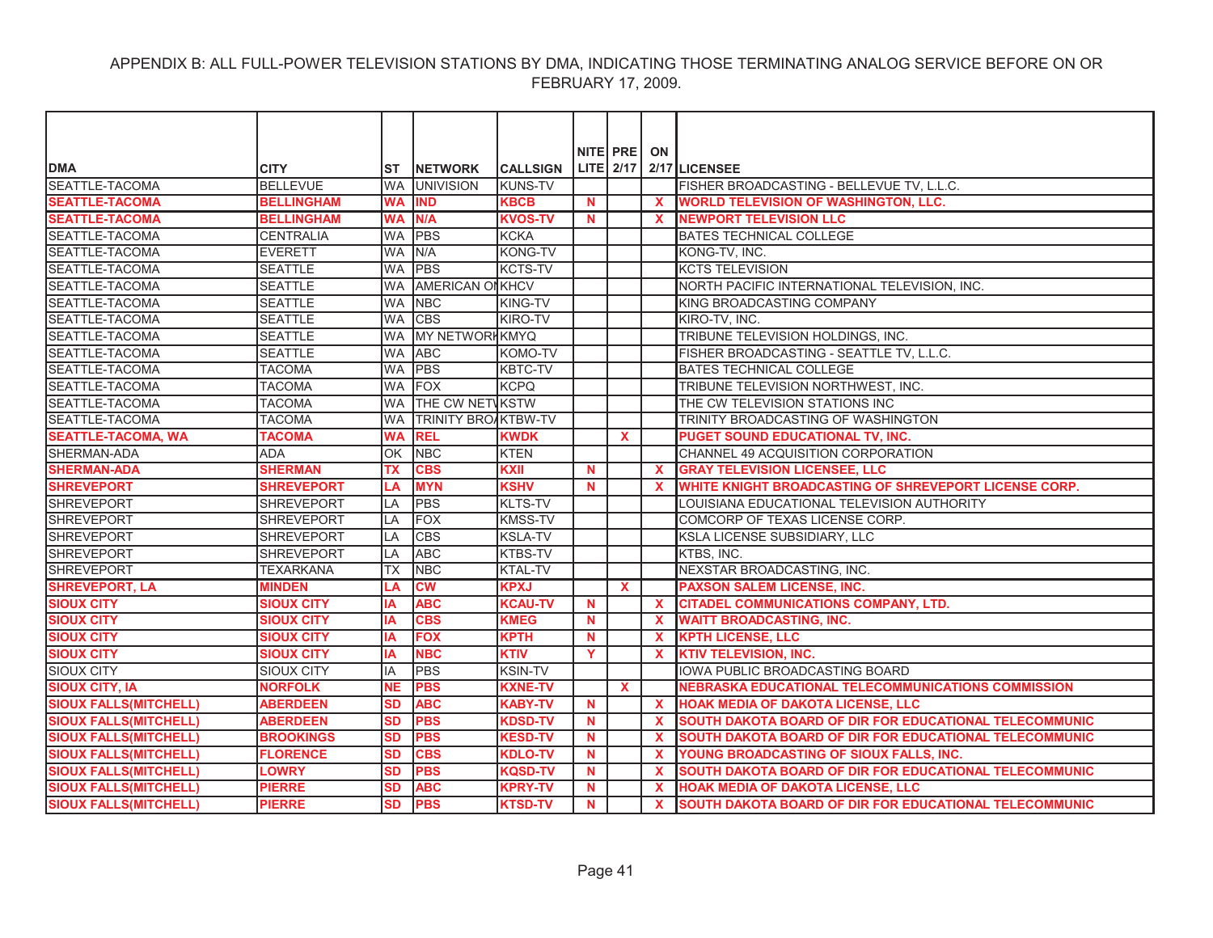| <b>DMA</b>                    | <b>CITY</b>       | ST        | <b>NETWORK</b>             | <b>CALLSIGN</b> |             | NITE PRE     | ON                        | LITE $2/17$ $2/17$ LICENSEE                               |
|-------------------------------|-------------------|-----------|----------------------------|-----------------|-------------|--------------|---------------------------|-----------------------------------------------------------|
| SEATTLE-TACOMA                | <b>BELLEVUE</b>   | <b>WA</b> | <b>UNIVISION</b>           | <b>KUNS-TV</b>  |             |              |                           | FISHER BROADCASTING - BELLEVUE TV, L.L.C.                 |
| <b>SEATTLE-TACOMA</b>         | <b>BELLINGHAM</b> | <b>WA</b> | <b>IND</b>                 | <b>KBCB</b>     | $\mathbf N$ |              | $\mathbf{x}$              | <b>WORLD TELEVISION OF WASHINGTON, LLC.</b>               |
| <b>SEATTLE-TACOMA</b>         | <b>BELLINGHAM</b> | <b>WA</b> | N/A                        | <b>KVOS-TV</b>  | $\mathbf N$ |              | X                         | <b>NEWPORT TELEVISION LLC</b>                             |
| SEATTLE-TACOMA                | <b>CENTRALIA</b>  | <b>WA</b> | PBS                        | <b>KCKA</b>     |             |              |                           | BATES TECHNICAL COLLEGE                                   |
| SEATTLE-TACOMA                | <b>EVERETT</b>    | <b>WA</b> | N/A                        | <b>KONG-TV</b>  |             |              |                           | KONG-TV, INC.                                             |
| SEATTLE-TACOMA                | <b>SEATTLE</b>    | <b>WA</b> | <b>PBS</b>                 | <b>KCTS-TV</b>  |             |              |                           | <b>KCTS TELEVISION</b>                                    |
| SEATTLE-TACOMA                | <b>SEATTLE</b>    | <b>WA</b> | <b>AMERICAN ONKHCV</b>     |                 |             |              |                           | NORTH PACIFIC INTERNATIONAL TELEVISION. INC.              |
| SEATTLE-TACOMA                | <b>SEATTLE</b>    | <b>WA</b> | <b>NBC</b>                 | KING-TV         |             |              |                           | KING BROADCASTING COMPANY                                 |
| <b>SEATTLE-TACOMA</b>         | <b>SEATTLE</b>    | <b>WA</b> | <b>CBS</b>                 | KIRO-TV         |             |              |                           | KIRO-TV, INC.                                             |
| SEATTLE-TACOMA                | <b>SEATTLE</b>    | <b>WA</b> | <b>MY NETWORKKMYQ</b>      |                 |             |              |                           | TRIBUNE TELEVISION HOLDINGS, INC.                         |
| SEATTLE-TACOMA                | <b>SEATTLE</b>    | <b>WA</b> | <b>ABC</b>                 | KOMO-TV         |             |              |                           | FISHER BROADCASTING - SEATTLE TV, L.L.C.                  |
| SEATTLE-TACOMA                | <b>TACOMA</b>     | <b>WA</b> | <b>PBS</b>                 | KBTC-TV         |             |              |                           | BATES TECHNICAL COLLEGE                                   |
| <b>SEATTLE-TACOMA</b>         | <b>TACOMA</b>     | <b>WA</b> | <b>IFOX</b>                | <b>KCPQ</b>     |             |              |                           | TRIBUNE TELEVISION NORTHWEST, INC.                        |
| SEATTLE-TACOMA                | <b>TACOMA</b>     | <b>WA</b> | THE CW NETWSTW             |                 |             |              |                           | THE CW TELEVISION STATIONS INC                            |
| SEATTLE-TACOMA                | <b>TACOMA</b>     | <b>WA</b> | <b>TRINITY BROAKTBW-TV</b> |                 |             |              |                           | TRINITY BROADCASTING OF WASHINGTON                        |
| <b>SEATTLE-TACOMA, WA</b>     | <b>TACOMA</b>     | <b>WA</b> | <b>REL</b>                 | <b>KWDK</b>     |             | $\mathbf{x}$ |                           | <b>PUGET SOUND EDUCATIONAL TV, INC.</b>                   |
| SHERMAN-ADA                   | <b>ADA</b>        | OK        | <b>NBC</b>                 | <b>KTEN</b>     |             |              |                           | CHANNEL 49 ACQUISITION CORPORATION                        |
| <b>SHERMAN-ADA</b>            | <b>SHERMAN</b>    | <b>TX</b> | <b>CBS</b>                 | <b>KXII</b>     | <b>N</b>    |              | $\mathbf{x}$              | <b>GRAY TELEVISION LICENSEE, LLC</b>                      |
| <b>SHREVEPORT</b>             | <b>SHREVEPORT</b> | LA        | <b>MYN</b>                 | <b>KSHV</b>     | <b>N</b>    |              | X                         | WHITE KNIGHT BROADCASTING OF SHREVEPORT LICENSE CORP.     |
| <b>SHREVEPORT</b>             | <b>SHREVEPORT</b> | LA        | PBS                        | <b>KLTS-TV</b>  |             |              |                           | LOUISIANA EDUCATIONAL TELEVISION AUTHORITY                |
| <b>SHREVEPORT</b>             | <b>SHREVEPORT</b> | LA        | <b>FOX</b>                 | <b>KMSS-TV</b>  |             |              |                           | COMCORP OF TEXAS LICENSE CORP.                            |
| <b>SHREVEPORT</b>             | <b>SHREVEPORT</b> | LA        | <b>CBS</b>                 | <b>KSLA-TV</b>  |             |              |                           | KSLA LICENSE SUBSIDIARY, LLC                              |
| <b>SHREVEPORT</b>             | <b>SHREVEPORT</b> | LA        | <b>ABC</b>                 | <b>KTBS-TV</b>  |             |              |                           | KTBS, INC.                                                |
| <b>SHREVEPORT</b>             | <b>TEXARKANA</b>  | <b>TX</b> | <b>NBC</b>                 | <b>KTAL-TV</b>  |             |              |                           | NEXSTAR BROADCASTING, INC.                                |
| <b>SHREVEPORT, LA</b>         | <b>MINDEN</b>     | LA        | <b>CW</b>                  | <b>KPXJ</b>     |             | $\mathbf{x}$ |                           | <b>PAXSON SALEM LICENSE, INC.</b>                         |
| <b>SIOUX CITY</b>             | <b>SIOUX CITY</b> | <b>IA</b> | <b>ABC</b>                 | <b>KCAU-TV</b>  | <b>N</b>    |              | $\mathbf{x}$              | <b>CITADEL COMMUNICATIONS COMPANY, LTD.</b>               |
| <b>SIOUX CITY</b>             | <b>SIOUX CITY</b> | <b>IA</b> | <b>CBS</b>                 | <b>KMEG</b>     | <b>N</b>    |              | $\mathbf{x}$              | <b>WAITT BROADCASTING, INC.</b>                           |
| <b>SIOUX CITY</b>             | <b>SIOUX CITY</b> | IA        | <b>FOX</b>                 | <b>KPTH</b>     | N           |              | $\mathbf{x}$              | <b>KPTH LICENSE, LLC</b>                                  |
| <b>SIOUX CITY</b>             | <b>SIOUX CITY</b> | <b>IA</b> | <b>NBC</b>                 | <b>KTIV</b>     | Y           |              | $\boldsymbol{\mathsf{x}}$ | <b>KTIV TELEVISION, INC.</b>                              |
| <b>SIOUX CITY</b>             | <b>SIOUX CITY</b> | IA        | <b>PBS</b>                 | <b>KSIN-TV</b>  |             |              |                           | IOWA PUBLIC BROADCASTING BOARD                            |
| <b>SIOUX CITY, IA</b>         | <b>NORFOLK</b>    | <b>NE</b> | <b>PBS</b>                 | <b>KXNE-TV</b>  |             | X            |                           | <b>NEBRASKA EDUCATIONAL TELECOMMUNICATIONS COMMISSION</b> |
| <b>SIOUX FALLS(MITCHELL)</b>  | <b>ABERDEEN</b>   | <b>SD</b> | <b>ABC</b>                 | <b>KABY-TV</b>  | <b>N</b>    |              | $\mathbf x$               | <b>HOAK MEDIA OF DAKOTA LICENSE, LLC</b>                  |
| <b>SIOUX FALLS(MITCHELL)</b>  | <b>ABERDEEN</b>   | <b>SD</b> | <b>PBS</b>                 | <b>KDSD-TV</b>  | $\mathbf N$ |              | $\mathbf{x}$              | SOUTH DAKOTA BOARD OF DIR FOR EDUCATIONAL TELECOMMUNIC    |
| <b>SIOUX FALLS (MITCHELL)</b> | <b>BROOKINGS</b>  | <b>SD</b> | <b>PBS</b>                 | <b>KESD-TV</b>  | N           |              | $\mathbf x$               | SOUTH DAKOTA BOARD OF DIR FOR EDUCATIONAL TELECOMMUNIC    |
| <b>SIOUX FALLS(MITCHELL)</b>  | <b>FLORENCE</b>   | <b>SD</b> | <b>CBS</b>                 | <b>KDLO-TV</b>  | <b>N</b>    |              | $\mathbf x$               | YOUNG BROADCASTING OF SIOUX FALLS, INC.                   |
| <b>SIOUX FALLS(MITCHELL)</b>  | <b>LOWRY</b>      | SD        | <b>PBS</b>                 | <b>KQSD-TV</b>  | N           |              | $\mathbf x$               | SOUTH DAKOTA BOARD OF DIR FOR EDUCATIONAL TELECOMMUNIC    |
| <b>SIOUX FALLS (MITCHELL)</b> | <b>PIERRE</b>     | SD        | <b>ABC</b>                 | <b>KPRY-TV</b>  | N           |              | X                         | <b>HOAK MEDIA OF DAKOTA LICENSE, LLC</b>                  |
| <b>SIOUX FALLS(MITCHELL)</b>  | <b>PIERRE</b>     | <b>SD</b> | <b>PBS</b>                 | <b>KTSD-TV</b>  | $\mathbf N$ |              | $\mathbf{x}$              | SOUTH DAKOTA BOARD OF DIR FOR EDUCATIONAL TELECOMMUNIC    |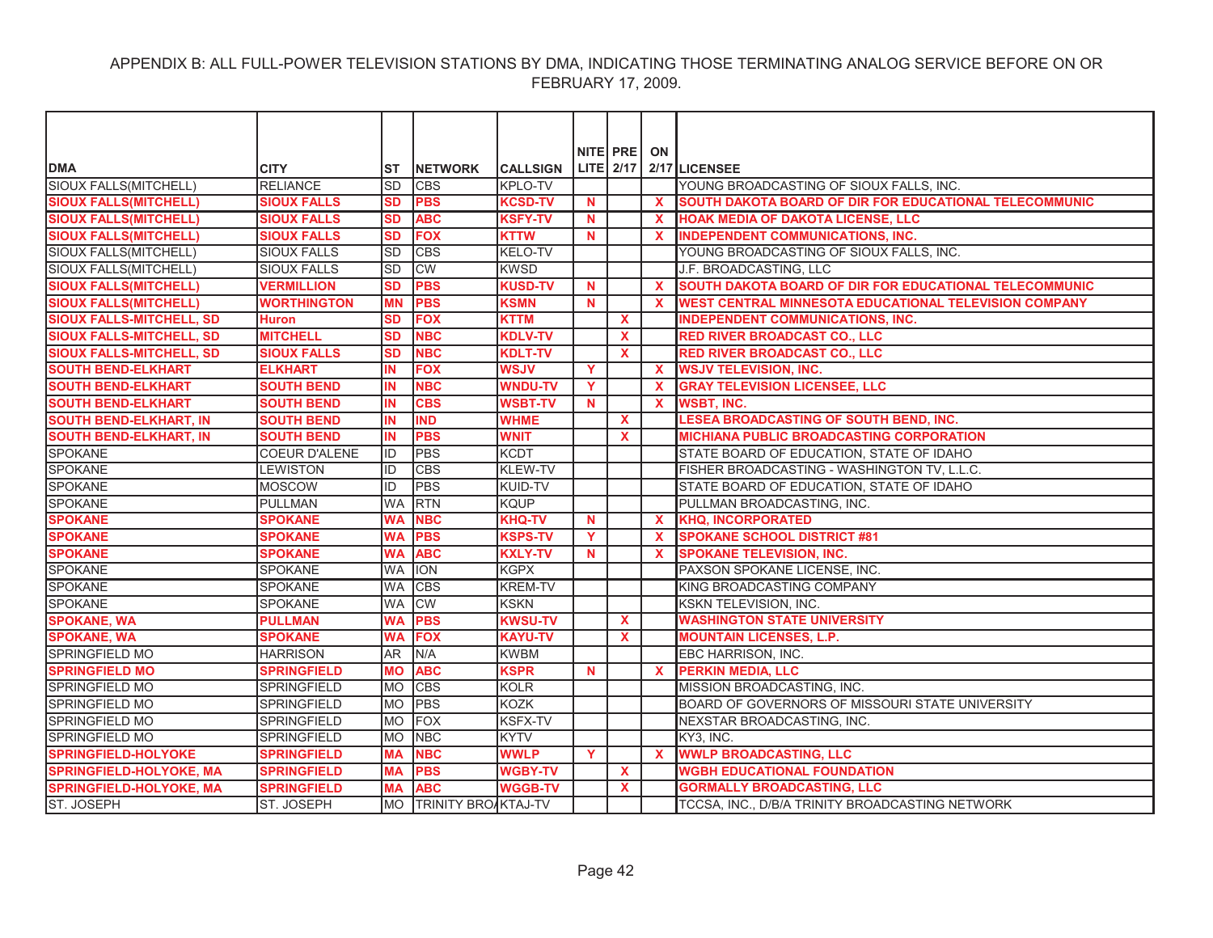|                                 |                      |           |                            |                 |              | NITE PRE         | ON           |                                                        |
|---------------------------------|----------------------|-----------|----------------------------|-----------------|--------------|------------------|--------------|--------------------------------------------------------|
| <b>DMA</b>                      | <b>CITY</b>          | ST        | <b>INETWORK</b>            | <b>CALLSIGN</b> |              | <b>LITE</b> 2/17 |              | 2/17 LICENSEE                                          |
| SIOUX FALLS(MITCHELL)           | <b>RELIANCE</b>      | <b>SD</b> | <b>CBS</b>                 | <b>KPLO-TV</b>  |              |                  |              | YOUNG BROADCASTING OF SIOUX FALLS, INC.                |
| <b>SIOUX FALLS(MITCHELL)</b>    | <b>SIOUX FALLS</b>   | <b>SD</b> | <b>PBS</b>                 | <b>KCSD-TV</b>  | N            |                  | $\mathbf{x}$ | SOUTH DAKOTA BOARD OF DIR FOR EDUCATIONAL TELECOMMUNIC |
| <b>SIOUX FALLS(MITCHELL)</b>    | <b>SIOUX FALLS</b>   | <b>SD</b> | <b>ABC</b>                 | <b>KSFY-TV</b>  | <b>N</b>     |                  | X            | HOAK MEDIA OF DAKOTA LICENSE, LLC                      |
| <b>SIOUX FALLS(MITCHELL)</b>    | <b>SIOUX FALLS</b>   | <b>SD</b> | <b>FOX</b>                 | <b>KTTW</b>     | $\mathbf N$  |                  | $\mathbf{x}$ | <b>INDEPENDENT COMMUNICATIONS, INC.</b>                |
| SIOUX FALLS(MITCHELL)           | <b>SIOUX FALLS</b>   | lsd       | <b>CBS</b>                 | <b>KELO-TV</b>  |              |                  |              | YOUNG BROADCASTING OF SIOUX FALLS, INC.                |
| SIOUX FALLS(MITCHELL)           | <b>SIOUX FALLS</b>   | lsd       | <b>CW</b>                  | <b>KWSD</b>     |              |                  |              | J.F. BROADCASTING, LLC                                 |
| <b>SIOUX FALLS(MITCHELL)</b>    | <b>VERMILLION</b>    | <b>SD</b> | <b>PBS</b>                 | <b>KUSD-TV</b>  | $\mathbf N$  |                  | $\mathbf{x}$ | SOUTH DAKOTA BOARD OF DIR FOR EDUCATIONAL TELECOMMUNIC |
| <b>SIOUX FALLS (MITCHELL)</b>   | <b>WORTHINGTON</b>   | <b>MN</b> | <b>PBS</b>                 | <b>KSMN</b>     | $\mathbf N$  |                  | X            | WEST CENTRAL MINNESOTA EDUCATIONAL TELEVISION COMPANY  |
| <b>SIOUX FALLS-MITCHELL, SD</b> | <b>Huron</b>         | <b>SD</b> | <b>FOX</b>                 | <b>KTTM</b>     |              | $\mathbf{x}$     |              | INDEPENDENT COMMUNICATIONS, INC.                       |
| <b>SIOUX FALLS-MITCHELL, SD</b> | <b>MITCHELL</b>      | <b>SD</b> | <b>NBC</b>                 | <b>KDLV-TV</b>  |              | $\mathbf{x}$     |              | <b>RED RIVER BROADCAST CO., LLC</b>                    |
| <b>SIOUX FALLS-MITCHELL, SD</b> | <b>SIOUX FALLS</b>   | <b>SD</b> | <b>NBC</b>                 | <b>KDLT-TV</b>  |              | $\mathbf{x}$     |              | <b>RED RIVER BROADCAST CO., LLC</b>                    |
| <b>SOUTH BEND-ELKHART</b>       | <b>ELKHART</b>       | IN        | <b>FOX</b>                 | <b>WSJV</b>     | Y            |                  | $\mathbf{x}$ | <b>WSJV TELEVISION, INC.</b>                           |
| <b>SOUTH BEND-ELKHART</b>       | <b>SOUTH BEND</b>    | IN        | <b>NBC</b>                 | <b>WNDU-TV</b>  | Y            |                  | $\mathbf{x}$ | <b>GRAY TELEVISION LICENSEE, LLC</b>                   |
| <b>SOUTH BEND-ELKHART</b>       | <b>SOUTH BEND</b>    | IN        | <b>CBS</b>                 | <b>WSBT-TV</b>  | $\mathbf N$  |                  | $\mathbf{x}$ | <b>WSBT, INC.</b>                                      |
| <b>SOUTH BEND-ELKHART, IN</b>   | <b>SOUTH BEND</b>    | IN        | <b>IND</b>                 | <b>WHME</b>     |              | $\mathbf{x}$     |              | <b>LESEA BROADCASTING OF SOUTH BEND, INC.</b>          |
| <b>SOUTH BEND-ELKHART, IN</b>   | <b>SOUTH BEND</b>    | IN        | <b>PBS</b>                 | <b>WNIT</b>     |              | $\mathbf{x}$     |              | <b>MICHIANA PUBLIC BROADCASTING CORPORATION</b>        |
| <b>SPOKANE</b>                  | <b>COEUR D'ALENE</b> | lid       | <b>PBS</b>                 | <b>KCDT</b>     |              |                  |              | STATE BOARD OF EDUCATION, STATE OF IDAHO               |
| <b>SPOKANE</b>                  | <b>LEWISTON</b>      | lid.      | <b>CBS</b>                 | <b>KLEW-TV</b>  |              |                  |              | FISHER BROADCASTING - WASHINGTON TV, L.L.C.            |
| <b>SPOKANE</b>                  | <b>MOSCOW</b>        | ID        | <b>PBS</b>                 | KUID-TV         |              |                  |              | STATE BOARD OF EDUCATION, STATE OF IDAHO               |
| <b>SPOKANE</b>                  | <b>PULLMAN</b>       | <b>WA</b> | <b>RTN</b>                 | <b>KQUP</b>     |              |                  |              | PULLMAN BROADCASTING, INC.                             |
| <b>SPOKANE</b>                  | <b>SPOKANE</b>       | <b>WA</b> | <b>NBC</b>                 | <b>KHQ-TV</b>   | $\mathbf N$  |                  | $\mathbf{x}$ | <b>KHQ, INCORPORATED</b>                               |
| <b>SPOKANE</b>                  | <b>SPOKANE</b>       | <b>WA</b> | <b>PBS</b>                 | <b>KSPS-TV</b>  | Y            |                  | $\mathbf{x}$ | <b>SPOKANE SCHOOL DISTRICT #81</b>                     |
| <b>SPOKANE</b>                  | <b>SPOKANE</b>       | <b>WA</b> | <b>ABC</b>                 | <b>KXLY-TV</b>  | N            |                  | $\mathbf{x}$ | <b>SPOKANE TELEVISION, INC.</b>                        |
| <b>SPOKANE</b>                  | <b>SPOKANE</b>       | <b>WA</b> | <b>ION</b>                 | <b>KGPX</b>     |              |                  |              | PAXSON SPOKANE LICENSE, INC.                           |
| <b>SPOKANE</b>                  | SPOKANE              | <b>WA</b> | <b>CBS</b>                 | <b>KREM-TV</b>  |              |                  |              | KING BROADCASTING COMPANY                              |
| <b>SPOKANE</b>                  | <b>SPOKANE</b>       | <b>WA</b> | <b>CW</b>                  | <b>KSKN</b>     |              |                  |              | KSKN TELEVISION, INC.                                  |
| <b>SPOKANE, WA</b>              | <b>PULLMAN</b>       | <b>WA</b> | <b>PBS</b>                 | <b>KWSU-TV</b>  |              | <b>X</b>         |              | <b>WASHINGTON STATE UNIVERSITY</b>                     |
| <b>SPOKANE, WA</b>              | <b>SPOKANE</b>       | <b>WA</b> | <b>FOX</b>                 | <b>KAYU-TV</b>  |              | $\mathbf{x}$     |              | <b>MOUNTAIN LICENSES, L.P.</b>                         |
| <b>SPRINGFIELD MO</b>           | <b>HARRISON</b>      | AR.       | N/A                        | <b>KWBM</b>     |              |                  |              | EBC HARRISON, INC.                                     |
| <b>SPRINGFIELD MO</b>           | <b>SPRINGFIELD</b>   | <b>MO</b> | <b>ABC</b>                 | <b>KSPR</b>     | $\mathbf N$  |                  | $\mathbf{x}$ | <b>PERKIN MEDIA, LLC</b>                               |
| SPRINGFIELD MO                  | <b>SPRINGFIELD</b>   | <b>MO</b> | <b>CBS</b>                 | <b>KOLR</b>     |              |                  |              | MISSION BROADCASTING, INC.                             |
| <b>SPRINGFIELD MO</b>           | <b>SPRINGFIELD</b>   | <b>MO</b> | <b>PBS</b>                 | <b>KOZK</b>     |              |                  |              | BOARD OF GOVERNORS OF MISSOURI STATE UNIVERSITY        |
| SPRINGFIELD MO                  | SPRINGFIELD          | <b>MO</b> | FOX                        | <b>KSFX-TV</b>  |              |                  |              | NEXSTAR BROADCASTING, INC.                             |
| SPRINGFIELD MO                  | <b>SPRINGFIELD</b>   | <b>MO</b> | <b>NBC</b>                 | <b>KYTV</b>     |              |                  |              | KY3, INC.                                              |
| <b>SPRINGFIELD-HOLYOKE</b>      | <b>SPRINGFIELD</b>   | <b>MA</b> | <b>NBC</b>                 | <b>WWLP</b>     | $\mathbf{Y}$ |                  | $\mathbf{x}$ | <b>WWLP BROADCASTING, LLC</b>                          |
| <b>SPRINGFIELD-HOLYOKE, MA</b>  | <b>SPRINGFIELD</b>   | <b>MA</b> | <b>PBS</b>                 | <b>WGBY-TV</b>  |              | $\mathbf{x}$     |              | <b>WGBH EDUCATIONAL FOUNDATION</b>                     |
| <b>SPRINGFIELD-HOLYOKE, MA</b>  | <b>SPRINGFIELD</b>   | <b>MA</b> | <b>ABC</b>                 | <b>WGGB-TV</b>  |              | <b>X</b>         |              | <b>GORMALLY BROADCASTING, LLC</b>                      |
| ST. JOSEPH                      | <b>ST. JOSEPH</b>    | <b>MO</b> | <b>TRINITY BROAKTAJ-TV</b> |                 |              |                  |              | TCCSA. INC., D/B/A TRINITY BROADCASTING NETWORK        |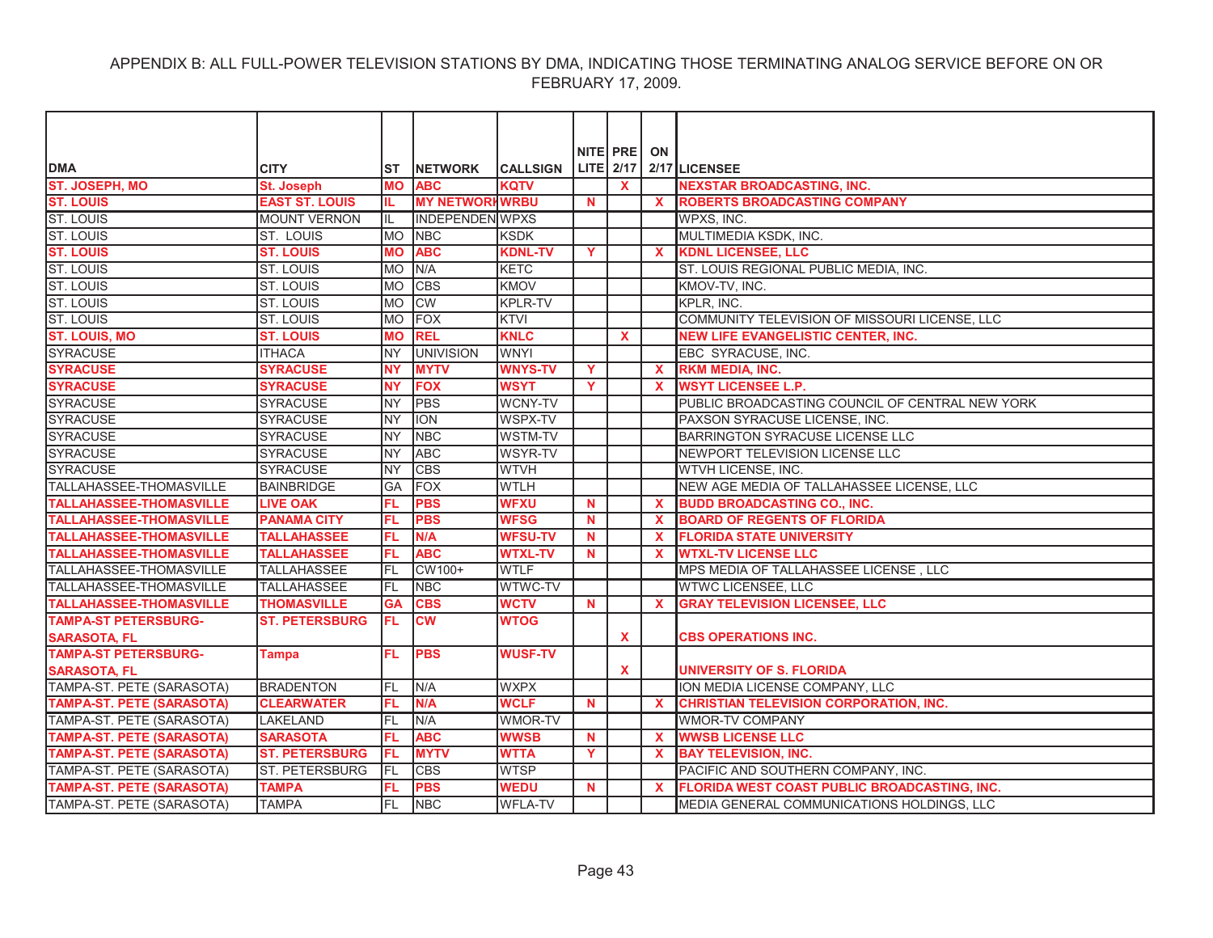| <b>DMA</b>                       | <b>CITY</b>           | ST         | <b>NETWORK</b>         | <b>CALLSIGN</b> |              | NITE PRE     | ON           | LITE 2/17 2/17 LICENSEE                             |
|----------------------------------|-----------------------|------------|------------------------|-----------------|--------------|--------------|--------------|-----------------------------------------------------|
| <b>ST. JOSEPH, MO</b>            | <b>St. Joseph</b>     | <b>MO</b>  | <b>ABC</b>             | <b>KOTV</b>     |              | $\mathbf{x}$ |              | <b>NEXSTAR BROADCASTING, INC.</b>                   |
| <b>ST. LOUIS</b>                 | <b>EAST ST. LOUIS</b> | IL.        | <b>MY NETWORKWRBU</b>  |                 | N            |              | <b>X</b>     | <b>ROBERTS BROADCASTING COMPANY</b>                 |
| <b>ST. LOUIS</b>                 | <b>MOUNT VERNON</b>   | IIL        | <b>INDEPENDEN WPXS</b> |                 |              |              |              | WPXS, INC.                                          |
| ST. LOUIS                        | <b>ST. LOUIS</b>      | <b>IMO</b> | <b>NBC</b>             | <b>KSDK</b>     |              |              |              | MULTIMEDIA KSDK, INC.                               |
| <b>ST. LOUIS</b>                 | <b>ST. LOUIS</b>      | <b>MO</b>  | <b>ABC</b>             | <b>KDNL-TV</b>  | Y            |              | $\mathbf{x}$ | <b>KDNL LICENSEE, LLC</b>                           |
| <b>ST. LOUIS</b>                 | ST. LOUIS             | <b>MO</b>  | N/A                    | <b>KETC</b>     |              |              |              | ST. LOUIS REGIONAL PUBLIC MEDIA, INC.               |
| ST. LOUIS                        | ST. LOUIS             | <b>MO</b>  | <b>CBS</b>             | KMOV            |              |              |              | KMOV-TV, INC.                                       |
| <b>ST. LOUIS</b>                 | ST. LOUIS             | <b>MO</b>  | <b>CW</b>              | <b>KPLR-TV</b>  |              |              |              | KPLR, INC.                                          |
| ST. LOUIS                        | ST. LOUIS             | <b>IMO</b> | <b>FOX</b>             | <b>KTVI</b>     |              |              |              | COMMUNITY TELEVISION OF MISSOURI LICENSE, LLC       |
| <b>ST. LOUIS, MO</b>             | <b>ST. LOUIS</b>      | <b>MO</b>  | <b>REL</b>             | <b>KNLC</b>     |              | $\mathbf{x}$ |              | <b>NEW LIFE EVANGELISTIC CENTER, INC.</b>           |
| <b>SYRACUSE</b>                  | <b>ITHACA</b>         | <b>NY</b>  | <b>UNIVISION</b>       | <b>WNYI</b>     |              |              |              | EBC SYRACUSE, INC.                                  |
| <b>SYRACUSE</b>                  | <b>SYRACUSE</b>       | <b>NY</b>  | <b>MYTV</b>            | <b>WNYS-TV</b>  | Y            |              | $\mathbf{x}$ | <b>RKM MEDIA, INC.</b>                              |
| <b>SYRACUSE</b>                  | <b>SYRACUSE</b>       | <b>NY</b>  | <b>FOX</b>             | <b>WSYT</b>     | Y            |              | <b>X</b>     | <b>WSYT LICENSEE L.P.</b>                           |
| <b>SYRACUSE</b>                  | <b>SYRACUSE</b>       | <b>NY</b>  | <b>PBS</b>             | WCNY-TV         |              |              |              | PUBLIC BROADCASTING COUNCIL OF CENTRAL NEW YORK     |
| <b>SYRACUSE</b>                  | <b>SYRACUSE</b>       | <b>NY</b>  | ION                    | <b>WSPX-TV</b>  |              |              |              | PAXSON SYRACUSE LICENSE, INC.                       |
| <b>SYRACUSE</b>                  | <b>SYRACUSE</b>       | <b>NY</b>  | <b>NBC</b>             | <b>WSTM-TV</b>  |              |              |              | BARRINGTON SYRACUSE LICENSE LLC                     |
| <b>SYRACUSE</b>                  | <b>SYRACUSE</b>       | <b>NY</b>  | <b>ABC</b>             | <b>WSYR-TV</b>  |              |              |              | NEWPORT TELEVISION LICENSE LLC                      |
| <b>SYRACUSE</b>                  | <b>SYRACUSE</b>       | <b>NY</b>  | <b>CBS</b>             | <b>WTVH</b>     |              |              |              | WTVH LICENSE, INC.                                  |
| TALLAHASSEE-THOMASVILLE          | <b>BAINBRIDGE</b>     | GA         | FOX                    | <b>WTLH</b>     |              |              |              | NEW AGE MEDIA OF TALLAHASSEE LICENSE, LLC           |
| <b>TALLAHASSEE-THOMASVILLE</b>   | <b>LIVE OAK</b>       | FL         | <b>PBS</b>             | <b>WFXU</b>     | N            |              | <b>X</b>     | <b>BUDD BROADCASTING CO., INC.</b>                  |
| <b>TALLAHASSEE-THOMASVILLE</b>   | <b>PANAMA CITY</b>    | FL         | <b>PBS</b>             | <b>WFSG</b>     | N            |              | X            | <b>BOARD OF REGENTS OF FLORIDA</b>                  |
| <b>TALLAHASSEE-THOMASVILLE</b>   | <b>TALLAHASSEE</b>    | FL         | N/A                    | <b>WFSU-TV</b>  | N            |              | X            | <b>FLORIDA STATE UNIVERSITY</b>                     |
| <b>TALLAHASSEE-THOMASVILLE</b>   | <b>TALLAHASSEE</b>    | FL.        | <b>ABC</b>             | <b>WTXL-TV</b>  | N            |              | $\mathbf{x}$ | <b>WTXL-TV LICENSE LLC</b>                          |
| TALLAHASSEE-THOMASVILLE          | <b>TALLAHASSEE</b>    | FL         | CW100+                 | <b>WTLF</b>     |              |              |              | MPS MEDIA OF TALLAHASSEE LICENSE, LLC               |
| TALLAHASSEE-THOMASVILLE          | <b>TALLAHASSEE</b>    | FL         | <b>NBC</b>             | WTWC-TV         |              |              |              | <b>WTWC LICENSEE, LLC</b>                           |
| <b>TALLAHASSEE-THOMASVILLE</b>   | <b>THOMASVILLE</b>    | <b>GA</b>  | <b>CBS</b>             | <b>WCTV</b>     | <b>N</b>     |              | $\mathbf x$  | <b>GRAY TELEVISION LICENSEE, LLC</b>                |
| <b>TAMPA-ST PETERSBURG-</b>      | <b>ST. PETERSBURG</b> | FL         | <b>CW</b>              | <b>WTOG</b>     |              |              |              |                                                     |
| <b>SARASOTA, FL</b>              |                       |            |                        |                 |              | <b>X</b>     |              | <b>CBS OPERATIONS INC.</b>                          |
| <b>TAMPA-ST PETERSBURG-</b>      | Tampa                 | FL.        | <b>PBS</b>             | <b>WUSF-TV</b>  |              |              |              |                                                     |
| <b>SARASOTA, FL</b>              |                       |            |                        |                 |              | $\mathbf{x}$ |              | <b>UNIVERSITY OF S. FLORIDA</b>                     |
| TAMPA-ST. PETE (SARASOTA)        | <b>BRADENTON</b>      | FL.        | N/A                    | <b>WXPX</b>     |              |              |              | ION MEDIA LICENSE COMPANY, LLC                      |
| <b>TAMPA-ST. PETE (SARASOTA)</b> | <b>CLEARWATER</b>     | FL         | N/A                    | <b>WCLF</b>     | <b>N</b>     |              | X            | <b>CHRISTIAN TELEVISION CORPORATION, INC.</b>       |
| TAMPA-ST. PETE (SARASOTA)        | LAKELAND              | <b>FL</b>  | N/A                    | <b>WMOR-TV</b>  |              |              |              | WMOR-TV COMPANY                                     |
| <b>TAMPA-ST. PETE (SARASOTA)</b> | <b>SARASOTA</b>       | FL         | <b>ABC</b>             | <b>WWSB</b>     | N            |              | $\mathbf{x}$ | <b>WWSB LICENSE LLC</b>                             |
| <b>TAMPA-ST. PETE (SARASOTA)</b> | <b>ST. PETERSBURG</b> | FL         | <b>MYTV</b>            | <b>WTTA</b>     | $\mathbf{Y}$ |              | $\mathbf{x}$ | <b>BAY TELEVISION, INC.</b>                         |
| TAMPA-ST. PETE (SARASOTA)        | ST. PETERSBURG        | IFL        | <b>CBS</b>             | <b>WTSP</b>     |              |              |              | PACIFIC AND SOUTHERN COMPANY, INC.                  |
| <b>TAMPA-ST. PETE (SARASOTA)</b> | <b>TAMPA</b>          | FL         | <b>PBS</b>             | <b>WEDU</b>     | N            |              | X            | <b>FLORIDA WEST COAST PUBLIC BROADCASTING, INC.</b> |
| TAMPA-ST. PETE (SARASOTA)        | <b>TAMPA</b>          | IFL.       | <b>NBC</b>             | <b>WFLA-TV</b>  |              |              |              | MEDIA GENERAL COMMUNICATIONS HOLDINGS, LLC          |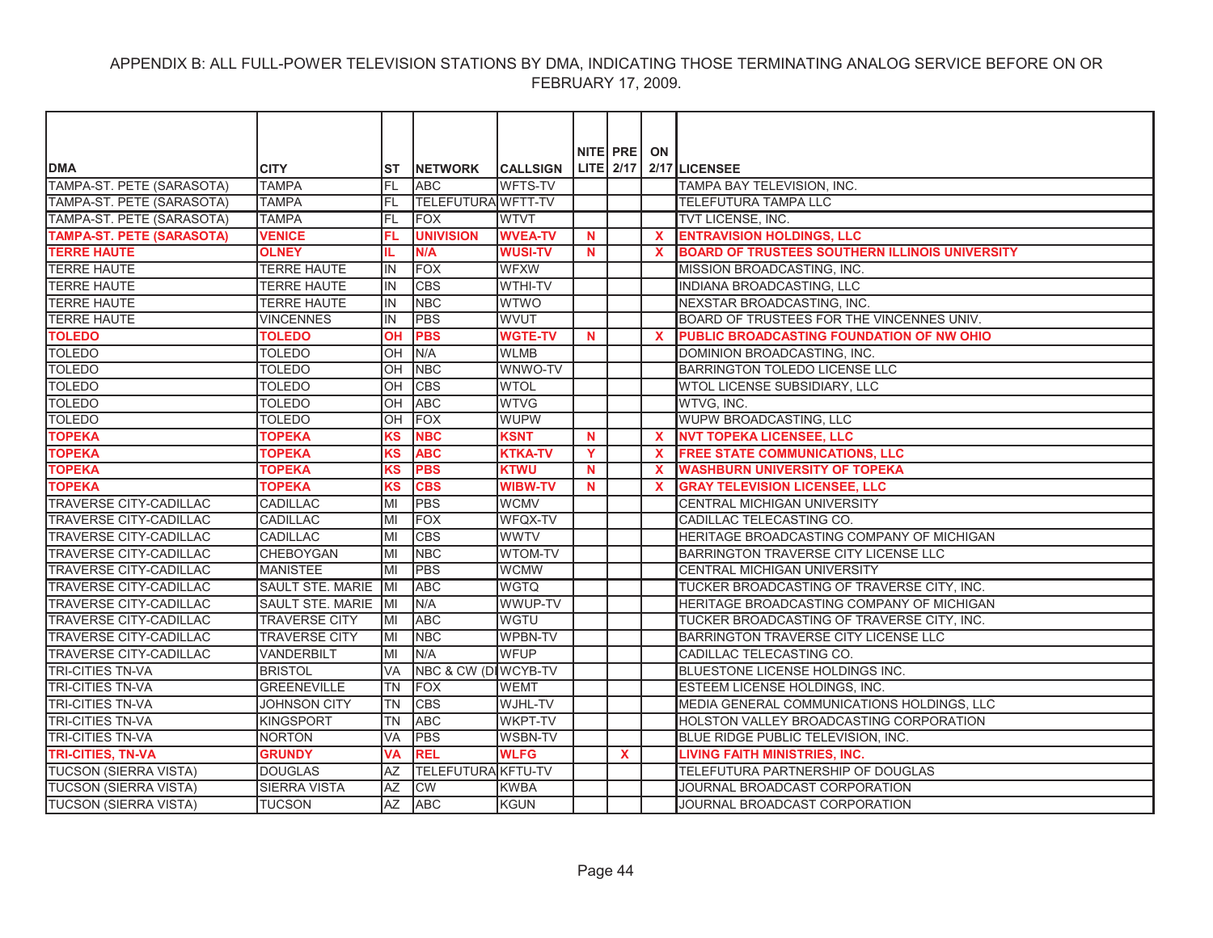|                                  |                         |            |                           |                 |             | NITE PRE     | ON           |                                                       |
|----------------------------------|-------------------------|------------|---------------------------|-----------------|-------------|--------------|--------------|-------------------------------------------------------|
| <b>DMA</b>                       | <b>CITY</b>             | IST        | <b>NETWORK</b>            | <b>CALLSIGN</b> |             | LITE 2/17    |              | 2/17 LICENSEE                                         |
| TAMPA-ST. PETE (SARASOTA)        | <b>TAMPA</b>            | IFL        | <b>ABC</b>                | <b>WFTS-TV</b>  |             |              |              | TAMPA BAY TELEVISION, INC.                            |
| TAMPA-ST. PETE (SARASOTA)        | <b>TAMPA</b>            | FL.        | <b>TELEFUTURA WFTT-TV</b> |                 |             |              |              | TELEFUTURA TAMPA LLC                                  |
| TAMPA-ST. PETE (SARASOTA)        | <b>TAMPA</b>            | FL         | <b>FOX</b>                | <b>WTVT</b>     |             |              |              | TVT LICENSE, INC.                                     |
| <b>TAMPA-ST. PETE (SARASOTA)</b> | <b>VENICE</b>           | FL         | <b>UNIVISION</b>          | <b>WVEA-TV</b>  | $\mathbf N$ |              | $\mathbf{x}$ | <b>ENTRAVISION HOLDINGS, LLC</b>                      |
| <b>TERRE HAUTE</b>               | <b>OLNEY</b>            | IL.        | N/A                       | <b>WUSI-TV</b>  | N           |              | $\mathbf{x}$ | <b>BOARD OF TRUSTEES SOUTHERN ILLINOIS UNIVERSITY</b> |
| <b>TERRE HAUTE</b>               | <b>TERRE HAUTE</b>      | lin.       | <b>FOX</b>                | <b>WFXW</b>     |             |              |              | MISSION BROADCASTING, INC.                            |
| <b>TERRE HAUTE</b>               | <b>TERRE HAUTE</b>      | İIN        | <b>CBS</b>                | <b>WTHI-TV</b>  |             |              |              | INDIANA BROADCASTING, LLC                             |
| <b>TERRE HAUTE</b>               | TERRE HAUTE             | lin.       | <b>NBC</b>                | <b>WTWO</b>     |             |              |              | NEXSTAR BROADCASTING, INC.                            |
| <b>TERRE HAUTE</b>               | <b>VINCENNES</b>        | lin.       | <b>PBS</b>                | <b>WVUT</b>     |             |              |              | BOARD OF TRUSTEES FOR THE VINCENNES UNIV.             |
| <b>TOLEDO</b>                    | <b>TOLEDO</b>           | <b>OH</b>  | <b>PBS</b>                | <b>WGTE-TV</b>  | N           |              | $\mathbf{x}$ | PUBLIC BROADCASTING FOUNDATION OF NW OHIO             |
| <b>TOLEDO</b>                    | <b>TOLEDO</b>           | OH         | N/A                       | <b>WLMB</b>     |             |              |              | DOMINION BROADCASTING, INC.                           |
| <b>TOLEDO</b>                    | <b>TOLEDO</b>           | OH         | <b>NBC</b>                | WNWO-TV         |             |              |              | BARRINGTON TOLEDO LICENSE LLC                         |
| <b>TOLEDO</b>                    | <b>TOLEDO</b>           | OH         | <b>CBS</b>                | <b>WTOL</b>     |             |              |              | WTOL LICENSE SUBSIDIARY, LLC                          |
| <b>TOLEDO</b>                    | <b>TOLEDO</b>           | OH         | <b>ABC</b>                | <b>WTVG</b>     |             |              |              | WTVG, INC.                                            |
| <b>TOLEDO</b>                    | <b>TOLEDO</b>           | OH         | <b>FOX</b>                | <b>WUPW</b>     |             |              |              | WUPW BROADCASTING, LLC                                |
| <b>TOPEKA</b>                    | <b>TOPEKA</b>           | <b>KS</b>  | <b>NBC</b>                | <b>KSNT</b>     | $\mathbf N$ |              | $\mathbf{x}$ | <b>NVT TOPEKA LICENSEE, LLC</b>                       |
| <b>TOPEKA</b>                    | <b>TOPEKA</b>           | KS         | <b>ABC</b>                | <b>KTKA-TV</b>  | Y           |              | $\mathbf{x}$ | <b>FREE STATE COMMUNICATIONS, LLC</b>                 |
| <b>TOPEKA</b>                    | <b>TOPEKA</b>           | <b>KS</b>  | <b>PBS</b>                | <b>KTWU</b>     | $\mathbf N$ |              | $\mathbf{x}$ | <b>WASHBURN UNIVERSITY OF TOPEKA</b>                  |
| <b>TOPEKA</b>                    | <b>TOPEKA</b>           | <b>KS</b>  | <b>CBS</b>                | <b>WIBW-TV</b>  | <b>N</b>    |              | X            | <b>GRAY TELEVISION LICENSEE, LLC</b>                  |
| <b>TRAVERSE CITY-CADILLAC</b>    | <b>CADILLAC</b>         | MI         | <b>PBS</b>                | <b>WCMV</b>     |             |              |              | <b>CENTRAL MICHIGAN UNIVERSITY</b>                    |
| TRAVERSE CITY-CADILLAC           | CADILLAC                | MI         | <b>FOX</b>                | WFQX-TV         |             |              |              | CADILLAC TELECASTING CO.                              |
| <b>TRAVERSE CITY-CADILLAC</b>    | <b>CADILLAC</b>         | lМI        | <b>CBS</b>                | <b>WWTV</b>     |             |              |              | HERITAGE BROADCASTING COMPANY OF MICHIGAN             |
| <b>TRAVERSE CITY-CADILLAC</b>    | <b>CHEBOYGAN</b>        | lМI        | <b>NBC</b>                | WTOM-TV         |             |              |              | BARRINGTON TRAVERSE CITY LICENSE LLC                  |
| <b>TRAVERSE CITY-CADILLAC</b>    | <b>MANISTEE</b>         | MI         | <b>PBS</b>                | <b>WCMW</b>     |             |              |              | CENTRAL MICHIGAN UNIVERSITY                           |
| <b>TRAVERSE CITY-CADILLAC</b>    | <b>SAULT STE, MARIE</b> | <b>IMI</b> | <b>ABC</b>                | <b>WGTQ</b>     |             |              |              | TUCKER BROADCASTING OF TRAVERSE CITY, INC.            |
| <b>TRAVERSE CITY-CADILLAC</b>    | <b>SAULT STE. MARIE</b> | IMI        | N/A                       | WWUP-TV         |             |              |              | HERITAGE BROADCASTING COMPANY OF MICHIGAN             |
| <b>TRAVERSE CITY-CADILLAC</b>    | <b>TRAVERSE CITY</b>    | ΙMΙ        | <b>ABC</b>                | WGTU            |             |              |              | TUCKER BROADCASTING OF TRAVERSE CITY, INC.            |
| <b>TRAVERSE CITY-CADILLAC</b>    | <b>TRAVERSE CITY</b>    | ΙMΙ        | <b>NBC</b>                | WPBN-TV         |             |              |              | BARRINGTON TRAVERSE CITY LICENSE LLC                  |
| <b>TRAVERSE CITY-CADILLAC</b>    | <b>VANDERBILT</b>       | MI         | IN/A                      | <b>WFUP</b>     |             |              |              | CADILLAC TELECASTING CO.                              |
| <b>TRI-CITIES TN-VA</b>          | <b>BRISTOL</b>          | <b>VA</b>  | NBC & CW (DIWCYB-TV       |                 |             |              |              | BLUESTONE LICENSE HOLDINGS INC.                       |
| <b>TRI-CITIES TN-VA</b>          | <b>GREENEVILLE</b>      | <b>TN</b>  | <b>IFOX</b>               | <b>WEMT</b>     |             |              |              | ESTEEM LICENSE HOLDINGS, INC.                         |
| <b>TRI-CITIES TN-VA</b>          | <b>JOHNSON CITY</b>     | <b>TN</b>  | <b>CBS</b>                | WJHL-TV         |             |              |              | MEDIA GENERAL COMMUNICATIONS HOLDINGS, LLC            |
| <b>TRI-CITIES TN-VA</b>          | <b>KINGSPORT</b>        | TN         | <b>ABC</b>                | <b>WKPT-TV</b>  |             |              |              | HOLSTON VALLEY BROADCASTING CORPORATION               |
| <b>TRI-CITIES TN-VA</b>          | <b>NORTON</b>           | VA         | PBS                       | WSBN-TV         |             |              |              | BLUE RIDGE PUBLIC TELEVISION, INC.                    |
| <b>TRI-CITIES, TN-VA</b>         | <b>GRUNDY</b>           | <b>VA</b>  | <b>REL</b>                | <b>WLFG</b>     |             | $\mathbf{x}$ |              | <b>LIVING FAITH MINISTRIES, INC.</b>                  |
| <b>TUCSON (SIERRA VISTA)</b>     | <b>DOUGLAS</b>          | AZ         | <b>TELEFUTURA KFTU-TV</b> |                 |             |              |              | TELEFUTURA PARTNERSHIP OF DOUGLAS                     |
| <b>TUCSON (SIERRA VISTA)</b>     | <b>SIERRA VISTA</b>     | ΑZ         | <b>CW</b>                 | <b>KWBA</b>     |             |              |              | JOURNAL BROADCAST CORPORATION                         |
| <b>TUCSON (SIERRA VISTA)</b>     | <b>TUCSON</b>           | AZ         | <b>ABC</b>                | <b>KGUN</b>     |             |              |              | JOURNAL BROADCAST CORPORATION                         |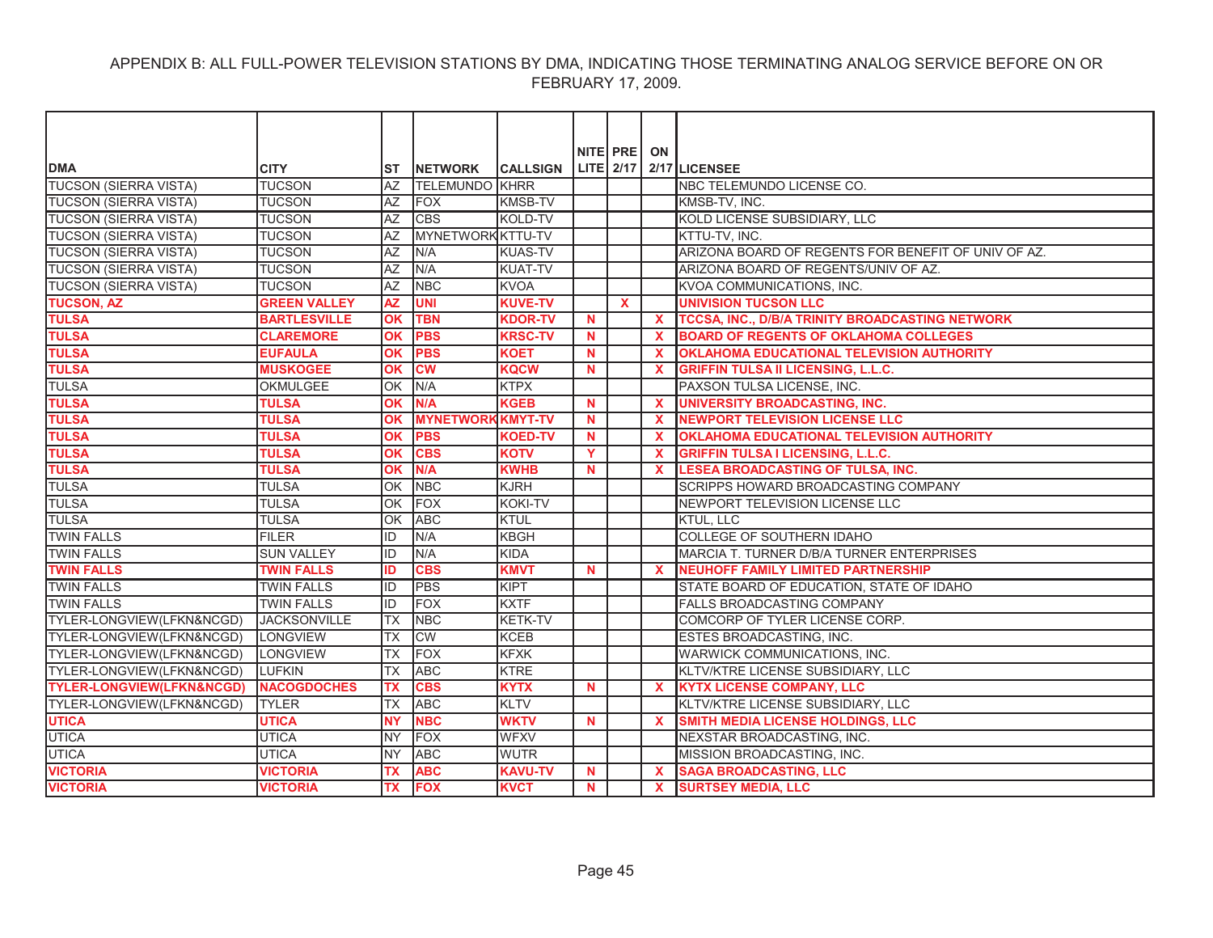|                                      |                     |           |                          |                 |             | NITE PRE ON  |                           |                                                     |
|--------------------------------------|---------------------|-----------|--------------------------|-----------------|-------------|--------------|---------------------------|-----------------------------------------------------|
| <b>DMA</b>                           | <b>CITY</b>         | SТ        | <b>NETWORK</b>           | <b>CALLSIGN</b> |             | $LITE$ 2/17  |                           | 2/17 LICENSEE                                       |
| <b>TUCSON (SIERRA VISTA)</b>         | <b>TUCSON</b>       | <b>AZ</b> | <b>TELEMUNDO KHRR</b>    |                 |             |              |                           | NBC TELEMUNDO LICENSE CO.                           |
| <b>TUCSON (SIERRA VISTA)</b>         | <b>TUCSON</b>       | <b>AZ</b> | <b>FOX</b>               | <b>KMSB-TV</b>  |             |              |                           | KMSB-TV. INC.                                       |
| <b>TUCSON (SIERRA VISTA)</b>         | <b>TUCSON</b>       | <b>AZ</b> | <b>CBS</b>               | KOLD-TV         |             |              |                           | KOLD LICENSE SUBSIDIARY, LLC                        |
| <b>TUCSON (SIERRA VISTA)</b>         | <b>TUCSON</b>       | <b>AZ</b> | MYNETWORK KTTU-TV        |                 |             |              |                           | KTTU-TV. INC.                                       |
| <b>TUCSON (SIERRA VISTA)</b>         | <b>TUCSON</b>       | AZ        | IN/A                     | <b>KUAS-TV</b>  |             |              |                           | ARIZONA BOARD OF REGENTS FOR BENEFIT OF UNIV OF AZ. |
| <b>TUCSON (SIERRA VISTA)</b>         | <b>TUCSON</b>       | <b>AZ</b> | N/A                      | <b>KUAT-TV</b>  |             |              |                           | ARIZONA BOARD OF REGENTS/UNIV OF AZ.                |
| <b>TUCSON (SIERRA VISTA)</b>         | <b>TUCSON</b>       | <b>AZ</b> | <b>NBC</b>               | <b>KVOA</b>     |             |              |                           | KVOA COMMUNICATIONS. INC.                           |
| <b>TUCSON, AZ</b>                    | <b>GREEN VALLEY</b> | <b>AZ</b> | <b>UNI</b>               | <b>KUVE-TV</b>  |             | $\mathbf{x}$ |                           | <b>UNIVISION TUCSON LLC</b>                         |
| <b>TULSA</b>                         | <b>BARTLESVILLE</b> | OK        | <b>TBN</b>               | <b>KDOR-TV</b>  | N           |              | $\mathbf{x}$              | TCCSA, INC., D/B/A TRINITY BROADCASTING NETWORK     |
| <b>TULSA</b>                         | <b>CLAREMORE</b>    | <b>OK</b> | <b>PBS</b>               | <b>KRSC-TV</b>  | <b>N</b>    |              | $\mathbf x$               | <b>BOARD OF REGENTS OF OKLAHOMA COLLEGES</b>        |
| <b>TULSA</b>                         | <b>EUFAULA</b>      | <b>OK</b> | <b>PBS</b>               | <b>KOET</b>     | <b>N</b>    |              | $\mathbf{x}$              | OKLAHOMA EDUCATIONAL TELEVISION AUTHORITY           |
| <b>TULSA</b>                         | <b>MUSKOGEE</b>     | <b>OK</b> | cw                       | <b>KQCW</b>     | $\mathbf N$ |              | $\mathbf{x}$              | <b>GRIFFIN TULSA II LICENSING, L.L.C.</b>           |
| <b>TULSA</b>                         | <b>OKMULGEE</b>     | lok       | N/A                      | <b>KTPX</b>     |             |              |                           | PAXSON TULSA LICENSE, INC.                          |
| <b>TULSA</b>                         | <b>TULSA</b>        | OK        | N/A                      | <b>KGEB</b>     | <b>N</b>    |              | $\mathbf{x}$              | <b>UNIVERSITY BROADCASTING, INC.</b>                |
| <b>TULSA</b>                         | <b>TULSA</b>        | OK        | <b>MYNETWORK KMYT-TV</b> |                 | $\mathbf N$ |              | $\mathbf{x}$              | <b>NEWPORT TELEVISION LICENSE LLC</b>               |
| <b>TULSA</b>                         | <b>TULSA</b>        | OK        | <b>PBS</b>               | <b>KOED-TV</b>  | N           |              | $\boldsymbol{\mathsf{x}}$ | <b>OKLAHOMA EDUCATIONAL TELEVISION AUTHORITY</b>    |
| <b>TULSA</b>                         | TULSA               | OK        | <b>CBS</b>               | <b>KOTV</b>     | Y           |              | X                         | <b>GRIFFIN TULSA I LICENSING, L.L.C.</b>            |
| <b>TULSA</b>                         | <b>TULSA</b>        | <b>OK</b> | N/A                      | <b>KWHB</b>     | N           |              | $\mathbf{x}$              | LESEA BROADCASTING OF TULSA, INC.                   |
| <b>TULSA</b>                         | <b>TULSA</b>        | OK        | <b>NBC</b>               | <b>KJRH</b>     |             |              |                           | SCRIPPS HOWARD BROADCASTING COMPANY                 |
| <b>TULSA</b>                         | <b>TULSA</b>        | OK        | FOX                      | <b>KOKI-TV</b>  |             |              |                           | NEWPORT TELEVISION LICENSE LLC                      |
| <b>TULSA</b>                         | <b>TULSA</b>        | lok       | <b>ABC</b>               | KTUL            |             |              |                           | <b>KTUL, LLC</b>                                    |
| <b>TWIN FALLS</b>                    | <b>FILER</b>        | ID        | N/A                      | <b>KBGH</b>     |             |              |                           | COLLEGE OF SOUTHERN IDAHO                           |
| <b>TWIN FALLS</b>                    | <b>SUN VALLEY</b>   | ID        | N/A                      | KIDA            |             |              |                           | MARCIA T. TURNER D/B/A TURNER ENTERPRISES           |
| <b>TWIN FALLS</b>                    | <b>TWIN FALLS</b>   | ID        | <b>CBS</b>               | <b>KMVT</b>     | N           |              | $\mathbf{x}$              | <b>NEUHOFF FAMILY LIMITED PARTNERSHIP</b>           |
| <b>TWIN FALLS</b>                    | <b>TWIN FALLS</b>   | ID        | PBS                      | KIPT            |             |              |                           | STATE BOARD OF EDUCATION, STATE OF IDAHO            |
| <b>TWIN FALLS</b>                    | <b>TWIN FALLS</b>   | ID        | <b>FOX</b>               | <b>KXTF</b>     |             |              |                           | <b>FALLS BROADCASTING COMPANY</b>                   |
| TYLER-LONGVIEW(LFKN&NCGD)            | <b>JACKSONVILLE</b> | <b>TX</b> | <b>NBC</b>               | <b>KETK-TV</b>  |             |              |                           | COMCORP OF TYLER LICENSE CORP.                      |
| TYLER-LONGVIEW(LFKN&NCGD)            | <b>LONGVIEW</b>     | <b>TX</b> | $\overline{\text{CW}}$   | <b>KCEB</b>     |             |              |                           | ESTES BROADCASTING, INC.                            |
| TYLER-LONGVIEW(LFKN&NCGD)            | LONGVIEW            | <b>TX</b> | <b>FOX</b>               | <b>KFXK</b>     |             |              |                           | WARWICK COMMUNICATIONS, INC.                        |
| TYLER-LONGVIEW(LFKN&NCGD)            | <b>LUFKIN</b>       | ltx       | <b>ABC</b>               | <b>KTRE</b>     |             |              |                           | KLTV/KTRE LICENSE SUBSIDIARY, LLC                   |
| <b>TYLER-LONGVIEW(LFKN&amp;NCGD)</b> | <b>NACOGDOCHES</b>  | <b>TX</b> | <b>CBS</b>               | <b>KYTX</b>     | $\mathbf N$ |              | $\mathbf x$               | <b>KYTX LICENSE COMPANY, LLC</b>                    |
| TYLER-LONGVIEW(LFKN&NCGD)            | <b>TYLER</b>        | ТX        | <b>ABC</b>               | <b>KLTV</b>     |             |              |                           | KLTV/KTRE LICENSE SUBSIDIARY, LLC                   |
| <b>UTICA</b>                         | <b>UTICA</b>        | <b>NY</b> | <b>NBC</b>               | <b>WKTV</b>     | $\mathbf N$ |              | $\mathbf{x}$              | <b>SMITH MEDIA LICENSE HOLDINGS, LLC</b>            |
| <b>UTICA</b>                         | <b>UTICA</b>        | <b>NY</b> | <b>FOX</b>               | <b>WFXV</b>     |             |              |                           | NEXSTAR BROADCASTING, INC.                          |
| <b>UTICA</b>                         | <b>UTICA</b>        | <b>NY</b> | <b>ABC</b>               | <b>WUTR</b>     |             |              |                           | MISSION BROADCASTING, INC.                          |
| <b>VICTORIA</b>                      | <b>VICTORIA</b>     | ТX        | <b>ABC</b>               | <b>KAVU-TV</b>  | <b>N</b>    |              | $\mathbf{x}$              | <b>SAGA BROADCASTING, LLC</b>                       |
| <b>VICTORIA</b>                      | <b>VICTORIA</b>     | <b>TX</b> | <b>FOX</b>               | <b>KVCT</b>     | <b>N</b>    |              | $\mathbf{x}$              | <b>SURTSEY MEDIA, LLC</b>                           |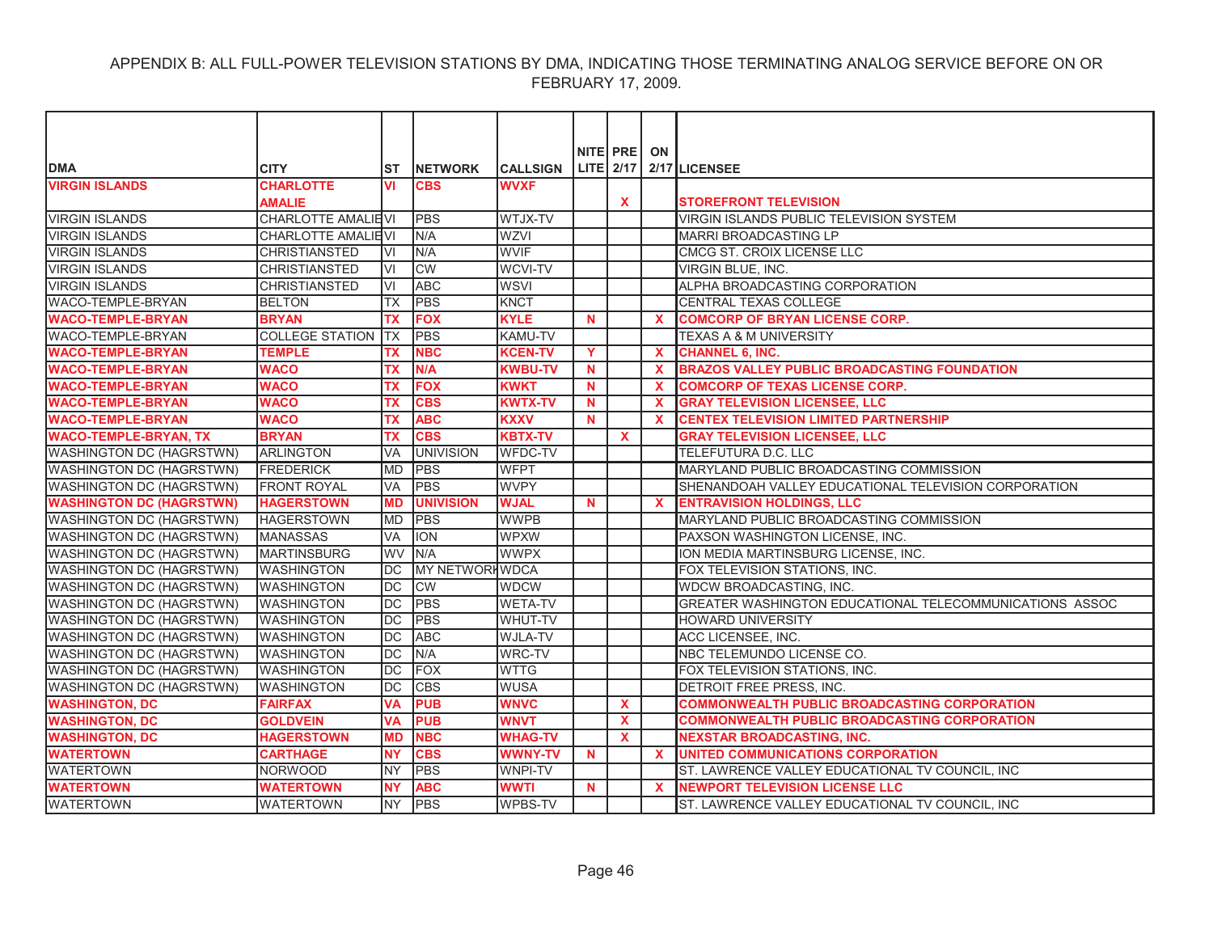|                                 |                           |            |                        |                 |          | NITE PRE     | ON                        |                                                         |
|---------------------------------|---------------------------|------------|------------------------|-----------------|----------|--------------|---------------------------|---------------------------------------------------------|
| <b>DMA</b>                      | <b>CITY</b>               | ST         | <b>NETWORK</b>         | <b>CALLSIGN</b> |          |              |                           | LITE 2/17 2/17 LICENSEE                                 |
| <b>VIRGIN ISLANDS</b>           | <b>CHARLOTTE</b>          | VI         | <b>CBS</b>             | <b>WVXF</b>     |          |              |                           |                                                         |
|                                 | <b>AMALIE</b>             |            |                        |                 |          | <b>X</b>     |                           | <b>STOREFRONT TELEVISION</b>                            |
| <b>VIRGIN ISLANDS</b>           | <b>CHARLOTTE AMALIEVI</b> |            | <b>PBS</b>             | WTJX-TV         |          |              |                           | VIRGIN ISLANDS PUBLIC TELEVISION SYSTEM                 |
| <b>VIRGIN ISLANDS</b>           | CHARLOTTE AMALIEVI        |            | N/A                    | <b>WZVI</b>     |          |              |                           | <b>MARRI BROADCASTING LP</b>                            |
| <b>VIRGIN ISLANDS</b>           | CHRISTIANSTED             | ΙVΙ        | N/A                    | <b>WVIF</b>     |          |              |                           | CMCG ST. CROIX LICENSE LLC                              |
| <b>VIRGIN ISLANDS</b>           | <b>CHRISTIANSTED</b>      | VI         | $\overline{\text{CW}}$ | <b>WCVI-TV</b>  |          |              |                           | VIRGIN BLUE, INC.                                       |
| <b>VIRGIN ISLANDS</b>           | <b>CHRISTIANSTED</b>      | VI         | <b>ABC</b>             | <b>WSVI</b>     |          |              |                           | ALPHA BROADCASTING CORPORATION                          |
| <b>WACO-TEMPLE-BRYAN</b>        | <b>BELTON</b>             | ТX         | <b>PBS</b>             | <b>KNCT</b>     |          |              |                           | <b>CENTRAL TEXAS COLLEGE</b>                            |
| <b>WACO-TEMPLE-BRYAN</b>        | <b>BRYAN</b>              | ТX         | <b>FOX</b>             | <b>KYLE</b>     | <b>N</b> |              | X                         | <b>COMCORP OF BRYAN LICENSE CORP.</b>                   |
| WACO-TEMPLE-BRYAN               | <b>COLLEGE STATION</b>    | <b>ITX</b> | <b>PBS</b>             | <b>KAMU-TV</b>  |          |              |                           | <b>TEXAS A &amp; M UNIVERSITY</b>                       |
| <b>WACO-TEMPLE-BRYAN</b>        | <b>TEMPLE</b>             | <b>TX</b>  | <b>NBC</b>             | <b>KCEN-TV</b>  | Y        |              | $\mathbf{x}$              | <b>CHANNEL 6, INC.</b>                                  |
| <b>WACO-TEMPLE-BRYAN</b>        | <b>WACO</b>               | ТX         | N/A                    | <b>KWBU-TV</b>  | <b>N</b> |              | X                         | <b>BRAZOS VALLEY PUBLIC BROADCASTING FOUNDATION</b>     |
| <b>WACO-TEMPLE-BRYAN</b>        | <b>WACO</b>               | ТX         | <b>FOX</b>             | <b>KWKT</b>     | N        |              | X                         | <b>COMCORP OF TEXAS LICENSE CORP.</b>                   |
| <b>WACO-TEMPLE-BRYAN</b>        | <b>WACO</b>               | ТX         | <b>CBS</b>             | <b>KWTX-TV</b>  | <b>N</b> |              | $\boldsymbol{\mathsf{x}}$ | <b>GRAY TELEVISION LICENSEE, LLC</b>                    |
| <b>WACO-TEMPLE-BRYAN</b>        | <b>WACO</b>               | ТX         | <b>ABC</b>             | <b>KXXV</b>     | N        |              | $\mathbf{x}$              | <b>CENTEX TELEVISION LIMITED PARTNERSHIP</b>            |
| <b>WACO-TEMPLE-BRYAN, TX</b>    | <b>BRYAN</b>              | <b>TX</b>  | <b>CBS</b>             | <b>KBTX-TV</b>  |          | $\mathbf{x}$ |                           | <b>GRAY TELEVISION LICENSEE. LLC</b>                    |
| <b>WASHINGTON DC (HAGRSTWN)</b> | <b>ARLINGTON</b>          | <b>VA</b>  | <b>UNIVISION</b>       | <b>WFDC-TV</b>  |          |              |                           | TELEFUTURA D.C. LLC                                     |
| <b>WASHINGTON DC (HAGRSTWN)</b> | <b>FREDERICK</b>          | <b>MD</b>  | <b>PBS</b>             | <b>WFPT</b>     |          |              |                           | MARYLAND PUBLIC BROADCASTING COMMISSION                 |
| <b>WASHINGTON DC (HAGRSTWN)</b> | <b>FRONT ROYAL</b>        | <b>VA</b>  | <b>PBS</b>             | <b>WVPY</b>     |          |              |                           | SHENANDOAH VALLEY EDUCATIONAL TELEVISION CORPORATION    |
| <b>WASHINGTON DC (HAGRSTWN)</b> | <b>HAGERSTOWN</b>         | <b>MD</b>  | <b>UNIVISION</b>       | <b>WJAL</b>     | <b>N</b> |              | $\mathbf{x}$              | <b>ENTRAVISION HOLDINGS, LLC</b>                        |
| <b>WASHINGTON DC (HAGRSTWN)</b> | <b>HAGERSTOWN</b>         | <b>MD</b>  | <b>PBS</b>             | <b>WWPB</b>     |          |              |                           | MARYLAND PUBLIC BROADCASTING COMMISSION                 |
| <b>WASHINGTON DC (HAGRSTWN)</b> | <b>MANASSAS</b>           | <b>VA</b>  | <b>ION</b>             | <b>WPXW</b>     |          |              |                           | PAXSON WASHINGTON LICENSE, INC.                         |
| <b>WASHINGTON DC (HAGRSTWN)</b> | <b>MARTINSBURG</b>        | <b>WV</b>  | N/A                    | <b>WWPX</b>     |          |              |                           | ION MEDIA MARTINSBURG LICENSE, INC.                     |
| <b>WASHINGTON DC (HAGRSTWN)</b> | <b>WASHINGTON</b>         | DC         | <b>MY NETWORHWDCA</b>  |                 |          |              |                           | FOX TELEVISION STATIONS, INC.                           |
| <b>WASHINGTON DC (HAGRSTWN)</b> | <b>WASHINGTON</b>         | DC         | <b>CW</b>              | <b>WDCW</b>     |          |              |                           | WDCW BROADCASTING, INC.                                 |
| <b>WASHINGTON DC (HAGRSTWN)</b> | <b>WASHINGTON</b>         | <b>DC</b>  | <b>PBS</b>             | <b>WETA-TV</b>  |          |              |                           | GREATER WASHINGTON EDUCATIONAL TELECOMMUNICATIONS ASSOC |
| <b>WASHINGTON DC (HAGRSTWN)</b> | <b>WASHINGTON</b>         | DC         | <b>PBS</b>             | <b>WHUT-TV</b>  |          |              |                           | <b>HOWARD UNIVERSITY</b>                                |
| WASHINGTON DC (HAGRSTWN)        | <b>WASHINGTON</b>         | ldc        | <b>ABC</b>             | <b>WJLA-TV</b>  |          |              |                           | ACC LICENSEE, INC.                                      |
| <b>WASHINGTON DC (HAGRSTWN)</b> | <b>WASHINGTON</b>         | DC         | N/A                    | <b>WRC-TV</b>   |          |              |                           | NBC TELEMUNDO LICENSE CO.                               |
| <b>WASHINGTON DC (HAGRSTWN)</b> | <b>WASHINGTON</b>         | DC         | <b>FOX</b>             | <b>WTTG</b>     |          |              |                           | FOX TELEVISION STATIONS. INC.                           |
| WASHINGTON DC (HAGRSTWN)        | <b>WASHINGTON</b>         | DC         | <b>CBS</b>             | <b>WUSA</b>     |          |              |                           | DETROIT FREE PRESS, INC.                                |
| <b>WASHINGTON, DC</b>           | <b>FAIRFAX</b>            | <b>VA</b>  | <b>PUB</b>             | <b>WNVC</b>     |          | X            |                           | <b>COMMONWEALTH PUBLIC BROADCASTING CORPORATION</b>     |
| <b>WASHINGTON, DC</b>           | <b>GOLDVEIN</b>           | VA         | <b>PUB</b>             | <b>WNVT</b>     |          | X            |                           | <b>COMMONWEALTH PUBLIC BROADCASTING CORPORATION</b>     |
| <b>WASHINGTON, DC</b>           | <b>HAGERSTOWN</b>         | <b>MD</b>  | <b>NBC</b>             | <b>WHAG-TV</b>  |          | X            |                           | <b>NEXSTAR BROADCASTING, INC.</b>                       |
| <b>WATERTOWN</b>                | <b>CARTHAGE</b>           | <b>NY</b>  | <b>CBS</b>             | <b>WWNY-TV</b>  | <b>N</b> |              | $\mathbf{x}$              | UNITED COMMUNICATIONS CORPORATION                       |
| <b>WATERTOWN</b>                | <b>NORWOOD</b>            | <b>NY</b>  | <b>PBS</b>             | <b>WNPI-TV</b>  |          |              |                           | ST. LAWRENCE VALLEY EDUCATIONAL TV COUNCIL, INC         |
| <b>WATERTOWN</b>                | <b>WATERTOWN</b>          | <b>NY</b>  | <b>ABC</b>             | <b>WWTI</b>     | <b>N</b> |              | $\mathbf{x}$              | <b>NEWPORT TELEVISION LICENSE LLC</b>                   |
| <b>WATERTOWN</b>                | <b>WATERTOWN</b>          | <b>NY</b>  | <b>PBS</b>             | <b>WPBS-TV</b>  |          |              |                           | ST. LAWRENCE VALLEY EDUCATIONAL TV COUNCIL. INC         |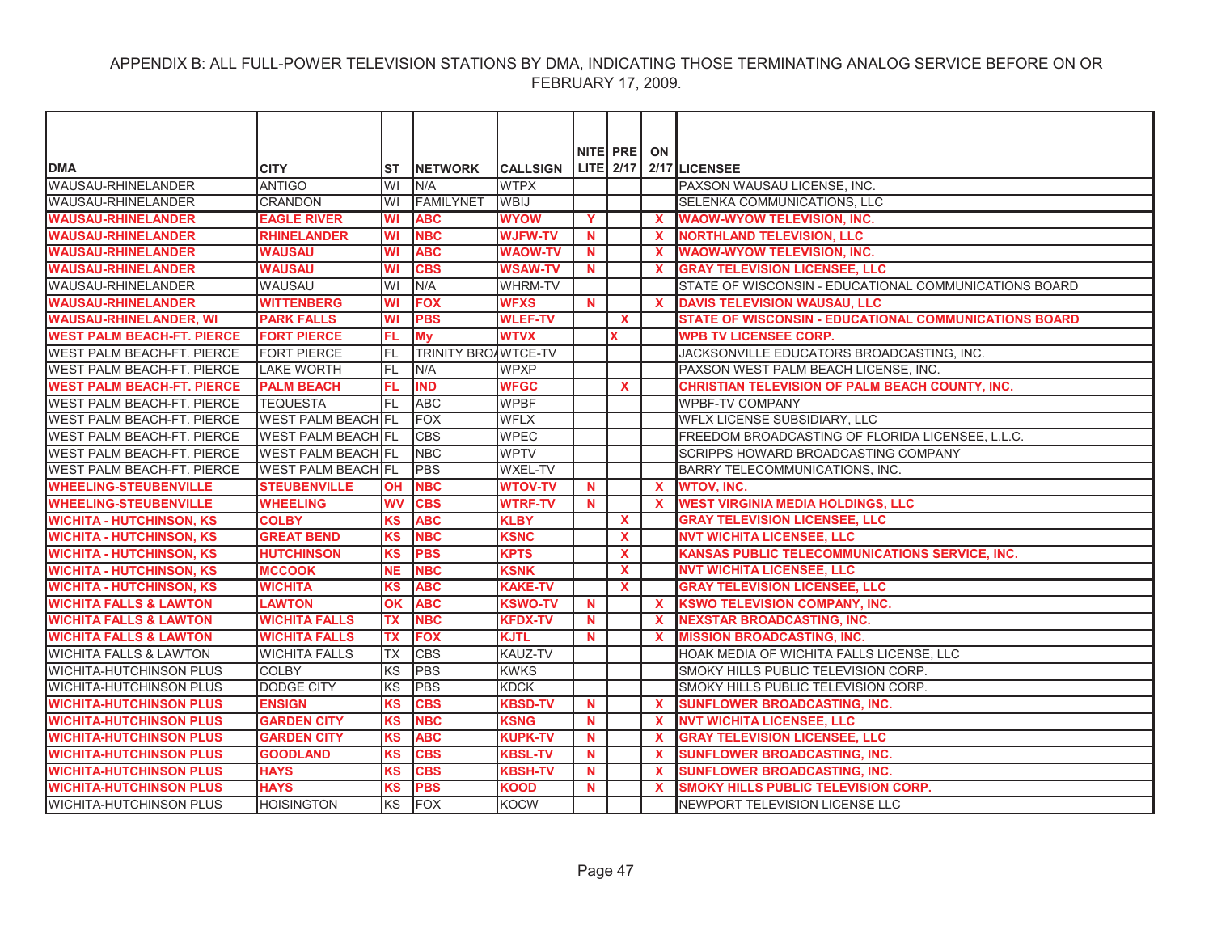|                                   |                           |           |                     |                 |             | NITE PRE     | ON           |                                                              |
|-----------------------------------|---------------------------|-----------|---------------------|-----------------|-------------|--------------|--------------|--------------------------------------------------------------|
| <b>DMA</b>                        | <b>CITY</b>               | ST        | <b>NETWORK</b>      | <b>CALLSIGN</b> |             |              |              | LITE $2/17$ $2/17$ LICENSEE                                  |
| WAUSAU-RHINELANDER                | ANTIGO                    | WI        | N/A                 | <b>WTPX</b>     |             |              |              | PAXSON WAUSAU LICENSE, INC.                                  |
| <b>WAUSAU-RHINELANDER</b>         | <b>CRANDON</b>            | WI        | <b>FAMILYNET</b>    | <b>WBIJ</b>     |             |              |              | SELENKA COMMUNICATIONS, LLC                                  |
| <b>WAUSAU-RHINELANDER</b>         | <b>EAGLE RIVER</b>        | WI        | <b>ABC</b>          | <b>WYOW</b>     | Y           |              | X            | <b>WAOW-WYOW TELEVISION, INC.</b>                            |
| <b>WAUSAU-RHINELANDER</b>         | <b>RHINELANDER</b>        | WI        | <b>NBC</b>          | <b>WJFW-TV</b>  | $\mathbf N$ |              | $\mathbf{x}$ | <b>NORTHLAND TELEVISION, LLC</b>                             |
| <b>WAUSAU-RHINELANDER</b>         | <b>WAUSAU</b>             | WI        | <b>ABC</b>          | <b>WAOW-TV</b>  | <b>N</b>    |              | $\mathbf{x}$ | <b>WAOW-WYOW TELEVISION, INC.</b>                            |
| <b>WAUSAU-RHINELANDER</b>         | <b>WAUSAU</b>             | <b>WI</b> | <b>CBS</b>          | <b>WSAW-TV</b>  | $\mathbf N$ |              | $\mathbf{x}$ | <b>GRAY TELEVISION LICENSEE, LLC</b>                         |
| <b>WAUSAU-RHINELANDER</b>         | <b>WAUSAU</b>             | WI        | N/A                 | <b>WHRM-TV</b>  |             |              |              | STATE OF WISCONSIN - EDUCATIONAL COMMUNICATIONS BOARD        |
| <b>WAUSAU-RHINELANDER</b>         | <b>WITTENBERG</b>         | WI        | <b>FOX</b>          | <b>WFXS</b>     | <b>N</b>    |              | <b>X</b>     | <b>DAVIS TELEVISION WAUSAU, LLC</b>                          |
| <b>WAUSAU-RHINELANDER, WI</b>     | <b>PARK FALLS</b>         | WI        | <b>PBS</b>          | <b>WLEF-TV</b>  |             | $\mathbf{x}$ |              | <b>STATE OF WISCONSIN - EDUCATIONAL COMMUNICATIONS BOARD</b> |
| <b>WEST PALM BEACH-FT. PIERCE</b> | <b>FORT PIERCE</b>        | FL        | <b>My</b>           | <b>WTVX</b>     |             | x            |              | <b>WPB TV LICENSEE CORP.</b>                                 |
| <b>WEST PALM BEACH-FT. PIERCE</b> | <b>FORT PIERCE</b>        | FL        | TRINITY BROAWTCE-TV |                 |             |              |              | JACKSONVILLE EDUCATORS BROADCASTING, INC.                    |
| <b>WEST PALM BEACH-FT. PIERCE</b> | <b>LAKE WORTH</b>         | FL        | N/A                 | <b>WPXP</b>     |             |              |              | PAXSON WEST PALM BEACH LICENSE, INC.                         |
| <b>WEST PALM BEACH-FT. PIERCE</b> | <b>PALM BEACH</b>         | FL        | <b>IND</b>          | <b>WFGC</b>     |             | <b>X</b>     |              | <b>CHRISTIAN TELEVISION OF PALM BEACH COUNTY, INC.</b>       |
| <b>WEST PALM BEACH-FT. PIERCE</b> | <b>TEQUESTA</b>           | FL        | <b>ABC</b>          | <b>WPBF</b>     |             |              |              | <b>WPBF-TV COMPANY</b>                                       |
| <b>WEST PALM BEACH-FT. PIERCE</b> | <b>WEST PALM BEACH FL</b> |           | <b>FOX</b>          | <b>WFLX</b>     |             |              |              | WFLX LICENSE SUBSIDIARY, LLC                                 |
| <b>WEST PALM BEACH-FT. PIERCE</b> | <b>WEST PALM BEACH FL</b> |           | <b>CBS</b>          | <b>WPEC</b>     |             |              |              | FREEDOM BROADCASTING OF FLORIDA LICENSEE, L.L.C.             |
| <b>WEST PALM BEACH-FT. PIERCE</b> | <b>WEST PALM BEACH FL</b> |           | <b>NBC</b>          | <b>WPTV</b>     |             |              |              | SCRIPPS HOWARD BROADCASTING COMPANY                          |
| <b>WEST PALM BEACH-FT. PIERCE</b> | <b>WEST PALM BEACH FL</b> |           | <b>PBS</b>          | <b>WXEL-TV</b>  |             |              |              | <b>BARRY TELECOMMUNICATIONS, INC.</b>                        |
| <b>WHEELING-STEUBENVILLE</b>      | <b>STEUBENVILLE</b>       | <b>OH</b> | <b>NBC</b>          | <b>WTOV-TV</b>  | <b>N</b>    |              | $\mathbf{x}$ | <b>WTOV, INC.</b>                                            |
| <b>WHEELING-STEUBENVILLE</b>      | <b>WHEELING</b>           | <b>WV</b> | <b>CBS</b>          | <b>WTRF-TV</b>  | N           |              | $\mathbf{x}$ | <b>WEST VIRGINIA MEDIA HOLDINGS, LLC</b>                     |
| <b>WICHITA - HUTCHINSON, KS</b>   | <b>COLBY</b>              | <b>KS</b> | <b>ABC</b>          | <b>KLBY</b>     |             | $\mathbf{x}$ |              | <b>GRAY TELEVISION LICENSEE, LLC</b>                         |
| <b>WICHITA - HUTCHINSON, KS</b>   | <b>GREAT BEND</b>         | <b>KS</b> | <b>NBC</b>          | <b>KSNC</b>     |             | $\mathbf{x}$ |              | <b>NVT WICHITA LICENSEE, LLC</b>                             |
| <b>WICHITA - HUTCHINSON, KS</b>   | <b>HUTCHINSON</b>         | <b>KS</b> | <b>PBS</b>          | <b>KPTS</b>     |             | $\mathbf{x}$ |              | <b>KANSAS PUBLIC TELECOMMUNICATIONS SERVICE, INC.</b>        |
| <b>WICHITA - HUTCHINSON, KS</b>   | <b>MCCOOK</b>             | <b>NE</b> | <b>NBC</b>          | <b>KSNK</b>     |             | $\mathbf{x}$ |              | <b>NVT WICHITA LICENSEE, LLC</b>                             |
| <b>WICHITA - HUTCHINSON, KS</b>   | <b>WICHITA</b>            | <b>KS</b> | <b>ABC</b>          | <b>KAKE-TV</b>  |             | $\mathbf{x}$ |              | <b>GRAY TELEVISION LICENSEE, LLC</b>                         |
| <b>WICHITA FALLS &amp; LAWTON</b> | <b>LAWTON</b>             | OK        | <b>ABC</b>          | <b>KSWO-TV</b>  | N           |              | $\mathbf{x}$ | <b>KSWO TELEVISION COMPANY, INC.</b>                         |
| <b>WICHITA FALLS &amp; LAWTON</b> | <b>WICHITA FALLS</b>      | ТX        | <b>NBC</b>          | <b>KFDX-TV</b>  | <b>N</b>    |              | X.           | <b>NEXSTAR BROADCASTING, INC.</b>                            |
| <b>WICHITA FALLS &amp; LAWTON</b> | <b>WICHITA FALLS</b>      | <b>TX</b> | <b>FOX</b>          | <b>KJTL</b>     | N           |              | $\mathbf{x}$ | <b>MISSION BROADCASTING, INC.</b>                            |
| <b>WICHITA FALLS &amp; LAWTON</b> | <b>WICHITA FALLS</b>      | TX        | <b>CBS</b>          | KAUZ-TV         |             |              |              | HOAK MEDIA OF WICHITA FALLS LICENSE, LLC                     |
| <b>WICHITA-HUTCHINSON PLUS</b>    | <b>COLBY</b>              | lĸs       | <b>PBS</b>          | <b>KWKS</b>     |             |              |              | SMOKY HILLS PUBLIC TELEVISION CORP.                          |
| <b>WICHITA-HUTCHINSON PLUS</b>    | <b>DODGE CITY</b>         | KS        | <b>PBS</b>          | <b>KDCK</b>     |             |              |              | SMOKY HILLS PUBLIC TELEVISION CORP.                          |
| <b>WICHITA-HUTCHINSON PLUS</b>    | <b>ENSIGN</b>             | <b>KS</b> | <b>CBS</b>          | <b>KBSD-TV</b>  | $\mathbf N$ |              | $\mathbf{x}$ | <b>SUNFLOWER BROADCASTING, INC.</b>                          |
| <b>WICHITA-HUTCHINSON PLUS</b>    | <b>GARDEN CITY</b>        | <b>KS</b> | <b>NBC</b>          | <b>KSNG</b>     | <b>N</b>    |              | $\mathbf{x}$ | <b>NVT WICHITA LICENSEE, LLC</b>                             |
| <b>WICHITA-HUTCHINSON PLUS</b>    | <b>GARDEN CITY</b>        | <b>KS</b> | <b>ABC</b>          | <b>KUPK-TV</b>  | N           |              | <b>X</b>     | <b>GRAY TELEVISION LICENSEE, LLC</b>                         |
| <b>WICHITA-HUTCHINSON PLUS</b>    | <b>GOODLAND</b>           | <b>KS</b> | <b>CBS</b>          | <b>KBSL-TV</b>  | N           |              | X            | <b>SUNFLOWER BROADCASTING, INC.</b>                          |
| <b>WICHITA-HUTCHINSON PLUS</b>    | <b>HAYS</b>               | <b>KS</b> | <b>CBS</b>          | <b>KBSH-TV</b>  | <b>N</b>    |              | X            | <b>SUNFLOWER BROADCASTING, INC.</b>                          |
| <b>WICHITA-HUTCHINSON PLUS</b>    | <b>HAYS</b>               | <b>KS</b> | <b>PBS</b>          | <b>KOOD</b>     | <b>N</b>    |              | X            | SMOKY HILLS PUBLIC TELEVISION CORP.                          |
| <b>WICHITA-HUTCHINSON PLUS</b>    | <b>HOISINGTON</b>         | lĸs       | <b>FOX</b>          | <b>KOCW</b>     |             |              |              | NEWPORT TELEVISION LICENSE LLC                               |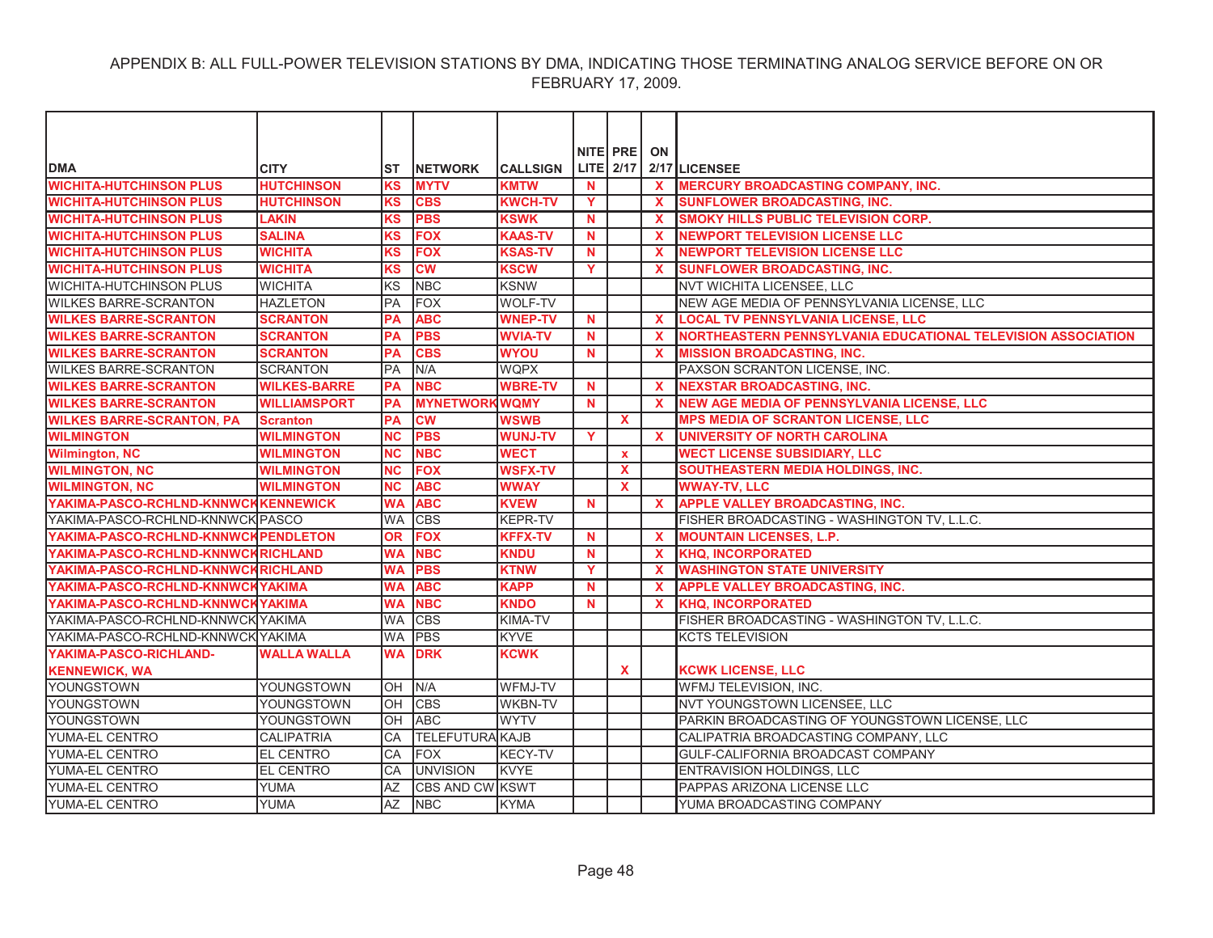|                                      |                     |           |                        |                 |             | NITE PRE         | ON           |                                                              |
|--------------------------------------|---------------------|-----------|------------------------|-----------------|-------------|------------------|--------------|--------------------------------------------------------------|
| <b>DMA</b>                           | <b>CITY</b>         | ST        | <b>INETWORK</b>        | <b>CALLSIGN</b> |             | <b>LITE</b> 2/17 |              | 2/17 LICENSEE                                                |
| <b>WICHITA-HUTCHINSON PLUS</b>       | <b>HUTCHINSON</b>   | <b>KS</b> | <b>MYTV</b>            | <b>KMTW</b>     | <b>N</b>    |                  | $\mathbf{x}$ | <b>MERCURY BROADCASTING COMPANY, INC.</b>                    |
| <b>WICHITA-HUTCHINSON PLUS</b>       | <b>HUTCHINSON</b>   | KS        | <b>CBS</b>             | <b>KWCH-TV</b>  | Y           |                  |              | <b>SUNFLOWER BROADCASTING, INC.</b>                          |
| <b>WICHITA-HUTCHINSON PLUS</b>       | <b>LAKIN</b>        | ΚS        | <b>PBS</b>             | <b>KSWK</b>     | <b>N</b>    |                  | X            | SMOKY HILLS PUBLIC TELEVISION CORP.                          |
| <b>WICHITA-HUTCHINSON PLUS</b>       | <b>SALINA</b>       | <b>KS</b> | <b>FOX</b>             | <b>KAAS-TV</b>  | $\mathbf N$ |                  | $\mathbf{x}$ | <b>NEWPORT TELEVISION LICENSE LLC</b>                        |
| <b>WICHITA-HUTCHINSON PLUS</b>       | <b>WICHITA</b>      | <b>KS</b> | <b>FOX</b>             | <b>KSAS-TV</b>  | N           |                  | $\mathbf x$  | <b>NEWPORT TELEVISION LICENSE LLC</b>                        |
| <b>WICHITA-HUTCHINSON PLUS</b>       | <b>WICHITA</b>      | <b>KS</b> | <b>CW</b>              | <b>KSCW</b>     | Y.          |                  | $\mathbf{x}$ | <b>SUNFLOWER BROADCASTING, INC.</b>                          |
| <b>WICHITA-HUTCHINSON PLUS</b>       | <b>WICHITA</b>      | KS        | <b>NBC</b>             | <b>KSNW</b>     |             |                  |              | NVT WICHITA LICENSEE, LLC                                    |
| <b>WILKES BARRE-SCRANTON</b>         | <b>HAZLETON</b>     | <b>PA</b> | <b>FOX</b>             | <b>WOLF-TV</b>  |             |                  |              | NEW AGE MEDIA OF PENNSYLVANIA LICENSE, LLC                   |
| <b>WILKES BARRE-SCRANTON</b>         | <b>SCRANTON</b>     | PA        | <b>ABC</b>             | <b>WNEP-TV</b>  | <b>N</b>    |                  | $\mathbf{x}$ | <b>LOCAL TV PENNSYLVANIA LICENSE, LLC</b>                    |
| <b>WILKES BARRE-SCRANTON</b>         | <b>SCRANTON</b>     | <b>PA</b> | <b>PBS</b>             | <b>WVIA-TV</b>  | N           |                  | $\mathbf{x}$ | NORTHEASTERN PENNSYLVANIA EDUCATIONAL TELEVISION ASSOCIATION |
| <b>WILKES BARRE-SCRANTON</b>         | <b>SCRANTON</b>     | <b>PA</b> | <b>CBS</b>             | <b>WYOU</b>     | <b>N</b>    |                  | $\mathbf x$  | <b>MISSION BROADCASTING, INC.</b>                            |
| <b>WILKES BARRE-SCRANTON</b>         | <b>SCRANTON</b>     | <b>PA</b> | N/A                    | <b>WQPX</b>     |             |                  |              | PAXSON SCRANTON LICENSE, INC.                                |
| <b>WILKES BARRE-SCRANTON</b>         | <b>WILKES-BARRE</b> | <b>PA</b> | <b>NBC</b>             | <b>WBRE-TV</b>  | N           |                  | $\mathbf{x}$ | <b>NEXSTAR BROADCASTING, INC.</b>                            |
| <b>WILKES BARRE-SCRANTON</b>         | <b>WILLIAMSPORT</b> | <b>PA</b> | <b>MYNETWORKWOMY</b>   |                 | <b>N</b>    |                  | $\mathbf{x}$ | <b>NEW AGE MEDIA OF PENNSYLVANIA LICENSE, LLC</b>            |
| <b>WILKES BARRE-SCRANTON, PA</b>     | <b>Scranton</b>     | PA        | <b>CW</b>              | <b>WSWB</b>     |             | $\mathbf{x}$     |              | <b>MPS MEDIA OF SCRANTON LICENSE, LLC</b>                    |
| <b>WILMINGTON</b>                    | <b>WILMINGTON</b>   | <b>NC</b> | <b>PBS</b>             | <b>WUNJ-TV</b>  | Y           |                  | $\mathbf{x}$ | <b>UNIVERSITY OF NORTH CAROLINA</b>                          |
| <b>Wilmington, NC</b>                | <b>WILMINGTON</b>   | <b>NC</b> | <b>NBC</b>             | <b>WECT</b>     |             | $\mathbf{x}$     |              | <b>WECT LICENSE SUBSIDIARY, LLC</b>                          |
| <b>WILMINGTON, NC</b>                | <b>WILMINGTON</b>   | <b>NC</b> | <b>FOX</b>             | <b>WSFX-TV</b>  |             | $\mathbf{x}$     |              | SOUTHEASTERN MEDIA HOLDINGS, INC.                            |
| <b>WILMINGTON, NC</b>                | <b>WILMINGTON</b>   | <b>NC</b> | <b>ABC</b>             | <b>WWAY</b>     |             | X                |              | <b>WWAY-TV, LLC</b>                                          |
| YAKIMA-PASCO-RCHLND-KNNWCKKENNEWICK  |                     | <b>WA</b> | <b>ABC</b>             | <b>KVEW</b>     | $\mathbf N$ |                  | $\mathbf{x}$ | <b>APPLE VALLEY BROADCASTING, INC.</b>                       |
| YAKIMA-PASCO-RCHLND-KNNWCK PASCO     |                     | <b>WA</b> | <b>CBS</b>             | <b>KEPR-TV</b>  |             |                  |              | FISHER BROADCASTING - WASHINGTON TV, L.L.C.                  |
| YAKIMA-PASCO-RCHLND-KNNWCK PENDLETON |                     | <b>OR</b> | <b>FOX</b>             | <b>KFFX-TV</b>  | N           |                  | $\mathbf{x}$ | <b>MOUNTAIN LICENSES, L.P.</b>                               |
| YAKIMA-PASCO-RCHLND-KNNWCKRICHLAND   |                     | <b>WA</b> | <b>NBC</b>             | <b>KNDU</b>     | <b>N</b>    |                  | $\mathbf{x}$ | <b>KHQ, INCORPORATED</b>                                     |
| YAKIMA-PASCO-RCHLND-KNNWCKRICHLAND   |                     | <b>WA</b> | <b>PBS</b>             | <b>KTNW</b>     | Y           |                  | $\mathbf{x}$ | <b>WASHINGTON STATE UNIVERSITY</b>                           |
| YAKIMA-PASCO-RCHLND-KNNWCKYAKIMA     |                     | <b>WA</b> | <b>ABC</b>             | <b>KAPP</b>     | <b>N</b>    |                  | $\mathbf{x}$ | APPLE VALLEY BROADCASTING, INC.                              |
| YAKIMA-PASCO-RCHLND-KNNWCKYAKIMA     |                     | <b>WA</b> | <b>NBC</b>             | <b>KNDO</b>     | <b>N</b>    |                  | $\mathbf x$  | <b>KHQ. INCORPORATED</b>                                     |
| YAKIMA-PASCO-RCHLND-KNNWCK YAKIMA    |                     | <b>WA</b> | <b>CBS</b>             | <b>KIMA-TV</b>  |             |                  |              | FISHER BROADCASTING - WASHINGTON TV, L.L.C.                  |
| YAKIMA-PASCO-RCHLND-KNNWCK YAKIMA    |                     | <b>WA</b> | <b>PBS</b>             | <b>KYVE</b>     |             |                  |              | <b>KCTS TELEVISION</b>                                       |
| YAKIMA-PASCO-RICHLAND-               | <b>WALLA WALLA</b>  | <b>WA</b> | <b>DRK</b>             | <b>KCWK</b>     |             |                  |              |                                                              |
| <b>KENNEWICK, WA</b>                 |                     |           |                        |                 |             | <b>X</b>         |              | <b>KCWK LICENSE, LLC</b>                                     |
| YOUNGSTOWN                           | YOUNGSTOWN          | OH        | N/A                    | WFMJ-TV         |             |                  |              | WFMJ TELEVISION, INC.                                        |
| <b>YOUNGSTOWN</b>                    | YOUNGSTOWN          | OH        | <b>CBS</b>             | <b>WKBN-TV</b>  |             |                  |              | NVT YOUNGSTOWN LICENSEE, LLC                                 |
| <b>YOUNGSTOWN</b>                    | YOUNGSTOWN          | OH        | <b>ABC</b>             | <b>WYTV</b>     |             |                  |              | PARKIN BROADCASTING OF YOUNGSTOWN LICENSE, LLC               |
| YUMA-EL CENTRO                       | <b>CALIPATRIA</b>   | CA        | <b>TELEFUTURA KAJB</b> |                 |             |                  |              | CALIPATRIA BROADCASTING COMPANY, LLC                         |
| YUMA-EL CENTRO                       | <b>EL CENTRO</b>    | CA        | <b>FOX</b>             | <b>KECY-TV</b>  |             |                  |              | GULF-CALIFORNIA BROADCAST COMPANY                            |
| YUMA-EL CENTRO                       | <b>EL CENTRO</b>    | CA        | <b>UNVISION</b>        | <b>KVYE</b>     |             |                  |              | <b>ENTRAVISION HOLDINGS, LLC</b>                             |
| YUMA-EL CENTRO                       | YUMA                | AZ        | <b>CBS AND CW KSWT</b> |                 |             |                  |              | PAPPAS ARIZONA LICENSE LLC                                   |
| YUMA-EL CENTRO                       | <b>YUMA</b>         | AZ        | <b>NBC</b>             | <b>KYMA</b>     |             |                  |              | YUMA BROADCASTING COMPANY                                    |
|                                      |                     |           |                        |                 |             |                  |              |                                                              |